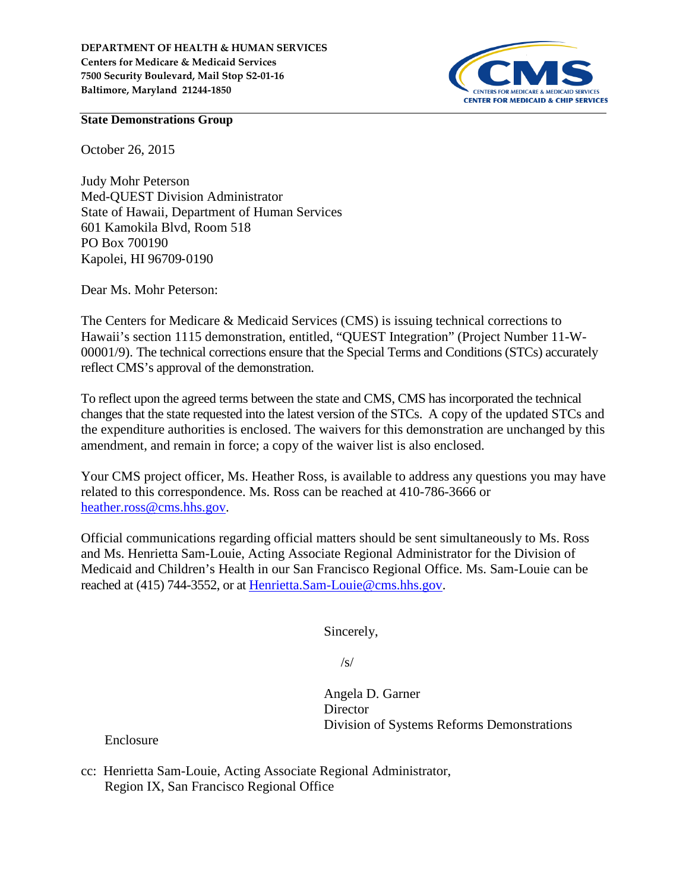

#### **State Demonstrations Group**

October 26, 2015

Judy Mohr Peterson Med-QUEST Division Administrator State of Hawaii, Department of Human Services 601 Kamokila Blvd, Room 518 PO Box 700190 Kapolei, HI 96709‐0190

Dear Ms. Mohr Peterson:

The Centers for Medicare & Medicaid Services (CMS) is issuing technical corrections to Hawaii's section 1115 demonstration, entitled, "QUEST Integration" (Project Number 11-W-00001/9). The technical corrections ensure that the Special Terms and Conditions (STCs) accurately reflect CMS's approval of the demonstration.

To reflect upon the agreed terms between the state and CMS, CMS has incorporated the technical changes that the state requested into the latest version of the STCs. A copy of the updated STCs and the expenditure authorities is enclosed. The waivers for this demonstration are unchanged by this amendment, and remain in force; a copy of the waiver list is also enclosed.

Your CMS project officer, Ms. Heather Ross, is available to address any questions you may have related to this correspondence. Ms. Ross can be reached at 410-786-3666 or [heather.ross@cms.hhs.gov.](mailto:heather.ross@cms.hhs.gov)

Official communications regarding official matters should be sent simultaneously to Ms. Ross and Ms. Henrietta Sam-Louie, Acting Associate Regional Administrator for the Division of Medicaid and Children's Health in our San Francisco Regional Office. Ms. Sam-Louie can be reached at (415) 744-3552, or at [Henrietta.Sam-Louie@cms.hhs.gov.](mailto:Henrietta.Sam-Louie@cms.hhs.gov)

Sincerely,

 $\sqrt{s}$ 

Angela D. Garner **Director** Division of Systems Reforms Demonstrations

Enclosure

cc: Henrietta Sam-Louie, Acting Associate Regional Administrator, Region IX, San Francisco Regional Office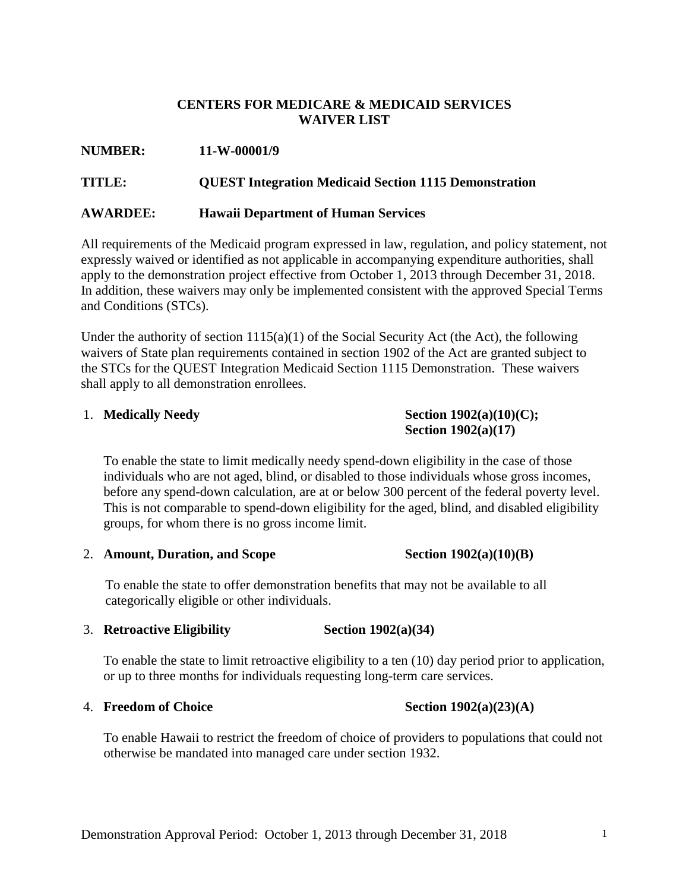## **CENTERS FOR MEDICARE & MEDICAID SERVICES WAIVER LIST**

| <b>NUMBER:</b> | 11-W-00001/9 |
|----------------|--------------|
|----------------|--------------|

#### **TITLE: QUEST Integration Medicaid Section 1115 Demonstration**

#### **AWARDEE: Hawaii Department of Human Services**

All requirements of the Medicaid program expressed in law, regulation, and policy statement, not expressly waived or identified as not applicable in accompanying expenditure authorities, shall apply to the demonstration project effective from October 1, 2013 through December 31, 2018. In addition, these waivers may only be implemented consistent with the approved Special Terms and Conditions (STCs).

Under the authority of section  $1115(a)(1)$  of the Social Security Act (the Act), the following waivers of State plan requirements contained in section 1902 of the Act are granted subject to the STCs for the QUEST Integration Medicaid Section 1115 Demonstration. These waivers shall apply to all demonstration enrollees.

### 1. **Medically Needy Section 1902(a)(10)(C); Section 1902(a)(17)**

To enable the state to limit medically needy spend-down eligibility in the case of those individuals who are not aged, blind, or disabled to those individuals whose gross incomes, before any spend-down calculation, are at or below 300 percent of the federal poverty level. This is not comparable to spend-down eligibility for the aged, blind, and disabled eligibility groups, for whom there is no gross income limit.

2. **Amount, Duration, and Scope Section 1902(a)(10)(B)**

To enable the state to offer demonstration benefits that may not be available to all categorically eligible or other individuals.

#### 3. **Retroactive Eligibility Section 1902(a)(34)**

To enable the state to limit retroactive eligibility to a ten (10) day period prior to application, or up to three months for individuals requesting long-term care services.

#### 4. **Freedom of Choice Section 1902(a)(23)(A)**

To enable Hawaii to restrict the freedom of choice of providers to populations that could not otherwise be mandated into managed care under section 1932.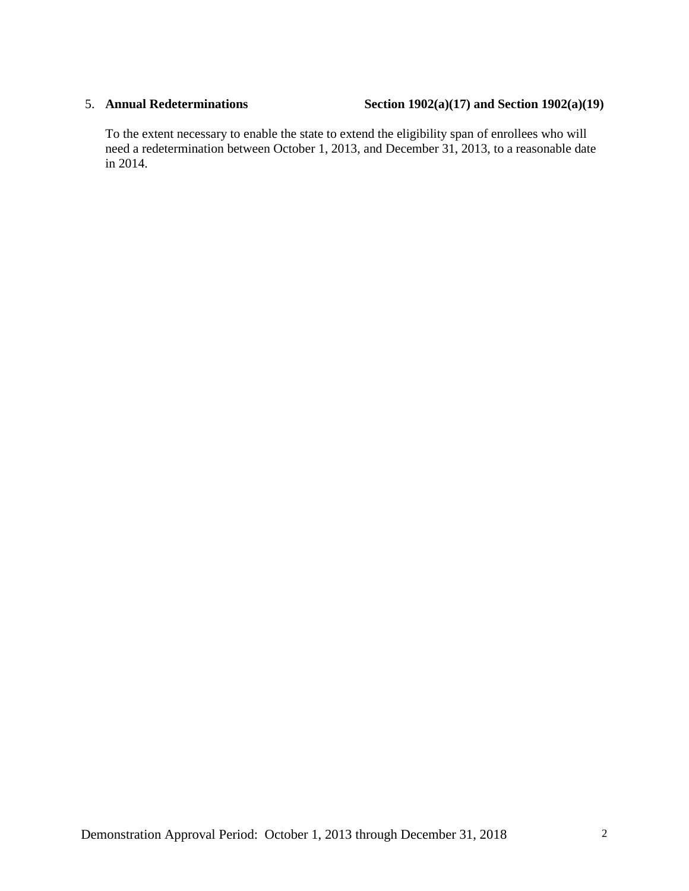#### 5. **Annual Redeterminations Section 1902(a)(17) and Section 1902(a)(19)**

To the extent necessary to enable the state to extend the eligibility span of enrollees who will need a redetermination between October 1, 2013, and December 31, 2013, to a reasonable date in 2014.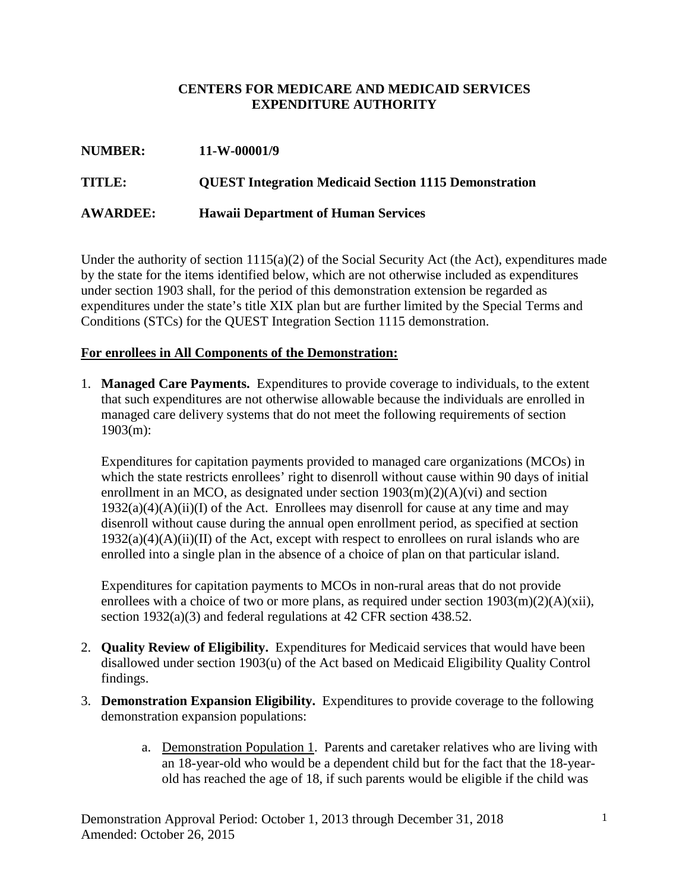## **CENTERS FOR MEDICARE AND MEDICAID SERVICES EXPENDITURE AUTHORITY**

| <b>NUMBER:</b>  | 11-W-00001/9                                                 |
|-----------------|--------------------------------------------------------------|
| <b>TITLE:</b>   | <b>QUEST Integration Medicaid Section 1115 Demonstration</b> |
| <b>AWARDEE:</b> | <b>Hawaii Department of Human Services</b>                   |

Under the authority of section 1115(a)(2) of the Social Security Act (the Act), expenditures made by the state for the items identified below, which are not otherwise included as expenditures under section 1903 shall, for the period of this demonstration extension be regarded as expenditures under the state's title XIX plan but are further limited by the Special Terms and Conditions (STCs) for the QUEST Integration Section 1115 demonstration.

### **For enrollees in All Components of the Demonstration:**

1. **Managed Care Payments.** Expenditures to provide coverage to individuals, to the extent that such expenditures are not otherwise allowable because the individuals are enrolled in managed care delivery systems that do not meet the following requirements of section 1903(m):

Expenditures for capitation payments provided to managed care organizations (MCOs) in which the state restricts enrollees' right to disenroll without cause within 90 days of initial enrollment in an MCO, as designated under section  $1903(m)(2)(A)(vi)$  and section  $1932(a)(4)(A)(ii)(I)$  of the Act. Enrollees may disenroll for cause at any time and may disenroll without cause during the annual open enrollment period, as specified at section  $1932(a)(4)(A)(ii)(II)$  of the Act, except with respect to enrollees on rural islands who are enrolled into a single plan in the absence of a choice of plan on that particular island.

Expenditures for capitation payments to MCOs in non-rural areas that do not provide enrollees with a choice of two or more plans, as required under section  $1903(m)(2)(A)(xii)$ , section 1932(a)(3) and federal regulations at 42 CFR section 438.52.

- 2. **Quality Review of Eligibility.** Expenditures for Medicaid services that would have been disallowed under section 1903(u) of the Act based on Medicaid Eligibility Quality Control findings.
- 3. **Demonstration Expansion Eligibility.** Expenditures to provide coverage to the following demonstration expansion populations:
	- a. Demonstration Population 1. Parents and caretaker relatives who are living with an 18-year-old who would be a dependent child but for the fact that the 18-yearold has reached the age of 18, if such parents would be eligible if the child was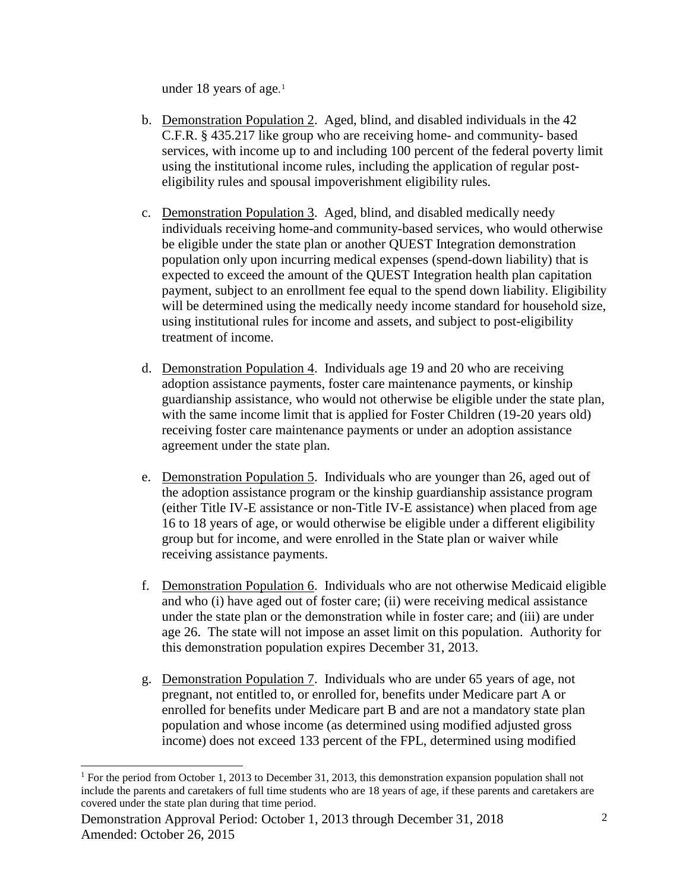under 18 years of age. [1](#page-4-0)

- b. Demonstration Population 2. Aged, blind, and disabled individuals in the 42 C.F.R. § 435.217 like group who are receiving home- and community- based services, with income up to and including 100 percent of the federal poverty limit using the institutional income rules, including the application of regular posteligibility rules and spousal impoverishment eligibility rules.
- c. Demonstration Population 3. Aged, blind, and disabled medically needy individuals receiving home-and community-based services, who would otherwise be eligible under the state plan or another QUEST Integration demonstration population only upon incurring medical expenses (spend-down liability) that is expected to exceed the amount of the QUEST Integration health plan capitation payment, subject to an enrollment fee equal to the spend down liability. Eligibility will be determined using the medically needy income standard for household size, using institutional rules for income and assets, and subject to post-eligibility treatment of income.
- d. Demonstration Population 4. Individuals age 19 and 20 who are receiving adoption assistance payments, foster care maintenance payments, or kinship guardianship assistance, who would not otherwise be eligible under the state plan, with the same income limit that is applied for Foster Children (19-20 years old) receiving foster care maintenance payments or under an adoption assistance agreement under the state plan.
- e. Demonstration Population 5. Individuals who are younger than 26, aged out of the adoption assistance program or the kinship guardianship assistance program (either Title IV-E assistance or non-Title IV-E assistance) when placed from age 16 to 18 years of age, or would otherwise be eligible under a different eligibility group but for income, and were enrolled in the State plan or waiver while receiving assistance payments.
- f. Demonstration Population 6. Individuals who are not otherwise Medicaid eligible and who (i) have aged out of foster care; (ii) were receiving medical assistance under the state plan or the demonstration while in foster care; and (iii) are under age 26. The state will not impose an asset limit on this population. Authority for this demonstration population expires December 31, 2013.
- g. Demonstration Population 7. Individuals who are under 65 years of age, not pregnant, not entitled to, or enrolled for, benefits under Medicare part A or enrolled for benefits under Medicare part B and are not a mandatory state plan population and whose income (as determined using modified adjusted gross income) does not exceed 133 percent of the FPL, determined using modified

<span id="page-4-0"></span><sup>&</sup>lt;sup>1</sup> For the period from October 1, 2013 to December 31, 2013, this demonstration expansion population shall not include the parents and caretakers of full time students who are 18 years of age, if these parents and caretakers are covered under the state plan during that time period.

Demonstration Approval Period: October 1, 2013 through December 31, 2018 Amended: October 26, 2015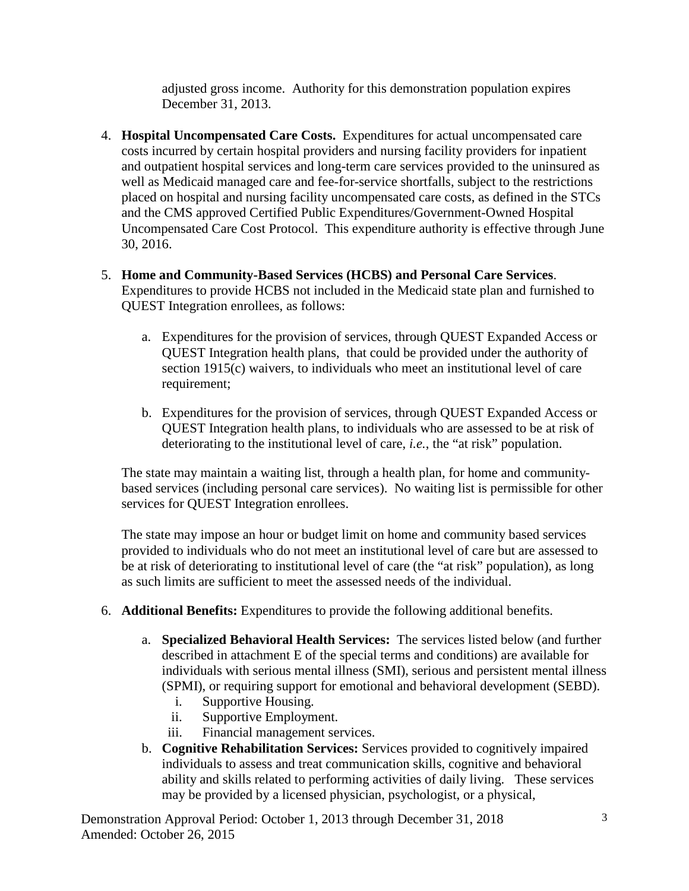adjusted gross income. Authority for this demonstration population expires December 31, 2013.

- 4. **Hospital Uncompensated Care Costs.** Expenditures for actual uncompensated care costs incurred by certain hospital providers and nursing facility providers for inpatient and outpatient hospital services and long-term care services provided to the uninsured as well as Medicaid managed care and fee-for-service shortfalls, subject to the restrictions placed on hospital and nursing facility uncompensated care costs, as defined in the STCs and the CMS approved Certified Public Expenditures/Government-Owned Hospital Uncompensated Care Cost Protocol. This expenditure authority is effective through June 30, 2016.
- 5. **Home and Community-Based Services (HCBS) and Personal Care Services**. Expenditures to provide HCBS not included in the Medicaid state plan and furnished to QUEST Integration enrollees, as follows:
	- a. Expenditures for the provision of services, through QUEST Expanded Access or QUEST Integration health plans, that could be provided under the authority of section 1915(c) waivers, to individuals who meet an institutional level of care requirement;
	- b. Expenditures for the provision of services, through QUEST Expanded Access or QUEST Integration health plans, to individuals who are assessed to be at risk of deteriorating to the institutional level of care, *i.e.*, the "at risk" population.

The state may maintain a waiting list, through a health plan, for home and communitybased services (including personal care services). No waiting list is permissible for other services for QUEST Integration enrollees.

The state may impose an hour or budget limit on home and community based services provided to individuals who do not meet an institutional level of care but are assessed to be at risk of deteriorating to institutional level of care (the "at risk" population), as long as such limits are sufficient to meet the assessed needs of the individual.

- 6. **Additional Benefits:** Expenditures to provide the following additional benefits.
	- a. **Specialized Behavioral Health Services:** The services listed below (and further described in attachment E of the special terms and conditions) are available for individuals with serious mental illness (SMI), serious and persistent mental illness (SPMI), or requiring support for emotional and behavioral development (SEBD).
		- i. Supportive Housing.
		- ii. Supportive Employment.
		- iii. Financial management services.
	- b. **Cognitive Rehabilitation Services:** Services provided to cognitively impaired individuals to assess and treat communication skills, cognitive and behavioral ability and skills related to performing activities of daily living. These services may be provided by a licensed physician, psychologist, or a physical,

Demonstration Approval Period: October 1, 2013 through December 31, 2018 Amended: October 26, 2015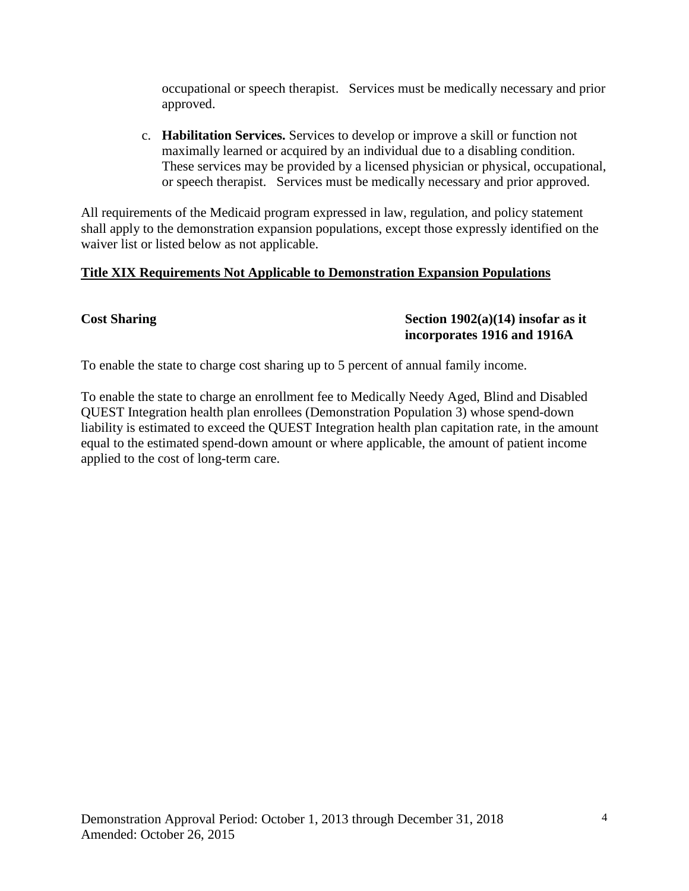occupational or speech therapist. Services must be medically necessary and prior approved.

c. **Habilitation Services.** Services to develop or improve a skill or function not maximally learned or acquired by an individual due to a disabling condition. These services may be provided by a licensed physician or physical, occupational, or speech therapist. Services must be medically necessary and prior approved.

All requirements of the Medicaid program expressed in law, regulation, and policy statement shall apply to the demonstration expansion populations, except those expressly identified on the waiver list or listed below as not applicable.

## **Title XIX Requirements Not Applicable to Demonstration Expansion Populations**

#### Cost Sharing Cost Sharing Cost Sharing Section 1902(a)(14) insofar as it **incorporates 1916 and 1916A**

To enable the state to charge cost sharing up to 5 percent of annual family income.

To enable the state to charge an enrollment fee to Medically Needy Aged, Blind and Disabled QUEST Integration health plan enrollees (Demonstration Population 3) whose spend-down liability is estimated to exceed the QUEST Integration health plan capitation rate, in the amount equal to the estimated spend-down amount or where applicable, the amount of patient income applied to the cost of long-term care.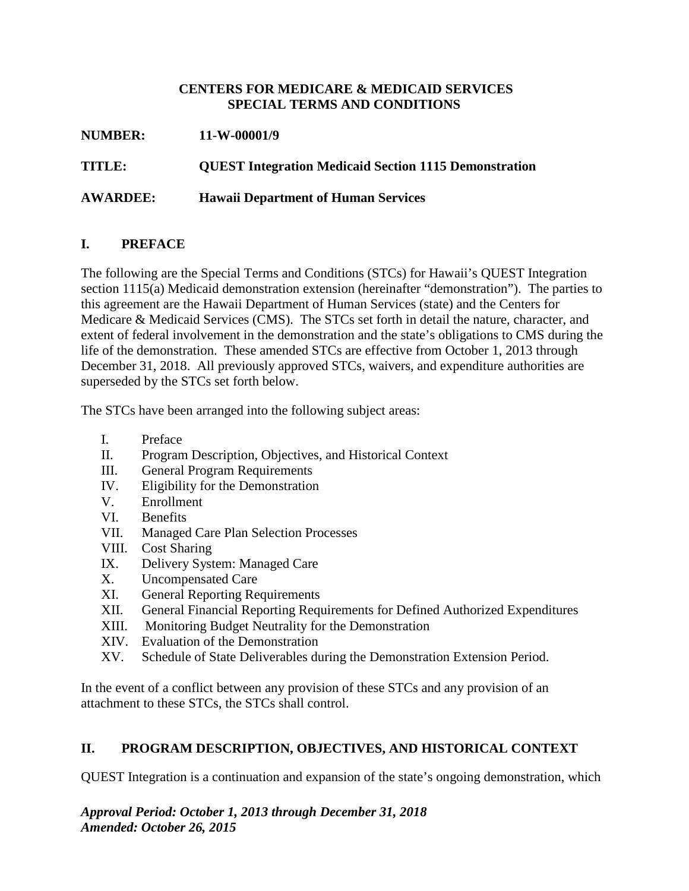### **CENTERS FOR MEDICARE & MEDICAID SERVICES SPECIAL TERMS AND CONDITIONS**

**NUMBER: 11-W-00001/9 TITLE: QUEST Integration Medicaid Section 1115 Demonstration AWARDEE: Hawaii Department of Human Services**

## **I. PREFACE**

The following are the Special Terms and Conditions (STCs) for Hawaii's QUEST Integration section 1115(a) Medicaid demonstration extension (hereinafter "demonstration"). The parties to this agreement are the Hawaii Department of Human Services (state) and the Centers for Medicare & Medicaid Services (CMS). The STCs set forth in detail the nature, character, and extent of federal involvement in the demonstration and the state's obligations to CMS during the life of the demonstration. These amended STCs are effective from October 1, 2013 through December 31, 2018. All previously approved STCs, waivers, and expenditure authorities are superseded by the STCs set forth below.

The STCs have been arranged into the following subject areas:

- I. Preface
- II. Program Description, Objectives, and Historical Context
- III. General Program Requirements
- IV. Eligibility for the Demonstration
- V. Enrollment
- VI. Benefits
- VII. Managed Care Plan Selection Processes
- VIII. Cost Sharing
- IX. Delivery System: Managed Care
- X. Uncompensated Care
- XI. General Reporting Requirements
- XII. General Financial Reporting Requirements for Defined Authorized Expenditures
- XIII. Monitoring Budget Neutrality for the Demonstration
- XIV. Evaluation of the Demonstration
- XV. Schedule of State Deliverables during the Demonstration Extension Period.

In the event of a conflict between any provision of these STCs and any provision of an attachment to these STCs, the STCs shall control.

## **II. PROGRAM DESCRIPTION, OBJECTIVES, AND HISTORICAL CONTEXT**

QUEST Integration is a continuation and expansion of the state's ongoing demonstration, which

*Approval Period: October 1, 2013 through December 31, 2018 Amended: October 26, 2015*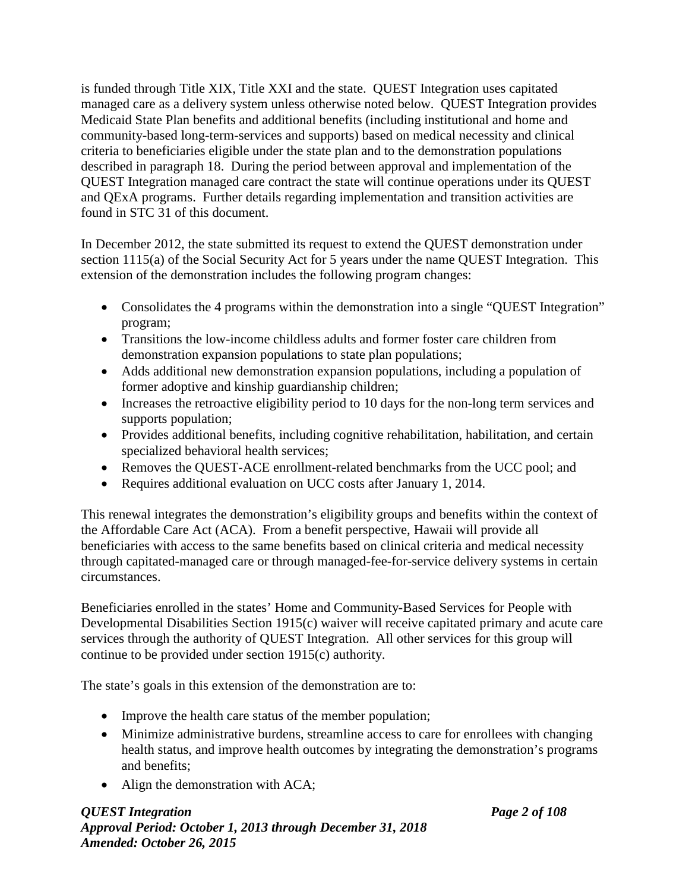is funded through Title XIX, Title XXI and the state. QUEST Integration uses capitated managed care as a delivery system unless otherwise noted below. QUEST Integration provides Medicaid State Plan benefits and additional benefits (including institutional and home and community-based long-term-services and supports) based on medical necessity and clinical criteria to beneficiaries eligible under the state plan and to the demonstration populations described in paragraph 18. During the period between approval and implementation of the QUEST Integration managed care contract the state will continue operations under its QUEST and QExA programs. Further details regarding implementation and transition activities are found in STC 31 of this document.

In December 2012, the state submitted its request to extend the QUEST demonstration under section 1115(a) of the Social Security Act for 5 years under the name QUEST Integration. This extension of the demonstration includes the following program changes:

- Consolidates the 4 programs within the demonstration into a single "QUEST Integration" program;
- Transitions the low-income childless adults and former foster care children from demonstration expansion populations to state plan populations;
- Adds additional new demonstration expansion populations, including a population of former adoptive and kinship guardianship children;
- Increases the retroactive eligibility period to 10 days for the non-long term services and supports population;
- Provides additional benefits, including cognitive rehabilitation, habilitation, and certain specialized behavioral health services;
- Removes the QUEST-ACE enrollment-related benchmarks from the UCC pool; and
- Requires additional evaluation on UCC costs after January 1, 2014.

This renewal integrates the demonstration's eligibility groups and benefits within the context of the Affordable Care Act (ACA). From a benefit perspective, Hawaii will provide all beneficiaries with access to the same benefits based on clinical criteria and medical necessity through capitated-managed care or through managed-fee-for-service delivery systems in certain circumstances.

Beneficiaries enrolled in the states' Home and Community-Based Services for People with Developmental Disabilities Section 1915(c) waiver will receive capitated primary and acute care services through the authority of QUEST Integration. All other services for this group will continue to be provided under section 1915(c) authority.

The state's goals in this extension of the demonstration are to:

- Improve the health care status of the member population;
- Minimize administrative burdens, streamline access to care for enrollees with changing health status, and improve health outcomes by integrating the demonstration's programs and benefits;
- Align the demonstration with ACA;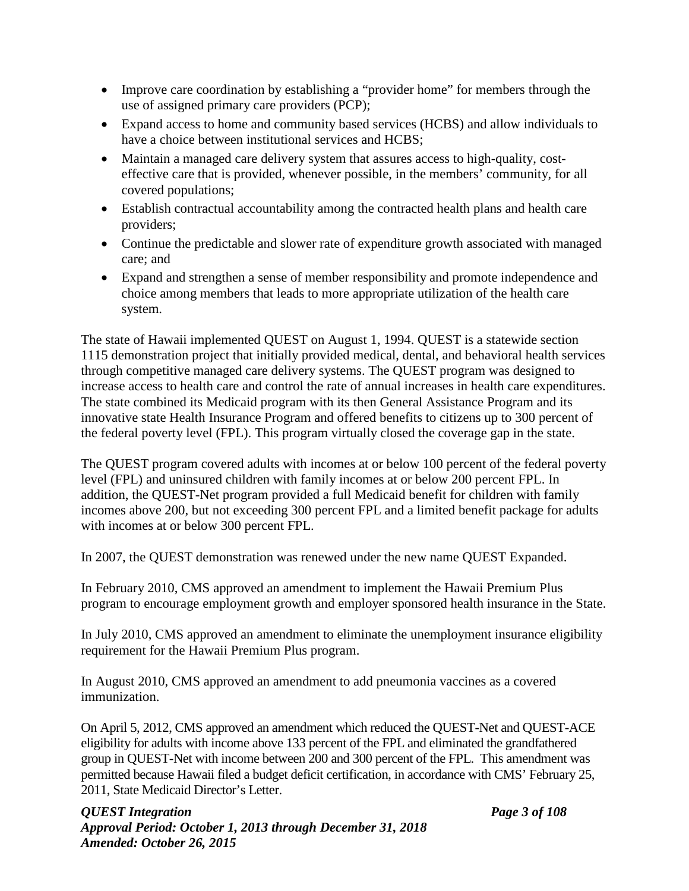- Improve care coordination by establishing a "provider home" for members through the use of assigned primary care providers (PCP);
- Expand access to home and community based services (HCBS) and allow individuals to have a choice between institutional services and HCBS;
- Maintain a managed care delivery system that assures access to high-quality, costeffective care that is provided, whenever possible, in the members' community, for all covered populations;
- Establish contractual accountability among the contracted health plans and health care providers;
- Continue the predictable and slower rate of expenditure growth associated with managed care; and
- Expand and strengthen a sense of member responsibility and promote independence and choice among members that leads to more appropriate utilization of the health care system.

The state of Hawaii implemented QUEST on August 1, 1994. QUEST is a statewide section 1115 demonstration project that initially provided medical, dental, and behavioral health services through competitive managed care delivery systems. The QUEST program was designed to increase access to health care and control the rate of annual increases in health care expenditures. The state combined its Medicaid program with its then General Assistance Program and its innovative state Health Insurance Program and offered benefits to citizens up to 300 percent of the federal poverty level (FPL). This program virtually closed the coverage gap in the state.

The QUEST program covered adults with incomes at or below 100 percent of the federal poverty level (FPL) and uninsured children with family incomes at or below 200 percent FPL. In addition, the QUEST-Net program provided a full Medicaid benefit for children with family incomes above 200, but not exceeding 300 percent FPL and a limited benefit package for adults with incomes at or below 300 percent FPL.

In 2007, the QUEST demonstration was renewed under the new name QUEST Expanded.

In February 2010, CMS approved an amendment to implement the Hawaii Premium Plus program to encourage employment growth and employer sponsored health insurance in the State.

In July 2010, CMS approved an amendment to eliminate the unemployment insurance eligibility requirement for the Hawaii Premium Plus program.

In August 2010, CMS approved an amendment to add pneumonia vaccines as a covered immunization.

On April 5, 2012, CMS approved an amendment which reduced the QUEST-Net and QUEST-ACE eligibility for adults with income above 133 percent of the FPL and eliminated the grandfathered group in QUEST-Net with income between 200 and 300 percent of the FPL. This amendment was permitted because Hawaii filed a budget deficit certification, in accordance with CMS' February 25, 2011, State Medicaid Director's Letter.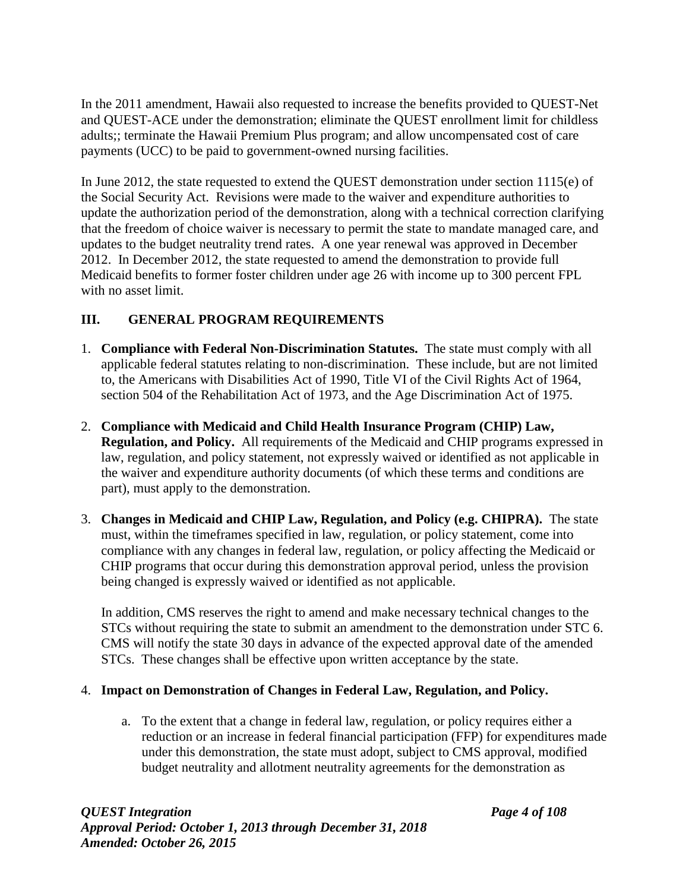In the 2011 amendment, Hawaii also requested to increase the benefits provided to QUEST-Net and QUEST-ACE under the demonstration; eliminate the QUEST enrollment limit for childless adults;; terminate the Hawaii Premium Plus program; and allow uncompensated cost of care payments (UCC) to be paid to government-owned nursing facilities.

In June 2012, the state requested to extend the QUEST demonstration under section 1115(e) of the Social Security Act. Revisions were made to the waiver and expenditure authorities to update the authorization period of the demonstration, along with a technical correction clarifying that the freedom of choice waiver is necessary to permit the state to mandate managed care, and updates to the budget neutrality trend rates. A one year renewal was approved in December 2012. In December 2012, the state requested to amend the demonstration to provide full Medicaid benefits to former foster children under age 26 with income up to 300 percent FPL with no asset limit.

# **III. GENERAL PROGRAM REQUIREMENTS**

- 1. **Compliance with Federal Non-Discrimination Statutes.** The state must comply with all applicable federal statutes relating to non-discrimination. These include, but are not limited to, the Americans with Disabilities Act of 1990, Title VI of the Civil Rights Act of 1964, section 504 of the Rehabilitation Act of 1973, and the Age Discrimination Act of 1975.
- 2. **Compliance with Medicaid and Child Health Insurance Program (CHIP) Law, Regulation, and Policy.** All requirements of the Medicaid and CHIP programs expressed in law, regulation, and policy statement, not expressly waived or identified as not applicable in the waiver and expenditure authority documents (of which these terms and conditions are part), must apply to the demonstration.
- 3. **Changes in Medicaid and CHIP Law, Regulation, and Policy (e.g. CHIPRA).** The state must, within the timeframes specified in law, regulation, or policy statement, come into compliance with any changes in federal law, regulation, or policy affecting the Medicaid or CHIP programs that occur during this demonstration approval period, unless the provision being changed is expressly waived or identified as not applicable.

In addition, CMS reserves the right to amend and make necessary technical changes to the STCs without requiring the state to submit an amendment to the demonstration under STC 6. CMS will notify the state 30 days in advance of the expected approval date of the amended STCs. These changes shall be effective upon written acceptance by the state.

# 4. **Impact on Demonstration of Changes in Federal Law, Regulation, and Policy.**

a. To the extent that a change in federal law, regulation, or policy requires either a reduction or an increase in federal financial participation (FFP) for expenditures made under this demonstration, the state must adopt, subject to CMS approval, modified budget neutrality and allotment neutrality agreements for the demonstration as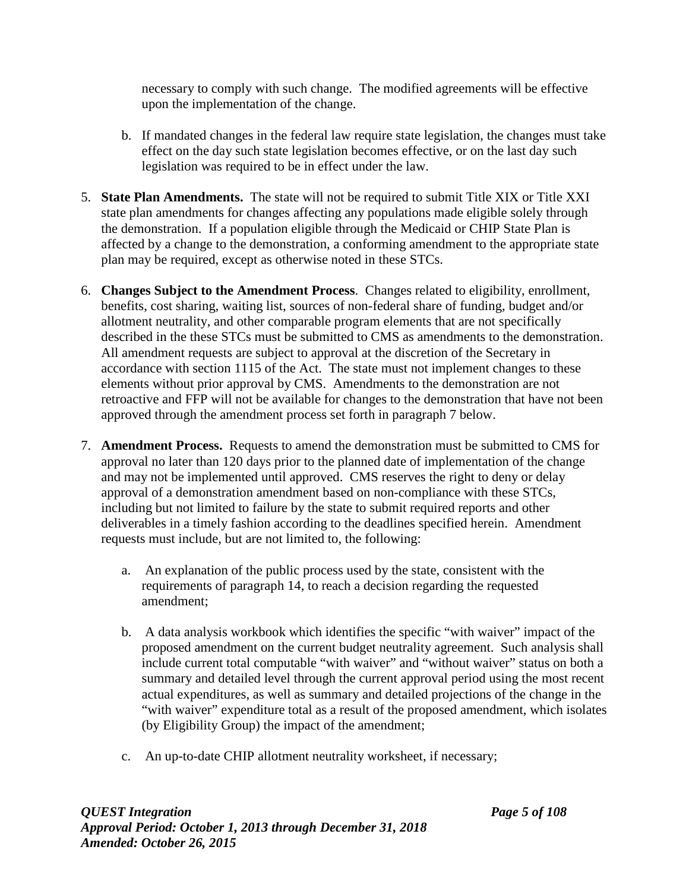necessary to comply with such change. The modified agreements will be effective upon the implementation of the change.

- b. If mandated changes in the federal law require state legislation, the changes must take effect on the day such state legislation becomes effective, or on the last day such legislation was required to be in effect under the law.
- 5. **State Plan Amendments.** The state will not be required to submit Title XIX or Title XXI state plan amendments for changes affecting any populations made eligible solely through the demonstration. If a population eligible through the Medicaid or CHIP State Plan is affected by a change to the demonstration, a conforming amendment to the appropriate state plan may be required, except as otherwise noted in these STCs.
- 6. **Changes Subject to the Amendment Process**. Changes related to eligibility, enrollment, benefits, cost sharing, waiting list, sources of non-federal share of funding, budget and/or allotment neutrality, and other comparable program elements that are not specifically described in the these STCs must be submitted to CMS as amendments to the demonstration. All amendment requests are subject to approval at the discretion of the Secretary in accordance with section 1115 of the Act. The state must not implement changes to these elements without prior approval by CMS. Amendments to the demonstration are not retroactive and FFP will not be available for changes to the demonstration that have not been approved through the amendment process set forth in paragraph 7 below.
- 7. **Amendment Process.** Requests to amend the demonstration must be submitted to CMS for approval no later than 120 days prior to the planned date of implementation of the change and may not be implemented until approved. CMS reserves the right to deny or delay approval of a demonstration amendment based on non-compliance with these STCs, including but not limited to failure by the state to submit required reports and other deliverables in a timely fashion according to the deadlines specified herein. Amendment requests must include, but are not limited to, the following:
	- a. An explanation of the public process used by the state, consistent with the requirements of paragraph 14, to reach a decision regarding the requested amendment;
	- b. A data analysis workbook which identifies the specific "with waiver" impact of the proposed amendment on the current budget neutrality agreement. Such analysis shall include current total computable "with waiver" and "without waiver" status on both a summary and detailed level through the current approval period using the most recent actual expenditures, as well as summary and detailed projections of the change in the "with waiver" expenditure total as a result of the proposed amendment, which isolates (by Eligibility Group) the impact of the amendment;
	- c. An up-to-date CHIP allotment neutrality worksheet, if necessary;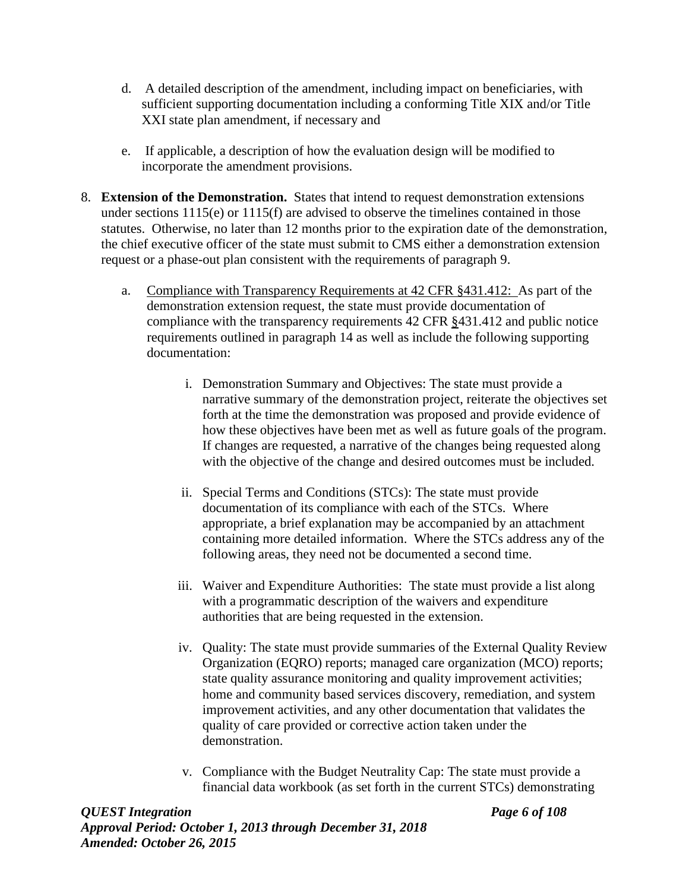- d. A detailed description of the amendment, including impact on beneficiaries, with sufficient supporting documentation including a conforming Title XIX and/or Title XXI state plan amendment, if necessary and
- e. If applicable, a description of how the evaluation design will be modified to incorporate the amendment provisions.
- 8. **Extension of the Demonstration.** States that intend to request demonstration extensions under sections 1115(e) or 1115(f) are advised to observe the timelines contained in those statutes. Otherwise, no later than 12 months prior to the expiration date of the demonstration, the chief executive officer of the state must submit to CMS either a demonstration extension request or a phase-out plan consistent with the requirements of paragraph 9.
	- a. Compliance with Transparency Requirements at 42 CFR §431.412: As part of the demonstration extension request, the state must provide documentation of compliance with the transparency requirements 42 CFR §431.412 and public notice requirements outlined in paragraph 14 as well as include the following supporting documentation:
		- i. Demonstration Summary and Objectives: The state must provide a narrative summary of the demonstration project, reiterate the objectives set forth at the time the demonstration was proposed and provide evidence of how these objectives have been met as well as future goals of the program. If changes are requested, a narrative of the changes being requested along with the objective of the change and desired outcomes must be included.
		- ii. Special Terms and Conditions (STCs): The state must provide documentation of its compliance with each of the STCs. Where appropriate, a brief explanation may be accompanied by an attachment containing more detailed information. Where the STCs address any of the following areas, they need not be documented a second time.
		- iii. Waiver and Expenditure Authorities: The state must provide a list along with a programmatic description of the waivers and expenditure authorities that are being requested in the extension.
		- iv. Quality: The state must provide summaries of the External Quality Review Organization (EQRO) reports; managed care organization (MCO) reports; state quality assurance monitoring and quality improvement activities; home and community based services discovery, remediation, and system improvement activities, and any other documentation that validates the quality of care provided or corrective action taken under the demonstration.
		- v. Compliance with the Budget Neutrality Cap: The state must provide a financial data workbook (as set forth in the current STCs) demonstrating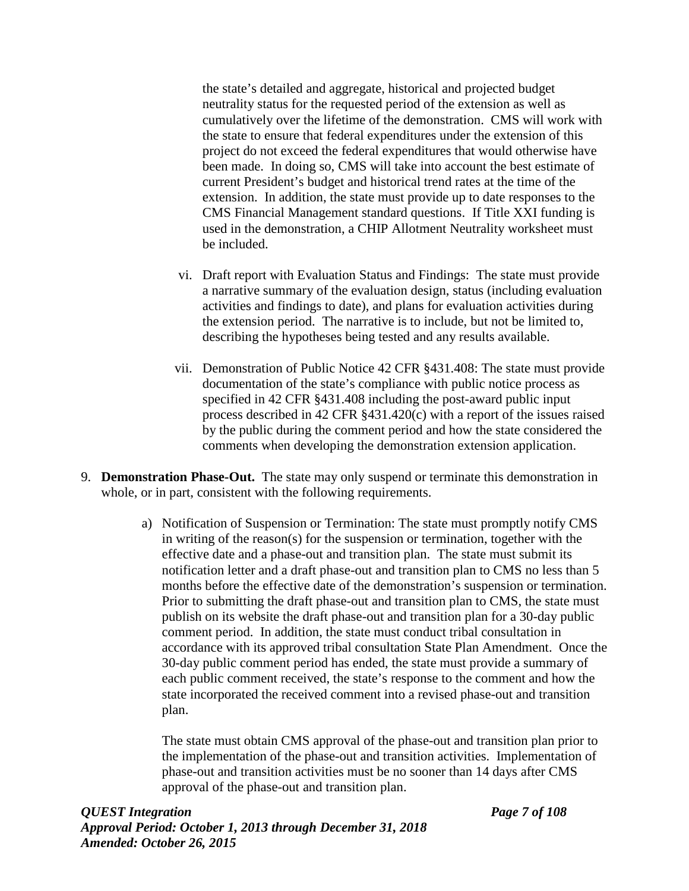the state's detailed and aggregate, historical and projected budget neutrality status for the requested period of the extension as well as cumulatively over the lifetime of the demonstration. CMS will work with the state to ensure that federal expenditures under the extension of this project do not exceed the federal expenditures that would otherwise have been made. In doing so, CMS will take into account the best estimate of current President's budget and historical trend rates at the time of the extension. In addition, the state must provide up to date responses to the CMS Financial Management standard questions. If Title XXI funding is used in the demonstration, a CHIP Allotment Neutrality worksheet must be included.

- vi. Draft report with Evaluation Status and Findings: The state must provide a narrative summary of the evaluation design, status (including evaluation activities and findings to date), and plans for evaluation activities during the extension period. The narrative is to include, but not be limited to, describing the hypotheses being tested and any results available.
- vii. Demonstration of Public Notice 42 CFR §431.408: The state must provide documentation of the state's compliance with public notice process as specified in 42 CFR §431.408 including the post-award public input process described in 42 CFR §431.420(c) with a report of the issues raised by the public during the comment period and how the state considered the comments when developing the demonstration extension application.
- 9. **Demonstration Phase-Out.** The state may only suspend or terminate this demonstration in whole, or in part, consistent with the following requirements.
	- a) Notification of Suspension or Termination: The state must promptly notify CMS in writing of the reason(s) for the suspension or termination, together with the effective date and a phase-out and transition plan. The state must submit its notification letter and a draft phase-out and transition plan to CMS no less than 5 months before the effective date of the demonstration's suspension or termination. Prior to submitting the draft phase-out and transition plan to CMS, the state must publish on its website the draft phase-out and transition plan for a 30-day public comment period. In addition, the state must conduct tribal consultation in accordance with its approved tribal consultation State Plan Amendment. Once the 30-day public comment period has ended, the state must provide a summary of each public comment received, the state's response to the comment and how the state incorporated the received comment into a revised phase-out and transition plan.

The state must obtain CMS approval of the phase-out and transition plan prior to the implementation of the phase-out and transition activities. Implementation of phase-out and transition activities must be no sooner than 14 days after CMS approval of the phase-out and transition plan.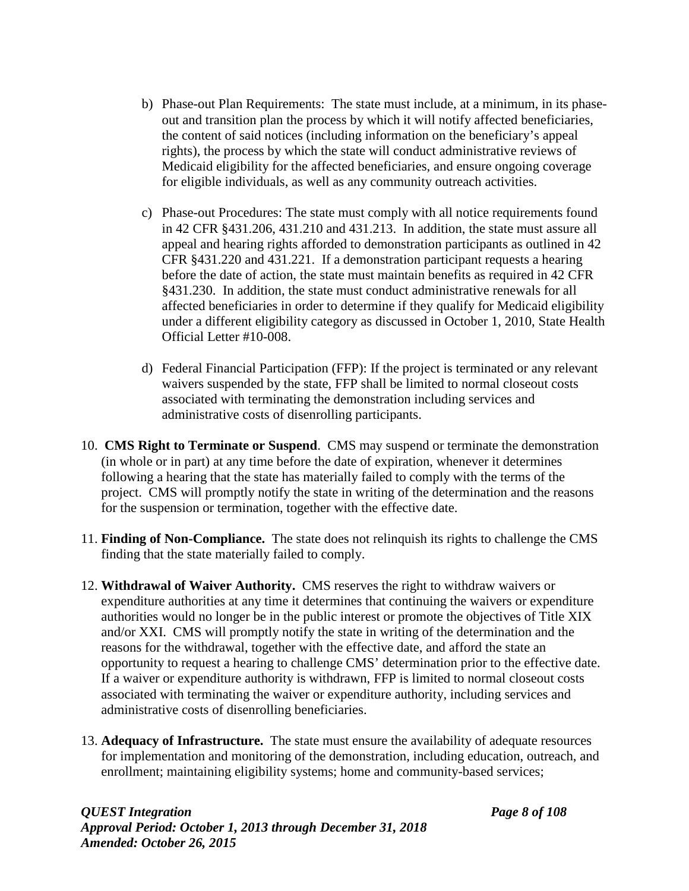- b) Phase-out Plan Requirements: The state must include, at a minimum, in its phaseout and transition plan the process by which it will notify affected beneficiaries, the content of said notices (including information on the beneficiary's appeal rights), the process by which the state will conduct administrative reviews of Medicaid eligibility for the affected beneficiaries, and ensure ongoing coverage for eligible individuals, as well as any community outreach activities.
- c) Phase-out Procedures: The state must comply with all notice requirements found in 42 CFR §431.206, 431.210 and 431.213. In addition, the state must assure all appeal and hearing rights afforded to demonstration participants as outlined in 42 CFR §431.220 and 431.221. If a demonstration participant requests a hearing before the date of action, the state must maintain benefits as required in 42 CFR §431.230. In addition, the state must conduct administrative renewals for all affected beneficiaries in order to determine if they qualify for Medicaid eligibility under a different eligibility category as discussed in October 1, 2010, State Health Official Letter #10-008.
- d) Federal Financial Participation (FFP): If the project is terminated or any relevant waivers suspended by the state, FFP shall be limited to normal closeout costs associated with terminating the demonstration including services and administrative costs of disenrolling participants.
- 10. **CMS Right to Terminate or Suspend**. CMS may suspend or terminate the demonstration (in whole or in part) at any time before the date of expiration, whenever it determines following a hearing that the state has materially failed to comply with the terms of the project. CMS will promptly notify the state in writing of the determination and the reasons for the suspension or termination, together with the effective date.
- 11. **Finding of Non-Compliance.** The state does not relinquish its rights to challenge the CMS finding that the state materially failed to comply.
- 12. **Withdrawal of Waiver Authority.** CMS reserves the right to withdraw waivers or expenditure authorities at any time it determines that continuing the waivers or expenditure authorities would no longer be in the public interest or promote the objectives of Title XIX and/or XXI. CMS will promptly notify the state in writing of the determination and the reasons for the withdrawal, together with the effective date, and afford the state an opportunity to request a hearing to challenge CMS' determination prior to the effective date. If a waiver or expenditure authority is withdrawn, FFP is limited to normal closeout costs associated with terminating the waiver or expenditure authority, including services and administrative costs of disenrolling beneficiaries.
- 13. **Adequacy of Infrastructure.** The state must ensure the availability of adequate resources for implementation and monitoring of the demonstration, including education, outreach, and enrollment; maintaining eligibility systems; home and community-based services;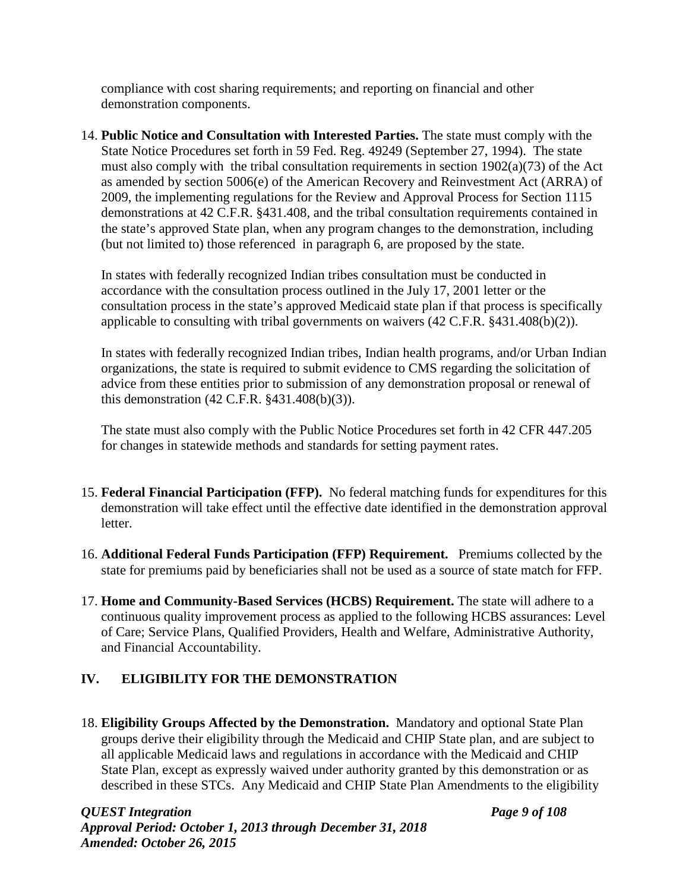compliance with cost sharing requirements; and reporting on financial and other demonstration components.

14. **Public Notice and Consultation with Interested Parties.** The state must comply with the State Notice Procedures set forth in 59 Fed. Reg. 49249 (September 27, 1994). The state must also comply with the tribal consultation requirements in section 1902(a)(73) of the Act as amended by section 5006(e) of the American Recovery and Reinvestment Act (ARRA) of 2009, the implementing regulations for the Review and Approval Process for Section 1115 demonstrations at 42 C.F.R. §431.408, and the tribal consultation requirements contained in the state's approved State plan, when any program changes to the demonstration, including (but not limited to) those referenced in paragraph 6, are proposed by the state.

In states with federally recognized Indian tribes consultation must be conducted in accordance with the consultation process outlined in the July 17, 2001 letter or the consultation process in the state's approved Medicaid state plan if that process is specifically applicable to consulting with tribal governments on waivers (42 C.F.R. §431.408(b)(2)).

In states with federally recognized Indian tribes, Indian health programs, and/or Urban Indian organizations, the state is required to submit evidence to CMS regarding the solicitation of advice from these entities prior to submission of any demonstration proposal or renewal of this demonstration (42 C.F.R. §431.408(b)(3)).

The state must also comply with the Public Notice Procedures set forth in 42 CFR 447.205 for changes in statewide methods and standards for setting payment rates.

- 15. **Federal Financial Participation (FFP).** No federal matching funds for expenditures for this demonstration will take effect until the effective date identified in the demonstration approval letter.
- 16. **Additional Federal Funds Participation (FFP) Requirement.** Premiums collected by the state for premiums paid by beneficiaries shall not be used as a source of state match for FFP.
- 17. **Home and Community-Based Services (HCBS) Requirement.** The state will adhere to a continuous quality improvement process as applied to the following HCBS assurances: Level of Care; Service Plans, Qualified Providers, Health and Welfare, Administrative Authority, and Financial Accountability.

# **IV. ELIGIBILITY FOR THE DEMONSTRATION**

18. **Eligibility Groups Affected by the Demonstration.** Mandatory and optional State Plan groups derive their eligibility through the Medicaid and CHIP State plan, and are subject to all applicable Medicaid laws and regulations in accordance with the Medicaid and CHIP State Plan, except as expressly waived under authority granted by this demonstration or as described in these STCs. Any Medicaid and CHIP State Plan Amendments to the eligibility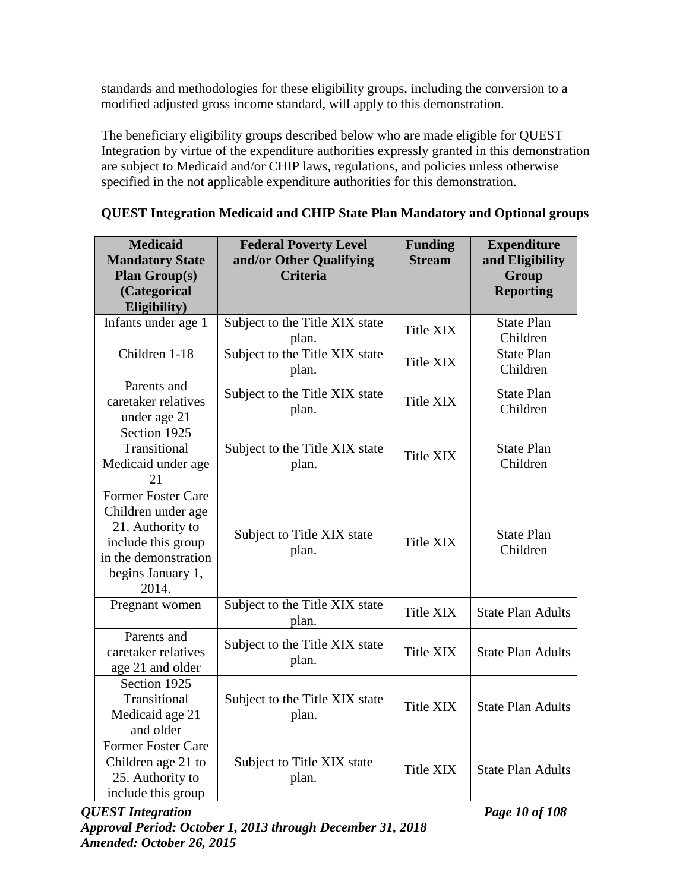standards and methodologies for these eligibility groups, including the conversion to a modified adjusted gross income standard, will apply to this demonstration.

The beneficiary eligibility groups described below who are made eligible for QUEST Integration by virtue of the expenditure authorities expressly granted in this demonstration are subject to Medicaid and/or CHIP laws, regulations, and policies unless otherwise specified in the not applicable expenditure authorities for this demonstration.

| <b>Medicaid</b><br><b>Mandatory State</b><br><b>Plan Group(s)</b><br>(Categorical<br>Eligibility)                                               | <b>Federal Poverty Level</b><br>and/or Other Qualifying<br><b>Criteria</b> | <b>Funding</b><br><b>Stream</b> | <b>Expenditure</b><br>and Eligibility<br>Group<br><b>Reporting</b> |
|-------------------------------------------------------------------------------------------------------------------------------------------------|----------------------------------------------------------------------------|---------------------------------|--------------------------------------------------------------------|
| Infants under age 1                                                                                                                             | Subject to the Title XIX state<br>plan.                                    | Title XIX                       | <b>State Plan</b><br>Children                                      |
| Children 1-18                                                                                                                                   | Subject to the Title XIX state<br>plan.                                    | Title XIX                       | <b>State Plan</b><br>Children                                      |
| Parents and<br>caretaker relatives<br>under age 21                                                                                              | Subject to the Title XIX state<br>plan.                                    | Title XIX                       | <b>State Plan</b><br>Children                                      |
| Section 1925<br>Transitional<br>Medicaid under age<br>21                                                                                        | Subject to the Title XIX state<br>plan.                                    | <b>Title XIX</b>                | <b>State Plan</b><br>Children                                      |
| <b>Former Foster Care</b><br>Children under age<br>21. Authority to<br>include this group<br>in the demonstration<br>begins January 1,<br>2014. | Subject to Title XIX state<br>plan.                                        | Title XIX                       | <b>State Plan</b><br>Children                                      |
| Pregnant women                                                                                                                                  | Subject to the Title XIX state<br>plan.                                    | Title XIX                       | <b>State Plan Adults</b>                                           |
| Parents and<br>caretaker relatives<br>age 21 and older                                                                                          | Subject to the Title XIX state<br>plan.                                    | Title XIX                       | <b>State Plan Adults</b>                                           |
| Section 1925<br>Transitional<br>Medicaid age 21<br>and older                                                                                    | Subject to the Title XIX state<br>plan.                                    | <b>Title XIX</b>                | <b>State Plan Adults</b>                                           |
| <b>Former Foster Care</b><br>Children age 21 to<br>25. Authority to<br>include this group                                                       | Subject to Title XIX state<br>plan.                                        | Title XIX                       | <b>State Plan Adults</b>                                           |

|  | <b>QUEST Integration Medicaid and CHIP State Plan Mandatory and Optional groups</b> |  |  |  |
|--|-------------------------------------------------------------------------------------|--|--|--|
|  |                                                                                     |  |  |  |
|  |                                                                                     |  |  |  |
|  |                                                                                     |  |  |  |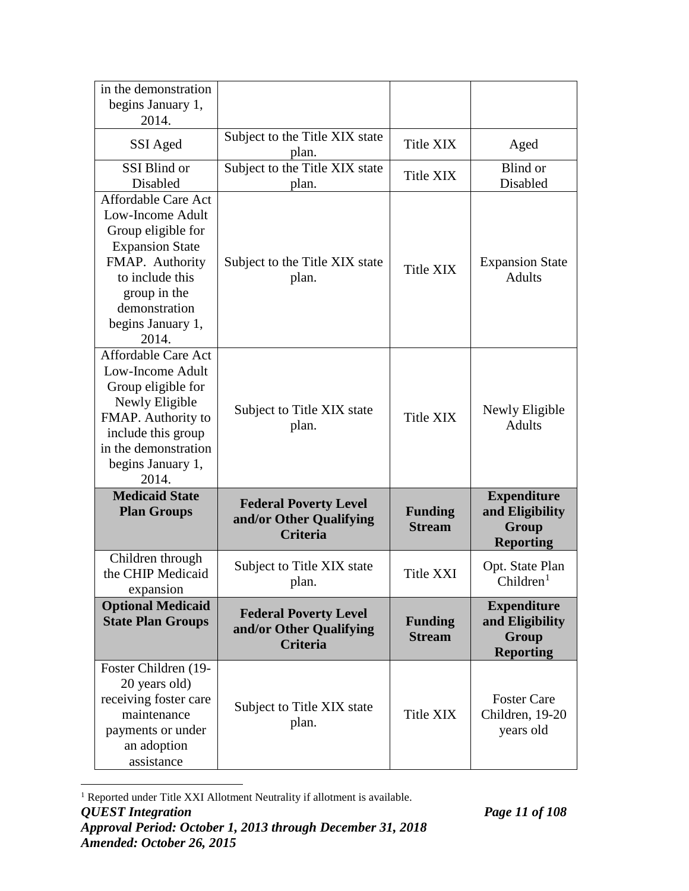| in the demonstration<br>begins January 1,<br>2014.                                                                                                                                           |                                                                            |                                 |                                                                    |
|----------------------------------------------------------------------------------------------------------------------------------------------------------------------------------------------|----------------------------------------------------------------------------|---------------------------------|--------------------------------------------------------------------|
| SSI Aged                                                                                                                                                                                     | Subject to the Title XIX state<br>plan.                                    | <b>Title XIX</b>                | Aged                                                               |
| SSI Blind or<br>Disabled                                                                                                                                                                     | Subject to the Title XIX state<br>plan.                                    | Title XIX                       | Blind or<br>Disabled                                               |
| Affordable Care Act<br>Low-Income Adult<br>Group eligible for<br><b>Expansion State</b><br>FMAP. Authority<br>to include this<br>group in the<br>demonstration<br>begins January 1,<br>2014. | Subject to the Title XIX state<br>plan.                                    | Title XIX                       | <b>Expansion State</b><br><b>Adults</b>                            |
| <b>Affordable Care Act</b><br>Low-Income Adult<br>Group eligible for<br>Newly Eligible<br>FMAP. Authority to<br>include this group<br>in the demonstration<br>begins January 1,<br>2014.     | Subject to Title XIX state<br>plan.                                        | <b>Title XIX</b>                | Newly Eligible<br><b>Adults</b>                                    |
| <b>Medicaid State</b><br><b>Plan Groups</b>                                                                                                                                                  | <b>Federal Poverty Level</b><br>and/or Other Qualifying<br><b>Criteria</b> | <b>Funding</b><br><b>Stream</b> | <b>Expenditure</b><br>and Eligibility<br>Group<br><b>Reporting</b> |
| Children through<br>the CHIP Medicaid<br>expansion                                                                                                                                           | Subject to Title XIX state<br>plan.                                        | Title XXI                       | Opt. State Plan<br>Children <sup>1</sup>                           |
| <b>Optional Medicaid</b><br><b>State Plan Groups</b>                                                                                                                                         | <b>Federal Poverty Level</b><br>and/or Other Qualifying<br>Criteria        | <b>Funding</b><br><b>Stream</b> | <b>Expenditure</b><br>and Eligibility<br>Group<br><b>Reporting</b> |
| Foster Children (19-<br>20 years old)<br>receiving foster care<br>maintenance<br>payments or under<br>an adoption<br>assistance                                                              | Subject to Title XIX state<br>plan.                                        | Title XIX                       | <b>Foster Care</b><br>Children, 19-20<br>years old                 |

<span id="page-17-0"></span>*QUEST Integration Page 11 of 108 Approval Period: October 1, 2013 through December 31, 2018 Amended: October 26, 2015* <sup>1</sup> Reported under Title XXI Allotment Neutrality if allotment is available.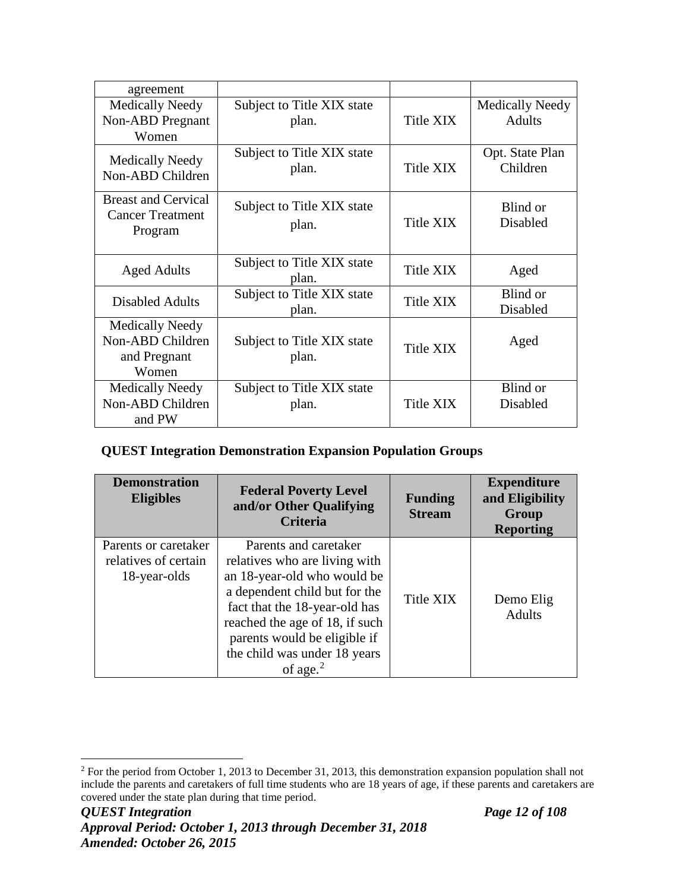| agreement                                                           |                                     |           |                                         |
|---------------------------------------------------------------------|-------------------------------------|-----------|-----------------------------------------|
| <b>Medically Needy</b><br><b>Non-ABD</b> Pregnant<br>Women          | Subject to Title XIX state<br>plan. | Title XIX | <b>Medically Needy</b><br><b>Adults</b> |
| <b>Medically Needy</b><br>Non-ABD Children                          | Subject to Title XIX state<br>plan. | Title XIX | Opt. State Plan<br>Children             |
| <b>Breast and Cervical</b><br><b>Cancer Treatment</b><br>Program    | Subject to Title XIX state<br>plan. | Title XIX | Blind or<br>Disabled                    |
| <b>Aged Adults</b>                                                  | Subject to Title XIX state<br>plan. | Title XIX | Aged                                    |
| <b>Disabled Adults</b>                                              | Subject to Title XIX state<br>plan. | Title XIX | Blind or<br>Disabled                    |
| <b>Medically Needy</b><br>Non-ABD Children<br>and Pregnant<br>Women | Subject to Title XIX state<br>plan. | Title XIX | Aged                                    |
| <b>Medically Needy</b><br>Non-ABD Children<br>and PW                | Subject to Title XIX state<br>plan. | Title XIX | Blind or<br>Disabled                    |

# **QUEST Integration Demonstration Expansion Population Groups**

| <b>Demonstration</b><br><b>Eligibles</b>                     | <b>Federal Poverty Level</b><br>and/or Other Qualifying<br><b>Criteria</b>                                                                                                                                                                                               | <b>Funding</b><br><b>Stream</b> | <b>Expenditure</b><br>and Eligibility<br>Group<br><b>Reporting</b> |
|--------------------------------------------------------------|--------------------------------------------------------------------------------------------------------------------------------------------------------------------------------------------------------------------------------------------------------------------------|---------------------------------|--------------------------------------------------------------------|
| Parents or caretaker<br>relatives of certain<br>18-year-olds | Parents and caretaker<br>relatives who are living with<br>an 18-year-old who would be<br>a dependent child but for the<br>fact that the 18-year-old has<br>reached the age of 18, if such<br>parents would be eligible if<br>the child was under 18 years<br>of age. $2$ | Title XIX                       | Demo Elig<br><b>Adults</b>                                         |

<span id="page-18-0"></span><sup>&</sup>lt;sup>2</sup> For the period from October 1, 2013 to December 31, 2013, this demonstration expansion population shall not include the parents and caretakers of full time students who are 18 years of age, if these parents and caretakers are covered under the state plan during that time period.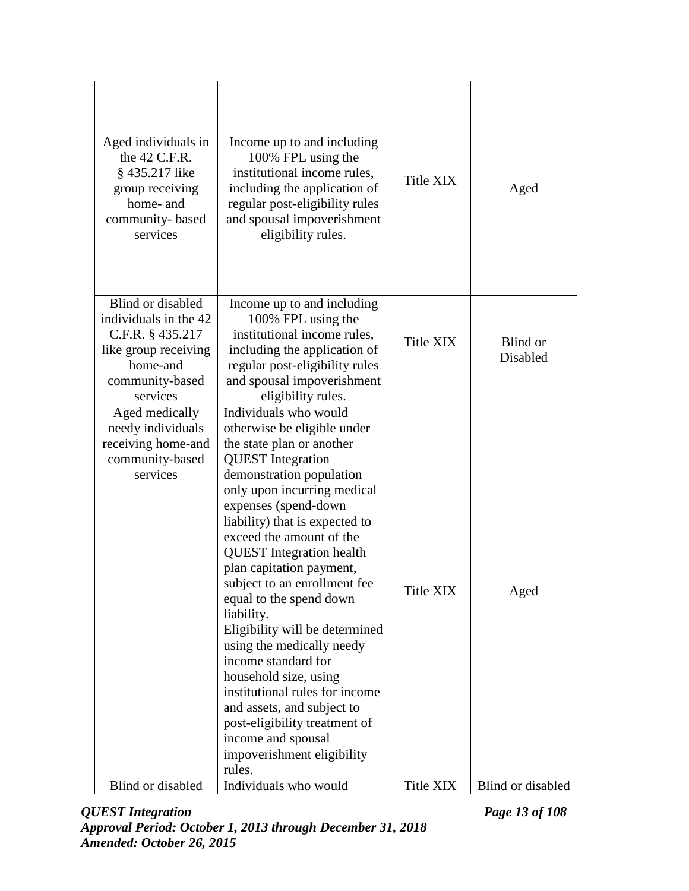| Aged individuals in<br>the 42 C.F.R.<br>§ 435.217 like<br>group receiving<br>home- and<br>community-based<br>services             | Income up to and including<br>100% FPL using the<br>institutional income rules,<br>including the application of<br>regular post-eligibility rules<br>and spousal impoverishment<br>eligibility rules.                                                                                                                                                                                                                                                                                                                                                                                                                                                                                | Title XIX        | Aged                 |
|-----------------------------------------------------------------------------------------------------------------------------------|--------------------------------------------------------------------------------------------------------------------------------------------------------------------------------------------------------------------------------------------------------------------------------------------------------------------------------------------------------------------------------------------------------------------------------------------------------------------------------------------------------------------------------------------------------------------------------------------------------------------------------------------------------------------------------------|------------------|----------------------|
| Blind or disabled<br>individuals in the 42<br>C.F.R. § 435.217<br>like group receiving<br>home-and<br>community-based<br>services | Income up to and including<br>100% FPL using the<br>institutional income rules,<br>including the application of<br>regular post-eligibility rules<br>and spousal impoverishment<br>eligibility rules.                                                                                                                                                                                                                                                                                                                                                                                                                                                                                | <b>Title XIX</b> | Blind or<br>Disabled |
| Aged medically<br>needy individuals<br>receiving home-and<br>community-based<br>services                                          | Individuals who would<br>otherwise be eligible under<br>the state plan or another<br><b>QUEST</b> Integration<br>demonstration population<br>only upon incurring medical<br>expenses (spend-down<br>liability) that is expected to<br>exceed the amount of the<br><b>QUEST</b> Integration health<br>plan capitation payment,<br>subject to an enrollment fee<br>equal to the spend down<br>liability.<br>Eligibility will be determined<br>using the medically needy<br>income standard for<br>household size, using<br>institutional rules for income<br>and assets, and subject to<br>post-eligibility treatment of<br>income and spousal<br>impoverishment eligibility<br>rules. | Title XIX        | Aged                 |
| Blind or disabled                                                                                                                 | Individuals who would                                                                                                                                                                                                                                                                                                                                                                                                                                                                                                                                                                                                                                                                | Title XIX        | Blind or disabled    |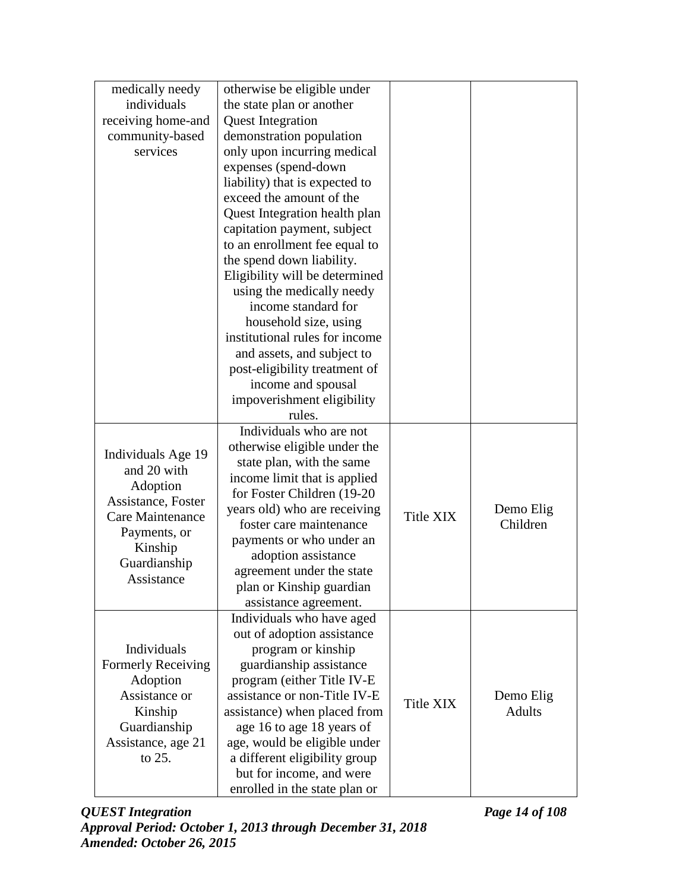| medically needy    | otherwise be eligible under    |           |               |
|--------------------|--------------------------------|-----------|---------------|
| individuals        | the state plan or another      |           |               |
| receiving home-and | <b>Quest Integration</b>       |           |               |
| community-based    | demonstration population       |           |               |
| services           | only upon incurring medical    |           |               |
|                    | expenses (spend-down           |           |               |
|                    | liability) that is expected to |           |               |
|                    | exceed the amount of the       |           |               |
|                    | Quest Integration health plan  |           |               |
|                    | capitation payment, subject    |           |               |
|                    | to an enrollment fee equal to  |           |               |
|                    | the spend down liability.      |           |               |
|                    | Eligibility will be determined |           |               |
|                    | using the medically needy      |           |               |
|                    | income standard for            |           |               |
|                    | household size, using          |           |               |
|                    | institutional rules for income |           |               |
|                    | and assets, and subject to     |           |               |
|                    | post-eligibility treatment of  |           |               |
|                    | income and spousal             |           |               |
|                    | impoverishment eligibility     |           |               |
|                    | rules.                         |           |               |
|                    | Individuals who are not        |           |               |
| Individuals Age 19 | otherwise eligible under the   |           |               |
| and 20 with        | state plan, with the same      |           |               |
| Adoption           | income limit that is applied   |           |               |
| Assistance, Foster | for Foster Children (19-20)    |           |               |
| Care Maintenance   | years old) who are receiving   | Title XIX | Demo Elig     |
| Payments, or       | foster care maintenance        |           | Children      |
| Kinship            | payments or who under an       |           |               |
| Guardianship       | adoption assistance            |           |               |
| Assistance         | agreement under the state      |           |               |
|                    | plan or Kinship guardian       |           |               |
|                    | assistance agreement.          |           |               |
|                    | Individuals who have aged      |           |               |
|                    | out of adoption assistance     |           |               |
| Individuals        | program or kinship             |           |               |
| Formerly Receiving | guardianship assistance        |           |               |
| Adoption           | program (either Title IV-E     |           |               |
| Assistance or      | assistance or non-Title IV-E   | Title XIX | Demo Elig     |
| Kinship            | assistance) when placed from   |           | <b>Adults</b> |
| Guardianship       | age 16 to age 18 years of      |           |               |
| Assistance, age 21 | age, would be eligible under   |           |               |
| to 25.             | a different eligibility group  |           |               |
|                    | but for income, and were       |           |               |
|                    | enrolled in the state plan or  |           |               |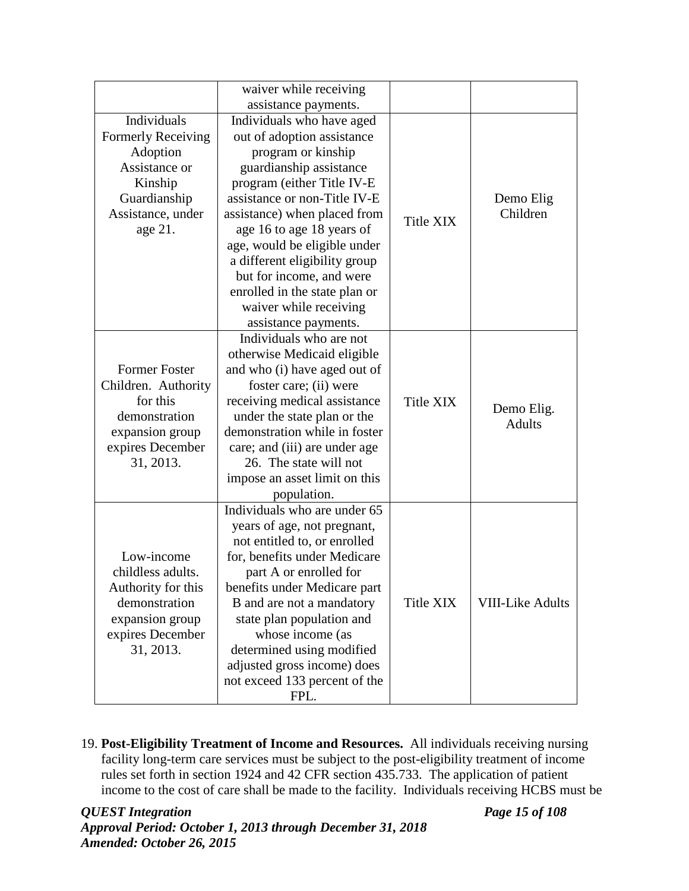|                                                                                                                                         | waiver while receiving<br>assistance payments.                                                                                                                                                                                                                                                                                                                                                                      |           |                             |
|-----------------------------------------------------------------------------------------------------------------------------------------|---------------------------------------------------------------------------------------------------------------------------------------------------------------------------------------------------------------------------------------------------------------------------------------------------------------------------------------------------------------------------------------------------------------------|-----------|-----------------------------|
| <b>Individuals</b><br><b>Formerly Receiving</b><br>Adoption<br>Assistance or<br>Kinship<br>Guardianship<br>Assistance, under<br>age 21. | Individuals who have aged<br>out of adoption assistance<br>program or kinship<br>guardianship assistance<br>program (either Title IV-E<br>assistance or non-Title IV-E<br>assistance) when placed from<br>age 16 to age 18 years of<br>age, would be eligible under<br>a different eligibility group<br>but for income, and were<br>enrolled in the state plan or<br>waiver while receiving<br>assistance payments. | Title XIX | Demo Elig<br>Children       |
| <b>Former Foster</b><br>Children. Authority<br>for this<br>demonstration<br>expansion group<br>expires December<br>31, 2013.            | Individuals who are not<br>otherwise Medicaid eligible<br>and who (i) have aged out of<br>foster care; (ii) were<br>receiving medical assistance<br>under the state plan or the<br>demonstration while in foster<br>care; and (iii) are under age<br>26. The state will not<br>impose an asset limit on this<br>population.                                                                                         | Title XIX | Demo Elig.<br><b>Adults</b> |
| Low-income<br>childless adults.<br>Authority for this<br>demonstration<br>expansion group<br>expires December<br>31, 2013.              | Individuals who are under 65<br>years of age, not pregnant,<br>not entitled to, or enrolled<br>for, benefits under Medicare<br>part A or enrolled for<br>benefits under Medicare part<br>B and are not a mandatory<br>state plan population and<br>whose income (as<br>determined using modified<br>adjusted gross income) does<br>not exceed 133 percent of the<br>FPL.                                            | Title XIX | <b>VIII-Like Adults</b>     |

19. **Post-Eligibility Treatment of Income and Resources.** All individuals receiving nursing facility long-term care services must be subject to the post-eligibility treatment of income rules set forth in section 1924 and 42 CFR section 435.733. The application of patient income to the cost of care shall be made to the facility. Individuals receiving HCBS must be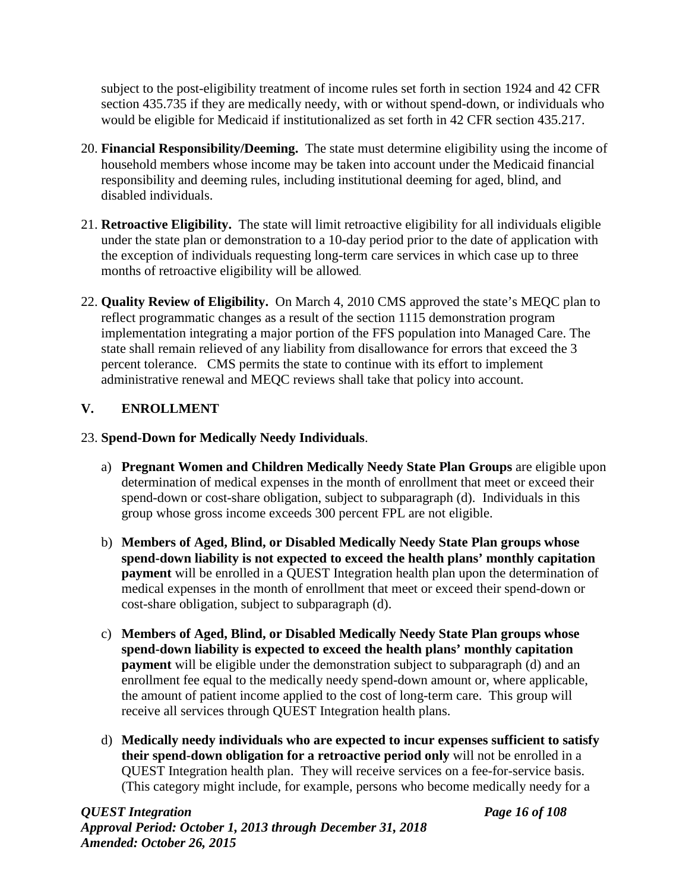subject to the post-eligibility treatment of income rules set forth in section 1924 and 42 CFR section 435.735 if they are medically needy, with or without spend-down, or individuals who would be eligible for Medicaid if institutionalized as set forth in 42 CFR section 435.217.

- 20. **Financial Responsibility/Deeming.** The state must determine eligibility using the income of household members whose income may be taken into account under the Medicaid financial responsibility and deeming rules, including institutional deeming for aged, blind, and disabled individuals.
- 21. **Retroactive Eligibility.** The state will limit retroactive eligibility for all individuals eligible under the state plan or demonstration to a 10-day period prior to the date of application with the exception of individuals requesting long-term care services in which case up to three months of retroactive eligibility will be allowed.
- 22. **Quality Review of Eligibility.** On March 4, 2010 CMS approved the state's MEQC plan to reflect programmatic changes as a result of the section 1115 demonstration program implementation integrating a major portion of the FFS population into Managed Care. The state shall remain relieved of any liability from disallowance for errors that exceed the 3 percent tolerance. CMS permits the state to continue with its effort to implement administrative renewal and MEQC reviews shall take that policy into account.

# **V. ENROLLMENT**

# 23. **Spend-Down for Medically Needy Individuals**.

- a) **Pregnant Women and Children Medically Needy State Plan Groups** are eligible upon determination of medical expenses in the month of enrollment that meet or exceed their spend-down or cost-share obligation, subject to subparagraph (d). Individuals in this group whose gross income exceeds 300 percent FPL are not eligible.
- b) **Members of Aged, Blind, or Disabled Medically Needy State Plan groups whose spend-down liability is not expected to exceed the health plans' monthly capitation payment** will be enrolled in a QUEST Integration health plan upon the determination of medical expenses in the month of enrollment that meet or exceed their spend-down or cost-share obligation, subject to subparagraph (d).
- c) **Members of Aged, Blind, or Disabled Medically Needy State Plan groups whose spend-down liability is expected to exceed the health plans' monthly capitation payment** will be eligible under the demonstration subject to subparagraph (d) and an enrollment fee equal to the medically needy spend-down amount or, where applicable, the amount of patient income applied to the cost of long-term care. This group will receive all services through QUEST Integration health plans.
- d) **Medically needy individuals who are expected to incur expenses sufficient to satisfy their spend-down obligation for a retroactive period only** will not be enrolled in a QUEST Integration health plan. They will receive services on a fee-for-service basis. (This category might include, for example, persons who become medically needy for a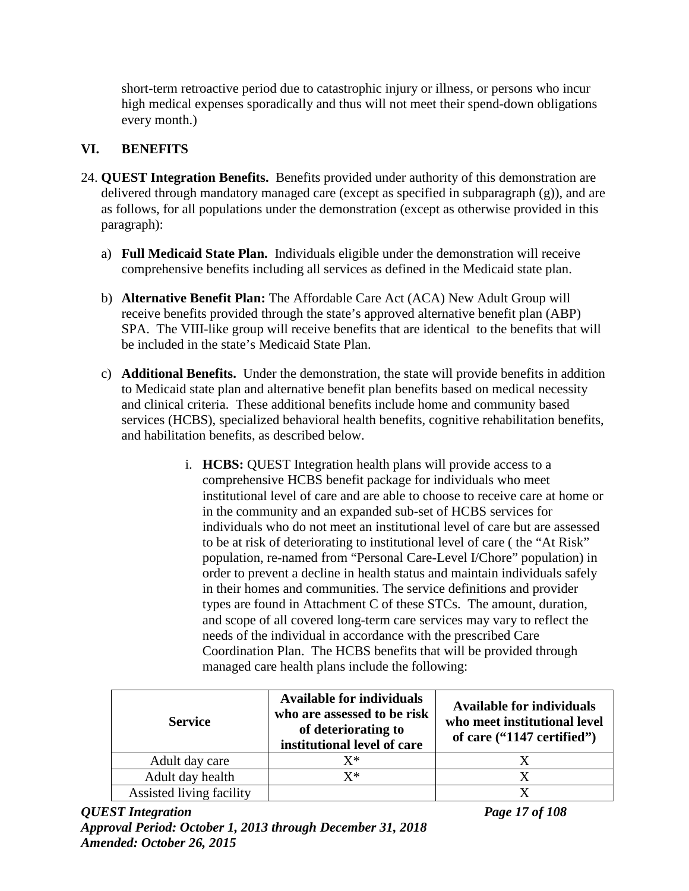short-term retroactive period due to catastrophic injury or illness, or persons who incur high medical expenses sporadically and thus will not meet their spend-down obligations every month.)

# **VI. BENEFITS**

- 24. **QUEST Integration Benefits.** Benefits provided under authority of this demonstration are delivered through mandatory managed care (except as specified in subparagraph (g)), and are as follows, for all populations under the demonstration (except as otherwise provided in this paragraph):
	- a) **Full Medicaid State Plan.** Individuals eligible under the demonstration will receive comprehensive benefits including all services as defined in the Medicaid state plan.
	- b) **Alternative Benefit Plan:** The Affordable Care Act (ACA) New Adult Group will receive benefits provided through the state's approved alternative benefit plan (ABP) SPA. The VIII-like group will receive benefits that are identical to the benefits that will be included in the state's Medicaid State Plan.
	- c) **Additional Benefits.** Under the demonstration, the state will provide benefits in addition to Medicaid state plan and alternative benefit plan benefits based on medical necessity and clinical criteria. These additional benefits include home and community based services (HCBS), specialized behavioral health benefits, cognitive rehabilitation benefits, and habilitation benefits, as described below.
		- i. **HCBS:** QUEST Integration health plans will provide access to a comprehensive HCBS benefit package for individuals who meet institutional level of care and are able to choose to receive care at home or in the community and an expanded sub-set of HCBS services for individuals who do not meet an institutional level of care but are assessed to be at risk of deteriorating to institutional level of care ( the "At Risk" population, re-named from "Personal Care-Level I/Chore" population) in order to prevent a decline in health status and maintain individuals safely in their homes and communities. The service definitions and provider types are found in Attachment C of these STCs. The amount, duration, and scope of all covered long-term care services may vary to reflect the needs of the individual in accordance with the prescribed Care Coordination Plan. The HCBS benefits that will be provided through managed care health plans include the following:

| <b>Service</b>           | <b>Available for individuals</b><br>who are assessed to be risk<br>of deteriorating to<br>institutional level of care | <b>Available for individuals</b><br>who meet institutional level<br>of care ("1147 certified") |
|--------------------------|-----------------------------------------------------------------------------------------------------------------------|------------------------------------------------------------------------------------------------|
| Adult day care           | $\mathrm{X}^*$                                                                                                        |                                                                                                |
| Adult day health         | $\mathbf{X}^*$                                                                                                        |                                                                                                |
| Assisted living facility |                                                                                                                       |                                                                                                |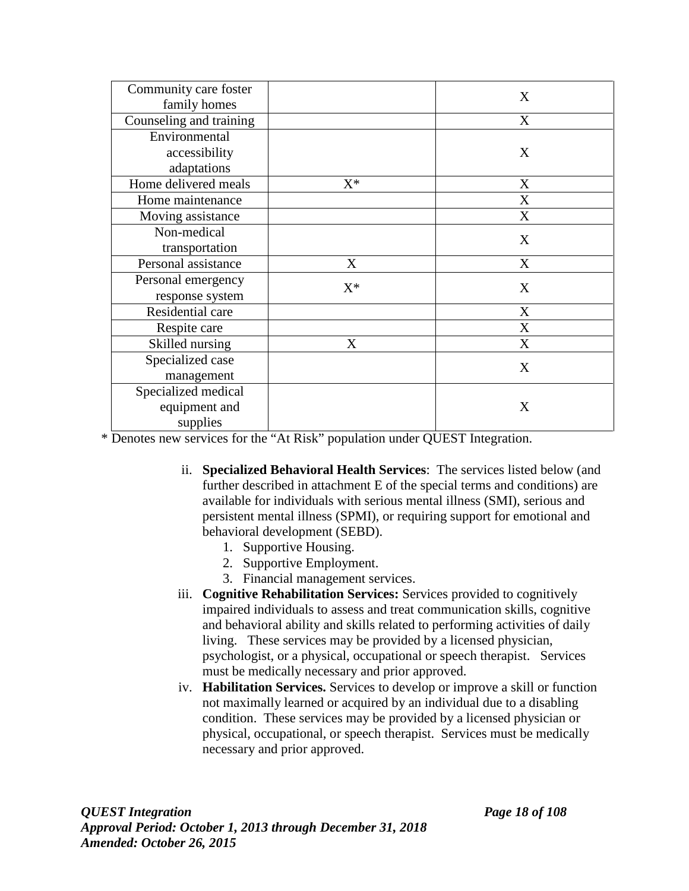| Community care foster   |       | X |
|-------------------------|-------|---|
| family homes            |       |   |
| Counseling and training |       | X |
| Environmental           |       |   |
| accessibility           |       | X |
| adaptations             |       |   |
| Home delivered meals    | $X^*$ | X |
| Home maintenance        |       | X |
| Moving assistance       |       | X |
| Non-medical             |       |   |
| transportation          |       | X |
| Personal assistance     | X     | X |
| Personal emergency      | $X^*$ | X |
| response system         |       |   |
| Residential care        |       | X |
| Respite care            |       | X |
| Skilled nursing         | X     | X |
| Specialized case        |       | X |
| management              |       |   |
| Specialized medical     |       |   |
| equipment and           |       | X |
| supplies                |       |   |

\* Denotes new services for the "At Risk" population under QUEST Integration.

- ii. **Specialized Behavioral Health Services**: The services listed below (and further described in attachment E of the special terms and conditions) are available for individuals with serious mental illness (SMI), serious and persistent mental illness (SPMI), or requiring support for emotional and behavioral development (SEBD).
	- 1. Supportive Housing.
	- 2. Supportive Employment.
	- 3. Financial management services.
- iii. **Cognitive Rehabilitation Services:** Services provided to cognitively impaired individuals to assess and treat communication skills, cognitive and behavioral ability and skills related to performing activities of daily living. These services may be provided by a licensed physician, psychologist, or a physical, occupational or speech therapist. Services must be medically necessary and prior approved.
- iv. **Habilitation Services.** Services to develop or improve a skill or function not maximally learned or acquired by an individual due to a disabling condition. These services may be provided by a licensed physician or physical, occupational, or speech therapist. Services must be medically necessary and prior approved.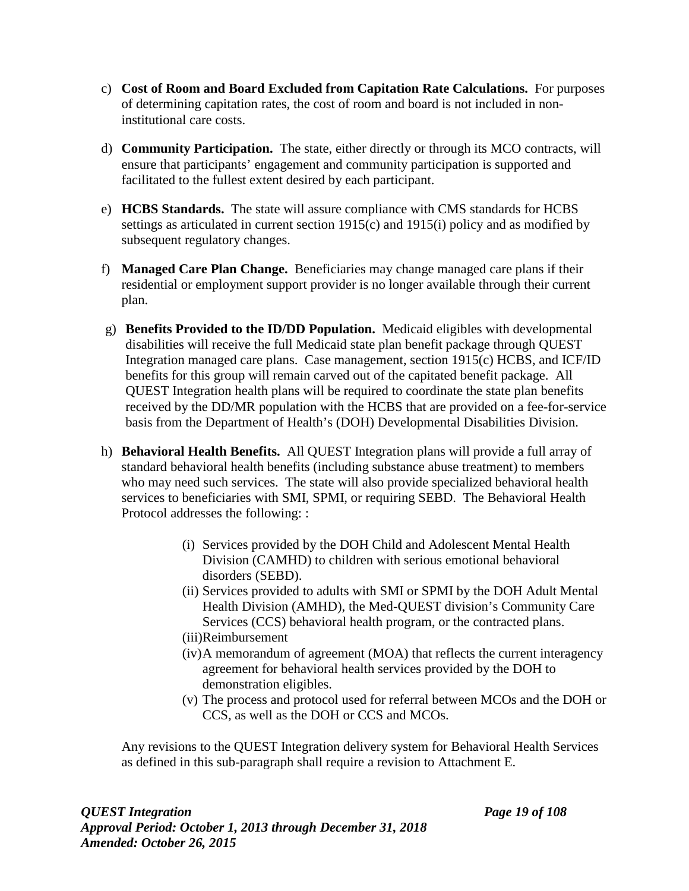- c) **Cost of Room and Board Excluded from Capitation Rate Calculations.** For purposes of determining capitation rates, the cost of room and board is not included in noninstitutional care costs.
- d) **Community Participation.** The state, either directly or through its MCO contracts, will ensure that participants' engagement and community participation is supported and facilitated to the fullest extent desired by each participant.
- e) **HCBS Standards.** The state will assure compliance with CMS standards for HCBS settings as articulated in current section 1915(c) and 1915(i) policy and as modified by subsequent regulatory changes.
- f) **Managed Care Plan Change.** Beneficiaries may change managed care plans if their residential or employment support provider is no longer available through their current plan.
- g) **Benefits Provided to the ID/DD Population.** Medicaid eligibles with developmental disabilities will receive the full Medicaid state plan benefit package through QUEST Integration managed care plans. Case management, section 1915(c) HCBS, and ICF/ID benefits for this group will remain carved out of the capitated benefit package. All QUEST Integration health plans will be required to coordinate the state plan benefits received by the DD/MR population with the HCBS that are provided on a fee-for-service basis from the Department of Health's (DOH) Developmental Disabilities Division.
- h) **Behavioral Health Benefits.** All QUEST Integration plans will provide a full array of standard behavioral health benefits (including substance abuse treatment) to members who may need such services. The state will also provide specialized behavioral health services to beneficiaries with SMI, SPMI, or requiring SEBD. The Behavioral Health Protocol addresses the following: :
	- (i) Services provided by the DOH Child and Adolescent Mental Health Division (CAMHD) to children with serious emotional behavioral disorders (SEBD).
	- (ii) Services provided to adults with SMI or SPMI by the DOH Adult Mental Health Division (AMHD), the Med-QUEST division's Community Care Services (CCS) behavioral health program, or the contracted plans.
	- (iii)Reimbursement
	- (iv)A memorandum of agreement (MOA) that reflects the current interagency agreement for behavioral health services provided by the DOH to demonstration eligibles.
	- (v) The process and protocol used for referral between MCOs and the DOH or CCS, as well as the DOH or CCS and MCOs.

Any revisions to the QUEST Integration delivery system for Behavioral Health Services as defined in this sub-paragraph shall require a revision to Attachment E.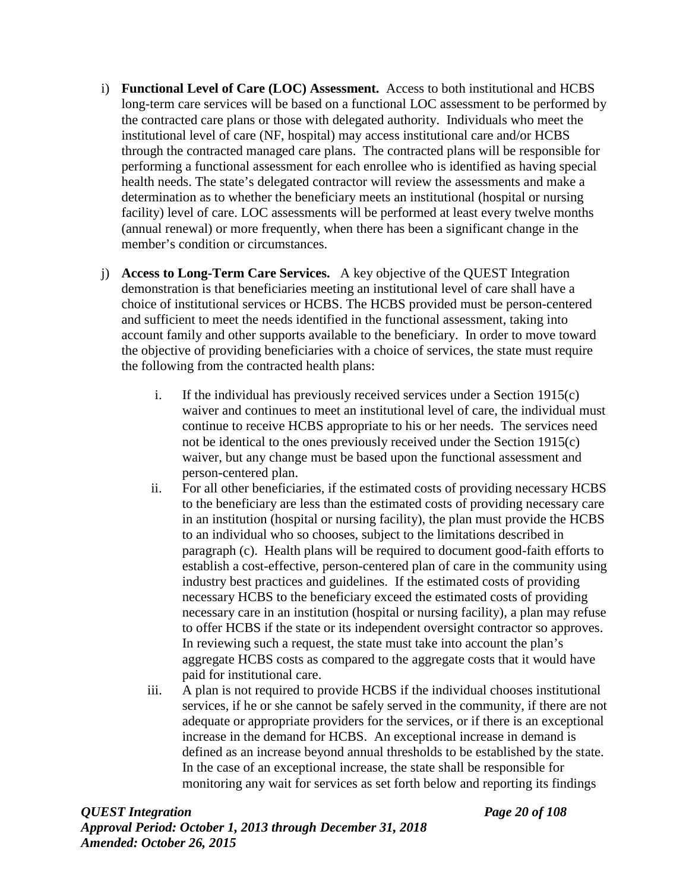- i) **Functional Level of Care (LOC) Assessment.** Access to both institutional and HCBS long-term care services will be based on a functional LOC assessment to be performed by the contracted care plans or those with delegated authority. Individuals who meet the institutional level of care (NF, hospital) may access institutional care and/or HCBS through the contracted managed care plans. The contracted plans will be responsible for performing a functional assessment for each enrollee who is identified as having special health needs. The state's delegated contractor will review the assessments and make a determination as to whether the beneficiary meets an institutional (hospital or nursing facility) level of care. LOC assessments will be performed at least every twelve months (annual renewal) or more frequently, when there has been a significant change in the member's condition or circumstances.
- j) **Access to Long-Term Care Services.** A key objective of the QUEST Integration demonstration is that beneficiaries meeting an institutional level of care shall have a choice of institutional services or HCBS. The HCBS provided must be person-centered and sufficient to meet the needs identified in the functional assessment, taking into account family and other supports available to the beneficiary. In order to move toward the objective of providing beneficiaries with a choice of services, the state must require the following from the contracted health plans:
	- i. If the individual has previously received services under a Section 1915(c) waiver and continues to meet an institutional level of care, the individual must continue to receive HCBS appropriate to his or her needs. The services need not be identical to the ones previously received under the Section 1915(c) waiver, but any change must be based upon the functional assessment and person-centered plan.
	- ii. For all other beneficiaries, if the estimated costs of providing necessary HCBS to the beneficiary are less than the estimated costs of providing necessary care in an institution (hospital or nursing facility), the plan must provide the HCBS to an individual who so chooses, subject to the limitations described in paragraph (c). Health plans will be required to document good-faith efforts to establish a cost-effective, person-centered plan of care in the community using industry best practices and guidelines. If the estimated costs of providing necessary HCBS to the beneficiary exceed the estimated costs of providing necessary care in an institution (hospital or nursing facility), a plan may refuse to offer HCBS if the state or its independent oversight contractor so approves. In reviewing such a request, the state must take into account the plan's aggregate HCBS costs as compared to the aggregate costs that it would have paid for institutional care.
	- iii. A plan is not required to provide HCBS if the individual chooses institutional services, if he or she cannot be safely served in the community, if there are not adequate or appropriate providers for the services, or if there is an exceptional increase in the demand for HCBS. An exceptional increase in demand is defined as an increase beyond annual thresholds to be established by the state. In the case of an exceptional increase, the state shall be responsible for monitoring any wait for services as set forth below and reporting its findings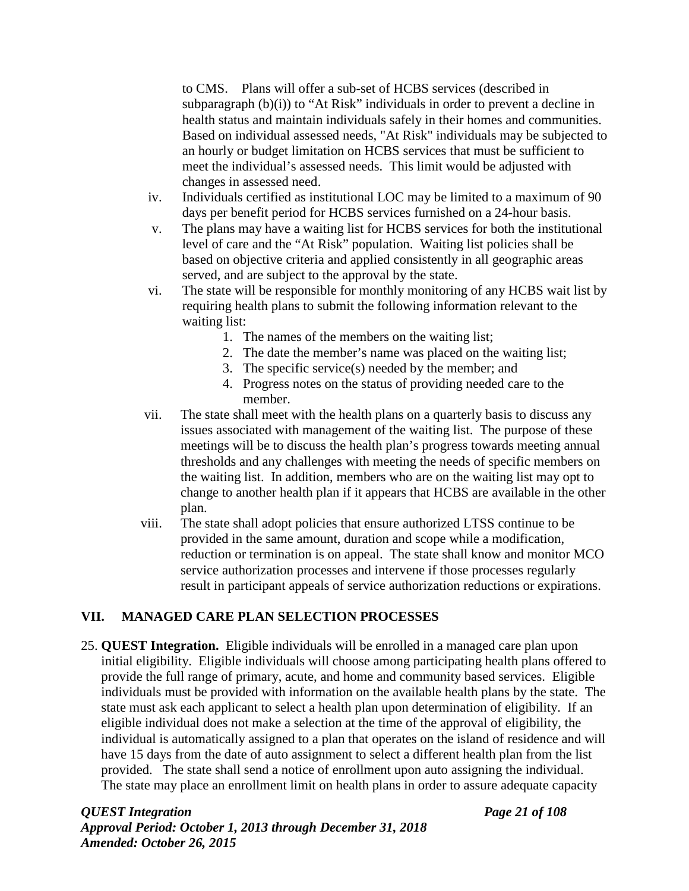to CMS. Plans will offer a sub-set of HCBS services (described in subparagraph (b)(i)) to "At Risk" individuals in order to prevent a decline in health status and maintain individuals safely in their homes and communities. Based on individual assessed needs, "At Risk" individuals may be subjected to an hourly or budget limitation on HCBS services that must be sufficient to meet the individual's assessed needs. This limit would be adjusted with changes in assessed need.

- iv. Individuals certified as institutional LOC may be limited to a maximum of 90 days per benefit period for HCBS services furnished on a 24-hour basis.
- v. The plans may have a waiting list for HCBS services for both the institutional level of care and the "At Risk" population. Waiting list policies shall be based on objective criteria and applied consistently in all geographic areas served, and are subject to the approval by the state.
- vi. The state will be responsible for monthly monitoring of any HCBS wait list by requiring health plans to submit the following information relevant to the waiting list:
	- 1. The names of the members on the waiting list;
	- 2. The date the member's name was placed on the waiting list;
	- 3. The specific service(s) needed by the member; and
	- 4. Progress notes on the status of providing needed care to the member.
- vii. The state shall meet with the health plans on a quarterly basis to discuss any issues associated with management of the waiting list. The purpose of these meetings will be to discuss the health plan's progress towards meeting annual thresholds and any challenges with meeting the needs of specific members on the waiting list. In addition, members who are on the waiting list may opt to change to another health plan if it appears that HCBS are available in the other plan.
- viii. The state shall adopt policies that ensure authorized LTSS continue to be provided in the same amount, duration and scope while a modification, reduction or termination is on appeal. The state shall know and monitor MCO service authorization processes and intervene if those processes regularly result in participant appeals of service authorization reductions or expirations.

## **VII. MANAGED CARE PLAN SELECTION PROCESSES**

25. **QUEST Integration.** Eligible individuals will be enrolled in a managed care plan upon initial eligibility. Eligible individuals will choose among participating health plans offered to provide the full range of primary, acute, and home and community based services. Eligible individuals must be provided with information on the available health plans by the state. The state must ask each applicant to select a health plan upon determination of eligibility. If an eligible individual does not make a selection at the time of the approval of eligibility, the individual is automatically assigned to a plan that operates on the island of residence and will have 15 days from the date of auto assignment to select a different health plan from the list provided. The state shall send a notice of enrollment upon auto assigning the individual. The state may place an enrollment limit on health plans in order to assure adequate capacity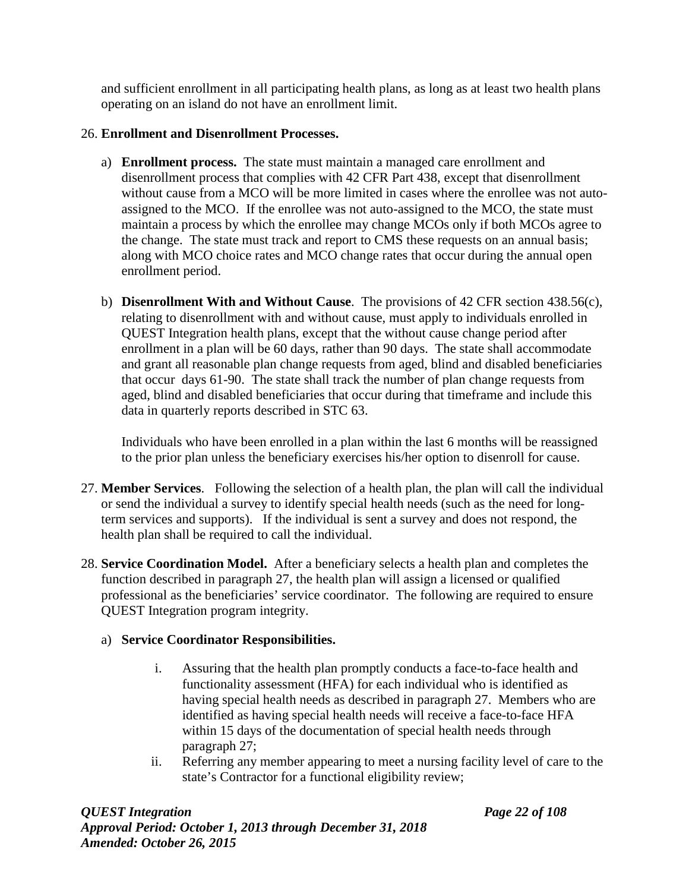and sufficient enrollment in all participating health plans, as long as at least two health plans operating on an island do not have an enrollment limit.

## 26. **Enrollment and Disenrollment Processes.**

- a) **Enrollment process.** The state must maintain a managed care enrollment and disenrollment process that complies with 42 CFR Part 438, except that disenrollment without cause from a MCO will be more limited in cases where the enrollee was not autoassigned to the MCO. If the enrollee was not auto-assigned to the MCO, the state must maintain a process by which the enrollee may change MCOs only if both MCOs agree to the change. The state must track and report to CMS these requests on an annual basis; along with MCO choice rates and MCO change rates that occur during the annual open enrollment period.
- b) **Disenrollment With and Without Cause**. The provisions of 42 CFR section 438.56(c), relating to disenrollment with and without cause, must apply to individuals enrolled in QUEST Integration health plans, except that the without cause change period after enrollment in a plan will be 60 days, rather than 90 days. The state shall accommodate and grant all reasonable plan change requests from aged, blind and disabled beneficiaries that occur days 61-90. The state shall track the number of plan change requests from aged, blind and disabled beneficiaries that occur during that timeframe and include this data in quarterly reports described in STC 63.

Individuals who have been enrolled in a plan within the last 6 months will be reassigned to the prior plan unless the beneficiary exercises his/her option to disenroll for cause.

- 27. **Member Services**. Following the selection of a health plan, the plan will call the individual or send the individual a survey to identify special health needs (such as the need for longterm services and supports). If the individual is sent a survey and does not respond, the health plan shall be required to call the individual.
- 28. **Service Coordination Model.** After a beneficiary selects a health plan and completes the function described in paragraph 27, the health plan will assign a licensed or qualified professional as the beneficiaries' service coordinator. The following are required to ensure QUEST Integration program integrity.

## a) **Service Coordinator Responsibilities.**

- i. Assuring that the health plan promptly conducts a face-to-face health and functionality assessment (HFA) for each individual who is identified as having special health needs as described in paragraph 27. Members who are identified as having special health needs will receive a face-to-face HFA within 15 days of the documentation of special health needs through paragraph 27;
- ii. Referring any member appearing to meet a nursing facility level of care to the state's Contractor for a functional eligibility review;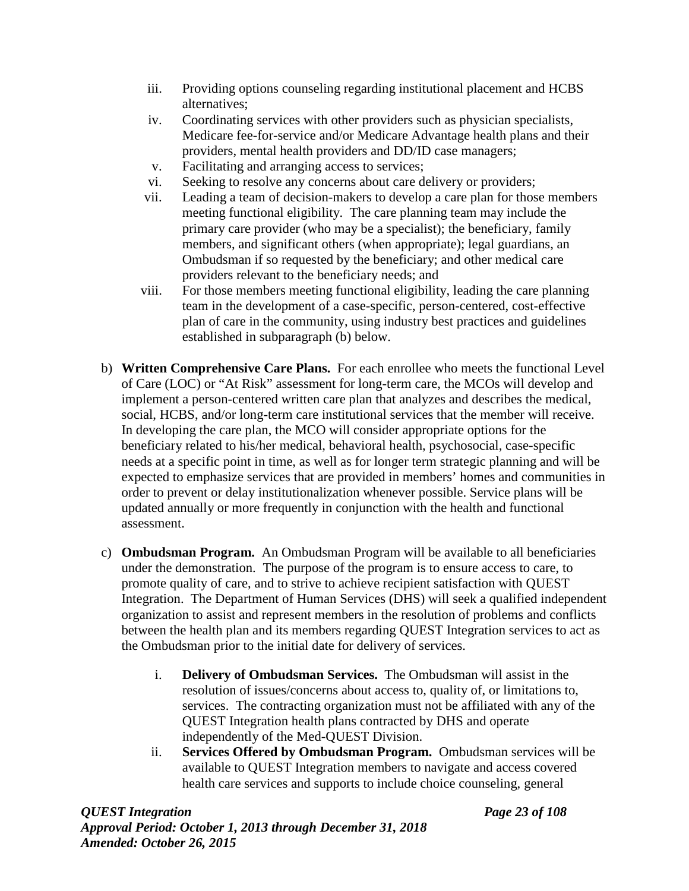- iii. Providing options counseling regarding institutional placement and HCBS alternatives;
- iv. Coordinating services with other providers such as physician specialists, Medicare fee-for-service and/or Medicare Advantage health plans and their providers, mental health providers and DD/ID case managers;
- v. Facilitating and arranging access to services;
- vi. Seeking to resolve any concerns about care delivery or providers;
- vii. Leading a team of decision-makers to develop a care plan for those members meeting functional eligibility. The care planning team may include the primary care provider (who may be a specialist); the beneficiary, family members, and significant others (when appropriate); legal guardians, an Ombudsman if so requested by the beneficiary; and other medical care providers relevant to the beneficiary needs; and
- viii. For those members meeting functional eligibility, leading the care planning team in the development of a case-specific, person-centered, cost-effective plan of care in the community, using industry best practices and guidelines established in subparagraph (b) below.
- b) **Written Comprehensive Care Plans.** For each enrollee who meets the functional Level of Care (LOC) or "At Risk" assessment for long-term care, the MCOs will develop and implement a person-centered written care plan that analyzes and describes the medical, social, HCBS, and/or long-term care institutional services that the member will receive. In developing the care plan, the MCO will consider appropriate options for the beneficiary related to his/her medical, behavioral health, psychosocial, case-specific needs at a specific point in time, as well as for longer term strategic planning and will be expected to emphasize services that are provided in members' homes and communities in order to prevent or delay institutionalization whenever possible. Service plans will be updated annually or more frequently in conjunction with the health and functional assessment.
- c) **Ombudsman Program.** An Ombudsman Program will be available to all beneficiaries under the demonstration. The purpose of the program is to ensure access to care, to promote quality of care, and to strive to achieve recipient satisfaction with QUEST Integration. The Department of Human Services (DHS) will seek a qualified independent organization to assist and represent members in the resolution of problems and conflicts between the health plan and its members regarding QUEST Integration services to act as the Ombudsman prior to the initial date for delivery of services.
	- i. **Delivery of Ombudsman Services.** The Ombudsman will assist in the resolution of issues/concerns about access to, quality of, or limitations to, services. The contracting organization must not be affiliated with any of the QUEST Integration health plans contracted by DHS and operate independently of the Med-QUEST Division.
	- ii. **Services Offered by Ombudsman Program.** Ombudsman services will be available to QUEST Integration members to navigate and access covered health care services and supports to include choice counseling, general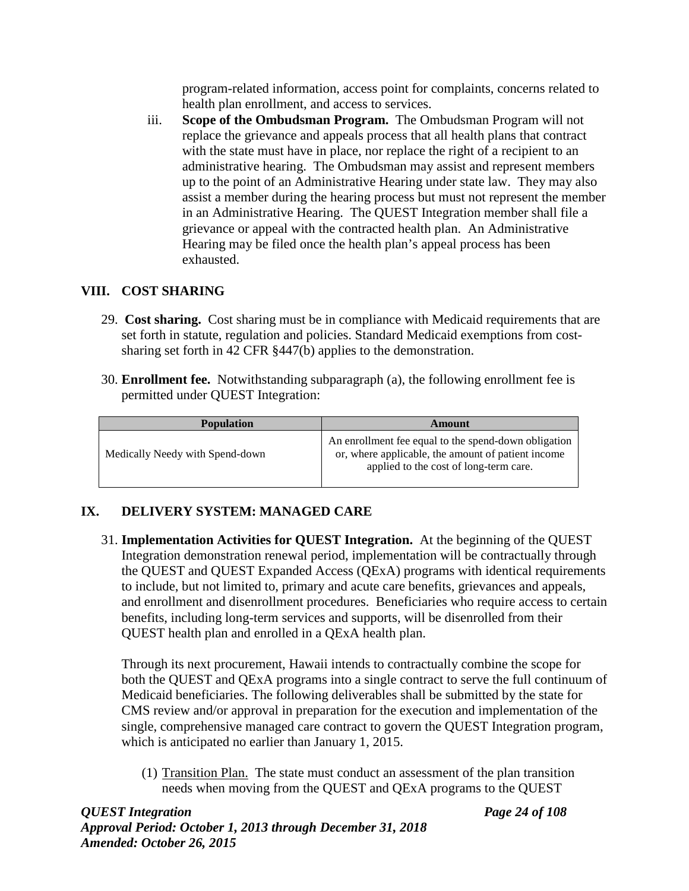program-related information, access point for complaints, concerns related to health plan enrollment, and access to services.

iii. **Scope of the Ombudsman Program.** The Ombudsman Program will not replace the grievance and appeals process that all health plans that contract with the state must have in place, nor replace the right of a recipient to an administrative hearing. The Ombudsman may assist and represent members up to the point of an Administrative Hearing under state law. They may also assist a member during the hearing process but must not represent the member in an Administrative Hearing. The QUEST Integration member shall file a grievance or appeal with the contracted health plan. An Administrative Hearing may be filed once the health plan's appeal process has been exhausted.

## **VIII. COST SHARING**

- 29. **Cost sharing.** Cost sharing must be in compliance with Medicaid requirements that are set forth in statute, regulation and policies. Standard Medicaid exemptions from costsharing set forth in 42 CFR §447(b) applies to the demonstration.
- 30. **Enrollment fee.** Notwithstanding subparagraph (a), the following enrollment fee is permitted under QUEST Integration:

| <b>Population</b>               | Amount                                                                                                                                               |
|---------------------------------|------------------------------------------------------------------------------------------------------------------------------------------------------|
| Medically Needy with Spend-down | An enrollment fee equal to the spend-down obligation<br>or, where applicable, the amount of patient income<br>applied to the cost of long-term care. |

# **IX. DELIVERY SYSTEM: MANAGED CARE**

31. **Implementation Activities for QUEST Integration.** At the beginning of the QUEST Integration demonstration renewal period, implementation will be contractually through the QUEST and QUEST Expanded Access (QExA) programs with identical requirements to include, but not limited to, primary and acute care benefits, grievances and appeals, and enrollment and disenrollment procedures. Beneficiaries who require access to certain benefits, including long-term services and supports, will be disenrolled from their QUEST health plan and enrolled in a QExA health plan.

Through its next procurement, Hawaii intends to contractually combine the scope for both the QUEST and QExA programs into a single contract to serve the full continuum of Medicaid beneficiaries. The following deliverables shall be submitted by the state for CMS review and/or approval in preparation for the execution and implementation of the single, comprehensive managed care contract to govern the QUEST Integration program, which is anticipated no earlier than January 1, 2015.

(1) Transition Plan. The state must conduct an assessment of the plan transition needs when moving from the QUEST and QExA programs to the QUEST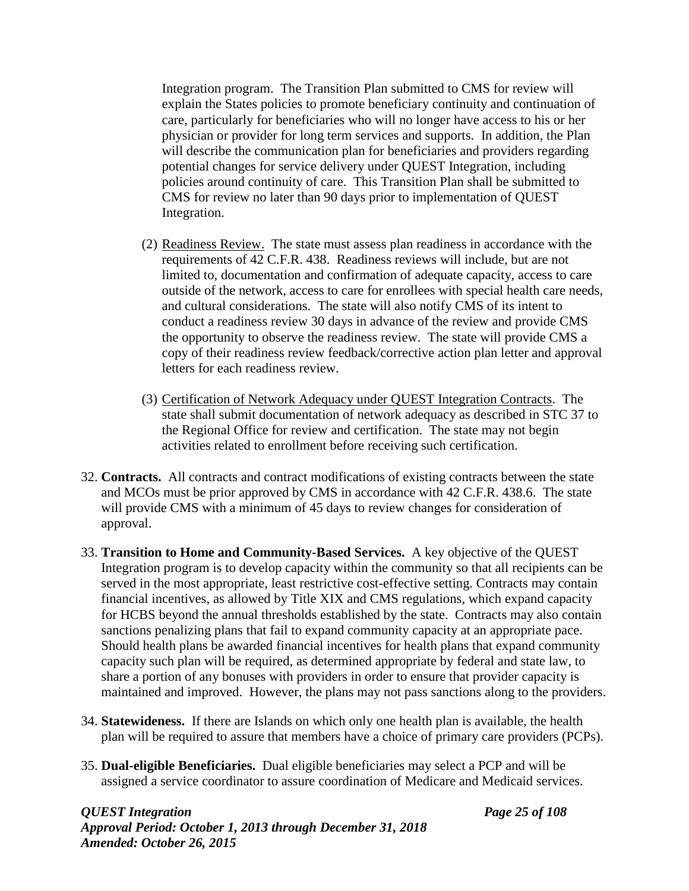Integration program. The Transition Plan submitted to CMS for review will explain the States policies to promote beneficiary continuity and continuation of care, particularly for beneficiaries who will no longer have access to his or her physician or provider for long term services and supports. In addition, the Plan will describe the communication plan for beneficiaries and providers regarding potential changes for service delivery under QUEST Integration, including policies around continuity of care. This Transition Plan shall be submitted to CMS for review no later than 90 days prior to implementation of QUEST Integration.

- (2) Readiness Review. The state must assess plan readiness in accordance with the requirements of 42 C.F.R. 438. Readiness reviews will include, but are not limited to, documentation and confirmation of adequate capacity, access to care outside of the network, access to care for enrollees with special health care needs, and cultural considerations. The state will also notify CMS of its intent to conduct a readiness review 30 days in advance of the review and provide CMS the opportunity to observe the readiness review. The state will provide CMS a copy of their readiness review feedback/corrective action plan letter and approval letters for each readiness review.
- (3) Certification of Network Adequacy under QUEST Integration Contracts. The state shall submit documentation of network adequacy as described in STC 37 to the Regional Office for review and certification. The state may not begin activities related to enrollment before receiving such certification.
- 32. **Contracts.** All contracts and contract modifications of existing contracts between the state and MCOs must be prior approved by CMS in accordance with 42 C.F.R. 438.6. The state will provide CMS with a minimum of 45 days to review changes for consideration of approval.
- 33. **Transition to Home and Community-Based Services.** A key objective of the QUEST Integration program is to develop capacity within the community so that all recipients can be served in the most appropriate, least restrictive cost-effective setting. Contracts may contain financial incentives, as allowed by Title XIX and CMS regulations, which expand capacity for HCBS beyond the annual thresholds established by the state. Contracts may also contain sanctions penalizing plans that fail to expand community capacity at an appropriate pace. Should health plans be awarded financial incentives for health plans that expand community capacity such plan will be required, as determined appropriate by federal and state law, to share a portion of any bonuses with providers in order to ensure that provider capacity is maintained and improved. However, the plans may not pass sanctions along to the providers.
- 34. **Statewideness.** If there are Islands on which only one health plan is available, the health plan will be required to assure that members have a choice of primary care providers (PCPs).
- 35. **Dual-eligible Beneficiaries.** Dual eligible beneficiaries may select a PCP and will be assigned a service coordinator to assure coordination of Medicare and Medicaid services.

#### *QUEST Integration Page 25 of 108 Approval Period: October 1, 2013 through December 31, 2018 Amended: October 26, 2015*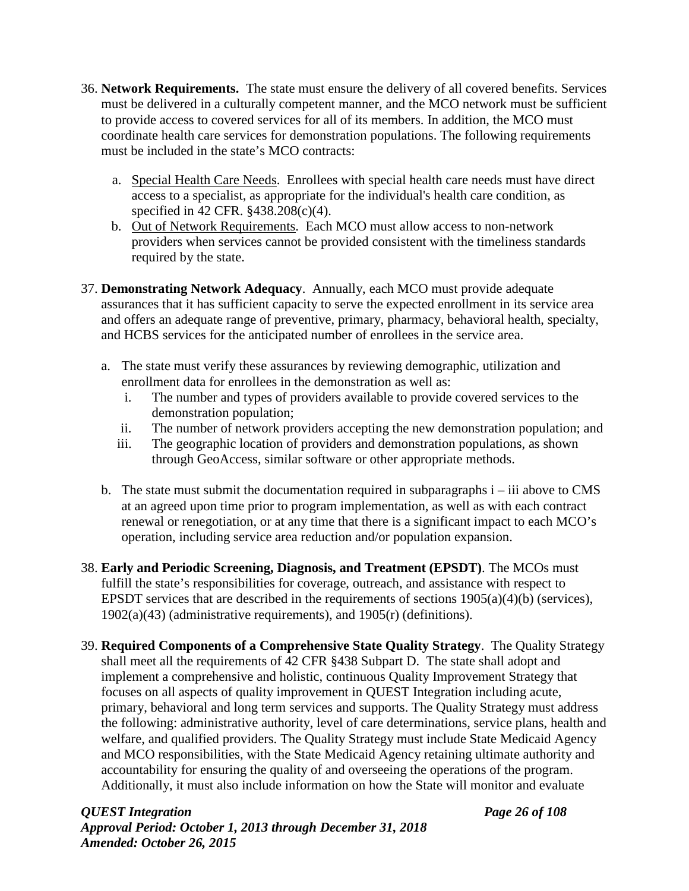- 36. **Network Requirements.** The state must ensure the delivery of all covered benefits. Services must be delivered in a culturally competent manner, and the MCO network must be sufficient to provide access to covered services for all of its members. In addition, the MCO must coordinate health care services for demonstration populations. The following requirements must be included in the state's MCO contracts:
	- a. Special Health Care Needs. Enrollees with special health care needs must have direct access to a specialist, as appropriate for the individual's health care condition, as specified in 42 CFR. §438.208(c)(4).
	- b. Out of Network Requirements. Each MCO must allow access to non-network providers when services cannot be provided consistent with the timeliness standards required by the state.
- 37. **Demonstrating Network Adequacy**. Annually, each MCO must provide adequate assurances that it has sufficient capacity to serve the expected enrollment in its service area and offers an adequate range of preventive, primary, pharmacy, behavioral health, specialty, and HCBS services for the anticipated number of enrollees in the service area.
	- a. The state must verify these assurances by reviewing demographic, utilization and enrollment data for enrollees in the demonstration as well as:
		- i. The number and types of providers available to provide covered services to the demonstration population;
		- ii. The number of network providers accepting the new demonstration population; and
		- iii. The geographic location of providers and demonstration populations, as shown through GeoAccess, similar software or other appropriate methods.
	- b. The state must submit the documentation required in subparagraphs i iii above to CMS at an agreed upon time prior to program implementation, as well as with each contract renewal or renegotiation, or at any time that there is a significant impact to each MCO's operation, including service area reduction and/or population expansion.
- 38. **Early and Periodic Screening, Diagnosis, and Treatment (EPSDT)**. The MCOs must fulfill the state's responsibilities for coverage, outreach, and assistance with respect to EPSDT services that are described in the requirements of sections  $1905(a)(4)(b)$  (services), 1902(a)(43) (administrative requirements), and 1905(r) (definitions).
- 39. **Required Components of a Comprehensive State Quality Strategy**. The Quality Strategy shall meet all the requirements of 42 CFR §438 Subpart D. The state shall adopt and implement a comprehensive and holistic, continuous Quality Improvement Strategy that focuses on all aspects of quality improvement in QUEST Integration including acute, primary, behavioral and long term services and supports. The Quality Strategy must address the following: administrative authority, level of care determinations, service plans, health and welfare, and qualified providers. The Quality Strategy must include State Medicaid Agency and MCO responsibilities, with the State Medicaid Agency retaining ultimate authority and accountability for ensuring the quality of and overseeing the operations of the program. Additionally, it must also include information on how the State will monitor and evaluate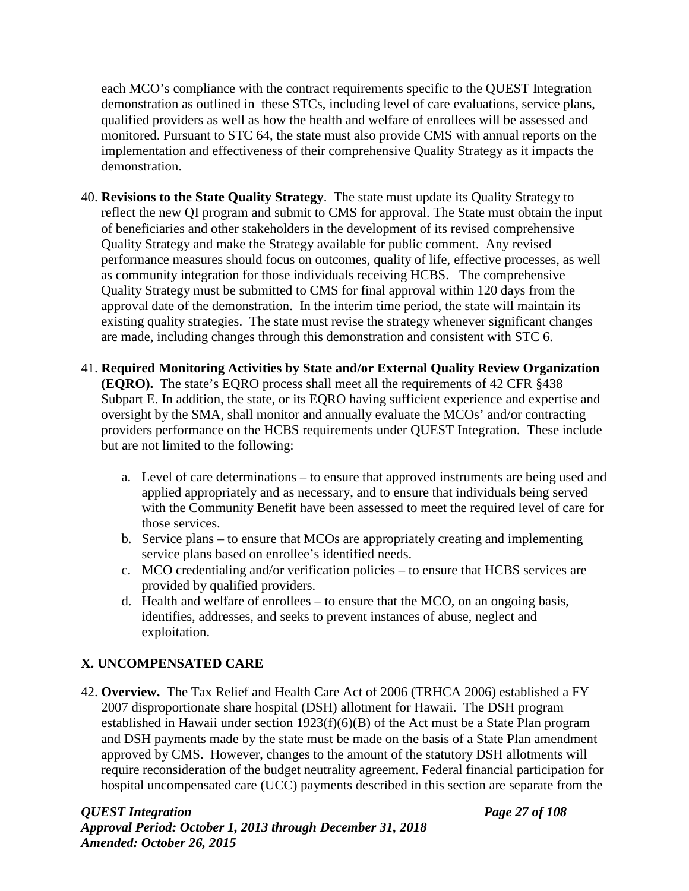each MCO's compliance with the contract requirements specific to the QUEST Integration demonstration as outlined in these STCs, including level of care evaluations, service plans, qualified providers as well as how the health and welfare of enrollees will be assessed and monitored. Pursuant to STC 64, the state must also provide CMS with annual reports on the implementation and effectiveness of their comprehensive Quality Strategy as it impacts the demonstration.

- 40. **Revisions to the State Quality Strategy**. The state must update its Quality Strategy to reflect the new QI program and submit to CMS for approval. The State must obtain the input of beneficiaries and other stakeholders in the development of its revised comprehensive Quality Strategy and make the Strategy available for public comment. Any revised performance measures should focus on outcomes, quality of life, effective processes, as well as community integration for those individuals receiving HCBS. The comprehensive Quality Strategy must be submitted to CMS for final approval within 120 days from the approval date of the demonstration. In the interim time period, the state will maintain its existing quality strategies. The state must revise the strategy whenever significant changes are made, including changes through this demonstration and consistent with STC 6.
- 41. **Required Monitoring Activities by State and/or External Quality Review Organization (EQRO).** The state's EQRO process shall meet all the requirements of 42 CFR §438 Subpart E. In addition, the state, or its EQRO having sufficient experience and expertise and oversight by the SMA, shall monitor and annually evaluate the MCOs' and/or contracting providers performance on the HCBS requirements under QUEST Integration. These include but are not limited to the following:
	- a. Level of care determinations to ensure that approved instruments are being used and applied appropriately and as necessary, and to ensure that individuals being served with the Community Benefit have been assessed to meet the required level of care for those services.
	- b. Service plans to ensure that MCOs are appropriately creating and implementing service plans based on enrollee's identified needs.
	- c. MCO credentialing and/or verification policies to ensure that HCBS services are provided by qualified providers.
	- d. Health and welfare of enrollees to ensure that the MCO, on an ongoing basis, identifies, addresses, and seeks to prevent instances of abuse, neglect and exploitation.

# **X. UNCOMPENSATED CARE**

42. **Overview.** The Tax Relief and Health Care Act of 2006 (TRHCA 2006) established a FY 2007 disproportionate share hospital (DSH) allotment for Hawaii. The DSH program established in Hawaii under section 1923(f)(6)(B) of the Act must be a State Plan program and DSH payments made by the state must be made on the basis of a State Plan amendment approved by CMS. However, changes to the amount of the statutory DSH allotments will require reconsideration of the budget neutrality agreement. Federal financial participation for hospital uncompensated care (UCC) payments described in this section are separate from the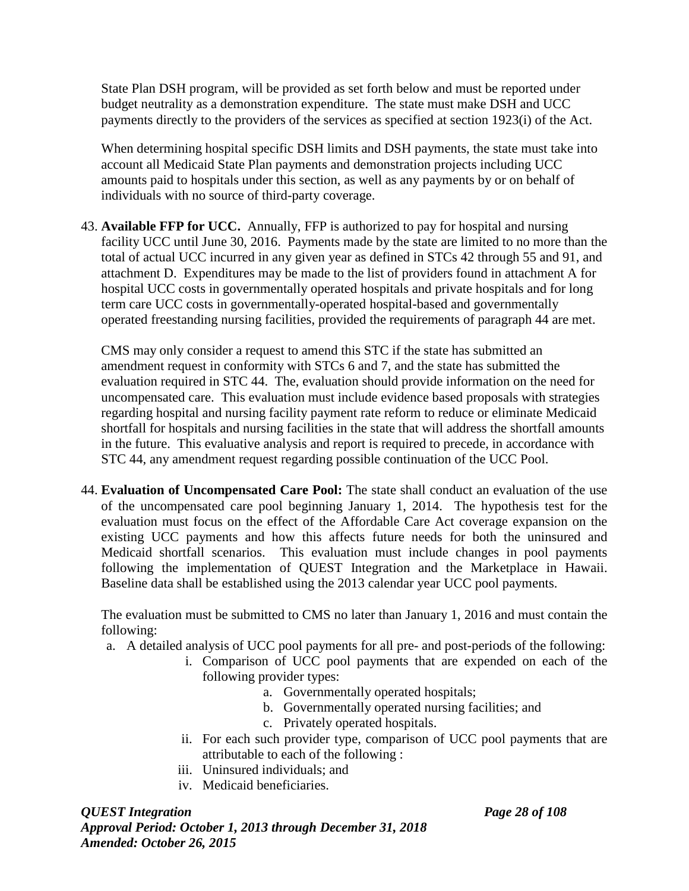State Plan DSH program, will be provided as set forth below and must be reported under budget neutrality as a demonstration expenditure. The state must make DSH and UCC payments directly to the providers of the services as specified at section 1923(i) of the Act.

When determining hospital specific DSH limits and DSH payments, the state must take into account all Medicaid State Plan payments and demonstration projects including UCC amounts paid to hospitals under this section, as well as any payments by or on behalf of individuals with no source of third-party coverage.

43. **Available FFP for UCC.** Annually, FFP is authorized to pay for hospital and nursing facility UCC until June 30, 2016. Payments made by the state are limited to no more than the total of actual UCC incurred in any given year as defined in STCs 42 through 55 and 91, and attachment D. Expenditures may be made to the list of providers found in attachment A for hospital UCC costs in governmentally operated hospitals and private hospitals and for long term care UCC costs in governmentally-operated hospital-based and governmentally operated freestanding nursing facilities, provided the requirements of paragraph 44 are met.

CMS may only consider a request to amend this STC if the state has submitted an amendment request in conformity with STCs 6 and 7, and the state has submitted the evaluation required in STC 44. The, evaluation should provide information on the need for uncompensated care. This evaluation must include evidence based proposals with strategies regarding hospital and nursing facility payment rate reform to reduce or eliminate Medicaid shortfall for hospitals and nursing facilities in the state that will address the shortfall amounts in the future. This evaluative analysis and report is required to precede, in accordance with STC 44, any amendment request regarding possible continuation of the UCC Pool.

44. **Evaluation of Uncompensated Care Pool:** The state shall conduct an evaluation of the use of the uncompensated care pool beginning January 1, 2014. The hypothesis test for the evaluation must focus on the effect of the Affordable Care Act coverage expansion on the existing UCC payments and how this affects future needs for both the uninsured and Medicaid shortfall scenarios. This evaluation must include changes in pool payments following the implementation of QUEST Integration and the Marketplace in Hawaii. Baseline data shall be established using the 2013 calendar year UCC pool payments.

The evaluation must be submitted to CMS no later than January 1, 2016 and must contain the following:

- a. A detailed analysis of UCC pool payments for all pre- and post-periods of the following:
	- i. Comparison of UCC pool payments that are expended on each of the following provider types:
		- a. Governmentally operated hospitals;
		- b. Governmentally operated nursing facilities; and
		- c. Privately operated hospitals.
	- ii. For each such provider type, comparison of UCC pool payments that are attributable to each of the following :
	- iii. Uninsured individuals; and
	- iv. Medicaid beneficiaries.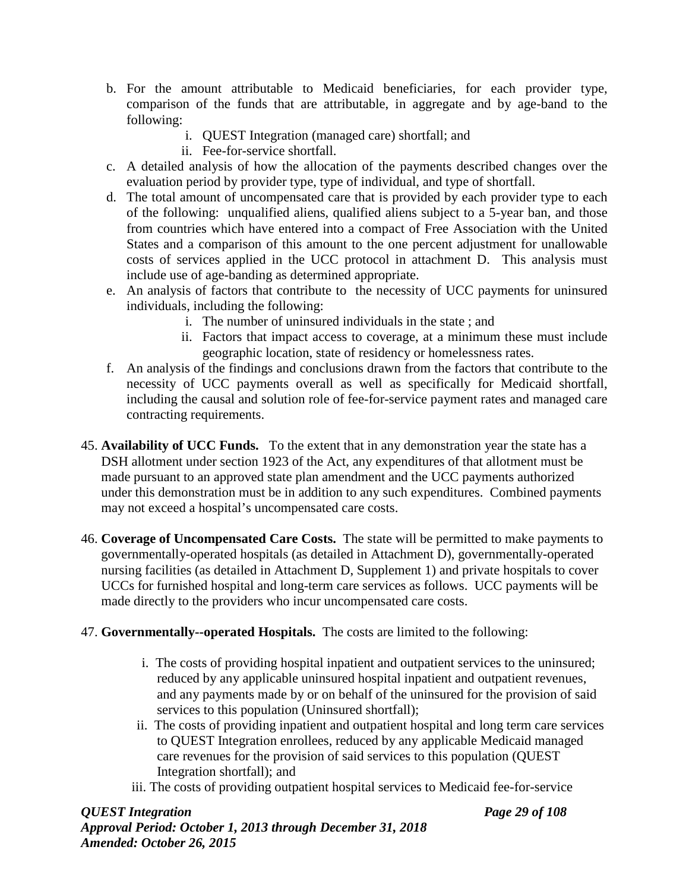- b. For the amount attributable to Medicaid beneficiaries, for each provider type, comparison of the funds that are attributable, in aggregate and by age-band to the following:
	- i. QUEST Integration (managed care) shortfall; and
	- ii. Fee-for-service shortfall.
- c. A detailed analysis of how the allocation of the payments described changes over the evaluation period by provider type, type of individual, and type of shortfall.
- d. The total amount of uncompensated care that is provided by each provider type to each of the following: unqualified aliens, qualified aliens subject to a 5-year ban, and those from countries which have entered into a compact of Free Association with the United States and a comparison of this amount to the one percent adjustment for unallowable costs of services applied in the UCC protocol in attachment D. This analysis must include use of age-banding as determined appropriate.
- e. An analysis of factors that contribute to the necessity of UCC payments for uninsured individuals, including the following:
	- i. The number of uninsured individuals in the state ; and
	- ii. Factors that impact access to coverage, at a minimum these must include geographic location, state of residency or homelessness rates.
- f. An analysis of the findings and conclusions drawn from the factors that contribute to the necessity of UCC payments overall as well as specifically for Medicaid shortfall, including the causal and solution role of fee-for-service payment rates and managed care contracting requirements.
- 45. **Availability of UCC Funds.** To the extent that in any demonstration year the state has a DSH allotment under section 1923 of the Act, any expenditures of that allotment must be made pursuant to an approved state plan amendment and the UCC payments authorized under this demonstration must be in addition to any such expenditures. Combined payments may not exceed a hospital's uncompensated care costs.
- 46. **Coverage of Uncompensated Care Costs.** The state will be permitted to make payments to governmentally-operated hospitals (as detailed in Attachment D), governmentally-operated nursing facilities (as detailed in Attachment D, Supplement 1) and private hospitals to cover UCCs for furnished hospital and long-term care services as follows. UCC payments will be made directly to the providers who incur uncompensated care costs.

## 47. **Governmentally--operated Hospitals.** The costs are limited to the following:

- i. The costs of providing hospital inpatient and outpatient services to the uninsured; reduced by any applicable uninsured hospital inpatient and outpatient revenues, and any payments made by or on behalf of the uninsured for the provision of said services to this population (Uninsured shortfall);
- ii. The costs of providing inpatient and outpatient hospital and long term care services to QUEST Integration enrollees, reduced by any applicable Medicaid managed care revenues for the provision of said services to this population (QUEST Integration shortfall); and
- iii. The costs of providing outpatient hospital services to Medicaid fee-for-service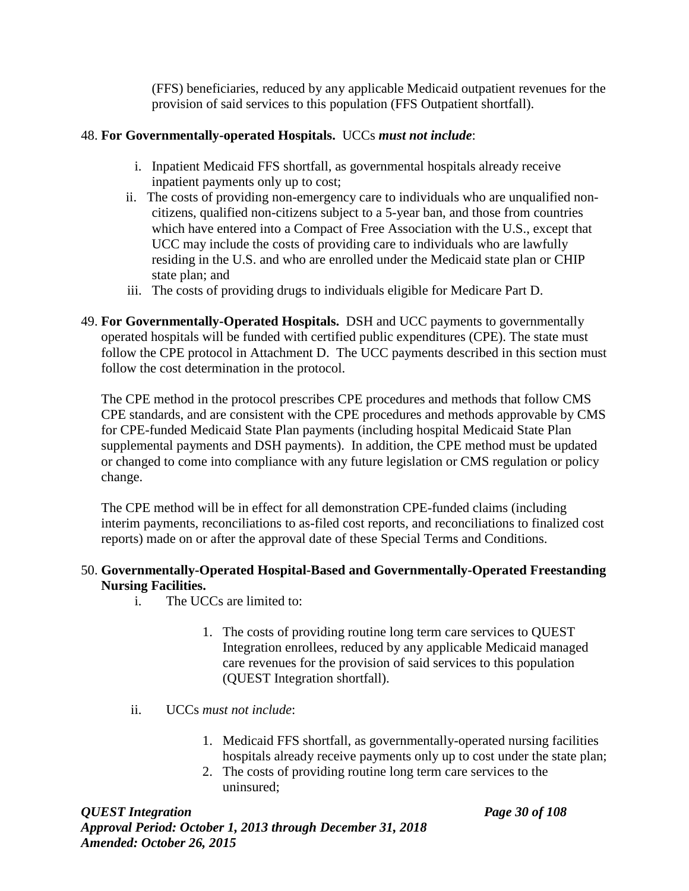(FFS) beneficiaries, reduced by any applicable Medicaid outpatient revenues for the provision of said services to this population (FFS Outpatient shortfall).

# 48. **For Governmentally-operated Hospitals.** UCCs *must not include*:

- i. Inpatient Medicaid FFS shortfall, as governmental hospitals already receive inpatient payments only up to cost;
- ii. The costs of providing non-emergency care to individuals who are unqualified noncitizens, qualified non-citizens subject to a 5-year ban, and those from countries which have entered into a Compact of Free Association with the U.S., except that UCC may include the costs of providing care to individuals who are lawfully residing in the U.S. and who are enrolled under the Medicaid state plan or CHIP state plan; and
- iii. The costs of providing drugs to individuals eligible for Medicare Part D.
- 49. **For Governmentally-Operated Hospitals.** DSH and UCC payments to governmentally operated hospitals will be funded with certified public expenditures (CPE). The state must follow the CPE protocol in Attachment D. The UCC payments described in this section must follow the cost determination in the protocol.

The CPE method in the protocol prescribes CPE procedures and methods that follow CMS CPE standards, and are consistent with the CPE procedures and methods approvable by CMS for CPE-funded Medicaid State Plan payments (including hospital Medicaid State Plan supplemental payments and DSH payments). In addition, the CPE method must be updated or changed to come into compliance with any future legislation or CMS regulation or policy change.

The CPE method will be in effect for all demonstration CPE-funded claims (including interim payments, reconciliations to as-filed cost reports, and reconciliations to finalized cost reports) made on or after the approval date of these Special Terms and Conditions.

# 50. **Governmentally-Operated Hospital-Based and Governmentally-Operated Freestanding Nursing Facilities.**

- i. The UCCs are limited to:
	- 1. The costs of providing routine long term care services to QUEST Integration enrollees, reduced by any applicable Medicaid managed care revenues for the provision of said services to this population (QUEST Integration shortfall).
- ii. UCCs *must not include*:
	- 1. Medicaid FFS shortfall, as governmentally-operated nursing facilities hospitals already receive payments only up to cost under the state plan;
	- 2. The costs of providing routine long term care services to the uninsured;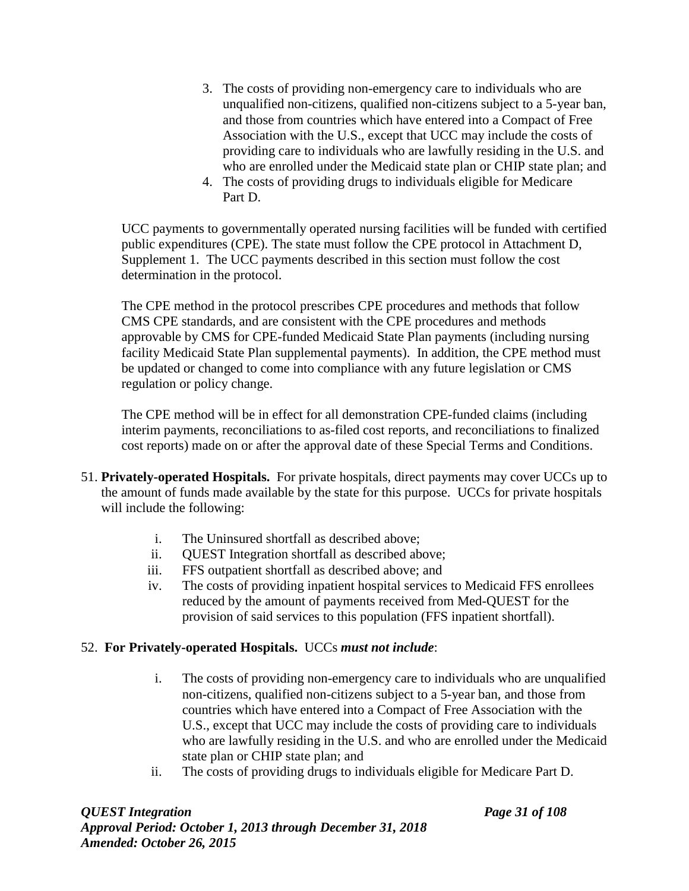- 3. The costs of providing non-emergency care to individuals who are unqualified non-citizens, qualified non-citizens subject to a 5-year ban, and those from countries which have entered into a Compact of Free Association with the U.S., except that UCC may include the costs of providing care to individuals who are lawfully residing in the U.S. and who are enrolled under the Medicaid state plan or CHIP state plan; and
- 4. The costs of providing drugs to individuals eligible for Medicare Part D.

UCC payments to governmentally operated nursing facilities will be funded with certified public expenditures (CPE). The state must follow the CPE protocol in Attachment D, Supplement 1. The UCC payments described in this section must follow the cost determination in the protocol.

The CPE method in the protocol prescribes CPE procedures and methods that follow CMS CPE standards, and are consistent with the CPE procedures and methods approvable by CMS for CPE-funded Medicaid State Plan payments (including nursing facility Medicaid State Plan supplemental payments). In addition, the CPE method must be updated or changed to come into compliance with any future legislation or CMS regulation or policy change.

The CPE method will be in effect for all demonstration CPE-funded claims (including interim payments, reconciliations to as-filed cost reports, and reconciliations to finalized cost reports) made on or after the approval date of these Special Terms and Conditions.

- 51. **Privately-operated Hospitals.** For private hospitals, direct payments may cover UCCs up to the amount of funds made available by the state for this purpose. UCCs for private hospitals will include the following:
	- i. The Uninsured shortfall as described above;
	- ii. QUEST Integration shortfall as described above;
	- iii. FFS outpatient shortfall as described above; and
	- iv. The costs of providing inpatient hospital services to Medicaid FFS enrollees reduced by the amount of payments received from Med-QUEST for the provision of said services to this population (FFS inpatient shortfall).

## 52. **For Privately-operated Hospitals.** UCCs *must not include*:

- i. The costs of providing non-emergency care to individuals who are unqualified non-citizens, qualified non-citizens subject to a 5-year ban, and those from countries which have entered into a Compact of Free Association with the U.S., except that UCC may include the costs of providing care to individuals who are lawfully residing in the U.S. and who are enrolled under the Medicaid state plan or CHIP state plan; and
- ii. The costs of providing drugs to individuals eligible for Medicare Part D.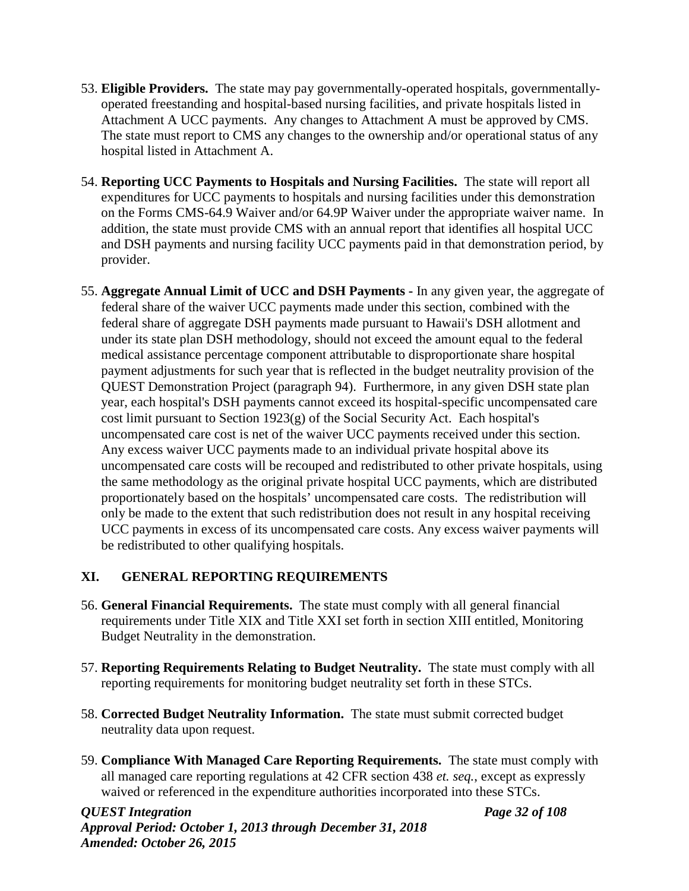- 53. **Eligible Providers.** The state may pay governmentally-operated hospitals, governmentallyoperated freestanding and hospital-based nursing facilities, and private hospitals listed in Attachment A UCC payments. Any changes to Attachment A must be approved by CMS. The state must report to CMS any changes to the ownership and/or operational status of any hospital listed in Attachment A.
- 54. **Reporting UCC Payments to Hospitals and Nursing Facilities.** The state will report all expenditures for UCC payments to hospitals and nursing facilities under this demonstration on the Forms CMS-64.9 Waiver and/or 64.9P Waiver under the appropriate waiver name. In addition, the state must provide CMS with an annual report that identifies all hospital UCC and DSH payments and nursing facility UCC payments paid in that demonstration period, by provider.
- 55. **Aggregate Annual Limit of UCC and DSH Payments -** In any given year, the aggregate of federal share of the waiver UCC payments made under this section, combined with the federal share of aggregate DSH payments made pursuant to Hawaii's DSH allotment and under its state plan DSH methodology, should not exceed the amount equal to the federal medical assistance percentage component attributable to disproportionate share hospital payment adjustments for such year that is reflected in the budget neutrality provision of the QUEST Demonstration Project (paragraph 94). Furthermore, in any given DSH state plan year, each hospital's DSH payments cannot exceed its hospital-specific uncompensated care cost limit pursuant to Section 1923(g) of the Social Security Act. Each hospital's uncompensated care cost is net of the waiver UCC payments received under this section. Any excess waiver UCC payments made to an individual private hospital above its uncompensated care costs will be recouped and redistributed to other private hospitals, using the same methodology as the original private hospital UCC payments, which are distributed proportionately based on the hospitals' uncompensated care costs. The redistribution will only be made to the extent that such redistribution does not result in any hospital receiving UCC payments in excess of its uncompensated care costs. Any excess waiver payments will be redistributed to other qualifying hospitals.

# **XI. GENERAL REPORTING REQUIREMENTS**

- 56. **General Financial Requirements.** The state must comply with all general financial requirements under Title XIX and Title XXI set forth in section XIII entitled, Monitoring Budget Neutrality in the demonstration.
- 57. **Reporting Requirements Relating to Budget Neutrality.** The state must comply with all reporting requirements for monitoring budget neutrality set forth in these STCs.
- 58. **Corrected Budget Neutrality Information.** The state must submit corrected budget neutrality data upon request.
- 59. **Compliance With Managed Care Reporting Requirements.** The state must comply with all managed care reporting regulations at 42 CFR section 438 *et. seq.*, except as expressly waived or referenced in the expenditure authorities incorporated into these STCs.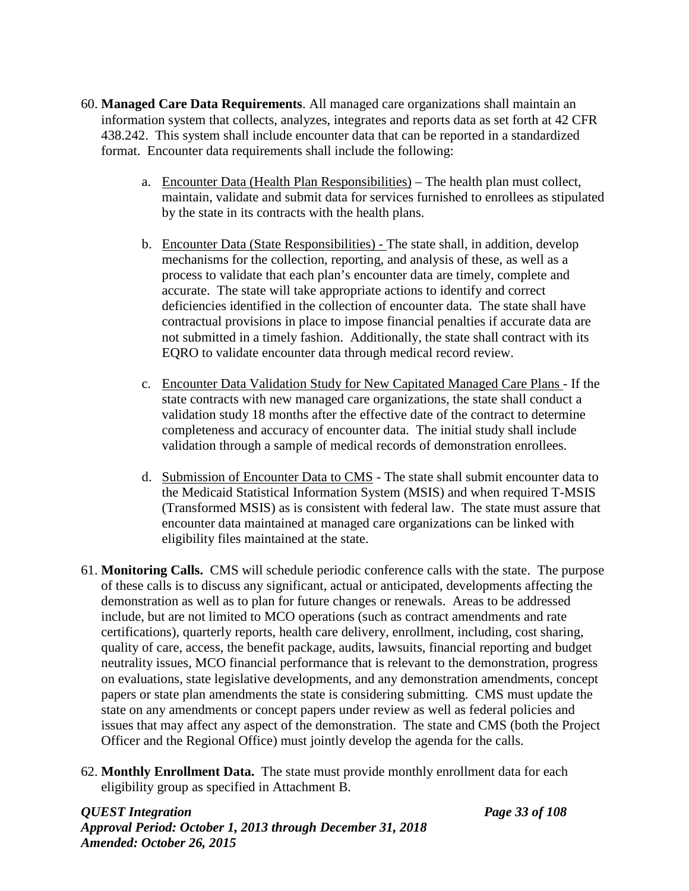- 60. **Managed Care Data Requirements**. All managed care organizations shall maintain an information system that collects, analyzes, integrates and reports data as set forth at 42 CFR 438.242. This system shall include encounter data that can be reported in a standardized format. Encounter data requirements shall include the following:
	- a. Encounter Data (Health Plan Responsibilities) The health plan must collect, maintain, validate and submit data for services furnished to enrollees as stipulated by the state in its contracts with the health plans.
	- b. Encounter Data (State Responsibilities) The state shall, in addition, develop mechanisms for the collection, reporting, and analysis of these, as well as a process to validate that each plan's encounter data are timely, complete and accurate. The state will take appropriate actions to identify and correct deficiencies identified in the collection of encounter data. The state shall have contractual provisions in place to impose financial penalties if accurate data are not submitted in a timely fashion. Additionally, the state shall contract with its EQRO to validate encounter data through medical record review.
	- c. Encounter Data Validation Study for New Capitated Managed Care Plans If the state contracts with new managed care organizations, the state shall conduct a validation study 18 months after the effective date of the contract to determine completeness and accuracy of encounter data. The initial study shall include validation through a sample of medical records of demonstration enrollees.
	- d. Submission of Encounter Data to CMS The state shall submit encounter data to the Medicaid Statistical Information System (MSIS) and when required T-MSIS (Transformed MSIS) as is consistent with federal law. The state must assure that encounter data maintained at managed care organizations can be linked with eligibility files maintained at the state.
- 61. **Monitoring Calls.** CMS will schedule periodic conference calls with the state. The purpose of these calls is to discuss any significant, actual or anticipated, developments affecting the demonstration as well as to plan for future changes or renewals. Areas to be addressed include, but are not limited to MCO operations (such as contract amendments and rate certifications), quarterly reports, health care delivery, enrollment, including, cost sharing, quality of care, access, the benefit package, audits, lawsuits, financial reporting and budget neutrality issues, MCO financial performance that is relevant to the demonstration, progress on evaluations, state legislative developments, and any demonstration amendments, concept papers or state plan amendments the state is considering submitting. CMS must update the state on any amendments or concept papers under review as well as federal policies and issues that may affect any aspect of the demonstration. The state and CMS (both the Project Officer and the Regional Office) must jointly develop the agenda for the calls.
- 62. **Monthly Enrollment Data.** The state must provide monthly enrollment data for each eligibility group as specified in Attachment B.

### *QUEST Integration Page 33 of 108 Approval Period: October 1, 2013 through December 31, 2018 Amended: October 26, 2015*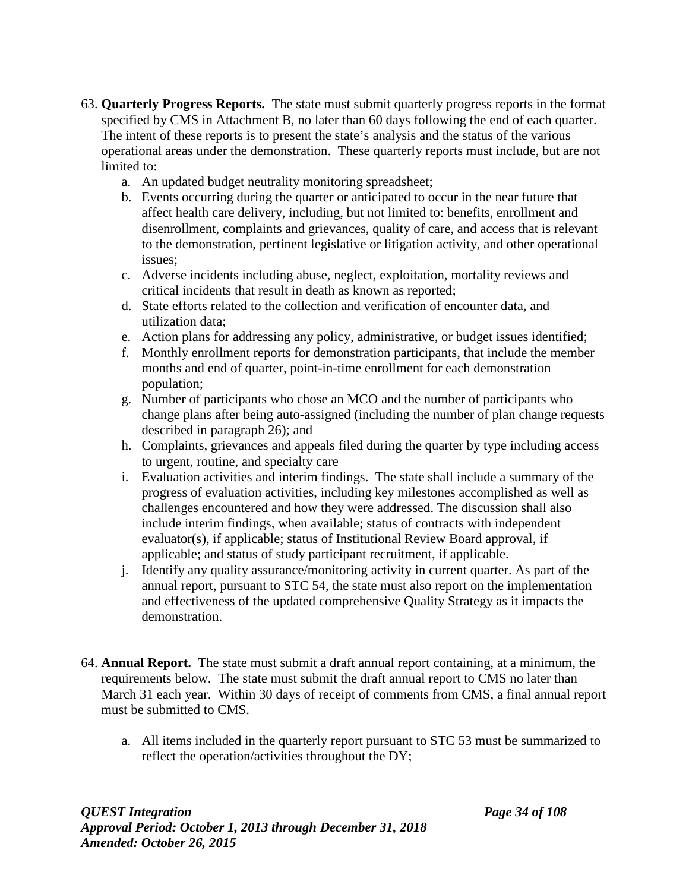- 63. **Quarterly Progress Reports.** The state must submit quarterly progress reports in the format specified by CMS in Attachment B, no later than 60 days following the end of each quarter. The intent of these reports is to present the state's analysis and the status of the various operational areas under the demonstration. These quarterly reports must include, but are not limited to:
	- a. An updated budget neutrality monitoring spreadsheet;
	- b. Events occurring during the quarter or anticipated to occur in the near future that affect health care delivery, including, but not limited to: benefits, enrollment and disenrollment, complaints and grievances, quality of care, and access that is relevant to the demonstration, pertinent legislative or litigation activity, and other operational issues;
	- c. Adverse incidents including abuse, neglect, exploitation, mortality reviews and critical incidents that result in death as known as reported;
	- d. State efforts related to the collection and verification of encounter data, and utilization data;
	- e. Action plans for addressing any policy, administrative, or budget issues identified;
	- f. Monthly enrollment reports for demonstration participants, that include the member months and end of quarter, point-in-time enrollment for each demonstration population;
	- g. Number of participants who chose an MCO and the number of participants who change plans after being auto-assigned (including the number of plan change requests described in paragraph 26); and
	- h. Complaints, grievances and appeals filed during the quarter by type including access to urgent, routine, and specialty care
	- i. Evaluation activities and interim findings. The state shall include a summary of the progress of evaluation activities, including key milestones accomplished as well as challenges encountered and how they were addressed. The discussion shall also include interim findings, when available; status of contracts with independent evaluator(s), if applicable; status of Institutional Review Board approval, if applicable; and status of study participant recruitment, if applicable.
	- j. Identify any quality assurance/monitoring activity in current quarter. As part of the annual report, pursuant to STC 54, the state must also report on the implementation and effectiveness of the updated comprehensive Quality Strategy as it impacts the demonstration.
- 64. **Annual Report.** The state must submit a draft annual report containing, at a minimum, the requirements below. The state must submit the draft annual report to CMS no later than March 31 each year. Within 30 days of receipt of comments from CMS, a final annual report must be submitted to CMS.
	- a. All items included in the quarterly report pursuant to STC 53 must be summarized to reflect the operation/activities throughout the DY;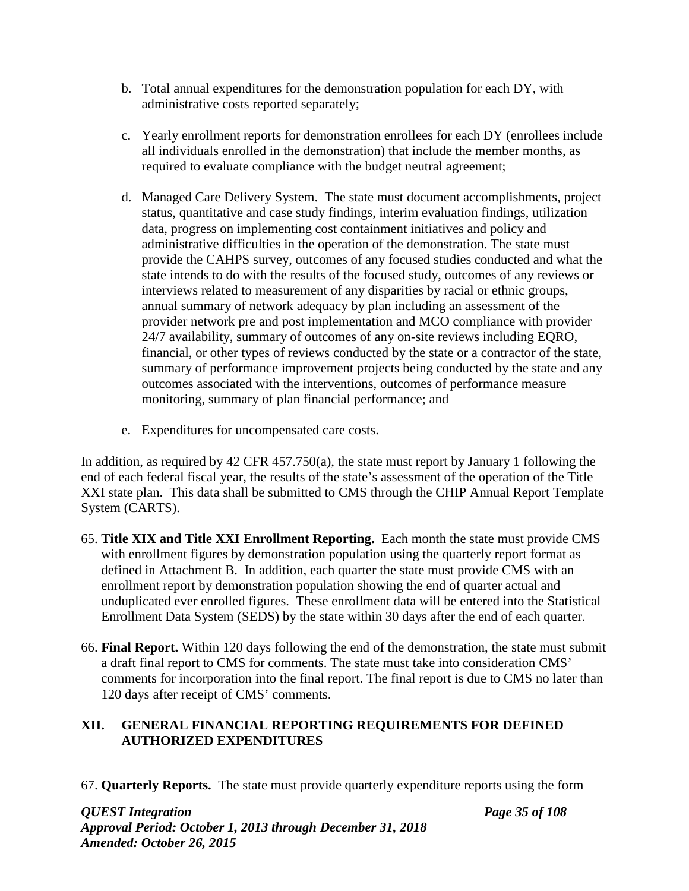- b. Total annual expenditures for the demonstration population for each DY, with administrative costs reported separately;
- c. Yearly enrollment reports for demonstration enrollees for each DY (enrollees include all individuals enrolled in the demonstration) that include the member months, as required to evaluate compliance with the budget neutral agreement;
- d. Managed Care Delivery System. The state must document accomplishments, project status, quantitative and case study findings, interim evaluation findings, utilization data, progress on implementing cost containment initiatives and policy and administrative difficulties in the operation of the demonstration. The state must provide the CAHPS survey, outcomes of any focused studies conducted and what the state intends to do with the results of the focused study, outcomes of any reviews or interviews related to measurement of any disparities by racial or ethnic groups, annual summary of network adequacy by plan including an assessment of the provider network pre and post implementation and MCO compliance with provider 24/7 availability, summary of outcomes of any on-site reviews including EQRO, financial, or other types of reviews conducted by the state or a contractor of the state, summary of performance improvement projects being conducted by the state and any outcomes associated with the interventions, outcomes of performance measure monitoring, summary of plan financial performance; and
- e. Expenditures for uncompensated care costs.

In addition, as required by 42 CFR 457.750(a), the state must report by January 1 following the end of each federal fiscal year, the results of the state's assessment of the operation of the Title XXI state plan. This data shall be submitted to CMS through the CHIP Annual Report Template System (CARTS).

- 65. **Title XIX and Title XXI Enrollment Reporting.** Each month the state must provide CMS with enrollment figures by demonstration population using the quarterly report format as defined in Attachment B. In addition, each quarter the state must provide CMS with an enrollment report by demonstration population showing the end of quarter actual and unduplicated ever enrolled figures. These enrollment data will be entered into the Statistical Enrollment Data System (SEDS) by the state within 30 days after the end of each quarter.
- 66. **Final Report.** Within 120 days following the end of the demonstration, the state must submit a draft final report to CMS for comments. The state must take into consideration CMS' comments for incorporation into the final report. The final report is due to CMS no later than 120 days after receipt of CMS' comments.

# **XII. GENERAL FINANCIAL REPORTING REQUIREMENTS FOR DEFINED AUTHORIZED EXPENDITURES**

67. **Quarterly Reports.** The state must provide quarterly expenditure reports using the form

*QUEST Integration Page 35 of 108 Approval Period: October 1, 2013 through December 31, 2018 Amended: October 26, 2015*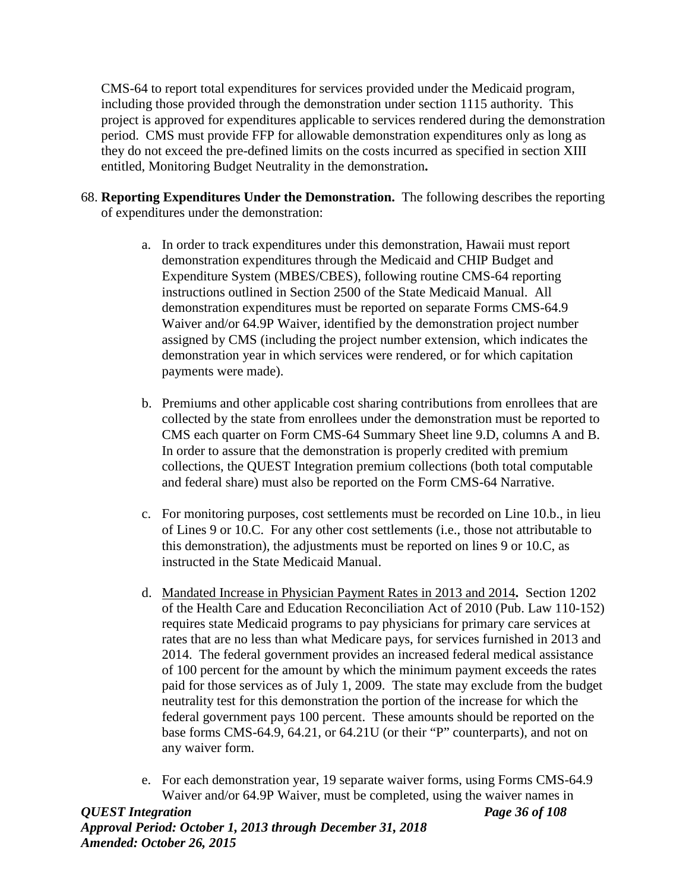CMS-64 to report total expenditures for services provided under the Medicaid program, including those provided through the demonstration under section 1115 authority. This project is approved for expenditures applicable to services rendered during the demonstration period. CMS must provide FFP for allowable demonstration expenditures only as long as they do not exceed the pre-defined limits on the costs incurred as specified in section XIII entitled, Monitoring Budget Neutrality in the demonstration**.**

- 68. **Reporting Expenditures Under the Demonstration.** The following describes the reporting of expenditures under the demonstration:
	- a. In order to track expenditures under this demonstration, Hawaii must report demonstration expenditures through the Medicaid and CHIP Budget and Expenditure System (MBES/CBES), following routine CMS-64 reporting instructions outlined in Section 2500 of the State Medicaid Manual. All demonstration expenditures must be reported on separate Forms CMS-64.9 Waiver and/or 64.9P Waiver, identified by the demonstration project number assigned by CMS (including the project number extension, which indicates the demonstration year in which services were rendered, or for which capitation payments were made).
	- b. Premiums and other applicable cost sharing contributions from enrollees that are collected by the state from enrollees under the demonstration must be reported to CMS each quarter on Form CMS-64 Summary Sheet line 9.D, columns A and B. In order to assure that the demonstration is properly credited with premium collections, the QUEST Integration premium collections (both total computable and federal share) must also be reported on the Form CMS-64 Narrative.
	- c. For monitoring purposes, cost settlements must be recorded on Line 10.b., in lieu of Lines 9 or 10.C. For any other cost settlements (i.e., those not attributable to this demonstration), the adjustments must be reported on lines 9 or 10.C, as instructed in the State Medicaid Manual.
	- d. Mandated Increase in Physician Payment Rates in 2013 and 2014**.** Section 1202 of the Health Care and Education Reconciliation Act of 2010 (Pub. Law 110-152) requires state Medicaid programs to pay physicians for primary care services at rates that are no less than what Medicare pays, for services furnished in 2013 and 2014. The federal government provides an increased federal medical assistance of 100 percent for the amount by which the minimum payment exceeds the rates paid for those services as of July 1, 2009. The state may exclude from the budget neutrality test for this demonstration the portion of the increase for which the federal government pays 100 percent. These amounts should be reported on the base forms CMS-64.9, 64.21, or 64.21U (or their "P" counterparts), and not on any waiver form.
	- e. For each demonstration year, 19 separate waiver forms, using Forms CMS-64.9 Waiver and/or 64.9P Waiver, must be completed, using the waiver names in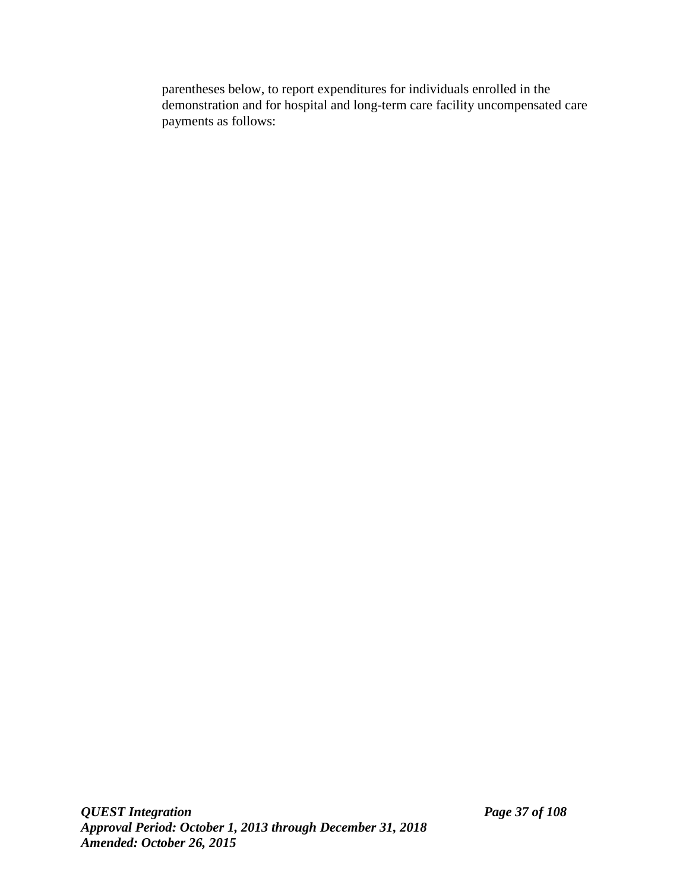parentheses below, to report expenditures for individuals enrolled in the demonstration and for hospital and long-term care facility uncompensated care payments as follows: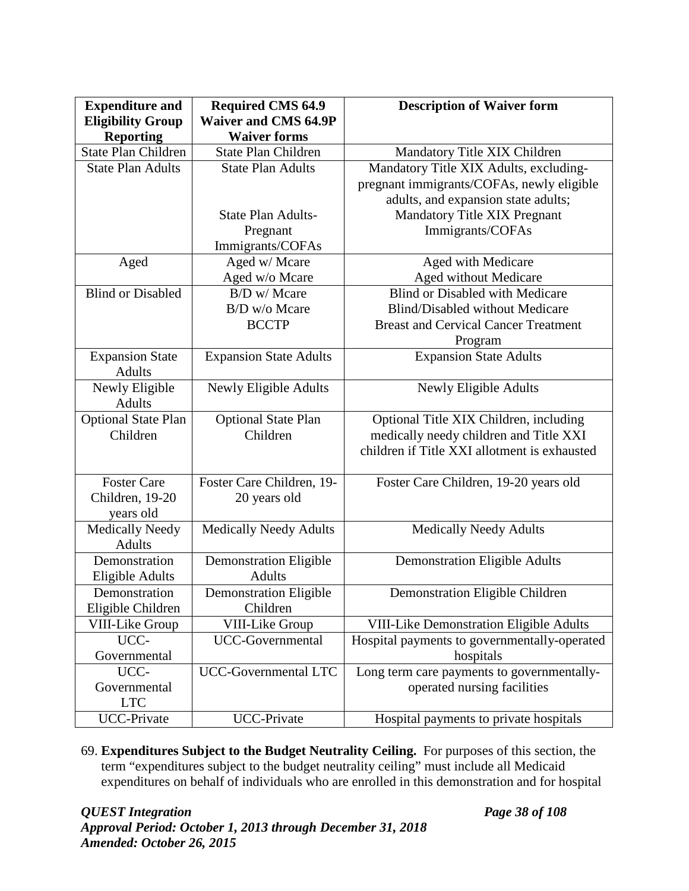| <b>Expenditure and</b>     | <b>Required CMS 64.9</b>      | <b>Description of Waiver form</b>              |
|----------------------------|-------------------------------|------------------------------------------------|
| <b>Eligibility Group</b>   | <b>Waiver and CMS 64.9P</b>   |                                                |
| <b>Reporting</b>           | <b>Waiver forms</b>           |                                                |
| <b>State Plan Children</b> | <b>State Plan Children</b>    | Mandatory Title XIX Children                   |
| <b>State Plan Adults</b>   | <b>State Plan Adults</b>      | Mandatory Title XIX Adults, excluding-         |
|                            |                               | pregnant immigrants/COFAs, newly eligible      |
|                            |                               | adults, and expansion state adults;            |
|                            | <b>State Plan Adults-</b>     | Mandatory Title XIX Pregnant                   |
|                            | Pregnant                      | Immigrants/COFAs                               |
|                            | Immigrants/COFAs              |                                                |
| Aged                       | Aged w/ Mcare                 | Aged with Medicare                             |
|                            | Aged w/o Mcare                | Aged without Medicare                          |
| <b>Blind or Disabled</b>   | B/D w/ Mcare                  | <b>Blind or Disabled with Medicare</b>         |
|                            | B/D w/o Mcare                 | <b>Blind/Disabled without Medicare</b>         |
|                            | <b>BCCTP</b>                  | <b>Breast and Cervical Cancer Treatment</b>    |
|                            |                               | Program                                        |
| <b>Expansion State</b>     | <b>Expansion State Adults</b> | <b>Expansion State Adults</b>                  |
| <b>Adults</b>              |                               |                                                |
| Newly Eligible             | Newly Eligible Adults         | Newly Eligible Adults                          |
| <b>Adults</b>              |                               |                                                |
| <b>Optional State Plan</b> | <b>Optional State Plan</b>    | Optional Title XIX Children, including         |
| Children                   | Children                      | medically needy children and Title XXI         |
|                            |                               | children if Title XXI allotment is exhausted   |
|                            |                               |                                                |
| <b>Foster Care</b>         | Foster Care Children, 19-     | Foster Care Children, 19-20 years old          |
| Children, 19-20            | 20 years old                  |                                                |
| years old                  |                               |                                                |
| <b>Medically Needy</b>     | <b>Medically Needy Adults</b> | <b>Medically Needy Adults</b>                  |
| <b>Adults</b>              |                               |                                                |
| Demonstration              | <b>Demonstration Eligible</b> | <b>Demonstration Eligible Adults</b>           |
| Eligible Adults            | <b>Adults</b>                 |                                                |
| Demonstration              | <b>Demonstration Eligible</b> | <b>Demonstration Eligible Children</b>         |
| Eligible Children          | Children                      |                                                |
| VIII-Like Group            | VIII-Like Group               | <b>VIII-Like Demonstration Eligible Adults</b> |
| UCC-                       | UCC-Governmental              | Hospital payments to governmentally-operated   |
| Governmental               |                               | hospitals                                      |
| UCC-                       | UCC-Governmental LTC          | Long term care payments to governmentally-     |
| Governmental               |                               | operated nursing facilities                    |
| <b>LTC</b>                 |                               |                                                |
| <b>UCC-Private</b>         | <b>UCC-Private</b>            | Hospital payments to private hospitals         |

69. **Expenditures Subject to the Budget Neutrality Ceiling.** For purposes of this section, the term "expenditures subject to the budget neutrality ceiling" must include all Medicaid expenditures on behalf of individuals who are enrolled in this demonstration and for hospital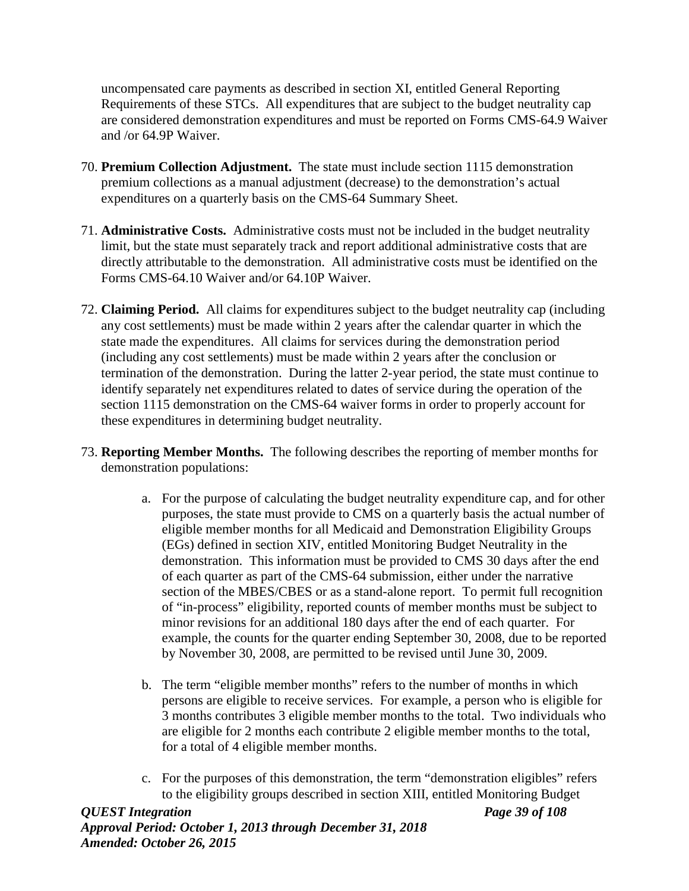uncompensated care payments as described in section XI, entitled General Reporting Requirements of these STCs. All expenditures that are subject to the budget neutrality cap are considered demonstration expenditures and must be reported on Forms CMS-64.9 Waiver and /or 64.9P Waiver.

- 70. **Premium Collection Adjustment.** The state must include section 1115 demonstration premium collections as a manual adjustment (decrease) to the demonstration's actual expenditures on a quarterly basis on the CMS-64 Summary Sheet.
- 71. **Administrative Costs.** Administrative costs must not be included in the budget neutrality limit, but the state must separately track and report additional administrative costs that are directly attributable to the demonstration. All administrative costs must be identified on the Forms CMS-64.10 Waiver and/or 64.10P Waiver.
- 72. **Claiming Period.** All claims for expenditures subject to the budget neutrality cap (including any cost settlements) must be made within 2 years after the calendar quarter in which the state made the expenditures. All claims for services during the demonstration period (including any cost settlements) must be made within 2 years after the conclusion or termination of the demonstration. During the latter 2-year period, the state must continue to identify separately net expenditures related to dates of service during the operation of the section 1115 demonstration on the CMS-64 waiver forms in order to properly account for these expenditures in determining budget neutrality.
- 73. **Reporting Member Months.** The following describes the reporting of member months for demonstration populations:
	- a. For the purpose of calculating the budget neutrality expenditure cap, and for other purposes, the state must provide to CMS on a quarterly basis the actual number of eligible member months for all Medicaid and Demonstration Eligibility Groups (EGs) defined in section XIV, entitled Monitoring Budget Neutrality in the demonstration. This information must be provided to CMS 30 days after the end of each quarter as part of the CMS-64 submission, either under the narrative section of the MBES/CBES or as a stand-alone report. To permit full recognition of "in-process" eligibility, reported counts of member months must be subject to minor revisions for an additional 180 days after the end of each quarter. For example, the counts for the quarter ending September 30, 2008, due to be reported by November 30, 2008, are permitted to be revised until June 30, 2009.
	- b. The term "eligible member months" refers to the number of months in which persons are eligible to receive services. For example, a person who is eligible for 3 months contributes 3 eligible member months to the total. Two individuals who are eligible for 2 months each contribute 2 eligible member months to the total, for a total of 4 eligible member months.
	- c. For the purposes of this demonstration, the term "demonstration eligibles" refers to the eligibility groups described in section XIII, entitled Monitoring Budget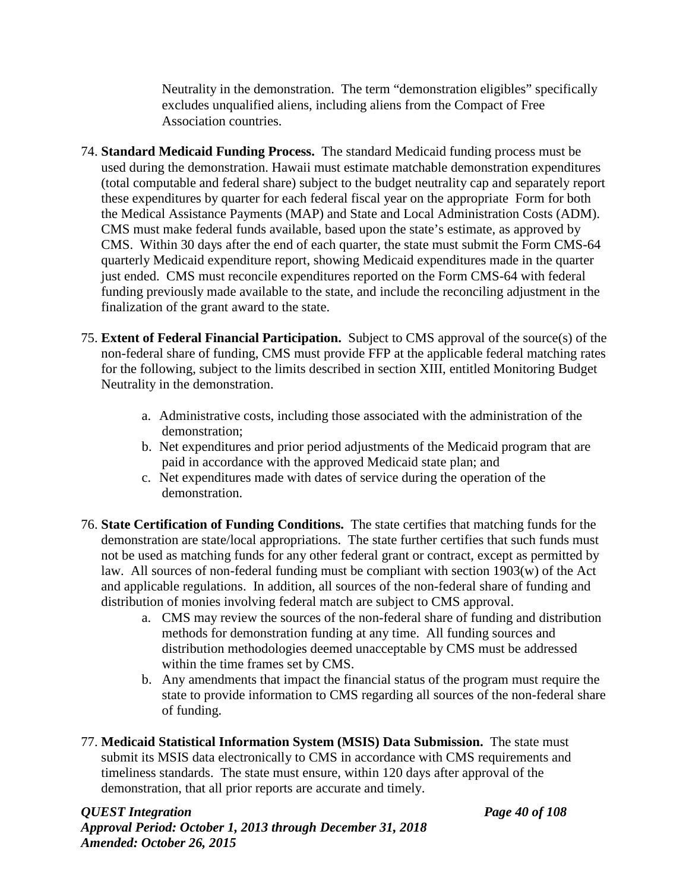Neutrality in the demonstration. The term "demonstration eligibles" specifically excludes unqualified aliens, including aliens from the Compact of Free Association countries.

- 74. **Standard Medicaid Funding Process.** The standard Medicaid funding process must be used during the demonstration. Hawaii must estimate matchable demonstration expenditures (total computable and federal share) subject to the budget neutrality cap and separately report these expenditures by quarter for each federal fiscal year on the appropriate Form for both the Medical Assistance Payments (MAP) and State and Local Administration Costs (ADM). CMS must make federal funds available, based upon the state's estimate, as approved by CMS. Within 30 days after the end of each quarter, the state must submit the Form CMS-64 quarterly Medicaid expenditure report, showing Medicaid expenditures made in the quarter just ended. CMS must reconcile expenditures reported on the Form CMS-64 with federal funding previously made available to the state, and include the reconciling adjustment in the finalization of the grant award to the state.
- 75. **Extent of Federal Financial Participation.** Subject to CMS approval of the source(s) of the non-federal share of funding, CMS must provide FFP at the applicable federal matching rates for the following, subject to the limits described in section XIII, entitled Monitoring Budget Neutrality in the demonstration.
	- a. Administrative costs, including those associated with the administration of the demonstration;
	- b. Net expenditures and prior period adjustments of the Medicaid program that are paid in accordance with the approved Medicaid state plan; and
	- c. Net expenditures made with dates of service during the operation of the demonstration.
- 76. **State Certification of Funding Conditions.** The state certifies that matching funds for the demonstration are state/local appropriations. The state further certifies that such funds must not be used as matching funds for any other federal grant or contract, except as permitted by law. All sources of non-federal funding must be compliant with section 1903(w) of the Act and applicable regulations. In addition, all sources of the non-federal share of funding and distribution of monies involving federal match are subject to CMS approval.
	- a. CMS may review the sources of the non-federal share of funding and distribution methods for demonstration funding at any time. All funding sources and distribution methodologies deemed unacceptable by CMS must be addressed within the time frames set by CMS.
	- b. Any amendments that impact the financial status of the program must require the state to provide information to CMS regarding all sources of the non-federal share of funding.
- 77. **Medicaid Statistical Information System (MSIS) Data Submission.** The state must submit its MSIS data electronically to CMS in accordance with CMS requirements and timeliness standards. The state must ensure, within 120 days after approval of the demonstration, that all prior reports are accurate and timely.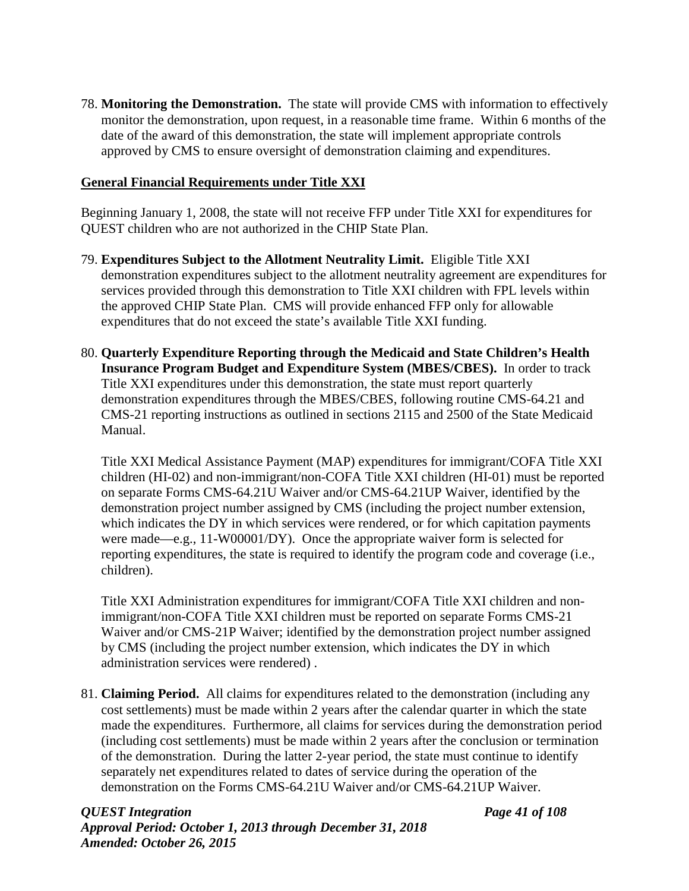78. **Monitoring the Demonstration.** The state will provide CMS with information to effectively monitor the demonstration, upon request, in a reasonable time frame. Within 6 months of the date of the award of this demonstration, the state will implement appropriate controls approved by CMS to ensure oversight of demonstration claiming and expenditures.

## **General Financial Requirements under Title XXI**

Beginning January 1, 2008, the state will not receive FFP under Title XXI for expenditures for QUEST children who are not authorized in the CHIP State Plan.

- 79. **Expenditures Subject to the Allotment Neutrality Limit.** Eligible Title XXI demonstration expenditures subject to the allotment neutrality agreement are expenditures for services provided through this demonstration to Title XXI children with FPL levels within the approved CHIP State Plan. CMS will provide enhanced FFP only for allowable expenditures that do not exceed the state's available Title XXI funding.
- 80. **Quarterly Expenditure Reporting through the Medicaid and State Children's Health Insurance Program Budget and Expenditure System (MBES/CBES).** In order to track Title XXI expenditures under this demonstration, the state must report quarterly demonstration expenditures through the MBES/CBES, following routine CMS-64.21 and CMS-21 reporting instructions as outlined in sections 2115 and 2500 of the State Medicaid Manual.

Title XXI Medical Assistance Payment (MAP) expenditures for immigrant/COFA Title XXI children (HI-02) and non-immigrant/non-COFA Title XXI children (HI-01) must be reported on separate Forms CMS-64.21U Waiver and/or CMS-64.21UP Waiver, identified by the demonstration project number assigned by CMS (including the project number extension, which indicates the DY in which services were rendered, or for which capitation payments were made—e.g., 11-W00001/DY). Once the appropriate waiver form is selected for reporting expenditures, the state is required to identify the program code and coverage (i.e., children).

Title XXI Administration expenditures for immigrant/COFA Title XXI children and nonimmigrant/non-COFA Title XXI children must be reported on separate Forms CMS-21 Waiver and/or CMS-21P Waiver; identified by the demonstration project number assigned by CMS (including the project number extension, which indicates the DY in which administration services were rendered) .

81. **Claiming Period.** All claims for expenditures related to the demonstration (including any cost settlements) must be made within 2 years after the calendar quarter in which the state made the expenditures. Furthermore, all claims for services during the demonstration period (including cost settlements) must be made within 2 years after the conclusion or termination of the demonstration. During the latter 2-year period, the state must continue to identify separately net expenditures related to dates of service during the operation of the demonstration on the Forms CMS-64.21U Waiver and/or CMS-64.21UP Waiver.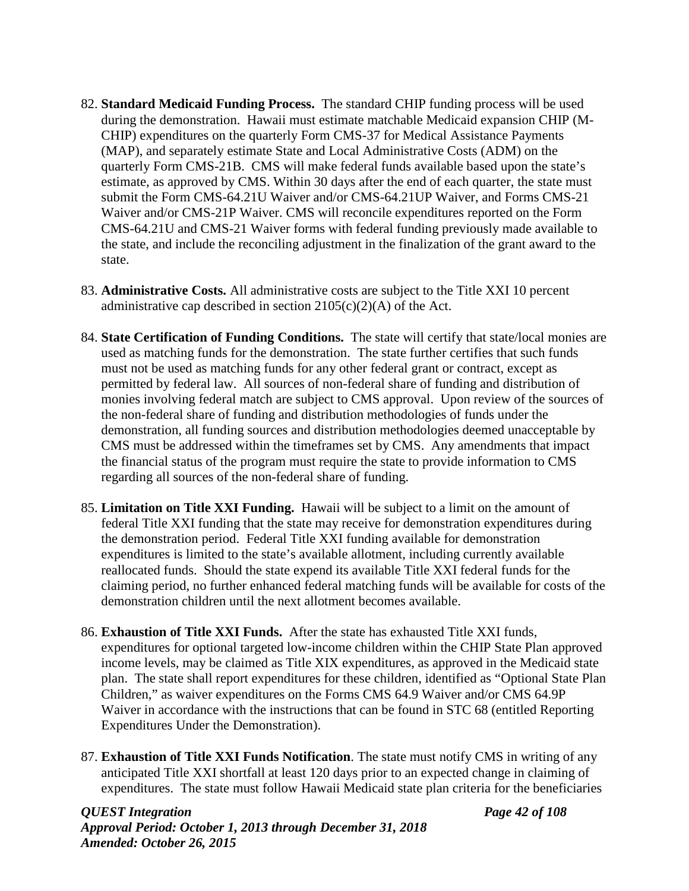- 82. **Standard Medicaid Funding Process.** The standard CHIP funding process will be used during the demonstration. Hawaii must estimate matchable Medicaid expansion CHIP (M-CHIP) expenditures on the quarterly Form CMS-37 for Medical Assistance Payments (MAP), and separately estimate State and Local Administrative Costs (ADM) on the quarterly Form CMS-21B. CMS will make federal funds available based upon the state's estimate, as approved by CMS. Within 30 days after the end of each quarter, the state must submit the Form CMS-64.21U Waiver and/or CMS-64.21UP Waiver, and Forms CMS-21 Waiver and/or CMS-21P Waiver. CMS will reconcile expenditures reported on the Form CMS-64.21U and CMS-21 Waiver forms with federal funding previously made available to the state, and include the reconciling adjustment in the finalization of the grant award to the state.
- 83. **Administrative Costs.** All administrative costs are subject to the Title XXI 10 percent administrative cap described in section  $2105(c)(2)(A)$  of the Act.
- 84. **State Certification of Funding Conditions.** The state will certify that state/local monies are used as matching funds for the demonstration. The state further certifies that such funds must not be used as matching funds for any other federal grant or contract, except as permitted by federal law. All sources of non-federal share of funding and distribution of monies involving federal match are subject to CMS approval. Upon review of the sources of the non-federal share of funding and distribution methodologies of funds under the demonstration, all funding sources and distribution methodologies deemed unacceptable by CMS must be addressed within the timeframes set by CMS. Any amendments that impact the financial status of the program must require the state to provide information to CMS regarding all sources of the non-federal share of funding.
- 85. **Limitation on Title XXI Funding.** Hawaii will be subject to a limit on the amount of federal Title XXI funding that the state may receive for demonstration expenditures during the demonstration period. Federal Title XXI funding available for demonstration expenditures is limited to the state's available allotment, including currently available reallocated funds. Should the state expend its available Title XXI federal funds for the claiming period, no further enhanced federal matching funds will be available for costs of the demonstration children until the next allotment becomes available.
- 86. **Exhaustion of Title XXI Funds.** After the state has exhausted Title XXI funds, expenditures for optional targeted low-income children within the CHIP State Plan approved income levels, may be claimed as Title XIX expenditures, as approved in the Medicaid state plan. The state shall report expenditures for these children, identified as "Optional State Plan Children," as waiver expenditures on the Forms CMS 64.9 Waiver and/or CMS 64.9P Waiver in accordance with the instructions that can be found in STC 68 (entitled Reporting Expenditures Under the Demonstration).
- 87. **Exhaustion of Title XXI Funds Notification**. The state must notify CMS in writing of any anticipated Title XXI shortfall at least 120 days prior to an expected change in claiming of expenditures. The state must follow Hawaii Medicaid state plan criteria for the beneficiaries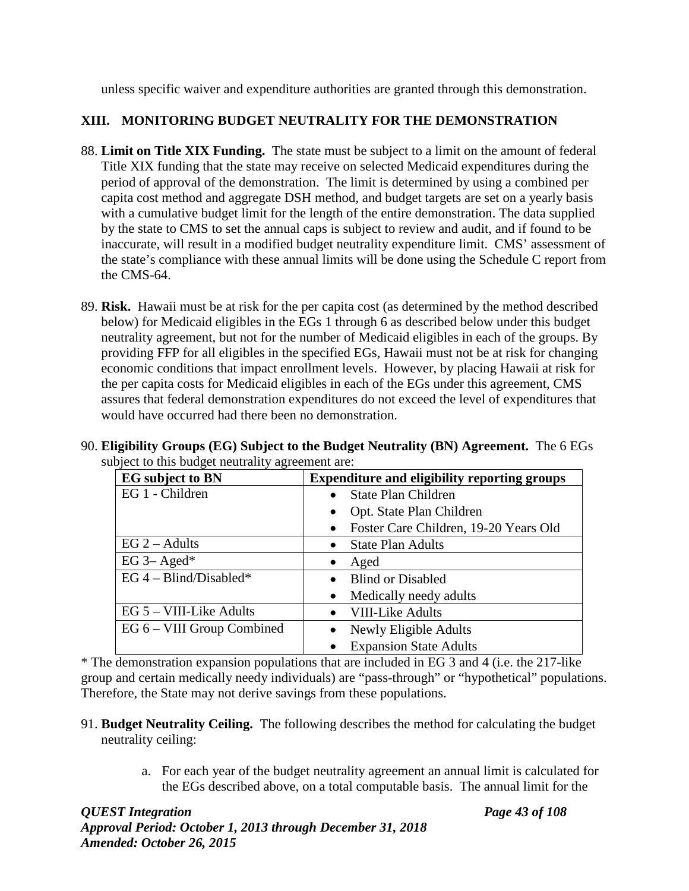unless specific waiver and expenditure authorities are granted through this demonstration.

# **XIII. MONITORING BUDGET NEUTRALITY FOR THE DEMONSTRATION**

- 88. **Limit on Title XIX Funding.** The state must be subject to a limit on the amount of federal Title XIX funding that the state may receive on selected Medicaid expenditures during the period of approval of the demonstration. The limit is determined by using a combined per capita cost method and aggregate DSH method, and budget targets are set on a yearly basis with a cumulative budget limit for the length of the entire demonstration. The data supplied by the state to CMS to set the annual caps is subject to review and audit, and if found to be inaccurate, will result in a modified budget neutrality expenditure limit. CMS' assessment of the state's compliance with these annual limits will be done using the Schedule C report from the CMS-64.
- 89. **Risk.** Hawaii must be at risk for the per capita cost (as determined by the method described below) for Medicaid eligibles in the EGs 1 through 6 as described below under this budget neutrality agreement, but not for the number of Medicaid eligibles in each of the groups. By providing FFP for all eligibles in the specified EGs, Hawaii must not be at risk for changing economic conditions that impact enrollment levels. However, by placing Hawaii at risk for the per capita costs for Medicaid eligibles in each of the EGs under this agreement, CMS assures that federal demonstration expenditures do not exceed the level of expenditures that would have occurred had there been no demonstration.

| <b>EG</b> subject to BN          | <b>Expenditure and eligibility reporting groups</b> |  |
|----------------------------------|-----------------------------------------------------|--|
| EG 1 - Children                  | <b>State Plan Children</b>                          |  |
|                                  | Opt. State Plan Children                            |  |
|                                  | Foster Care Children, 19-20 Years Old               |  |
| $EG 2 - Adults$                  | <b>State Plan Adults</b><br>$\bullet$               |  |
| EG $3-$ Aged*                    | Aged                                                |  |
| EG $4 - \text{Blind/D}$ isabled* | <b>Blind or Disabled</b><br>$\bullet$               |  |
|                                  | Medically needy adults                              |  |
| $EG 5 - VIII-Like$ Adults        | <b>VIII-Like Adults</b>                             |  |
| EG 6 – VIII Group Combined       | Newly Eligible Adults                               |  |
|                                  | <b>Expansion State Adults</b>                       |  |

90. **Eligibility Groups (EG) Subject to the Budget Neutrality (BN) Agreement.** The 6 EGs subject to this budget neutrality agreement are:

\* The demonstration expansion populations that are included in EG 3 and 4 (i.e. the 217-like group and certain medically needy individuals) are "pass-through" or "hypothetical" populations. Therefore, the State may not derive savings from these populations.

- 91. **Budget Neutrality Ceiling.** The following describes the method for calculating the budget neutrality ceiling:
	- a. For each year of the budget neutrality agreement an annual limit is calculated for the EGs described above, on a total computable basis. The annual limit for the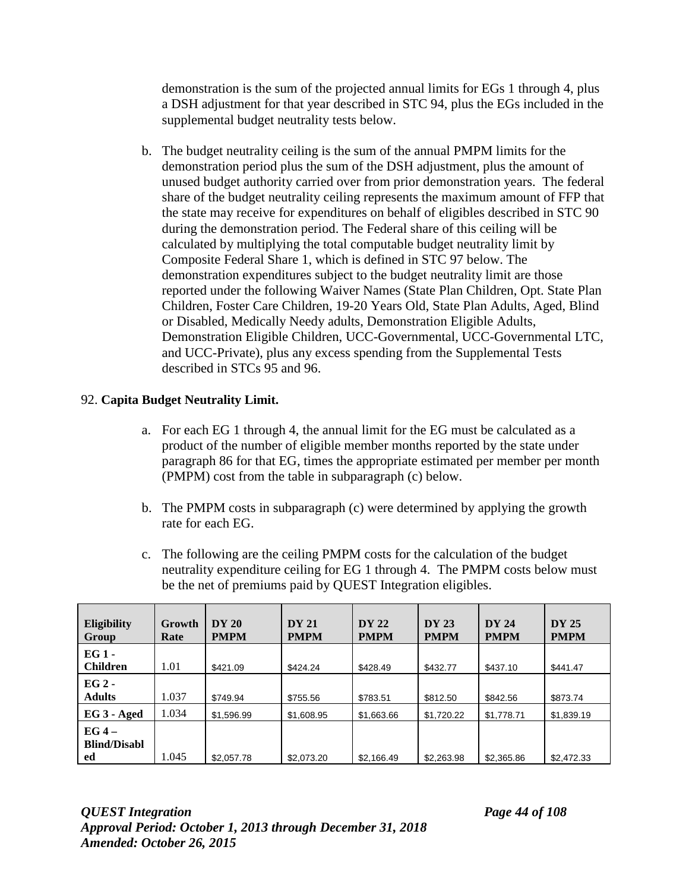demonstration is the sum of the projected annual limits for EGs 1 through 4, plus a DSH adjustment for that year described in STC 94, plus the EGs included in the supplemental budget neutrality tests below.

b. The budget neutrality ceiling is the sum of the annual PMPM limits for the demonstration period plus the sum of the DSH adjustment, plus the amount of unused budget authority carried over from prior demonstration years. The federal share of the budget neutrality ceiling represents the maximum amount of FFP that the state may receive for expenditures on behalf of eligibles described in STC 90 during the demonstration period. The Federal share of this ceiling will be calculated by multiplying the total computable budget neutrality limit by Composite Federal Share 1, which is defined in STC 97 below. The demonstration expenditures subject to the budget neutrality limit are those reported under the following Waiver Names (State Plan Children, Opt. State Plan Children, Foster Care Children, 19-20 Years Old, State Plan Adults, Aged, Blind or Disabled, Medically Needy adults, Demonstration Eligible Adults, Demonstration Eligible Children, UCC-Governmental, UCC-Governmental LTC, and UCC-Private), plus any excess spending from the Supplemental Tests described in STCs 95 and 96.

## 92. **Capita Budget Neutrality Limit.**

- a. For each EG 1 through 4, the annual limit for the EG must be calculated as a product of the number of eligible member months reported by the state under paragraph 86 for that EG, times the appropriate estimated per member per month (PMPM) cost from the table in subparagraph (c) below.
- b. The PMPM costs in subparagraph (c) were determined by applying the growth rate for each EG.
- c. The following are the ceiling PMPM costs for the calculation of the budget neutrality expenditure ceiling for EG 1 through 4. The PMPM costs below must be the net of premiums paid by QUEST Integration eligibles.

| <b>Eligibility</b><br>Group           | Growth<br>Rate | <b>DY 20</b><br><b>PMPM</b> | <b>DY 21</b><br><b>PMPM</b> | <b>DY 22</b><br><b>PMPM</b> | <b>DY 23</b><br><b>PMPM</b> | <b>DY 24</b><br><b>PMPM</b> | <b>DY 25</b><br><b>PMPM</b> |
|---------------------------------------|----------------|-----------------------------|-----------------------------|-----------------------------|-----------------------------|-----------------------------|-----------------------------|
| $EG_1$ -<br><b>Children</b>           | 1.01           | \$421.09                    | \$424.24                    | \$428.49                    | \$432.77                    | \$437.10                    | \$441.47                    |
| $EG2 -$<br><b>Adults</b>              | 1.037          | \$749.94                    | \$755.56                    | \$783.51                    | \$812.50                    | \$842.56                    | \$873.74                    |
| EG 3 - Aged                           | 1.034          | \$1,596.99                  | \$1,608.95                  | \$1,663,66                  | \$1.720.22                  | \$1,778.71                  | \$1,839.19                  |
| $EG_4$ –<br><b>Blind/Disabl</b><br>ed | 1.045          | \$2,057.78                  | \$2,073.20                  | \$2.166.49                  | \$2,263.98                  | \$2,365.86                  | \$2.472.33                  |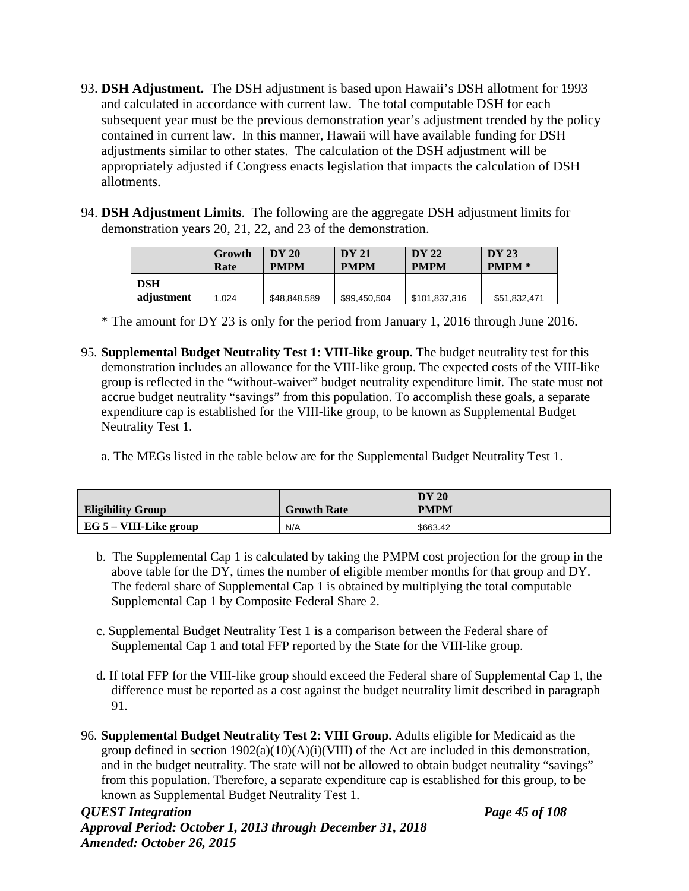- 93. **DSH Adjustment.** The DSH adjustment is based upon Hawaii's DSH allotment for 1993 and calculated in accordance with current law. The total computable DSH for each subsequent year must be the previous demonstration year's adjustment trended by the policy contained in current law. In this manner, Hawaii will have available funding for DSH adjustments similar to other states. The calculation of the DSH adjustment will be appropriately adjusted if Congress enacts legislation that impacts the calculation of DSH allotments.
- 94. **DSH Adjustment Limits**. The following are the aggregate DSH adjustment limits for demonstration years 20, 21, 22, and 23 of the demonstration.

|            | Growth<br>Rate | DY 20<br><b>PMPM</b> | <b>DY 21</b><br><b>PMPM</b> | <b>DY 22</b><br><b>PMPM</b> | DY 23<br><b>PMPM</b> * |
|------------|----------------|----------------------|-----------------------------|-----------------------------|------------------------|
| <b>DSH</b> |                |                      |                             |                             |                        |
| adjustment | 1.024          | \$48,848,589         | \$99,450,504                | \$101,837,316               | \$51,832,471           |

\* The amount for DY 23 is only for the period from January 1, 2016 through June 2016.

- 95. **Supplemental Budget Neutrality Test 1: VIII-like group.** The budget neutrality test for this demonstration includes an allowance for the VIII-like group. The expected costs of the VIII-like group is reflected in the "without-waiver" budget neutrality expenditure limit. The state must not accrue budget neutrality "savings" from this population. To accomplish these goals, a separate expenditure cap is established for the VIII-like group, to be known as Supplemental Budget Neutrality Test 1.
	- a. The MEGs listed in the table below are for the Supplemental Budget Neutrality Test 1.

| <b>Eligibility Group</b>      | <b>Growth Rate</b> | <b>DY 20</b><br><b>PMPM</b> |
|-------------------------------|--------------------|-----------------------------|
| $\mid$ EG 5 – VIII-Like group | N/A                | \$663.42                    |

- b. The Supplemental Cap 1 is calculated by taking the PMPM cost projection for the group in the above table for the DY, times the number of eligible member months for that group and DY. The federal share of Supplemental Cap 1 is obtained by multiplying the total computable Supplemental Cap 1 by Composite Federal Share 2.
- c. Supplemental Budget Neutrality Test 1 is a comparison between the Federal share of Supplemental Cap 1 and total FFP reported by the State for the VIII-like group.
- d. If total FFP for the VIII-like group should exceed the Federal share of Supplemental Cap 1, the difference must be reported as a cost against the budget neutrality limit described in paragraph 91.
- 96. **Supplemental Budget Neutrality Test 2: VIII Group.** Adults eligible for Medicaid as the group defined in section  $1902(a)(10)(A)(i)(VIII)$  of the Act are included in this demonstration, and in the budget neutrality. The state will not be allowed to obtain budget neutrality "savings" from this population. Therefore, a separate expenditure cap is established for this group, to be known as Supplemental Budget Neutrality Test 1.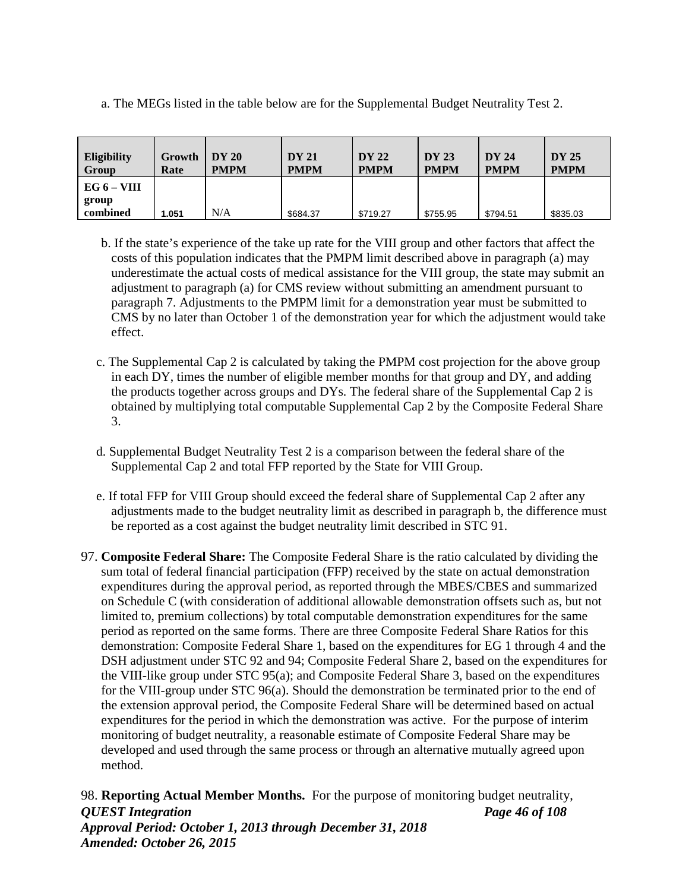a. The MEGs listed in the table below are for the Supplemental Budget Neutrality Test 2.

| Eligibility<br>Group | Growth<br>Rate | DY 20<br><b>PMPM</b> | <b>DY 21</b><br><b>PMPM</b> | <b>DY 22</b><br><b>PMPM</b> | <b>DY 23</b><br><b>PMPM</b> | <b>DY 24</b><br><b>PMPM</b> | DY 25<br><b>PMPM</b> |
|----------------------|----------------|----------------------|-----------------------------|-----------------------------|-----------------------------|-----------------------------|----------------------|
| EG $6 - VIII$        |                |                      |                             |                             |                             |                             |                      |
| group                |                |                      |                             |                             |                             |                             |                      |
| combined             | 1.051          | N/A                  | \$684.37                    | \$719.27                    | \$755.95                    | \$794.51                    | \$835.03             |

b. If the state's experience of the take up rate for the VIII group and other factors that affect the costs of this population indicates that the PMPM limit described above in paragraph (a) may underestimate the actual costs of medical assistance for the VIII group, the state may submit an adjustment to paragraph (a) for CMS review without submitting an amendment pursuant to paragraph 7. Adjustments to the PMPM limit for a demonstration year must be submitted to CMS by no later than October 1 of the demonstration year for which the adjustment would take effect.

- c. The Supplemental Cap 2 is calculated by taking the PMPM cost projection for the above group in each DY, times the number of eligible member months for that group and DY, and adding the products together across groups and DYs. The federal share of the Supplemental Cap 2 is obtained by multiplying total computable Supplemental Cap 2 by the Composite Federal Share 3.
- d. Supplemental Budget Neutrality Test 2 is a comparison between the federal share of the Supplemental Cap 2 and total FFP reported by the State for VIII Group.
- e. If total FFP for VIII Group should exceed the federal share of Supplemental Cap 2 after any adjustments made to the budget neutrality limit as described in paragraph b, the difference must be reported as a cost against the budget neutrality limit described in STC 91.
- 97. **Composite Federal Share:** The Composite Federal Share is the ratio calculated by dividing the sum total of federal financial participation (FFP) received by the state on actual demonstration expenditures during the approval period, as reported through the MBES/CBES and summarized on Schedule C (with consideration of additional allowable demonstration offsets such as, but not limited to, premium collections) by total computable demonstration expenditures for the same period as reported on the same forms. There are three Composite Federal Share Ratios for this demonstration: Composite Federal Share 1, based on the expenditures for EG 1 through 4 and the DSH adjustment under STC 92 and 94; Composite Federal Share 2, based on the expenditures for the VIII-like group under STC 95(a); and Composite Federal Share 3, based on the expenditures for the VIII-group under STC 96(a). Should the demonstration be terminated prior to the end of the extension approval period, the Composite Federal Share will be determined based on actual expenditures for the period in which the demonstration was active. For the purpose of interim monitoring of budget neutrality, a reasonable estimate of Composite Federal Share may be developed and used through the same process or through an alternative mutually agreed upon method.

*QUEST Integration Page 46 of 108 Approval Period: October 1, 2013 through December 31, 2018 Amended: October 26, 2015* 98. **Reporting Actual Member Months.** For the purpose of monitoring budget neutrality,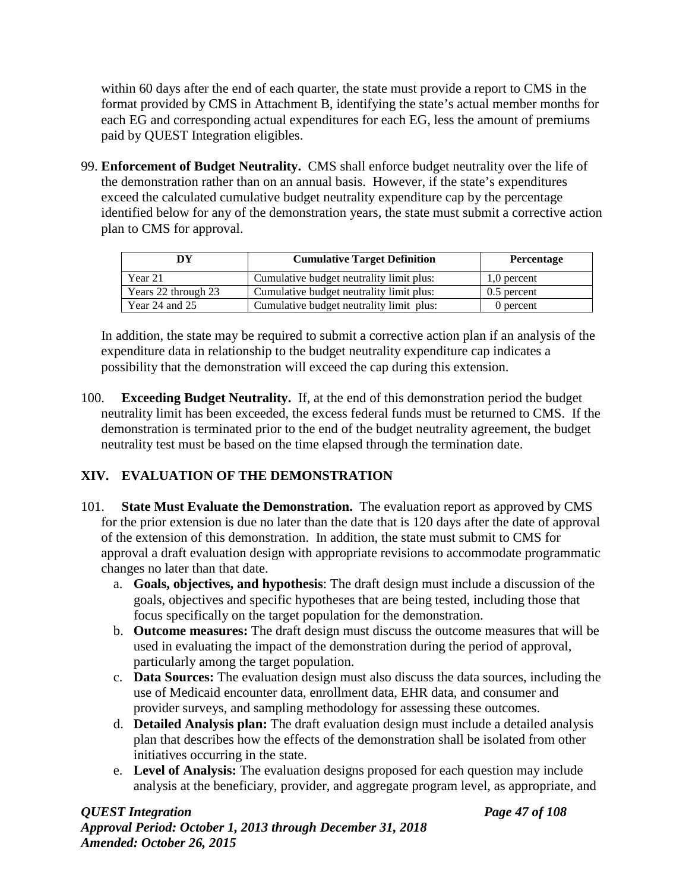within 60 days after the end of each quarter, the state must provide a report to CMS in the format provided by CMS in Attachment B, identifying the state's actual member months for each EG and corresponding actual expenditures for each EG, less the amount of premiums paid by QUEST Integration eligibles.

99. **Enforcement of Budget Neutrality.** CMS shall enforce budget neutrality over the life of the demonstration rather than on an annual basis. However, if the state's expenditures exceed the calculated cumulative budget neutrality expenditure cap by the percentage identified below for any of the demonstration years, the state must submit a corrective action plan to CMS for approval.

| ĐҰ                  | <b>Cumulative Target Definition</b>      | <b>Percentage</b> |
|---------------------|------------------------------------------|-------------------|
| Year 21             | Cumulative budget neutrality limit plus: | 1,0 percent       |
| Years 22 through 23 | Cumulative budget neutrality limit plus: | $0.5$ percent     |
| Year 24 and $25$    | Cumulative budget neutrality limit plus: | 0 percent         |

In addition, the state may be required to submit a corrective action plan if an analysis of the expenditure data in relationship to the budget neutrality expenditure cap indicates a possibility that the demonstration will exceed the cap during this extension.

100. **Exceeding Budget Neutrality.** If, at the end of this demonstration period the budget neutrality limit has been exceeded, the excess federal funds must be returned to CMS. If the demonstration is terminated prior to the end of the budget neutrality agreement, the budget neutrality test must be based on the time elapsed through the termination date.

# **XIV. EVALUATION OF THE DEMONSTRATION**

- 101. **State Must Evaluate the Demonstration.** The evaluation report as approved by CMS for the prior extension is due no later than the date that is 120 days after the date of approval of the extension of this demonstration. In addition, the state must submit to CMS for approval a draft evaluation design with appropriate revisions to accommodate programmatic changes no later than that date.
	- a. **Goals, objectives, and hypothesis**: The draft design must include a discussion of the goals, objectives and specific hypotheses that are being tested, including those that focus specifically on the target population for the demonstration.
	- b. **Outcome measures:** The draft design must discuss the outcome measures that will be used in evaluating the impact of the demonstration during the period of approval, particularly among the target population.
	- c. **Data Sources:** The evaluation design must also discuss the data sources, including the use of Medicaid encounter data, enrollment data, EHR data, and consumer and provider surveys, and sampling methodology for assessing these outcomes.
	- d. **Detailed Analysis plan:** The draft evaluation design must include a detailed analysis plan that describes how the effects of the demonstration shall be isolated from other initiatives occurring in the state.
	- e. **Level of Analysis:** The evaluation designs proposed for each question may include analysis at the beneficiary, provider, and aggregate program level, as appropriate, and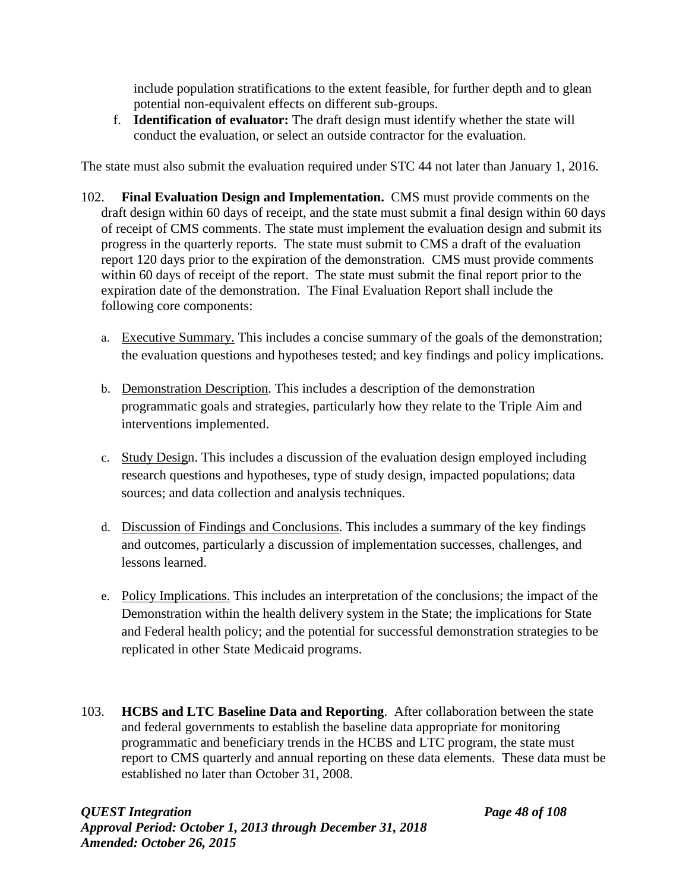include population stratifications to the extent feasible, for further depth and to glean potential non-equivalent effects on different sub-groups.

f. **Identification of evaluator:** The draft design must identify whether the state will conduct the evaluation, or select an outside contractor for the evaluation.

The state must also submit the evaluation required under STC 44 not later than January 1, 2016.

- 102. **Final Evaluation Design and Implementation.** CMS must provide comments on the draft design within 60 days of receipt, and the state must submit a final design within 60 days of receipt of CMS comments. The state must implement the evaluation design and submit its progress in the quarterly reports. The state must submit to CMS a draft of the evaluation report 120 days prior to the expiration of the demonstration. CMS must provide comments within 60 days of receipt of the report. The state must submit the final report prior to the expiration date of the demonstration. The Final Evaluation Report shall include the following core components:
	- a. Executive Summary. This includes a concise summary of the goals of the demonstration; the evaluation questions and hypotheses tested; and key findings and policy implications.
	- b. Demonstration Description. This includes a description of the demonstration programmatic goals and strategies, particularly how they relate to the Triple Aim and interventions implemented.
	- c. Study Design. This includes a discussion of the evaluation design employed including research questions and hypotheses, type of study design, impacted populations; data sources; and data collection and analysis techniques.
	- d. Discussion of Findings and Conclusions. This includes a summary of the key findings and outcomes, particularly a discussion of implementation successes, challenges, and lessons learned.
	- e. Policy Implications. This includes an interpretation of the conclusions; the impact of the Demonstration within the health delivery system in the State; the implications for State and Federal health policy; and the potential for successful demonstration strategies to be replicated in other State Medicaid programs.
- 103. **HCBS and LTC Baseline Data and Reporting**. After collaboration between the state and federal governments to establish the baseline data appropriate for monitoring programmatic and beneficiary trends in the HCBS and LTC program, the state must report to CMS quarterly and annual reporting on these data elements. These data must be established no later than October 31, 2008.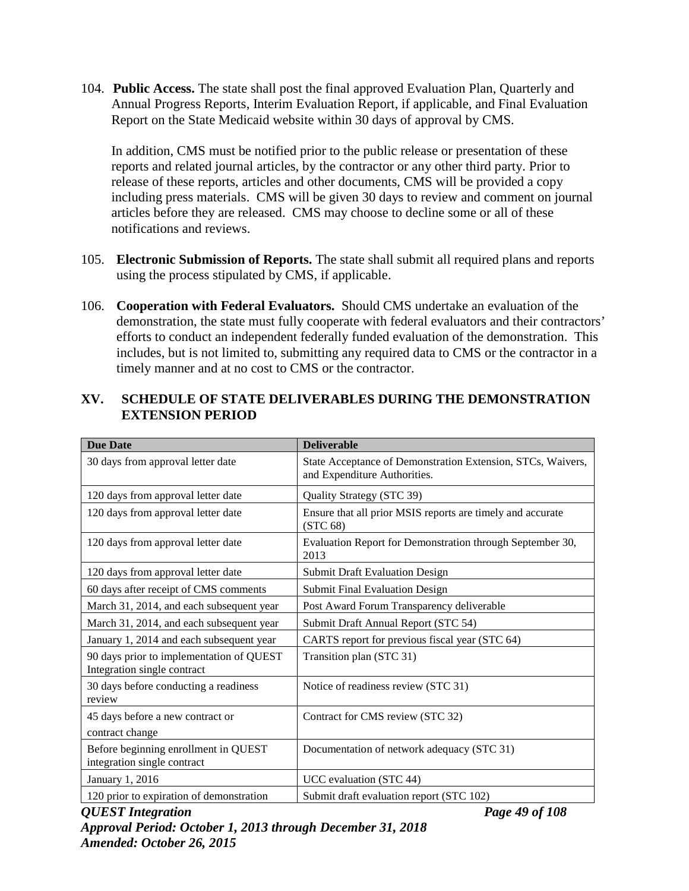104. **Public Access.** The state shall post the final approved Evaluation Plan, Quarterly and Annual Progress Reports, Interim Evaluation Report, if applicable, and Final Evaluation Report on the State Medicaid website within 30 days of approval by CMS.

In addition, CMS must be notified prior to the public release or presentation of these reports and related journal articles, by the contractor or any other third party. Prior to release of these reports, articles and other documents, CMS will be provided a copy including press materials. CMS will be given 30 days to review and comment on journal articles before they are released. CMS may choose to decline some or all of these notifications and reviews.

- 105. **Electronic Submission of Reports.** The state shall submit all required plans and reports using the process stipulated by CMS, if applicable.
- 106. **Cooperation with Federal Evaluators.** Should CMS undertake an evaluation of the demonstration, the state must fully cooperate with federal evaluators and their contractors' efforts to conduct an independent federally funded evaluation of the demonstration. This includes, but is not limited to, submitting any required data to CMS or the contractor in a timely manner and at no cost to CMS or the contractor.

| <b>Due Date</b>                                                         | <b>Deliverable</b>                                                                          |
|-------------------------------------------------------------------------|---------------------------------------------------------------------------------------------|
| 30 days from approval letter date                                       | State Acceptance of Demonstration Extension, STCs, Waivers,<br>and Expenditure Authorities. |
| 120 days from approval letter date                                      | Quality Strategy (STC 39)                                                                   |
| 120 days from approval letter date                                      | Ensure that all prior MSIS reports are timely and accurate<br>(STC 68)                      |
| 120 days from approval letter date                                      | Evaluation Report for Demonstration through September 30,<br>2013                           |
| 120 days from approval letter date                                      | <b>Submit Draft Evaluation Design</b>                                                       |
| 60 days after receipt of CMS comments                                   | <b>Submit Final Evaluation Design</b>                                                       |
| March 31, 2014, and each subsequent year                                | Post Award Forum Transparency deliverable                                                   |
| March 31, 2014, and each subsequent year                                | Submit Draft Annual Report (STC 54)                                                         |
| January 1, 2014 and each subsequent year                                | CARTS report for previous fiscal year (STC 64)                                              |
| 90 days prior to implementation of QUEST<br>Integration single contract | Transition plan (STC 31)                                                                    |
| 30 days before conducting a readiness<br>review                         | Notice of readiness review (STC 31)                                                         |
| 45 days before a new contract or                                        | Contract for CMS review (STC 32)                                                            |
| contract change                                                         |                                                                                             |
| Before beginning enrollment in QUEST<br>integration single contract     | Documentation of network adequacy (STC 31)                                                  |
| January 1, 2016                                                         | UCC evaluation (STC 44)                                                                     |
| 120 prior to expiration of demonstration                                | Submit draft evaluation report (STC 102)                                                    |

# **XV. SCHEDULE OF STATE DELIVERABLES DURING THE DEMONSTRATION EXTENSION PERIOD**

*QUEST Integration Page 49 of 108 Approval Period: October 1, 2013 through December 31, 2018 Amended: October 26, 2015*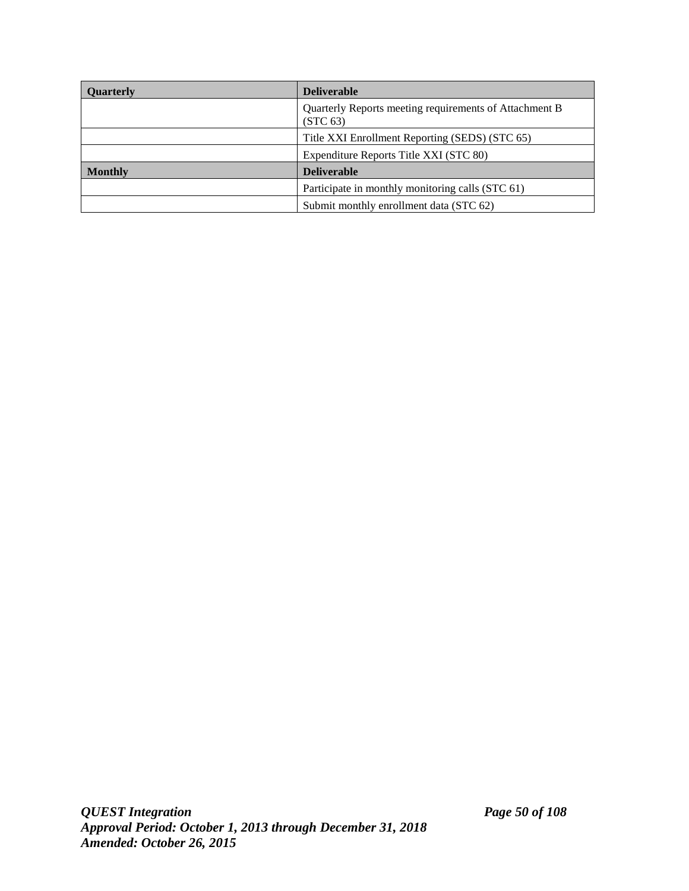| Quarterly      | <b>Deliverable</b>                                                             |  |  |
|----------------|--------------------------------------------------------------------------------|--|--|
|                | Quarterly Reports meeting requirements of Attachment B<br>(STC <sub>63</sub> ) |  |  |
|                | Title XXI Enrollment Reporting (SEDS) (STC 65)                                 |  |  |
|                | Expenditure Reports Title XXI (STC 80)                                         |  |  |
| <b>Monthly</b> | <b>Deliverable</b>                                                             |  |  |
|                | Participate in monthly monitoring calls (STC 61)                               |  |  |
|                | Submit monthly enrollment data (STC 62)                                        |  |  |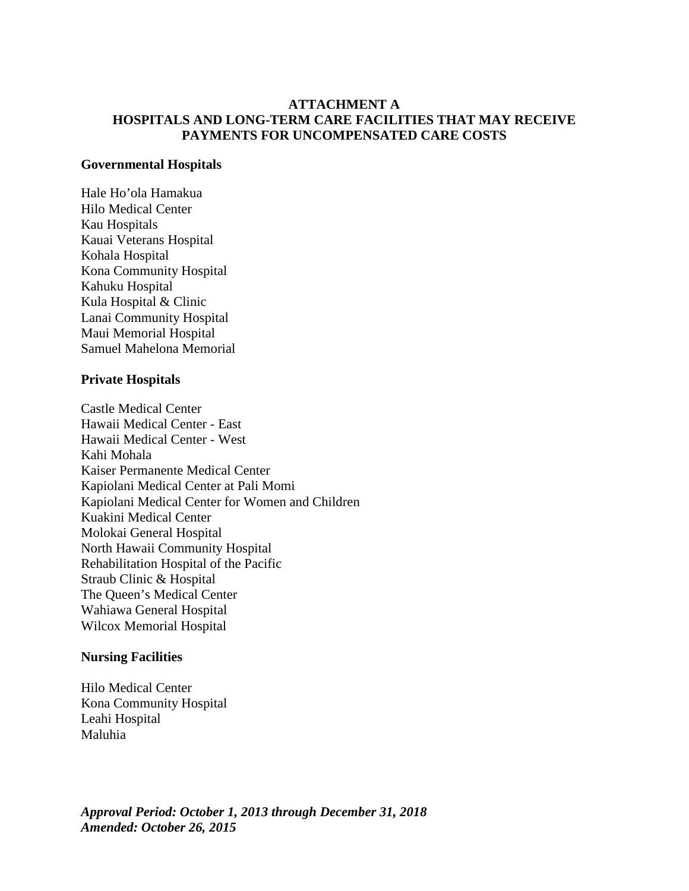## **ATTACHMENT A HOSPITALS AND LONG-TERM CARE FACILITIES THAT MAY RECEIVE PAYMENTS FOR UNCOMPENSATED CARE COSTS**

#### **Governmental Hospitals**

Hale Ho'ola Hamakua Hilo Medical Center Kau Hospitals Kauai Veterans Hospital Kohala Hospital Kona Community Hospital Kahuku Hospital Kula Hospital & Clinic Lanai Community Hospital Maui Memorial Hospital Samuel Mahelona Memorial

#### **Private Hospitals**

Castle Medical Center Hawaii Medical Center - East Hawaii Medical Center - West Kahi Mohala Kaiser Permanente Medical Center Kapiolani Medical Center at Pali Momi Kapiolani Medical Center for Women and Children Kuakini Medical Center Molokai General Hospital North Hawaii Community Hospital Rehabilitation Hospital of the Pacific Straub Clinic & Hospital The Queen's Medical Center Wahiawa General Hospital Wilcox Memorial Hospital

#### **Nursing Facilities**

Hilo Medical Center Kona Community Hospital Leahi Hospital Maluhia

*Approval Period: October 1, 2013 through December 31, 2018 Amended: October 26, 2015*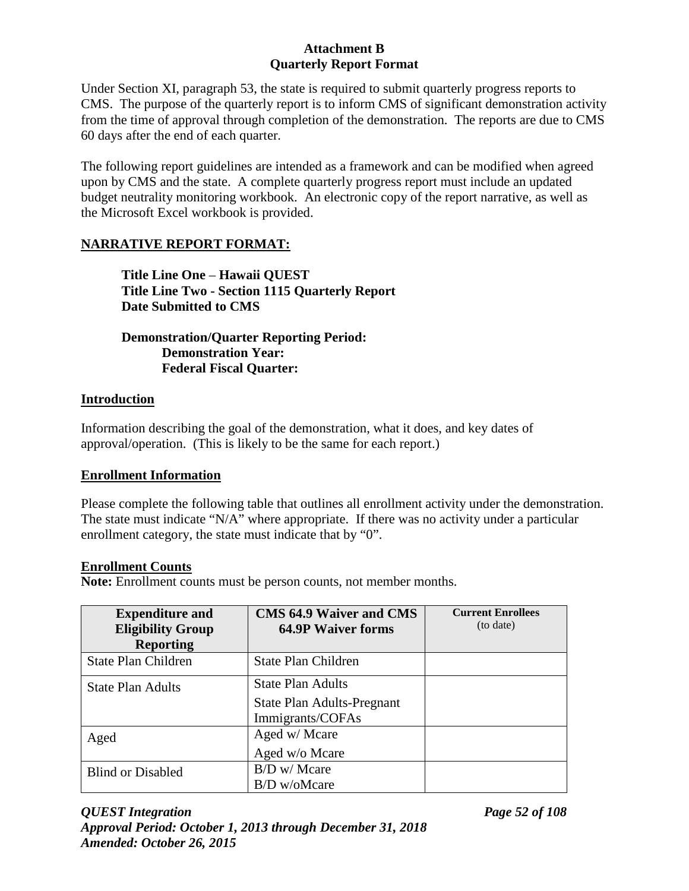Under Section XI, paragraph 53, the state is required to submit quarterly progress reports to CMS. The purpose of the quarterly report is to inform CMS of significant demonstration activity from the time of approval through completion of the demonstration. The reports are due to CMS 60 days after the end of each quarter.

The following report guidelines are intended as a framework and can be modified when agreed upon by CMS and the state. A complete quarterly progress report must include an updated budget neutrality monitoring workbook. An electronic copy of the report narrative, as well as the Microsoft Excel workbook is provided.

# **NARRATIVE REPORT FORMAT:**

**Title Line One** – **Hawaii QUEST Title Line Two - Section 1115 Quarterly Report Date Submitted to CMS** 

# **Demonstration/Quarter Reporting Period: Demonstration Year: Federal Fiscal Quarter:**

## **Introduction**

Information describing the goal of the demonstration, what it does, and key dates of approval/operation. (This is likely to be the same for each report.)

## **Enrollment Information**

Please complete the following table that outlines all enrollment activity under the demonstration. The state must indicate "N/A" where appropriate. If there was no activity under a particular enrollment category, the state must indicate that by "0".

## **Enrollment Counts**

**Note:** Enrollment counts must be person counts, not member months.

| <b>Expenditure and</b>     | <b>CMS 64.9 Waiver and CMS</b> | <b>Current Enrollees</b><br>(to date) |
|----------------------------|--------------------------------|---------------------------------------|
| <b>Eligibility Group</b>   | <b>64.9P Waiver forms</b>      |                                       |
| <b>Reporting</b>           |                                |                                       |
| <b>State Plan Children</b> | <b>State Plan Children</b>     |                                       |
| <b>State Plan Adults</b>   | State Plan Adults              |                                       |
|                            | State Plan Adults-Pregnant     |                                       |
|                            | Immigrants/COFAs               |                                       |
| Aged                       | Aged w/ Mcare                  |                                       |
|                            | Aged w/o Mcare                 |                                       |
| <b>Blind or Disabled</b>   | B/D w/ Mcare                   |                                       |
|                            | $B/D$ w/oMcare                 |                                       |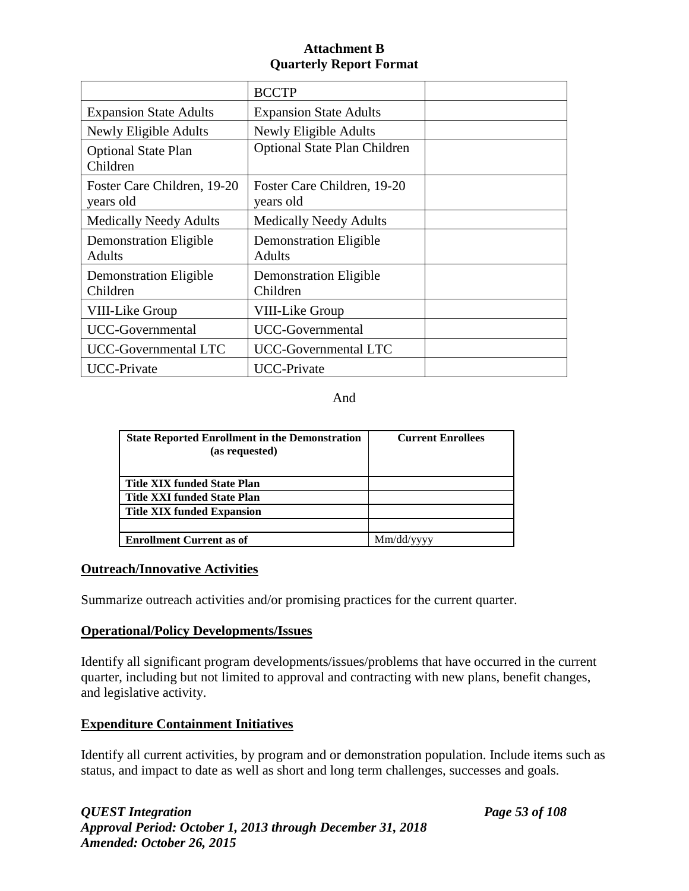|                                                | <b>BCCTP</b>                                   |  |
|------------------------------------------------|------------------------------------------------|--|
| <b>Expansion State Adults</b>                  | <b>Expansion State Adults</b>                  |  |
| Newly Eligible Adults                          | Newly Eligible Adults                          |  |
| <b>Optional State Plan</b><br>Children         | <b>Optional State Plan Children</b>            |  |
| Foster Care Children, 19-20<br>years old       | Foster Care Children, 19-20<br>years old       |  |
| <b>Medically Needy Adults</b>                  | <b>Medically Needy Adults</b>                  |  |
| <b>Demonstration Eligible</b><br><b>Adults</b> | <b>Demonstration Eligible</b><br><b>Adults</b> |  |
| <b>Demonstration Eligible</b><br>Children      | <b>Demonstration Eligible</b><br>Children      |  |
| VIII-Like Group                                | <b>VIII-Like Group</b>                         |  |
| UCC-Governmental                               | UCC-Governmental                               |  |
| UCC-Governmental LTC                           | UCC-Governmental LTC                           |  |
| <b>UCC-Private</b>                             | <b>UCC-Private</b>                             |  |

And

| <b>State Reported Enrollment in the Demonstration</b><br>(as requested) | <b>Current Enrollees</b> |
|-------------------------------------------------------------------------|--------------------------|
| <b>Title XIX funded State Plan</b>                                      |                          |
| <b>Title XXI funded State Plan</b>                                      |                          |
| <b>Title XIX funded Expansion</b>                                       |                          |
|                                                                         |                          |
| <b>Enrollment Current as of</b>                                         | Mm/dd/vvvv               |

## **Outreach/Innovative Activities**

Summarize outreach activities and/or promising practices for the current quarter.

## **Operational/Policy Developments/Issues**

Identify all significant program developments/issues/problems that have occurred in the current quarter, including but not limited to approval and contracting with new plans, benefit changes, and legislative activity.

# **Expenditure Containment Initiatives**

Identify all current activities, by program and or demonstration population. Include items such as status, and impact to date as well as short and long term challenges, successes and goals.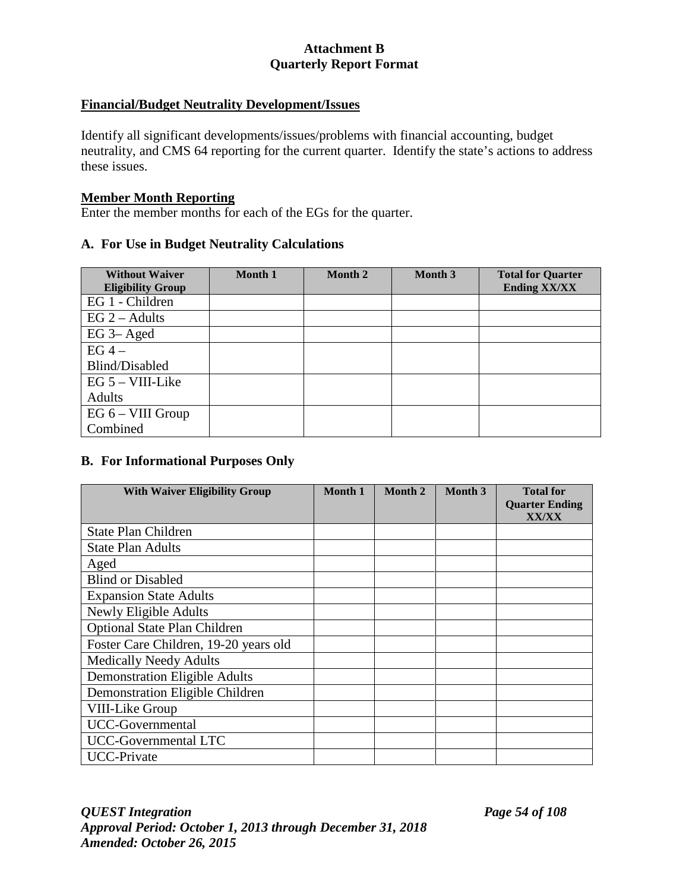## **Financial/Budget Neutrality Development/Issues**

Identify all significant developments/issues/problems with financial accounting, budget neutrality, and CMS 64 reporting for the current quarter. Identify the state's actions to address these issues.

#### **Member Month Reporting**

Enter the member months for each of the EGs for the quarter.

### **A. For Use in Budget Neutrality Calculations**

| <b>Without Waiver</b><br><b>Eligibility Group</b> | <b>Month 1</b> | Month 2 | Month 3 | <b>Total for Quarter</b><br><b>Ending XX/XX</b> |
|---------------------------------------------------|----------------|---------|---------|-------------------------------------------------|
| EG 1 - Children                                   |                |         |         |                                                 |
| $EG 2 - Adults$                                   |                |         |         |                                                 |
| $EG$ 3– Aged                                      |                |         |         |                                                 |
| $EG 4 -$                                          |                |         |         |                                                 |
| Blind/Disabled                                    |                |         |         |                                                 |
| $EG 5 - VIII-Like$                                |                |         |         |                                                 |
| Adults                                            |                |         |         |                                                 |
| EG 6 – VIII Group                                 |                |         |         |                                                 |
| Combined                                          |                |         |         |                                                 |

## **B. For Informational Purposes Only**

| <b>With Waiver Eligibility Group</b>  | Month 1 | Month 2 | Month 3 | <b>Total for</b><br><b>Quarter Ending</b> |
|---------------------------------------|---------|---------|---------|-------------------------------------------|
|                                       |         |         |         | <b>XX/XX</b>                              |
| <b>State Plan Children</b>            |         |         |         |                                           |
| <b>State Plan Adults</b>              |         |         |         |                                           |
| Aged                                  |         |         |         |                                           |
| <b>Blind or Disabled</b>              |         |         |         |                                           |
| <b>Expansion State Adults</b>         |         |         |         |                                           |
| Newly Eligible Adults                 |         |         |         |                                           |
| <b>Optional State Plan Children</b>   |         |         |         |                                           |
| Foster Care Children, 19-20 years old |         |         |         |                                           |
| <b>Medically Needy Adults</b>         |         |         |         |                                           |
| <b>Demonstration Eligible Adults</b>  |         |         |         |                                           |
| Demonstration Eligible Children       |         |         |         |                                           |
| VIII-Like Group                       |         |         |         |                                           |
| UCC-Governmental                      |         |         |         |                                           |
| UCC-Governmental LTC                  |         |         |         |                                           |
| <b>UCC-Private</b>                    |         |         |         |                                           |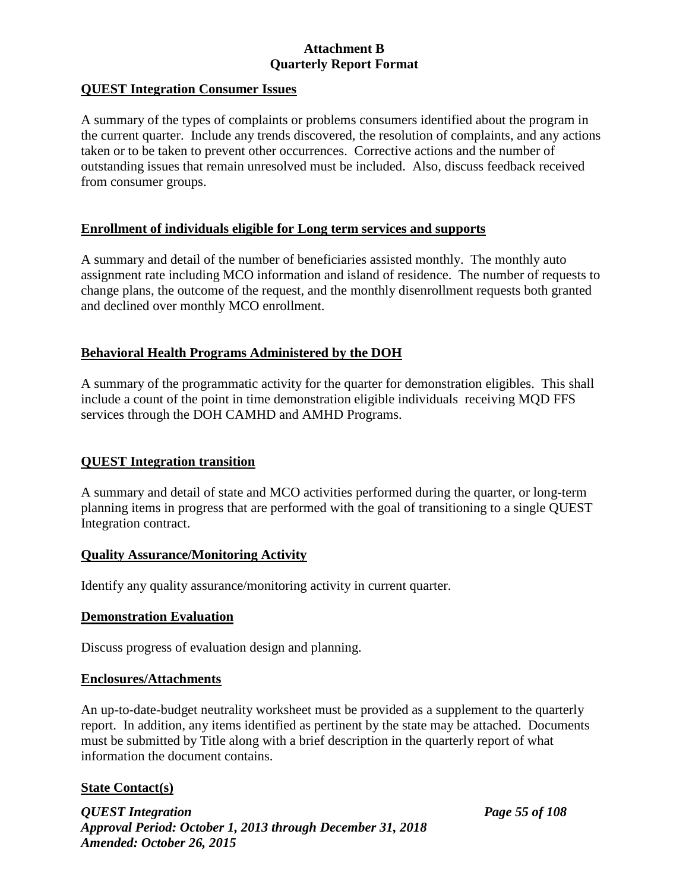## **QUEST Integration Consumer Issues**

A summary of the types of complaints or problems consumers identified about the program in the current quarter. Include any trends discovered, the resolution of complaints, and any actions taken or to be taken to prevent other occurrences. Corrective actions and the number of outstanding issues that remain unresolved must be included. Also, discuss feedback received from consumer groups.

## **Enrollment of individuals eligible for Long term services and supports**

A summary and detail of the number of beneficiaries assisted monthly. The monthly auto assignment rate including MCO information and island of residence. The number of requests to change plans, the outcome of the request, and the monthly disenrollment requests both granted and declined over monthly MCO enrollment.

## **Behavioral Health Programs Administered by the DOH**

A summary of the programmatic activity for the quarter for demonstration eligibles. This shall include a count of the point in time demonstration eligible individuals receiving MQD FFS services through the DOH CAMHD and AMHD Programs.

### **QUEST Integration transition**

A summary and detail of state and MCO activities performed during the quarter, or long-term planning items in progress that are performed with the goal of transitioning to a single QUEST Integration contract.

### **Quality Assurance/Monitoring Activity**

Identify any quality assurance/monitoring activity in current quarter.

### **Demonstration Evaluation**

Discuss progress of evaluation design and planning.

### **Enclosures/Attachments**

An up-to-date-budget neutrality worksheet must be provided as a supplement to the quarterly report. In addition, any items identified as pertinent by the state may be attached. Documents must be submitted by Title along with a brief description in the quarterly report of what information the document contains.

## **State Contact(s)**

*QUEST Integration Page 55 of 108 Approval Period: October 1, 2013 through December 31, 2018 Amended: October 26, 2015*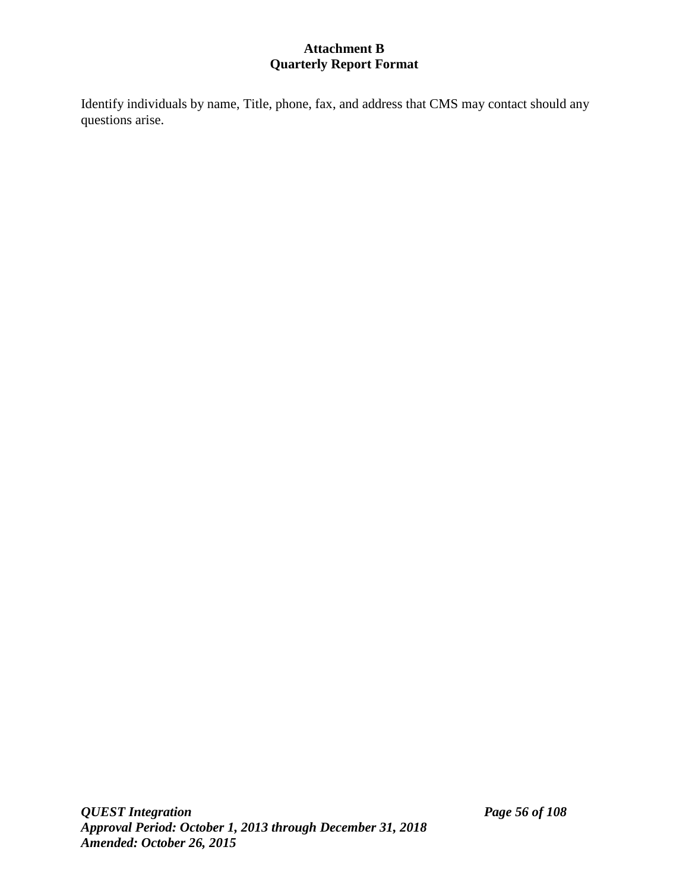Identify individuals by name, Title, phone, fax, and address that CMS may contact should any questions arise.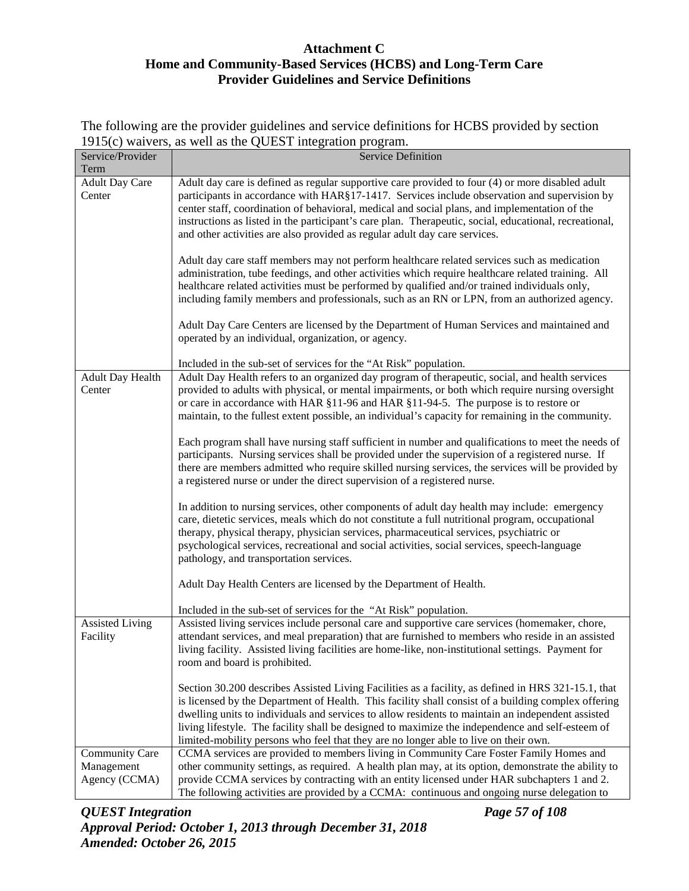The following are the provider guidelines and service definitions for HCBS provided by section 1915(c) waivers, as well as the QUEST integration program.

|                        | $1212(0)$ warvers, as well as the QOLD I integration program.                                          |
|------------------------|--------------------------------------------------------------------------------------------------------|
| Service/Provider       | <b>Service Definition</b>                                                                              |
| Term                   |                                                                                                        |
| <b>Adult Day Care</b>  | Adult day care is defined as regular supportive care provided to four (4) or more disabled adult       |
| Center                 | participants in accordance with HAR§17-1417. Services include observation and supervision by           |
|                        | center staff, coordination of behavioral, medical and social plans, and implementation of the          |
|                        | instructions as listed in the participant's care plan. Therapeutic, social, educational, recreational, |
|                        | and other activities are also provided as regular adult day care services.                             |
|                        |                                                                                                        |
|                        | Adult day care staff members may not perform healthcare related services such as medication            |
|                        | administration, tube feedings, and other activities which require healthcare related training. All     |
|                        | healthcare related activities must be performed by qualified and/or trained individuals only,          |
|                        | including family members and professionals, such as an RN or LPN, from an authorized agency.           |
|                        |                                                                                                        |
|                        |                                                                                                        |
|                        | Adult Day Care Centers are licensed by the Department of Human Services and maintained and             |
|                        | operated by an individual, organization, or agency.                                                    |
|                        |                                                                                                        |
|                        | Included in the sub-set of services for the "At Risk" population.                                      |
| Adult Day Health       | Adult Day Health refers to an organized day program of therapeutic, social, and health services        |
| Center                 | provided to adults with physical, or mental impairments, or both which require nursing oversight       |
|                        | or care in accordance with HAR §11-96 and HAR §11-94-5. The purpose is to restore or                   |
|                        | maintain, to the fullest extent possible, an individual's capacity for remaining in the community.     |
|                        |                                                                                                        |
|                        | Each program shall have nursing staff sufficient in number and qualifications to meet the needs of     |
|                        | participants. Nursing services shall be provided under the supervision of a registered nurse. If       |
|                        | there are members admitted who require skilled nursing services, the services will be provided by      |
|                        | a registered nurse or under the direct supervision of a registered nurse.                              |
|                        |                                                                                                        |
|                        | In addition to nursing services, other components of adult day health may include: emergency           |
|                        | care, dietetic services, meals which do not constitute a full nutritional program, occupational        |
|                        | therapy, physical therapy, physician services, pharmaceutical services, psychiatric or                 |
|                        | psychological services, recreational and social activities, social services, speech-language           |
|                        | pathology, and transportation services.                                                                |
|                        |                                                                                                        |
|                        | Adult Day Health Centers are licensed by the Department of Health.                                     |
|                        |                                                                                                        |
|                        | Included in the sub-set of services for the "At Risk" population.                                      |
| <b>Assisted Living</b> | Assisted living services include personal care and supportive care services (homemaker, chore,         |
| Facility               | attendant services, and meal preparation) that are furnished to members who reside in an assisted      |
|                        | living facility. Assisted living facilities are home-like, non-institutional settings. Payment for     |
|                        | room and board is prohibited.                                                                          |
|                        |                                                                                                        |
|                        | Section 30.200 describes Assisted Living Facilities as a facility, as defined in HRS 321-15.1, that    |
|                        | is licensed by the Department of Health. This facility shall consist of a building complex offering    |
|                        | dwelling units to individuals and services to allow residents to maintain an independent assisted      |
|                        | living lifestyle. The facility shall be designed to maximize the independence and self-esteem of       |
|                        | limited-mobility persons who feel that they are no longer able to live on their own.                   |
| <b>Community Care</b>  | CCMA services are provided to members living in Community Care Foster Family Homes and                 |
| Management             | other community settings, as required. A health plan may, at its option, demonstrate the ability to    |
| Agency (CCMA)          | provide CCMA services by contracting with an entity licensed under HAR subchapters 1 and 2.            |
|                        | The following activities are provided by a CCMA: continuous and ongoing nurse delegation to            |
|                        |                                                                                                        |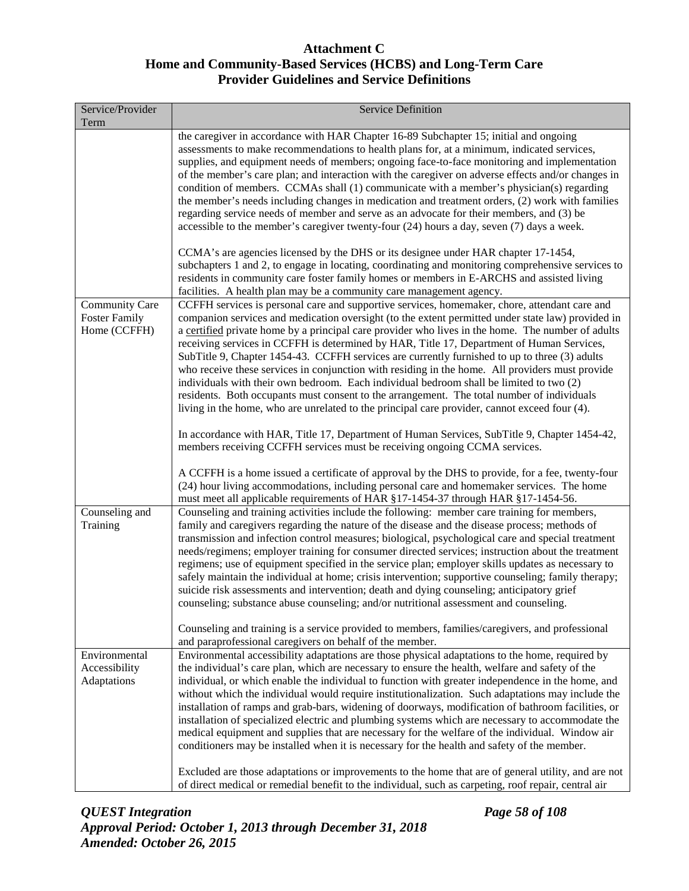| the caregiver in accordance with HAR Chapter 16-89 Subchapter 15; initial and ongoing<br>assessments to make recommendations to health plans for, at a minimum, indicated services,<br>condition of members. CCMAs shall (1) communicate with a member's physician(s) regarding<br>regarding service needs of member and serve as an advocate for their members, and (3) be<br>accessible to the member's caregiver twenty-four (24) hours a day, seven (7) days a week.<br>CCMA's are agencies licensed by the DHS or its designee under HAR chapter 17-1454,<br>residents in community care foster family homes or members in E-ARCHS and assisted living<br>facilities. A health plan may be a community care management agency.<br><b>Community Care</b><br><b>Foster Family</b><br>Home (CCFFH)<br>receiving services in CCFFH is determined by HAR, Title 17, Department of Human Services,<br>SubTitle 9, Chapter 1454-43. CCFFH services are currently furnished to up to three (3) adults<br>individuals with their own bedroom. Each individual bedroom shall be limited to two (2)<br>residents. Both occupants must consent to the arrangement. The total number of individuals<br>living in the home, who are unrelated to the principal care provider, cannot exceed four (4).<br>members receiving CCFFH services must be receiving ongoing CCMA services.<br>(24) hour living accommodations, including personal care and homemaker services. The home<br>must meet all applicable requirements of HAR §17-1454-37 through HAR §17-1454-56.<br>Counseling and<br>Counseling and training activities include the following: member care training for members,<br>Training<br>family and caregivers regarding the nature of the disease and the disease process; methods of<br>suicide risk assessments and intervention; death and dying counseling; anticipatory grief<br>counseling; substance abuse counseling; and/or nutritional assessment and counseling.<br>Counseling and training is a service provided to members, families/caregivers, and professional<br>and paraprofessional caregivers on behalf of the member.<br>Environmental accessibility adaptations are those physical adaptations to the home, required by<br>Environmental<br>Accessibility<br>the individual's care plan, which are necessary to ensure the health, welfare and safety of the<br>Adaptations | Service/Provider<br>Term | Service Definition                                                                                                                                                                                                                                                                                                                                                                                                                                                                                                                                                                                                         |
|-------------------------------------------------------------------------------------------------------------------------------------------------------------------------------------------------------------------------------------------------------------------------------------------------------------------------------------------------------------------------------------------------------------------------------------------------------------------------------------------------------------------------------------------------------------------------------------------------------------------------------------------------------------------------------------------------------------------------------------------------------------------------------------------------------------------------------------------------------------------------------------------------------------------------------------------------------------------------------------------------------------------------------------------------------------------------------------------------------------------------------------------------------------------------------------------------------------------------------------------------------------------------------------------------------------------------------------------------------------------------------------------------------------------------------------------------------------------------------------------------------------------------------------------------------------------------------------------------------------------------------------------------------------------------------------------------------------------------------------------------------------------------------------------------------------------------------------------------------------------------------------------------------------------------------------------------------------------------------------------------------------------------------------------------------------------------------------------------------------------------------------------------------------------------------------------------------------------------------------------------------------------------------------------------------------------------------------------------------------------------------------------------------|--------------------------|----------------------------------------------------------------------------------------------------------------------------------------------------------------------------------------------------------------------------------------------------------------------------------------------------------------------------------------------------------------------------------------------------------------------------------------------------------------------------------------------------------------------------------------------------------------------------------------------------------------------------|
|                                                                                                                                                                                                                                                                                                                                                                                                                                                                                                                                                                                                                                                                                                                                                                                                                                                                                                                                                                                                                                                                                                                                                                                                                                                                                                                                                                                                                                                                                                                                                                                                                                                                                                                                                                                                                                                                                                                                                                                                                                                                                                                                                                                                                                                                                                                                                                                                       |                          | supplies, and equipment needs of members; ongoing face-to-face monitoring and implementation<br>of the member's care plan; and interaction with the caregiver on adverse effects and/or changes in<br>the member's needs including changes in medication and treatment orders, (2) work with families                                                                                                                                                                                                                                                                                                                      |
|                                                                                                                                                                                                                                                                                                                                                                                                                                                                                                                                                                                                                                                                                                                                                                                                                                                                                                                                                                                                                                                                                                                                                                                                                                                                                                                                                                                                                                                                                                                                                                                                                                                                                                                                                                                                                                                                                                                                                                                                                                                                                                                                                                                                                                                                                                                                                                                                       |                          | subchapters 1 and 2, to engage in locating, coordinating and monitoring comprehensive services to                                                                                                                                                                                                                                                                                                                                                                                                                                                                                                                          |
|                                                                                                                                                                                                                                                                                                                                                                                                                                                                                                                                                                                                                                                                                                                                                                                                                                                                                                                                                                                                                                                                                                                                                                                                                                                                                                                                                                                                                                                                                                                                                                                                                                                                                                                                                                                                                                                                                                                                                                                                                                                                                                                                                                                                                                                                                                                                                                                                       |                          | CCFFH services is personal care and supportive services, homemaker, chore, attendant care and<br>companion services and medication oversight (to the extent permitted under state law) provided in<br>a certified private home by a principal care provider who lives in the home. The number of adults<br>who receive these services in conjunction with residing in the home. All providers must provide                                                                                                                                                                                                                 |
|                                                                                                                                                                                                                                                                                                                                                                                                                                                                                                                                                                                                                                                                                                                                                                                                                                                                                                                                                                                                                                                                                                                                                                                                                                                                                                                                                                                                                                                                                                                                                                                                                                                                                                                                                                                                                                                                                                                                                                                                                                                                                                                                                                                                                                                                                                                                                                                                       |                          | In accordance with HAR, Title 17, Department of Human Services, SubTitle 9, Chapter 1454-42,<br>A CCFFH is a home issued a certificate of approval by the DHS to provide, for a fee, twenty-four                                                                                                                                                                                                                                                                                                                                                                                                                           |
|                                                                                                                                                                                                                                                                                                                                                                                                                                                                                                                                                                                                                                                                                                                                                                                                                                                                                                                                                                                                                                                                                                                                                                                                                                                                                                                                                                                                                                                                                                                                                                                                                                                                                                                                                                                                                                                                                                                                                                                                                                                                                                                                                                                                                                                                                                                                                                                                       |                          |                                                                                                                                                                                                                                                                                                                                                                                                                                                                                                                                                                                                                            |
|                                                                                                                                                                                                                                                                                                                                                                                                                                                                                                                                                                                                                                                                                                                                                                                                                                                                                                                                                                                                                                                                                                                                                                                                                                                                                                                                                                                                                                                                                                                                                                                                                                                                                                                                                                                                                                                                                                                                                                                                                                                                                                                                                                                                                                                                                                                                                                                                       |                          | transmission and infection control measures; biological, psychological care and special treatment<br>needs/regimens; employer training for consumer directed services; instruction about the treatment<br>regimens; use of equipment specified in the service plan; employer skills updates as necessary to<br>safely maintain the individual at home; crisis intervention; supportive counseling; family therapy;                                                                                                                                                                                                         |
|                                                                                                                                                                                                                                                                                                                                                                                                                                                                                                                                                                                                                                                                                                                                                                                                                                                                                                                                                                                                                                                                                                                                                                                                                                                                                                                                                                                                                                                                                                                                                                                                                                                                                                                                                                                                                                                                                                                                                                                                                                                                                                                                                                                                                                                                                                                                                                                                       |                          |                                                                                                                                                                                                                                                                                                                                                                                                                                                                                                                                                                                                                            |
| conditioners may be installed when it is necessary for the health and safety of the member.                                                                                                                                                                                                                                                                                                                                                                                                                                                                                                                                                                                                                                                                                                                                                                                                                                                                                                                                                                                                                                                                                                                                                                                                                                                                                                                                                                                                                                                                                                                                                                                                                                                                                                                                                                                                                                                                                                                                                                                                                                                                                                                                                                                                                                                                                                           |                          | individual, or which enable the individual to function with greater independence in the home, and<br>without which the individual would require institutionalization. Such adaptations may include the<br>installation of ramps and grab-bars, widening of doorways, modification of bathroom facilities, or<br>installation of specialized electric and plumbing systems which are necessary to accommodate the<br>medical equipment and supplies that are necessary for the welfare of the individual. Window air<br>Excluded are those adaptations or improvements to the home that are of general utility, and are not |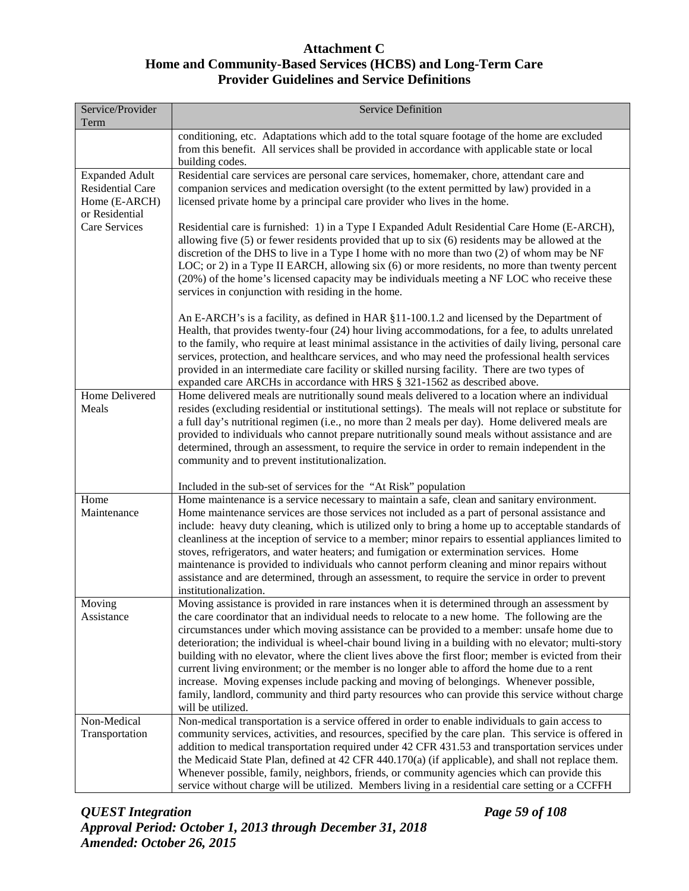| Service/Provider<br>Term                                                            | <b>Service Definition</b>                                                                                                                                                                                                                                                                                                                                                                                                                                                                                                                                                                                                                                                                                                                                                                                                             |
|-------------------------------------------------------------------------------------|---------------------------------------------------------------------------------------------------------------------------------------------------------------------------------------------------------------------------------------------------------------------------------------------------------------------------------------------------------------------------------------------------------------------------------------------------------------------------------------------------------------------------------------------------------------------------------------------------------------------------------------------------------------------------------------------------------------------------------------------------------------------------------------------------------------------------------------|
|                                                                                     | conditioning, etc. Adaptations which add to the total square footage of the home are excluded<br>from this benefit. All services shall be provided in accordance with applicable state or local<br>building codes.                                                                                                                                                                                                                                                                                                                                                                                                                                                                                                                                                                                                                    |
| <b>Expanded Adult</b><br><b>Residential Care</b><br>Home (E-ARCH)<br>or Residential | Residential care services are personal care services, homemaker, chore, attendant care and<br>companion services and medication oversight (to the extent permitted by law) provided in a<br>licensed private home by a principal care provider who lives in the home.                                                                                                                                                                                                                                                                                                                                                                                                                                                                                                                                                                 |
| Care Services                                                                       | Residential care is furnished: 1) in a Type I Expanded Adult Residential Care Home (E-ARCH),<br>allowing five (5) or fewer residents provided that up to six (6) residents may be allowed at the<br>discretion of the DHS to live in a Type I home with no more than two (2) of whom may be NF<br>LOC; or 2) in a Type II EARCH, allowing six (6) or more residents, no more than twenty percent<br>(20%) of the home's licensed capacity may be individuals meeting a NF LOC who receive these<br>services in conjunction with residing in the home.                                                                                                                                                                                                                                                                                 |
|                                                                                     | An E-ARCH's is a facility, as defined in HAR §11-100.1.2 and licensed by the Department of<br>Health, that provides twenty-four (24) hour living accommodations, for a fee, to adults unrelated<br>to the family, who require at least minimal assistance in the activities of daily living, personal care<br>services, protection, and healthcare services, and who may need the professional health services<br>provided in an intermediate care facility or skilled nursing facility. There are two types of<br>expanded care ARCHs in accordance with HRS § 321-1562 as described above.                                                                                                                                                                                                                                          |
| <b>Home Delivered</b><br>Meals                                                      | Home delivered meals are nutritionally sound meals delivered to a location where an individual<br>resides (excluding residential or institutional settings). The meals will not replace or substitute for<br>a full day's nutritional regimen (i.e., no more than 2 meals per day). Home delivered meals are<br>provided to individuals who cannot prepare nutritionally sound meals without assistance and are<br>determined, through an assessment, to require the service in order to remain independent in the<br>community and to prevent institutionalization.                                                                                                                                                                                                                                                                  |
|                                                                                     | Included in the sub-set of services for the "At Risk" population                                                                                                                                                                                                                                                                                                                                                                                                                                                                                                                                                                                                                                                                                                                                                                      |
| Home<br>Maintenance                                                                 | Home maintenance is a service necessary to maintain a safe, clean and sanitary environment.<br>Home maintenance services are those services not included as a part of personal assistance and<br>include: heavy duty cleaning, which is utilized only to bring a home up to acceptable standards of<br>cleanliness at the inception of service to a member; minor repairs to essential appliances limited to<br>stoves, refrigerators, and water heaters; and fumigation or extermination services. Home<br>maintenance is provided to individuals who cannot perform cleaning and minor repairs without<br>assistance and are determined, through an assessment, to require the service in order to prevent<br>institutionalization.                                                                                                 |
| Moving<br>Assistance                                                                | Moving assistance is provided in rare instances when it is determined through an assessment by<br>the care coordinator that an individual needs to relocate to a new home. The following are the<br>circumstances under which moving assistance can be provided to a member: unsafe home due to<br>deterioration; the individual is wheel-chair bound living in a building with no elevator; multi-story<br>building with no elevator, where the client lives above the first floor; member is evicted from their<br>current living environment; or the member is no longer able to afford the home due to a rent<br>increase. Moving expenses include packing and moving of belongings. Whenever possible,<br>family, landlord, community and third party resources who can provide this service without charge<br>will be utilized. |
| Non-Medical<br>Transportation                                                       | Non-medical transportation is a service offered in order to enable individuals to gain access to<br>community services, activities, and resources, specified by the care plan. This service is offered in<br>addition to medical transportation required under 42 CFR 431.53 and transportation services under<br>the Medicaid State Plan, defined at 42 CFR 440.170(a) (if applicable), and shall not replace them.<br>Whenever possible, family, neighbors, friends, or community agencies which can provide this<br>service without charge will be utilized. Members living in a residential care setting or a CCFFH                                                                                                                                                                                                               |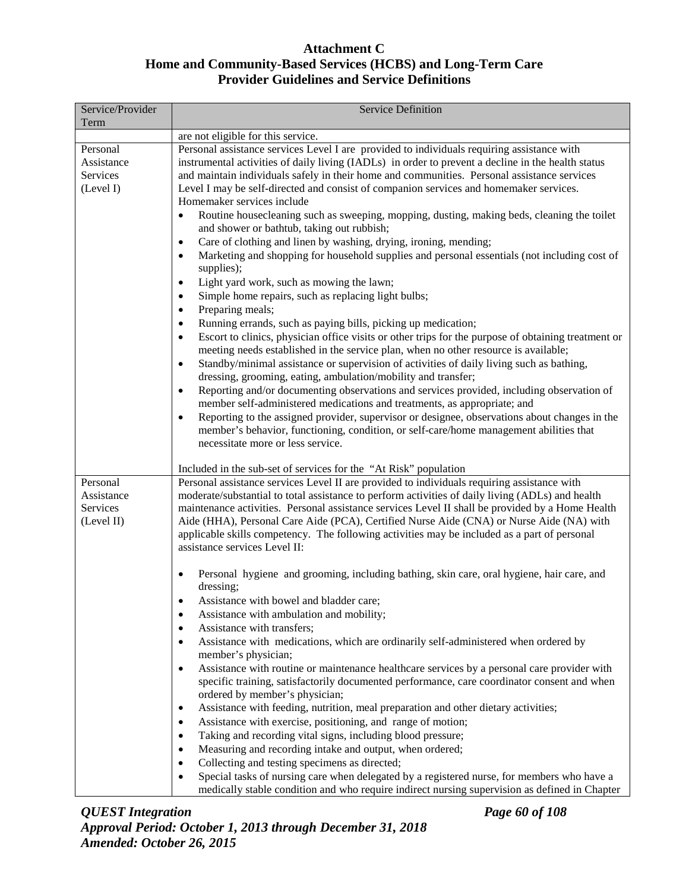| Service/Provider<br>Term                         | <b>Service Definition</b>                                                                                                                                                                                                                                                                                                                                                                                                                                                                                                                                                                                                                                                                                                                                                                                                                                                                                                                                                                                                                                                                                                                                                                                                                                                                                                                                                                                                                                                                                  |
|--------------------------------------------------|------------------------------------------------------------------------------------------------------------------------------------------------------------------------------------------------------------------------------------------------------------------------------------------------------------------------------------------------------------------------------------------------------------------------------------------------------------------------------------------------------------------------------------------------------------------------------------------------------------------------------------------------------------------------------------------------------------------------------------------------------------------------------------------------------------------------------------------------------------------------------------------------------------------------------------------------------------------------------------------------------------------------------------------------------------------------------------------------------------------------------------------------------------------------------------------------------------------------------------------------------------------------------------------------------------------------------------------------------------------------------------------------------------------------------------------------------------------------------------------------------------|
|                                                  | are not eligible for this service.                                                                                                                                                                                                                                                                                                                                                                                                                                                                                                                                                                                                                                                                                                                                                                                                                                                                                                                                                                                                                                                                                                                                                                                                                                                                                                                                                                                                                                                                         |
| Personal<br>Assistance<br>Services<br>(Level I)  | Personal assistance services Level I are provided to individuals requiring assistance with<br>instrumental activities of daily living (IADLs) in order to prevent a decline in the health status<br>and maintain individuals safely in their home and communities. Personal assistance services<br>Level I may be self-directed and consist of companion services and homemaker services.<br>Homemaker services include                                                                                                                                                                                                                                                                                                                                                                                                                                                                                                                                                                                                                                                                                                                                                                                                                                                                                                                                                                                                                                                                                    |
|                                                  | Routine housecleaning such as sweeping, mopping, dusting, making beds, cleaning the toilet<br>$\bullet$<br>and shower or bathtub, taking out rubbish;<br>Care of clothing and linen by washing, drying, ironing, mending;<br>$\bullet$<br>Marketing and shopping for household supplies and personal essentials (not including cost of<br>$\bullet$<br>supplies);<br>Light yard work, such as mowing the lawn;<br>$\bullet$<br>Simple home repairs, such as replacing light bulbs;<br>$\bullet$<br>Preparing meals;<br>$\bullet$<br>Running errands, such as paying bills, picking up medication;<br>$\bullet$<br>Escort to clinics, physician office visits or other trips for the purpose of obtaining treatment or<br>$\bullet$<br>meeting needs established in the service plan, when no other resource is available;<br>Standby/minimal assistance or supervision of activities of daily living such as bathing,<br>$\bullet$<br>dressing, grooming, eating, ambulation/mobility and transfer;<br>Reporting and/or documenting observations and services provided, including observation of<br>$\bullet$<br>member self-administered medications and treatments, as appropriate; and<br>Reporting to the assigned provider, supervisor or designee, observations about changes in the<br>$\bullet$<br>member's behavior, functioning, condition, or self-care/home management abilities that<br>necessitate more or less service.<br>Included in the sub-set of services for the "At Risk" population |
| Personal<br>Assistance<br>Services<br>(Level II) | Personal assistance services Level II are provided to individuals requiring assistance with<br>moderate/substantial to total assistance to perform activities of daily living (ADLs) and health<br>maintenance activities. Personal assistance services Level II shall be provided by a Home Health<br>Aide (HHA), Personal Care Aide (PCA), Certified Nurse Aide (CNA) or Nurse Aide (NA) with                                                                                                                                                                                                                                                                                                                                                                                                                                                                                                                                                                                                                                                                                                                                                                                                                                                                                                                                                                                                                                                                                                            |
|                                                  | applicable skills competency. The following activities may be included as a part of personal<br>assistance services Level II:<br>Personal hygiene and grooming, including bathing, skin care, oral hygiene, hair care, and<br>dressing;<br>Assistance with bowel and bladder care;<br>Assistance with ambulation and mobility;<br>$\bullet$<br>Assistance with transfers;<br>٠<br>Assistance with medications, which are ordinarily self-administered when ordered by<br>٠<br>member's physician;<br>Assistance with routine or maintenance healthcare services by a personal care provider with<br>$\bullet$<br>specific training, satisfactorily documented performance, care coordinator consent and when<br>ordered by member's physician;<br>Assistance with feeding, nutrition, meal preparation and other dietary activities;<br>٠<br>Assistance with exercise, positioning, and range of motion;<br>٠<br>Taking and recording vital signs, including blood pressure;<br>$\bullet$<br>Measuring and recording intake and output, when ordered;<br>$\bullet$<br>Collecting and testing specimens as directed;<br>$\bullet$<br>Special tasks of nursing care when delegated by a registered nurse, for members who have a<br>$\bullet$<br>medically stable condition and who require indirect nursing supervision as defined in Chapter                                                                                                                                                               |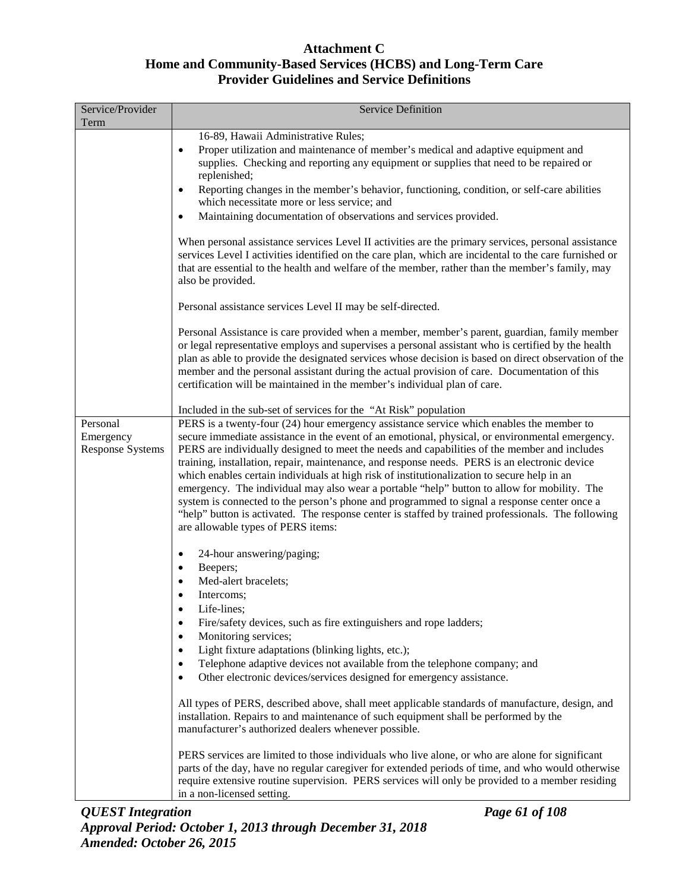| Service/Provider<br>Term                         | <b>Service Definition</b>                                                                                                                                                                                                                                                                                                                                                                                                                                                                                                                                                                                                                                                                                                                                                                                                             |
|--------------------------------------------------|---------------------------------------------------------------------------------------------------------------------------------------------------------------------------------------------------------------------------------------------------------------------------------------------------------------------------------------------------------------------------------------------------------------------------------------------------------------------------------------------------------------------------------------------------------------------------------------------------------------------------------------------------------------------------------------------------------------------------------------------------------------------------------------------------------------------------------------|
|                                                  | 16-89, Hawaii Administrative Rules;<br>Proper utilization and maintenance of member's medical and adaptive equipment and<br>$\bullet$<br>supplies. Checking and reporting any equipment or supplies that need to be repaired or<br>replenished;<br>Reporting changes in the member's behavior, functioning, condition, or self-care abilities<br>$\bullet$<br>which necessitate more or less service; and<br>Maintaining documentation of observations and services provided.<br>$\bullet$                                                                                                                                                                                                                                                                                                                                            |
|                                                  | When personal assistance services Level II activities are the primary services, personal assistance<br>services Level I activities identified on the care plan, which are incidental to the care furnished or<br>that are essential to the health and welfare of the member, rather than the member's family, may<br>also be provided.                                                                                                                                                                                                                                                                                                                                                                                                                                                                                                |
|                                                  | Personal assistance services Level II may be self-directed.                                                                                                                                                                                                                                                                                                                                                                                                                                                                                                                                                                                                                                                                                                                                                                           |
|                                                  | Personal Assistance is care provided when a member, member's parent, guardian, family member<br>or legal representative employs and supervises a personal assistant who is certified by the health<br>plan as able to provide the designated services whose decision is based on direct observation of the<br>member and the personal assistant during the actual provision of care. Documentation of this<br>certification will be maintained in the member's individual plan of care.                                                                                                                                                                                                                                                                                                                                               |
|                                                  | Included in the sub-set of services for the "At Risk" population                                                                                                                                                                                                                                                                                                                                                                                                                                                                                                                                                                                                                                                                                                                                                                      |
| Personal<br>Emergency<br><b>Response Systems</b> | PERS is a twenty-four (24) hour emergency assistance service which enables the member to<br>secure immediate assistance in the event of an emotional, physical, or environmental emergency.<br>PERS are individually designed to meet the needs and capabilities of the member and includes<br>training, installation, repair, maintenance, and response needs. PERS is an electronic device<br>which enables certain individuals at high risk of institutionalization to secure help in an<br>emergency. The individual may also wear a portable "help" button to allow for mobility. The<br>system is connected to the person's phone and programmed to signal a response center once a<br>"help" button is activated. The response center is staffed by trained professionals. The following<br>are allowable types of PERS items: |
|                                                  | 24-hour answering/paging;<br>$\bullet$                                                                                                                                                                                                                                                                                                                                                                                                                                                                                                                                                                                                                                                                                                                                                                                                |
|                                                  | Beepers;<br>$\bullet$<br>Med-alert bracelets;<br>$\bullet$<br>Intercoms;<br>$\bullet$<br>Life-lines;<br>$\bullet$                                                                                                                                                                                                                                                                                                                                                                                                                                                                                                                                                                                                                                                                                                                     |
|                                                  | Fire/safety devices, such as fire extinguishers and rope ladders;<br>$\bullet$<br>Monitoring services;<br>$\bullet$<br>Light fixture adaptations (blinking lights, etc.);<br>$\bullet$                                                                                                                                                                                                                                                                                                                                                                                                                                                                                                                                                                                                                                                |
|                                                  | Telephone adaptive devices not available from the telephone company; and<br>$\bullet$<br>Other electronic devices/services designed for emergency assistance.<br>$\bullet$                                                                                                                                                                                                                                                                                                                                                                                                                                                                                                                                                                                                                                                            |
|                                                  | All types of PERS, described above, shall meet applicable standards of manufacture, design, and<br>installation. Repairs to and maintenance of such equipment shall be performed by the<br>manufacturer's authorized dealers whenever possible.                                                                                                                                                                                                                                                                                                                                                                                                                                                                                                                                                                                       |
|                                                  | PERS services are limited to those individuals who live alone, or who are alone for significant<br>parts of the day, have no regular caregiver for extended periods of time, and who would otherwise<br>require extensive routine supervision. PERS services will only be provided to a member residing<br>in a non-licensed setting.                                                                                                                                                                                                                                                                                                                                                                                                                                                                                                 |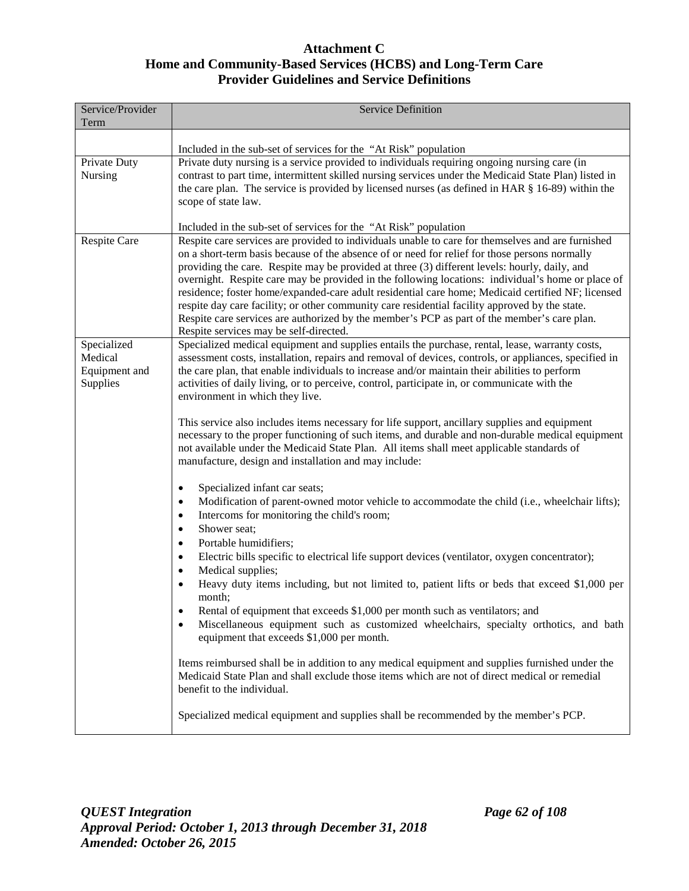| Service/Provider<br>Term | <b>Service Definition</b>                                                                                                                                                                                                                                                                                                                               |
|--------------------------|---------------------------------------------------------------------------------------------------------------------------------------------------------------------------------------------------------------------------------------------------------------------------------------------------------------------------------------------------------|
|                          |                                                                                                                                                                                                                                                                                                                                                         |
|                          | Included in the sub-set of services for the "At Risk" population                                                                                                                                                                                                                                                                                        |
| Private Duty<br>Nursing  | Private duty nursing is a service provided to individuals requiring ongoing nursing care (in<br>contrast to part time, intermittent skilled nursing services under the Medicaid State Plan) listed in                                                                                                                                                   |
|                          | the care plan. The service is provided by licensed nurses (as defined in HAR $\S$ 16-89) within the                                                                                                                                                                                                                                                     |
|                          | scope of state law.                                                                                                                                                                                                                                                                                                                                     |
|                          |                                                                                                                                                                                                                                                                                                                                                         |
|                          | Included in the sub-set of services for the "At Risk" population                                                                                                                                                                                                                                                                                        |
| Respite Care             | Respite care services are provided to individuals unable to care for themselves and are furnished<br>on a short-term basis because of the absence of or need for relief for those persons normally                                                                                                                                                      |
|                          | providing the care. Respite may be provided at three (3) different levels: hourly, daily, and                                                                                                                                                                                                                                                           |
|                          | overnight. Respite care may be provided in the following locations: individual's home or place of                                                                                                                                                                                                                                                       |
|                          | residence; foster home/expanded-care adult residential care home; Medicaid certified NF; licensed                                                                                                                                                                                                                                                       |
|                          | respite day care facility; or other community care residential facility approved by the state.                                                                                                                                                                                                                                                          |
|                          | Respite care services are authorized by the member's PCP as part of the member's care plan.                                                                                                                                                                                                                                                             |
| Specialized              | Respite services may be self-directed.<br>Specialized medical equipment and supplies entails the purchase, rental, lease, warranty costs,                                                                                                                                                                                                               |
| Medical                  | assessment costs, installation, repairs and removal of devices, controls, or appliances, specified in                                                                                                                                                                                                                                                   |
| Equipment and            | the care plan, that enable individuals to increase and/or maintain their abilities to perform                                                                                                                                                                                                                                                           |
| Supplies                 | activities of daily living, or to perceive, control, participate in, or communicate with the                                                                                                                                                                                                                                                            |
|                          | environment in which they live.                                                                                                                                                                                                                                                                                                                         |
|                          | This service also includes items necessary for life support, ancillary supplies and equipment<br>necessary to the proper functioning of such items, and durable and non-durable medical equipment<br>not available under the Medicaid State Plan. All items shall meet applicable standards of<br>manufacture, design and installation and may include: |
|                          | Specialized infant car seats;<br>$\bullet$                                                                                                                                                                                                                                                                                                              |
|                          | Modification of parent-owned motor vehicle to accommodate the child (i.e., wheelchair lifts);<br>$\bullet$                                                                                                                                                                                                                                              |
|                          | Intercoms for monitoring the child's room;<br>$\bullet$                                                                                                                                                                                                                                                                                                 |
|                          | Shower seat;<br>$\bullet$                                                                                                                                                                                                                                                                                                                               |
|                          | Portable humidifiers;<br>$\bullet$                                                                                                                                                                                                                                                                                                                      |
|                          | Electric bills specific to electrical life support devices (ventilator, oxygen concentrator);<br>$\bullet$<br>Medical supplies;<br>$\bullet$                                                                                                                                                                                                            |
|                          | Heavy duty items including, but not limited to, patient lifts or beds that exceed \$1,000 per                                                                                                                                                                                                                                                           |
|                          | month;                                                                                                                                                                                                                                                                                                                                                  |
|                          | Rental of equipment that exceeds \$1,000 per month such as ventilators; and                                                                                                                                                                                                                                                                             |
|                          | Miscellaneous equipment such as customized wheelchairs, specialty orthotics, and bath<br>٠<br>equipment that exceeds \$1,000 per month.                                                                                                                                                                                                                 |
|                          | Items reimbursed shall be in addition to any medical equipment and supplies furnished under the<br>Medicaid State Plan and shall exclude those items which are not of direct medical or remedial<br>benefit to the individual.                                                                                                                          |
|                          | Specialized medical equipment and supplies shall be recommended by the member's PCP.                                                                                                                                                                                                                                                                    |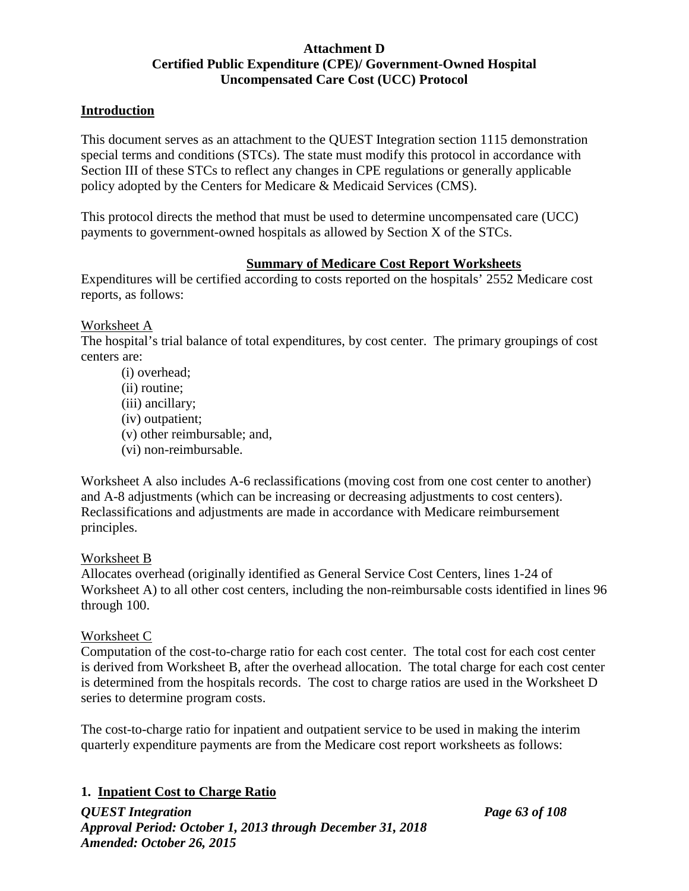## **Attachment D Certified Public Expenditure (CPE)/ Government-Owned Hospital Uncompensated Care Cost (UCC) Protocol**

## **Introduction**

This document serves as an attachment to the QUEST Integration section 1115 demonstration special terms and conditions (STCs). The state must modify this protocol in accordance with Section III of these STCs to reflect any changes in CPE regulations or generally applicable policy adopted by the Centers for Medicare & Medicaid Services (CMS).

This protocol directs the method that must be used to determine uncompensated care (UCC) payments to government-owned hospitals as allowed by Section X of the STCs.

### **Summary of Medicare Cost Report Worksheets**

Expenditures will be certified according to costs reported on the hospitals' 2552 Medicare cost reports, as follows:

### Worksheet A

The hospital's trial balance of total expenditures, by cost center. The primary groupings of cost centers are:

(i) overhead; (ii) routine; (iii) ancillary; (iv) outpatient; (v) other reimbursable; and, (vi) non-reimbursable.

Worksheet A also includes A-6 reclassifications (moving cost from one cost center to another) and A-8 adjustments (which can be increasing or decreasing adjustments to cost centers). Reclassifications and adjustments are made in accordance with Medicare reimbursement principles.

### Worksheet B

Allocates overhead (originally identified as General Service Cost Centers, lines 1-24 of Worksheet A) to all other cost centers, including the non-reimbursable costs identified in lines 96 through 100.

### Worksheet C

Computation of the cost-to-charge ratio for each cost center. The total cost for each cost center is derived from Worksheet B, after the overhead allocation. The total charge for each cost center is determined from the hospitals records. The cost to charge ratios are used in the Worksheet D series to determine program costs.

The cost-to-charge ratio for inpatient and outpatient service to be used in making the interim quarterly expenditure payments are from the Medicare cost report worksheets as follows:

## **1. Inpatient Cost to Charge Ratio**

*QUEST Integration Page 63 of 108 Approval Period: October 1, 2013 through December 31, 2018 Amended: October 26, 2015*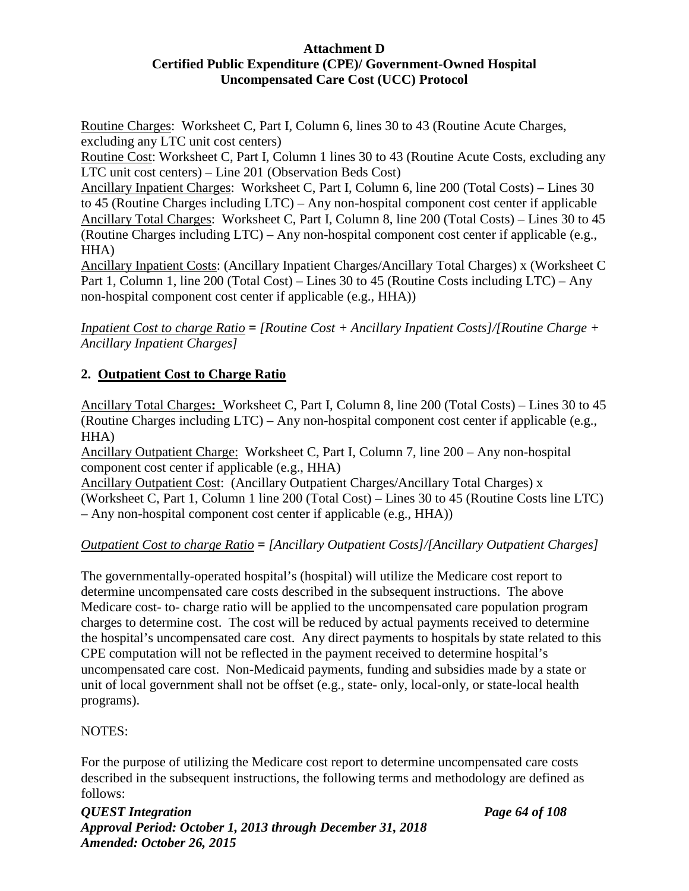### **Attachment D Certified Public Expenditure (CPE)/ Government-Owned Hospital Uncompensated Care Cost (UCC) Protocol**

Routine Charges: Worksheet C, Part I, Column 6, lines 30 to 43 (Routine Acute Charges, excluding any LTC unit cost centers)

Routine Cost: Worksheet C, Part I, Column 1 lines 30 to 43 (Routine Acute Costs, excluding any LTC unit cost centers) – Line 201 (Observation Beds Cost)

Ancillary Inpatient Charges: Worksheet C, Part I, Column 6, line 200 (Total Costs) – Lines 30 to 45 (Routine Charges including LTC) – Any non-hospital component cost center if applicable Ancillary Total Charges: Worksheet C, Part I, Column 8, line 200 (Total Costs) – Lines 30 to 45 (Routine Charges including LTC) – Any non-hospital component cost center if applicable (e.g., HHA)

Ancillary Inpatient Costs: (Ancillary Inpatient Charges/Ancillary Total Charges) x (Worksheet C Part 1, Column 1, line 200 (Total Cost) – Lines 30 to 45 (Routine Costs including LTC) – Any non-hospital component cost center if applicable (e.g., HHA))

*Inpatient Cost to charge Ratio = [Routine Cost + Ancillary Inpatient Costs]/[Routine Charge + Ancillary Inpatient Charges]*

# **2. Outpatient Cost to Charge Ratio**

Ancillary Total Charges**:** Worksheet C, Part I, Column 8, line 200 (Total Costs) – Lines 30 to 45 (Routine Charges including LTC) – Any non-hospital component cost center if applicable (e.g., HHA)

Ancillary Outpatient Charge: Worksheet C, Part I, Column 7, line 200 – Any non-hospital component cost center if applicable (e.g., HHA)

Ancillary Outpatient Cost: (Ancillary Outpatient Charges/Ancillary Total Charges) x (Worksheet C, Part 1, Column 1 line 200 (Total Cost) – Lines 30 to 45 (Routine Costs line LTC) – Any non-hospital component cost center if applicable (e.g., HHA))

# *Outpatient Cost to charge Ratio = [Ancillary Outpatient Costs]/[Ancillary Outpatient Charges]*

The governmentally-operated hospital's (hospital) will utilize the Medicare cost report to determine uncompensated care costs described in the subsequent instructions. The above Medicare cost- to- charge ratio will be applied to the uncompensated care population program charges to determine cost. The cost will be reduced by actual payments received to determine the hospital's uncompensated care cost. Any direct payments to hospitals by state related to this CPE computation will not be reflected in the payment received to determine hospital's uncompensated care cost. Non-Medicaid payments, funding and subsidies made by a state or unit of local government shall not be offset (e.g., state- only, local-only, or state-local health programs).

## NOTES:

For the purpose of utilizing the Medicare cost report to determine uncompensated care costs described in the subsequent instructions, the following terms and methodology are defined as follows: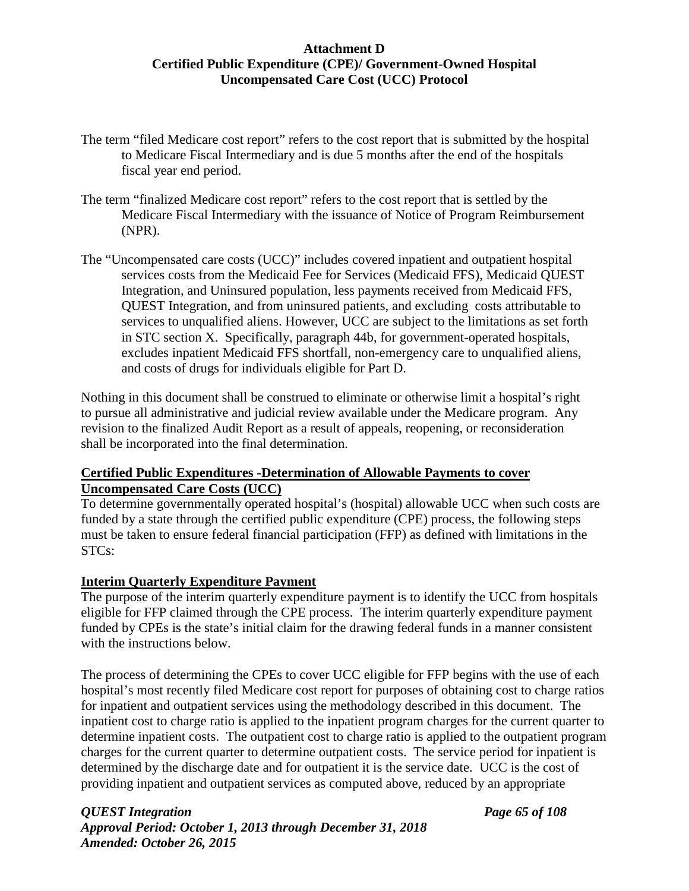## **Attachment D Certified Public Expenditure (CPE)/ Government-Owned Hospital Uncompensated Care Cost (UCC) Protocol**

- The term "filed Medicare cost report" refers to the cost report that is submitted by the hospital to Medicare Fiscal Intermediary and is due 5 months after the end of the hospitals fiscal year end period.
- The term "finalized Medicare cost report" refers to the cost report that is settled by the Medicare Fiscal Intermediary with the issuance of Notice of Program Reimbursement (NPR).
- The "Uncompensated care costs (UCC)" includes covered inpatient and outpatient hospital services costs from the Medicaid Fee for Services (Medicaid FFS), Medicaid QUEST Integration, and Uninsured population, less payments received from Medicaid FFS, QUEST Integration, and from uninsured patients, and excluding costs attributable to services to unqualified aliens. However, UCC are subject to the limitations as set forth in STC section X. Specifically, paragraph 44b, for government-operated hospitals, excludes inpatient Medicaid FFS shortfall, non-emergency care to unqualified aliens, and costs of drugs for individuals eligible for Part D.

Nothing in this document shall be construed to eliminate or otherwise limit a hospital's right to pursue all administrative and judicial review available under the Medicare program. Any revision to the finalized Audit Report as a result of appeals, reopening, or reconsideration shall be incorporated into the final determination.

## **Certified Public Expenditures -Determination of Allowable Payments to cover Uncompensated Care Costs (UCC)**

To determine governmentally operated hospital's (hospital) allowable UCC when such costs are funded by a state through the certified public expenditure (CPE) process, the following steps must be taken to ensure federal financial participation (FFP) as defined with limitations in the STCs:

## **Interim Quarterly Expenditure Payment**

The purpose of the interim quarterly expenditure payment is to identify the UCC from hospitals eligible for FFP claimed through the CPE process. The interim quarterly expenditure payment funded by CPEs is the state's initial claim for the drawing federal funds in a manner consistent with the instructions below.

The process of determining the CPEs to cover UCC eligible for FFP begins with the use of each hospital's most recently filed Medicare cost report for purposes of obtaining cost to charge ratios for inpatient and outpatient services using the methodology described in this document. The inpatient cost to charge ratio is applied to the inpatient program charges for the current quarter to determine inpatient costs. The outpatient cost to charge ratio is applied to the outpatient program charges for the current quarter to determine outpatient costs. The service period for inpatient is determined by the discharge date and for outpatient it is the service date. UCC is the cost of providing inpatient and outpatient services as computed above, reduced by an appropriate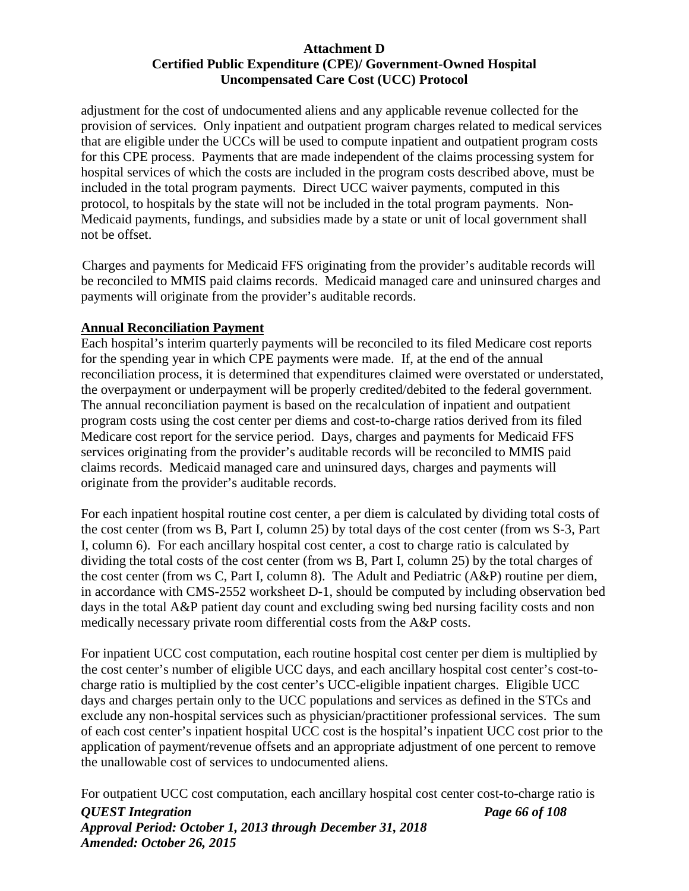#### **Attachment D Certified Public Expenditure (CPE)/ Government-Owned Hospital Uncompensated Care Cost (UCC) Protocol**

adjustment for the cost of undocumented aliens and any applicable revenue collected for the provision of services. Only inpatient and outpatient program charges related to medical services that are eligible under the UCCs will be used to compute inpatient and outpatient program costs for this CPE process. Payments that are made independent of the claims processing system for hospital services of which the costs are included in the program costs described above, must be included in the total program payments. Direct UCC waiver payments, computed in this protocol, to hospitals by the state will not be included in the total program payments. Non-Medicaid payments, fundings, and subsidies made by a state or unit of local government shall not be offset.

Charges and payments for Medicaid FFS originating from the provider's auditable records will be reconciled to MMIS paid claims records. Medicaid managed care and uninsured charges and payments will originate from the provider's auditable records.

#### **Annual Reconciliation Payment**

Each hospital's interim quarterly payments will be reconciled to its filed Medicare cost reports for the spending year in which CPE payments were made. If, at the end of the annual reconciliation process, it is determined that expenditures claimed were overstated or understated, the overpayment or underpayment will be properly credited/debited to the federal government. The annual reconciliation payment is based on the recalculation of inpatient and outpatient program costs using the cost center per diems and cost-to-charge ratios derived from its filed Medicare cost report for the service period. Days, charges and payments for Medicaid FFS services originating from the provider's auditable records will be reconciled to MMIS paid claims records. Medicaid managed care and uninsured days, charges and payments will originate from the provider's auditable records.

For each inpatient hospital routine cost center, a per diem is calculated by dividing total costs of the cost center (from ws B, Part I, column 25) by total days of the cost center (from ws S-3, Part I, column 6). For each ancillary hospital cost center, a cost to charge ratio is calculated by dividing the total costs of the cost center (from ws B, Part I, column 25) by the total charges of the cost center (from ws C, Part I, column 8). The Adult and Pediatric (A&P) routine per diem, in accordance with CMS-2552 worksheet D-1, should be computed by including observation bed days in the total A&P patient day count and excluding swing bed nursing facility costs and non medically necessary private room differential costs from the A&P costs.

For inpatient UCC cost computation, each routine hospital cost center per diem is multiplied by the cost center's number of eligible UCC days, and each ancillary hospital cost center's cost-tocharge ratio is multiplied by the cost center's UCC-eligible inpatient charges. Eligible UCC days and charges pertain only to the UCC populations and services as defined in the STCs and exclude any non-hospital services such as physician/practitioner professional services. The sum of each cost center's inpatient hospital UCC cost is the hospital's inpatient UCC cost prior to the application of payment/revenue offsets and an appropriate adjustment of one percent to remove the unallowable cost of services to undocumented aliens.

For outpatient UCC cost computation, each ancillary hospital cost center cost-to-charge ratio is

*QUEST Integration Page 66 of 108 Approval Period: October 1, 2013 through December 31, 2018 Amended: October 26, 2015*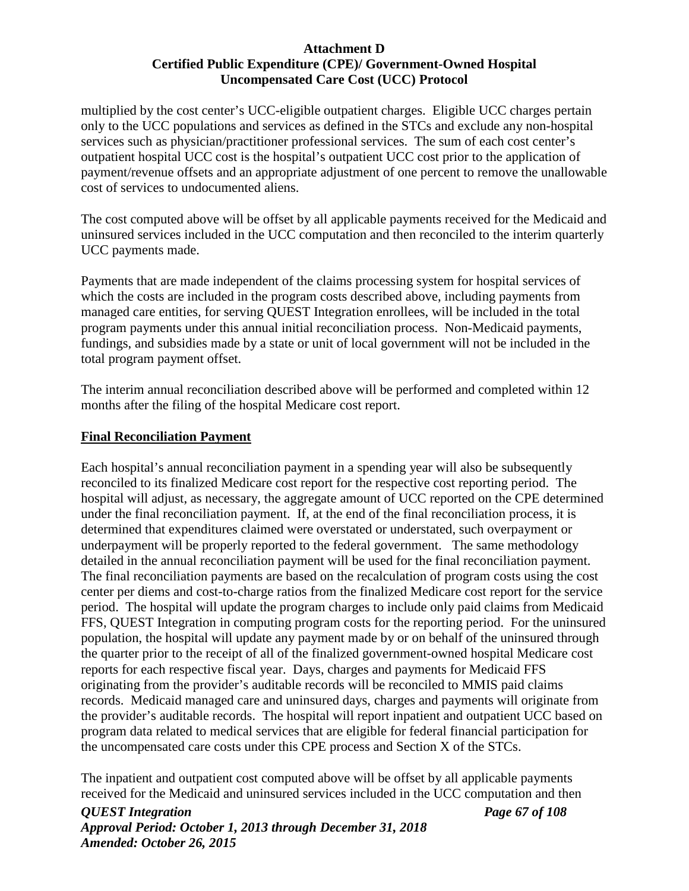#### **Attachment D Certified Public Expenditure (CPE)/ Government-Owned Hospital Uncompensated Care Cost (UCC) Protocol**

multiplied by the cost center's UCC-eligible outpatient charges. Eligible UCC charges pertain only to the UCC populations and services as defined in the STCs and exclude any non-hospital services such as physician/practitioner professional services. The sum of each cost center's outpatient hospital UCC cost is the hospital's outpatient UCC cost prior to the application of payment/revenue offsets and an appropriate adjustment of one percent to remove the unallowable cost of services to undocumented aliens.

The cost computed above will be offset by all applicable payments received for the Medicaid and uninsured services included in the UCC computation and then reconciled to the interim quarterly UCC payments made.

Payments that are made independent of the claims processing system for hospital services of which the costs are included in the program costs described above, including payments from managed care entities, for serving QUEST Integration enrollees, will be included in the total program payments under this annual initial reconciliation process. Non-Medicaid payments, fundings, and subsidies made by a state or unit of local government will not be included in the total program payment offset.

The interim annual reconciliation described above will be performed and completed within 12 months after the filing of the hospital Medicare cost report.

#### **Final Reconciliation Payment**

Each hospital's annual reconciliation payment in a spending year will also be subsequently reconciled to its finalized Medicare cost report for the respective cost reporting period. The hospital will adjust, as necessary, the aggregate amount of UCC reported on the CPE determined under the final reconciliation payment. If, at the end of the final reconciliation process, it is determined that expenditures claimed were overstated or understated, such overpayment or underpayment will be properly reported to the federal government. The same methodology detailed in the annual reconciliation payment will be used for the final reconciliation payment. The final reconciliation payments are based on the recalculation of program costs using the cost center per diems and cost-to-charge ratios from the finalized Medicare cost report for the service period. The hospital will update the program charges to include only paid claims from Medicaid FFS, QUEST Integration in computing program costs for the reporting period. For the uninsured population, the hospital will update any payment made by or on behalf of the uninsured through the quarter prior to the receipt of all of the finalized government-owned hospital Medicare cost reports for each respective fiscal year. Days, charges and payments for Medicaid FFS originating from the provider's auditable records will be reconciled to MMIS paid claims records. Medicaid managed care and uninsured days, charges and payments will originate from the provider's auditable records. The hospital will report inpatient and outpatient UCC based on program data related to medical services that are eligible for federal financial participation for the uncompensated care costs under this CPE process and Section X of the STCs.

The inpatient and outpatient cost computed above will be offset by all applicable payments received for the Medicaid and uninsured services included in the UCC computation and then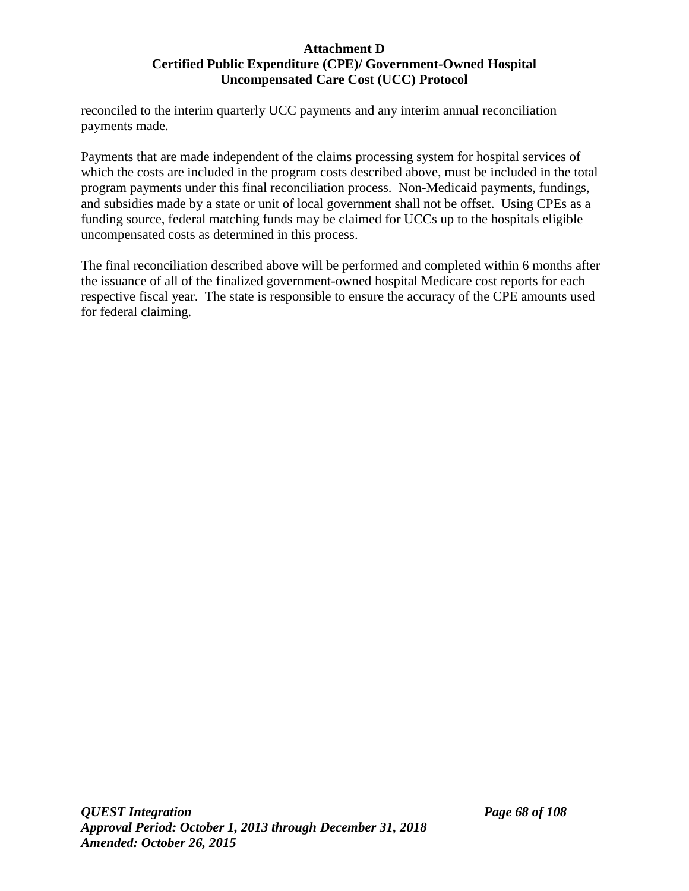#### **Attachment D Certified Public Expenditure (CPE)/ Government-Owned Hospital Uncompensated Care Cost (UCC) Protocol**

reconciled to the interim quarterly UCC payments and any interim annual reconciliation payments made.

Payments that are made independent of the claims processing system for hospital services of which the costs are included in the program costs described above, must be included in the total program payments under this final reconciliation process. Non-Medicaid payments, fundings, and subsidies made by a state or unit of local government shall not be offset. Using CPEs as a funding source, federal matching funds may be claimed for UCCs up to the hospitals eligible uncompensated costs as determined in this process.

The final reconciliation described above will be performed and completed within 6 months after the issuance of all of the finalized government-owned hospital Medicare cost reports for each respective fiscal year. The state is responsible to ensure the accuracy of the CPE amounts used for federal claiming.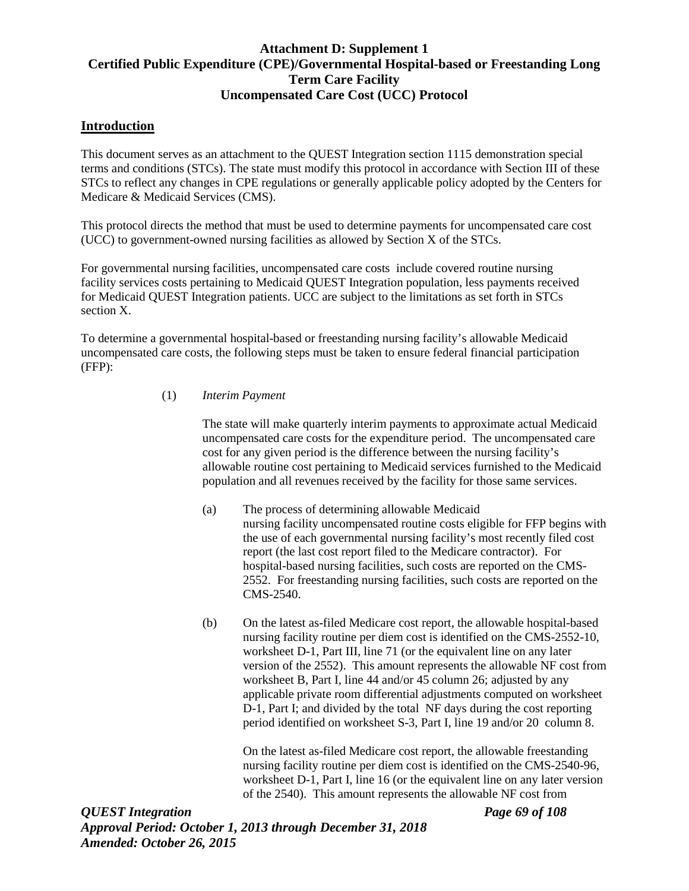## **Attachment D: Supplement 1 Certified Public Expenditure (CPE)/Governmental Hospital-based or Freestanding Long Term Care Facility Uncompensated Care Cost (UCC) Protocol**

#### **Introduction**

This document serves as an attachment to the QUEST Integration section 1115 demonstration special terms and conditions (STCs). The state must modify this protocol in accordance with Section III of these STCs to reflect any changes in CPE regulations or generally applicable policy adopted by the Centers for Medicare & Medicaid Services (CMS).

This protocol directs the method that must be used to determine payments for uncompensated care cost (UCC) to government-owned nursing facilities as allowed by Section X of the STCs.

For governmental nursing facilities, uncompensated care costs include covered routine nursing facility services costs pertaining to Medicaid QUEST Integration population, less payments received for Medicaid QUEST Integration patients. UCC are subject to the limitations as set forth in STCs section X.

To determine a governmental hospital-based or freestanding nursing facility's allowable Medicaid uncompensated care costs, the following steps must be taken to ensure federal financial participation (FFP):

#### (1) *Interim Payment*

The state will make quarterly interim payments to approximate actual Medicaid uncompensated care costs for the expenditure period. The uncompensated care cost for any given period is the difference between the nursing facility's allowable routine cost pertaining to Medicaid services furnished to the Medicaid population and all revenues received by the facility for those same services.

- (a) The process of determining allowable Medicaid nursing facility uncompensated routine costs eligible for FFP begins with the use of each governmental nursing facility's most recently filed cost report (the last cost report filed to the Medicare contractor). For hospital-based nursing facilities, such costs are reported on the CMS-2552. For freestanding nursing facilities, such costs are reported on the CMS-2540.
- (b) On the latest as-filed Medicare cost report, the allowable hospital-based nursing facility routine per diem cost is identified on the CMS-2552-10, worksheet D-1, Part III, line 71 (or the equivalent line on any later version of the 2552). This amount represents the allowable NF cost from worksheet B, Part I, line 44 and/or 45 column 26; adjusted by any applicable private room differential adjustments computed on worksheet D-1, Part I; and divided by the total NF days during the cost reporting period identified on worksheet S-3, Part I, line 19 and/or 20 column 8.

On the latest as-filed Medicare cost report, the allowable freestanding nursing facility routine per diem cost is identified on the CMS-2540-96, worksheet D-1, Part I, line 16 (or the equivalent line on any later version of the 2540). This amount represents the allowable NF cost from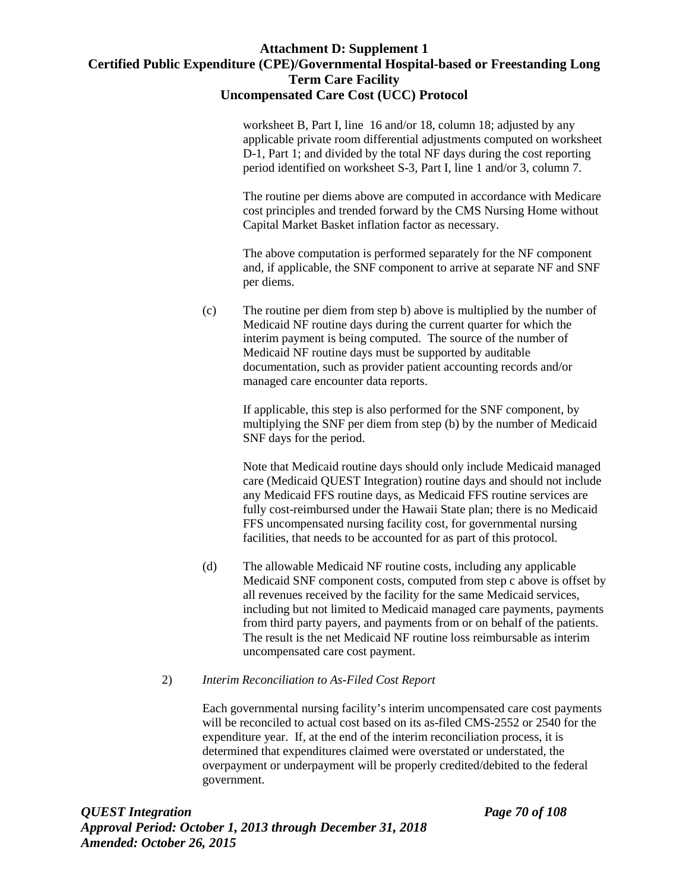## **Attachment D: Supplement 1 Certified Public Expenditure (CPE)/Governmental Hospital-based or Freestanding Long Term Care Facility Uncompensated Care Cost (UCC) Protocol**

worksheet B, Part I, line 16 and/or 18, column 18; adjusted by any applicable private room differential adjustments computed on worksheet D-1, Part 1; and divided by the total NF days during the cost reporting period identified on worksheet S-3, Part I, line 1 and/or 3, column 7.

The routine per diems above are computed in accordance with Medicare cost principles and trended forward by the CMS Nursing Home without Capital Market Basket inflation factor as necessary.

The above computation is performed separately for the NF component and, if applicable, the SNF component to arrive at separate NF and SNF per diems.

(c) The routine per diem from step b) above is multiplied by the number of Medicaid NF routine days during the current quarter for which the interim payment is being computed. The source of the number of Medicaid NF routine days must be supported by auditable documentation, such as provider patient accounting records and/or managed care encounter data reports.

> If applicable, this step is also performed for the SNF component, by multiplying the SNF per diem from step (b) by the number of Medicaid SNF days for the period.

Note that Medicaid routine days should only include Medicaid managed care (Medicaid QUEST Integration) routine days and should not include any Medicaid FFS routine days, as Medicaid FFS routine services are fully cost-reimbursed under the Hawaii State plan; there is no Medicaid FFS uncompensated nursing facility cost, for governmental nursing facilities, that needs to be accounted for as part of this protocol.

(d) The allowable Medicaid NF routine costs, including any applicable Medicaid SNF component costs, computed from step c above is offset by all revenues received by the facility for the same Medicaid services, including but not limited to Medicaid managed care payments, payments from third party payers, and payments from or on behalf of the patients. The result is the net Medicaid NF routine loss reimbursable as interim uncompensated care cost payment.

#### 2) *Interim Reconciliation to As-Filed Cost Report*

Each governmental nursing facility's interim uncompensated care cost payments will be reconciled to actual cost based on its as-filed CMS-2552 or 2540 for the expenditure year. If, at the end of the interim reconciliation process, it is determined that expenditures claimed were overstated or understated, the overpayment or underpayment will be properly credited/debited to the federal government.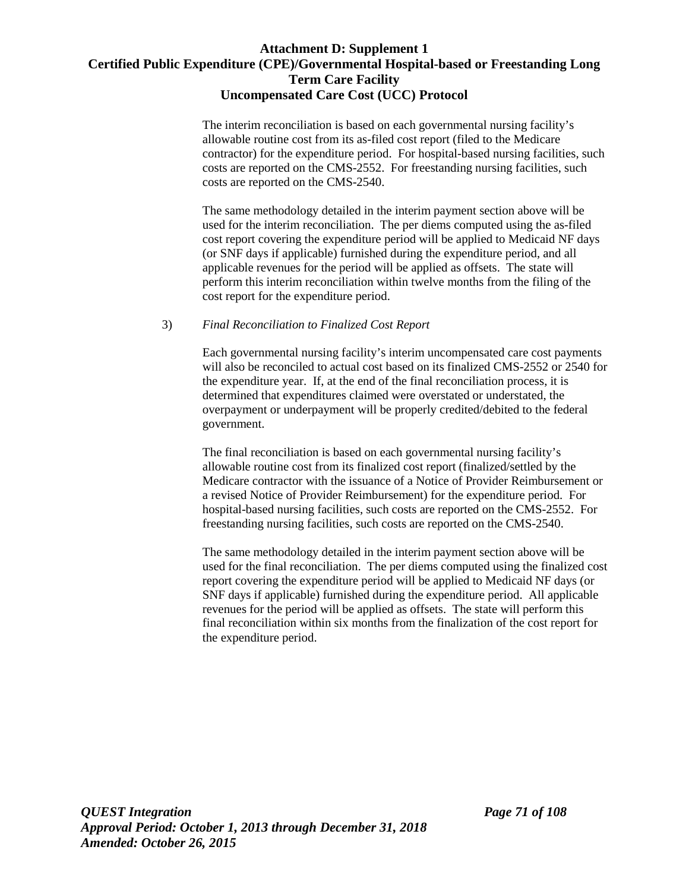## **Attachment D: Supplement 1 Certified Public Expenditure (CPE)/Governmental Hospital-based or Freestanding Long Term Care Facility Uncompensated Care Cost (UCC) Protocol**

The interim reconciliation is based on each governmental nursing facility's allowable routine cost from its as-filed cost report (filed to the Medicare contractor) for the expenditure period. For hospital-based nursing facilities, such costs are reported on the CMS-2552. For freestanding nursing facilities, such costs are reported on the CMS-2540.

The same methodology detailed in the interim payment section above will be used for the interim reconciliation. The per diems computed using the as-filed cost report covering the expenditure period will be applied to Medicaid NF days (or SNF days if applicable) furnished during the expenditure period, and all applicable revenues for the period will be applied as offsets. The state will perform this interim reconciliation within twelve months from the filing of the cost report for the expenditure period.

#### 3) *Final Reconciliation to Finalized Cost Report*

Each governmental nursing facility's interim uncompensated care cost payments will also be reconciled to actual cost based on its finalized CMS-2552 or 2540 for the expenditure year. If, at the end of the final reconciliation process, it is determined that expenditures claimed were overstated or understated, the overpayment or underpayment will be properly credited/debited to the federal government.

The final reconciliation is based on each governmental nursing facility's allowable routine cost from its finalized cost report (finalized/settled by the Medicare contractor with the issuance of a Notice of Provider Reimbursement or a revised Notice of Provider Reimbursement) for the expenditure period. For hospital-based nursing facilities, such costs are reported on the CMS-2552. For freestanding nursing facilities, such costs are reported on the CMS-2540.

The same methodology detailed in the interim payment section above will be used for the final reconciliation. The per diems computed using the finalized cost report covering the expenditure period will be applied to Medicaid NF days (or SNF days if applicable) furnished during the expenditure period. All applicable revenues for the period will be applied as offsets. The state will perform this final reconciliation within six months from the finalization of the cost report for the expenditure period.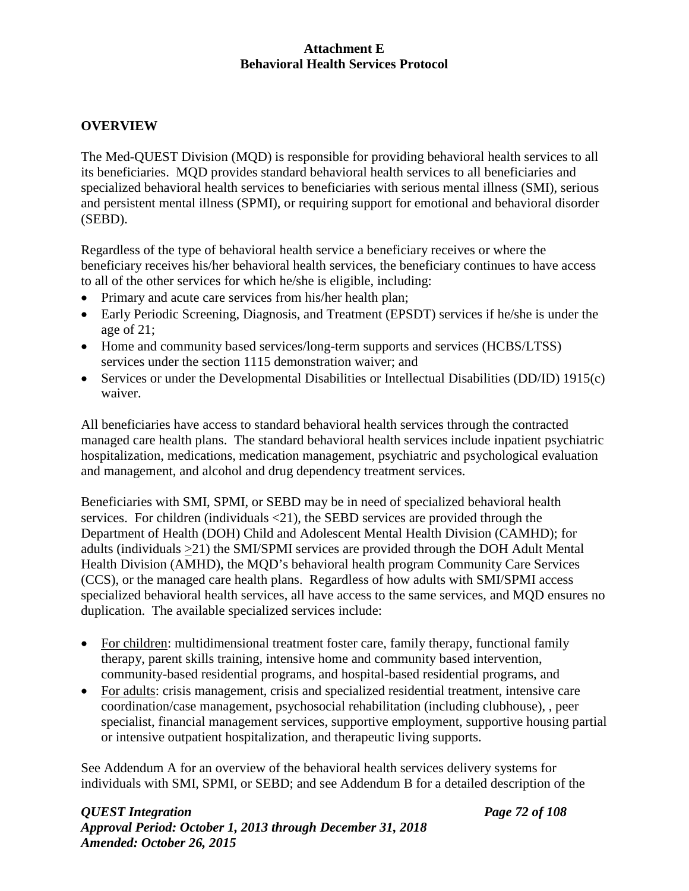## **OVERVIEW**

The Med-QUEST Division (MQD) is responsible for providing behavioral health services to all its beneficiaries. MQD provides standard behavioral health services to all beneficiaries and specialized behavioral health services to beneficiaries with serious mental illness (SMI), serious and persistent mental illness (SPMI), or requiring support for emotional and behavioral disorder (SEBD).

Regardless of the type of behavioral health service a beneficiary receives or where the beneficiary receives his/her behavioral health services, the beneficiary continues to have access to all of the other services for which he/she is eligible, including:

- Primary and acute care services from his/her health plan;
- Early Periodic Screening, Diagnosis, and Treatment (EPSDT) services if he/she is under the age of 21;
- Home and community based services/long-term supports and services (HCBS/LTSS) services under the section 1115 demonstration waiver; and
- Services or under the Developmental Disabilities or Intellectual Disabilities (DD/ID) 1915(c) waiver.

All beneficiaries have access to standard behavioral health services through the contracted managed care health plans. The standard behavioral health services include inpatient psychiatric hospitalization, medications, medication management, psychiatric and psychological evaluation and management, and alcohol and drug dependency treatment services.

Beneficiaries with SMI, SPMI, or SEBD may be in need of specialized behavioral health services. For children (individuals <21), the SEBD services are provided through the Department of Health (DOH) Child and Adolescent Mental Health Division (CAMHD); for adults (individuals >21) the SMI/SPMI services are provided through the DOH Adult Mental Health Division (AMHD), the MQD's behavioral health program Community Care Services (CCS), or the managed care health plans. Regardless of how adults with SMI/SPMI access specialized behavioral health services, all have access to the same services, and MQD ensures no duplication. The available specialized services include:

- For children: multidimensional treatment foster care, family therapy, functional family therapy, parent skills training, intensive home and community based intervention, community-based residential programs, and hospital-based residential programs, and
- For adults: crisis management, crisis and specialized residential treatment, intensive care coordination/case management, psychosocial rehabilitation (including clubhouse), , peer specialist, financial management services, supportive employment, supportive housing partial or intensive outpatient hospitalization, and therapeutic living supports.

See Addendum A for an overview of the behavioral health services delivery systems for individuals with SMI, SPMI, or SEBD; and see Addendum B for a detailed description of the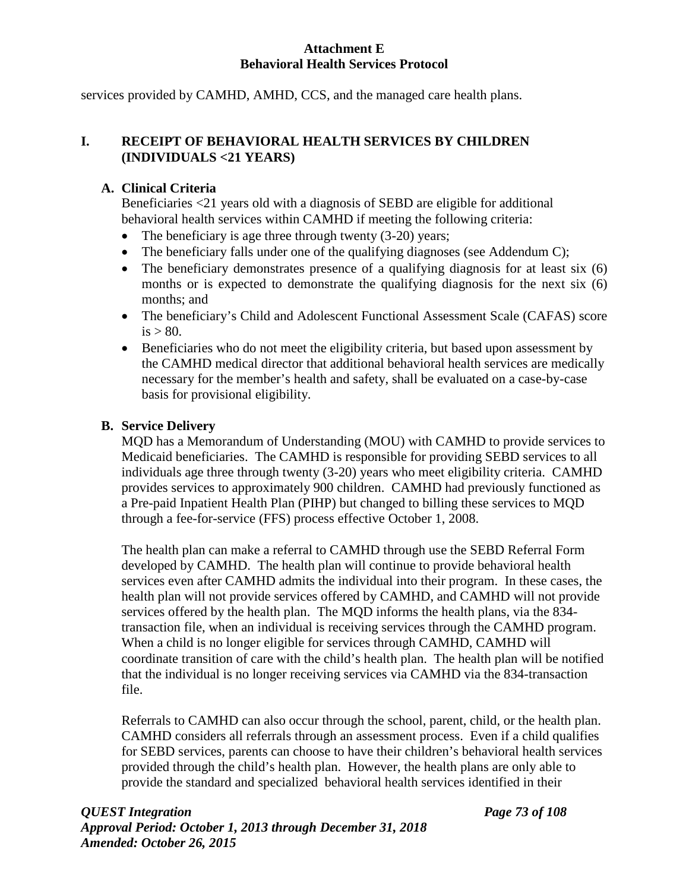services provided by CAMHD, AMHD, CCS, and the managed care health plans.

## **I. RECEIPT OF BEHAVIORAL HEALTH SERVICES BY CHILDREN (INDIVIDUALS <21 YEARS)**

## **A. Clinical Criteria**

Beneficiaries <21 years old with a diagnosis of SEBD are eligible for additional behavioral health services within CAMHD if meeting the following criteria:

- The beneficiary is age three through twenty  $(3-20)$  years;
- The beneficiary falls under one of the qualifying diagnoses (see Addendum C);
- The beneficiary demonstrates presence of a qualifying diagnosis for at least six (6) months or is expected to demonstrate the qualifying diagnosis for the next six (6) months; and
- The beneficiary's Child and Adolescent Functional Assessment Scale (CAFAS) score  $is > 80$ .
- Beneficiaries who do not meet the eligibility criteria, but based upon assessment by the CAMHD medical director that additional behavioral health services are medically necessary for the member's health and safety, shall be evaluated on a case-by-case basis for provisional eligibility.

## **B. Service Delivery**

MQD has a Memorandum of Understanding (MOU) with CAMHD to provide services to Medicaid beneficiaries. The CAMHD is responsible for providing SEBD services to all individuals age three through twenty (3-20) years who meet eligibility criteria. CAMHD provides services to approximately 900 children. CAMHD had previously functioned as a Pre-paid Inpatient Health Plan (PIHP) but changed to billing these services to MQD through a fee-for-service (FFS) process effective October 1, 2008.

The health plan can make a referral to CAMHD through use the SEBD Referral Form developed by CAMHD. The health plan will continue to provide behavioral health services even after CAMHD admits the individual into their program. In these cases, the health plan will not provide services offered by CAMHD, and CAMHD will not provide services offered by the health plan. The MQD informs the health plans, via the 834 transaction file, when an individual is receiving services through the CAMHD program. When a child is no longer eligible for services through CAMHD, CAMHD will coordinate transition of care with the child's health plan. The health plan will be notified that the individual is no longer receiving services via CAMHD via the 834-transaction file.

Referrals to CAMHD can also occur through the school, parent, child, or the health plan. CAMHD considers all referrals through an assessment process. Even if a child qualifies for SEBD services, parents can choose to have their children's behavioral health services provided through the child's health plan. However, the health plans are only able to provide the standard and specialized behavioral health services identified in their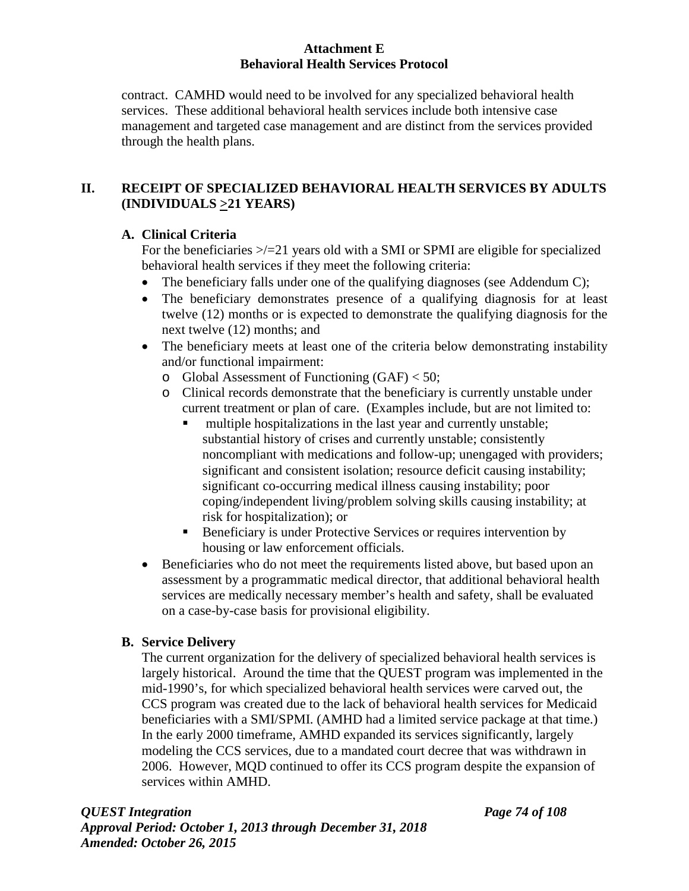contract. CAMHD would need to be involved for any specialized behavioral health services. These additional behavioral health services include both intensive case management and targeted case management and are distinct from the services provided through the health plans.

## **II. RECEIPT OF SPECIALIZED BEHAVIORAL HEALTH SERVICES BY ADULTS (INDIVIDUALS >21 YEARS)**

## **A. Clinical Criteria**

For the beneficiaries  $\ge$ /=21 years old with a SMI or SPMI are eligible for specialized behavioral health services if they meet the following criteria:

- The beneficiary falls under one of the qualifying diagnoses (see Addendum C);
- The beneficiary demonstrates presence of a qualifying diagnosis for at least twelve (12) months or is expected to demonstrate the qualifying diagnosis for the next twelve (12) months; and
- The beneficiary meets at least one of the criteria below demonstrating instability and/or functional impairment:
	- o Global Assessment of Functioning (GAF) < 50;
	- o Clinical records demonstrate that the beneficiary is currently unstable under current treatment or plan of care. (Examples include, but are not limited to:
		- multiple hospitalizations in the last year and currently unstable; substantial history of crises and currently unstable; consistently noncompliant with medications and follow-up; unengaged with providers; significant and consistent isolation; resource deficit causing instability; significant co-occurring medical illness causing instability; poor coping/independent living/problem solving skills causing instability; at risk for hospitalization); or
		- Beneficiary is under Protective Services or requires intervention by housing or law enforcement officials.
- Beneficiaries who do not meet the requirements listed above, but based upon an assessment by a programmatic medical director, that additional behavioral health services are medically necessary member's health and safety, shall be evaluated on a case-by-case basis for provisional eligibility.

# **B. Service Delivery**

The current organization for the delivery of specialized behavioral health services is largely historical. Around the time that the QUEST program was implemented in the mid-1990's, for which specialized behavioral health services were carved out, the CCS program was created due to the lack of behavioral health services for Medicaid beneficiaries with a SMI/SPMI. (AMHD had a limited service package at that time.) In the early 2000 timeframe, AMHD expanded its services significantly, largely modeling the CCS services, due to a mandated court decree that was withdrawn in 2006. However, MQD continued to offer its CCS program despite the expansion of services within AMHD.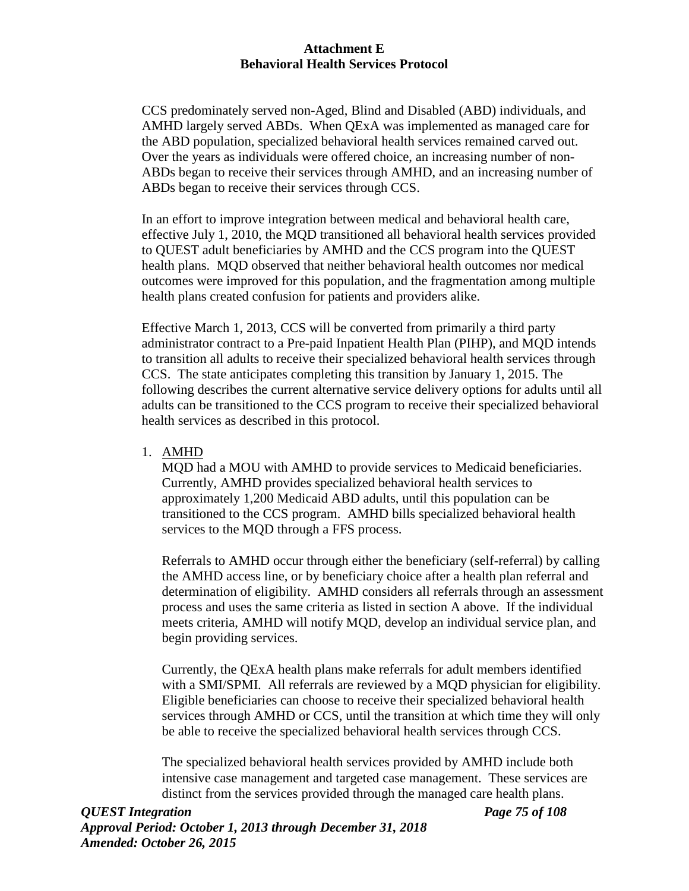CCS predominately served non-Aged, Blind and Disabled (ABD) individuals, and AMHD largely served ABDs. When QExA was implemented as managed care for the ABD population, specialized behavioral health services remained carved out. Over the years as individuals were offered choice, an increasing number of non-ABDs began to receive their services through AMHD, and an increasing number of ABDs began to receive their services through CCS.

In an effort to improve integration between medical and behavioral health care, effective July 1, 2010, the MQD transitioned all behavioral health services provided to QUEST adult beneficiaries by AMHD and the CCS program into the QUEST health plans. MQD observed that neither behavioral health outcomes nor medical outcomes were improved for this population, and the fragmentation among multiple health plans created confusion for patients and providers alike.

Effective March 1, 2013, CCS will be converted from primarily a third party administrator contract to a Pre-paid Inpatient Health Plan (PIHP), and MQD intends to transition all adults to receive their specialized behavioral health services through CCS. The state anticipates completing this transition by January 1, 2015. The following describes the current alternative service delivery options for adults until all adults can be transitioned to the CCS program to receive their specialized behavioral health services as described in this protocol.

1. AMHD

MQD had a MOU with AMHD to provide services to Medicaid beneficiaries. Currently, AMHD provides specialized behavioral health services to approximately 1,200 Medicaid ABD adults, until this population can be transitioned to the CCS program. AMHD bills specialized behavioral health services to the MQD through a FFS process.

Referrals to AMHD occur through either the beneficiary (self-referral) by calling the AMHD access line, or by beneficiary choice after a health plan referral and determination of eligibility. AMHD considers all referrals through an assessment process and uses the same criteria as listed in section A above. If the individual meets criteria, AMHD will notify MQD, develop an individual service plan, and begin providing services.

Currently, the QExA health plans make referrals for adult members identified with a SMI/SPMI. All referrals are reviewed by a MQD physician for eligibility. Eligible beneficiaries can choose to receive their specialized behavioral health services through AMHD or CCS, until the transition at which time they will only be able to receive the specialized behavioral health services through CCS.

The specialized behavioral health services provided by AMHD include both intensive case management and targeted case management. These services are distinct from the services provided through the managed care health plans.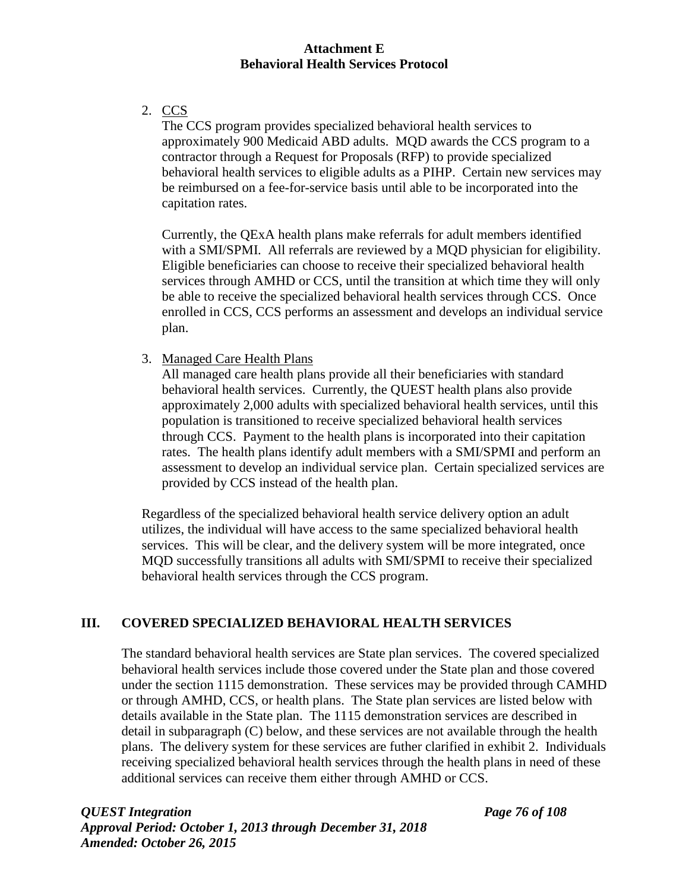2. CCS

The CCS program provides specialized behavioral health services to approximately 900 Medicaid ABD adults. MQD awards the CCS program to a contractor through a Request for Proposals (RFP) to provide specialized behavioral health services to eligible adults as a PIHP. Certain new services may be reimbursed on a fee-for-service basis until able to be incorporated into the capitation rates.

Currently, the QExA health plans make referrals for adult members identified with a SMI/SPMI. All referrals are reviewed by a MQD physician for eligibility. Eligible beneficiaries can choose to receive their specialized behavioral health services through AMHD or CCS, until the transition at which time they will only be able to receive the specialized behavioral health services through CCS. Once enrolled in CCS, CCS performs an assessment and develops an individual service plan.

3. Managed Care Health Plans

All managed care health plans provide all their beneficiaries with standard behavioral health services. Currently, the QUEST health plans also provide approximately 2,000 adults with specialized behavioral health services, until this population is transitioned to receive specialized behavioral health services through CCS. Payment to the health plans is incorporated into their capitation rates. The health plans identify adult members with a SMI/SPMI and perform an assessment to develop an individual service plan. Certain specialized services are provided by CCS instead of the health plan.

Regardless of the specialized behavioral health service delivery option an adult utilizes, the individual will have access to the same specialized behavioral health services. This will be clear, and the delivery system will be more integrated, once MQD successfully transitions all adults with SMI/SPMI to receive their specialized behavioral health services through the CCS program.

## **III. COVERED SPECIALIZED BEHAVIORAL HEALTH SERVICES**

The standard behavioral health services are State plan services. The covered specialized behavioral health services include those covered under the State plan and those covered under the section 1115 demonstration. These services may be provided through CAMHD or through AMHD, CCS, or health plans. The State plan services are listed below with details available in the State plan. The 1115 demonstration services are described in detail in subparagraph (C) below, and these services are not available through the health plans. The delivery system for these services are futher clarified in exhibit 2. Individuals receiving specialized behavioral health services through the health plans in need of these additional services can receive them either through AMHD or CCS.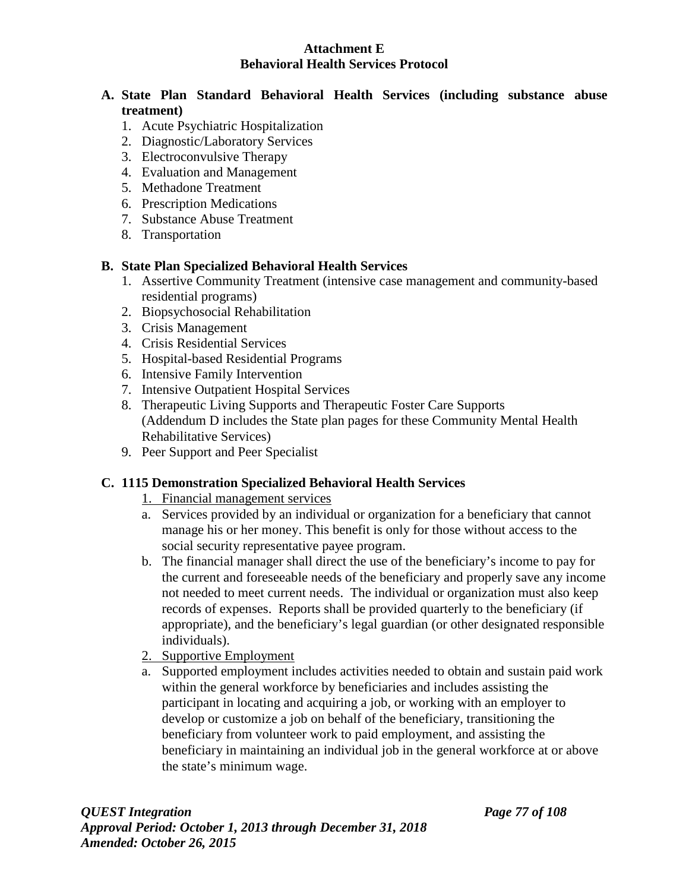## **A. State Plan Standard Behavioral Health Services (including substance abuse treatment)**

- 1. Acute Psychiatric Hospitalization
- 2. Diagnostic/Laboratory Services
- 3. Electroconvulsive Therapy
- 4. Evaluation and Management
- 5. Methadone Treatment
- 6. Prescription Medications
- 7. Substance Abuse Treatment
- 8. Transportation

## **B. State Plan Specialized Behavioral Health Services**

- 1. Assertive Community Treatment (intensive case management and community-based residential programs)
- 2. Biopsychosocial Rehabilitation
- 3. Crisis Management
- 4. Crisis Residential Services
- 5. Hospital-based Residential Programs
- 6. Intensive Family Intervention
- 7. Intensive Outpatient Hospital Services
- 8. Therapeutic Living Supports and Therapeutic Foster Care Supports (Addendum D includes the State plan pages for these Community Mental Health Rehabilitative Services)
- 9. Peer Support and Peer Specialist

#### **C. 1115 Demonstration Specialized Behavioral Health Services**

- 1. Financial management services
- a. Services provided by an individual or organization for a beneficiary that cannot manage his or her money. This benefit is only for those without access to the social security representative payee program.
- b. The financial manager shall direct the use of the beneficiary's income to pay for the current and foreseeable needs of the beneficiary and properly save any income not needed to meet current needs. The individual or organization must also keep records of expenses. Reports shall be provided quarterly to the beneficiary (if appropriate), and the beneficiary's legal guardian (or other designated responsible individuals).
- 2. Supportive Employment
- a. Supported employment includes activities needed to obtain and sustain paid work within the general workforce by beneficiaries and includes assisting the participant in locating and acquiring a job, or working with an employer to develop or customize a job on behalf of the beneficiary, transitioning the beneficiary from volunteer work to paid employment, and assisting the beneficiary in maintaining an individual job in the general workforce at or above the state's minimum wage.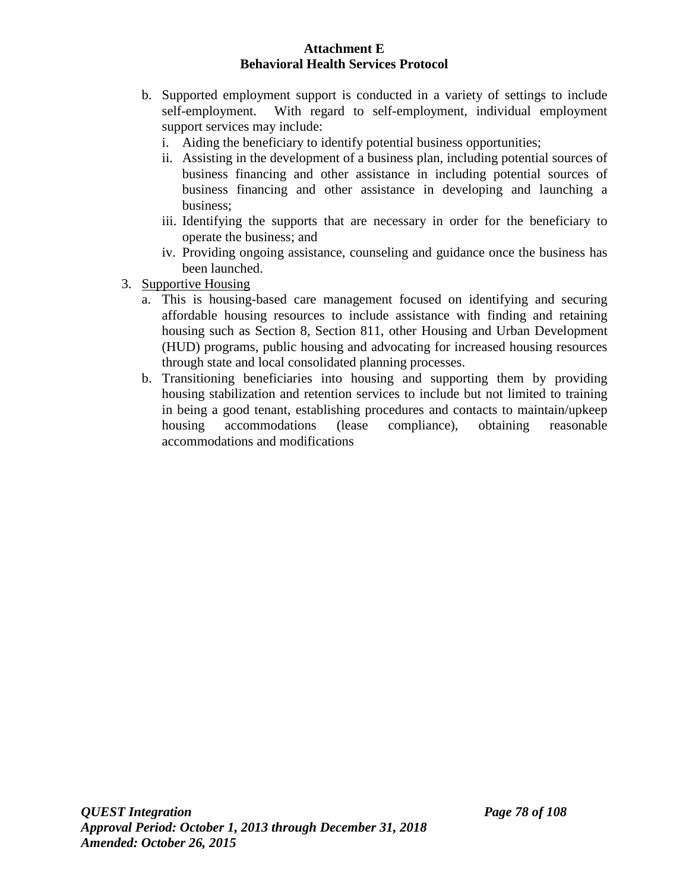- b. Supported employment support is conducted in a variety of settings to include self-employment. With regard to self-employment, individual employment support services may include:
	- i. Aiding the beneficiary to identify potential business opportunities;
	- ii. Assisting in the development of a business plan, including potential sources of business financing and other assistance in including potential sources of business financing and other assistance in developing and launching a business;
	- iii. Identifying the supports that are necessary in order for the beneficiary to operate the business; and
	- iv. Providing ongoing assistance, counseling and guidance once the business has been launched.
- 3. Supportive Housing
	- a. This is housing-based care management focused on identifying and securing affordable housing resources to include assistance with finding and retaining housing such as Section 8, Section 811, other Housing and Urban Development (HUD) programs, public housing and advocating for increased housing resources through state and local consolidated planning processes.
	- b. Transitioning beneficiaries into housing and supporting them by providing housing stabilization and retention services to include but not limited to training in being a good tenant, establishing procedures and contacts to maintain/upkeep housing accommodations (lease compliance), obtaining reasonable accommodations and modifications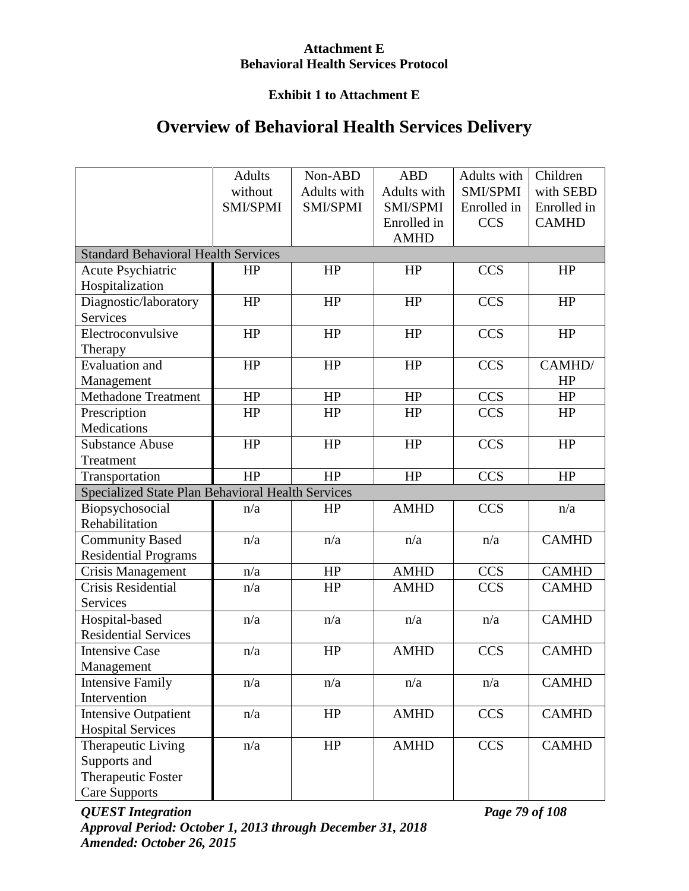# **Exhibit 1 to Attachment E**

# **Overview of Behavioral Health Services Delivery**

|                                                   | <b>Adults</b> | Non-ABD     | <b>ABD</b>  | Adults with | Children     |
|---------------------------------------------------|---------------|-------------|-------------|-------------|--------------|
|                                                   | without       | Adults with | Adults with | SMI/SPMI    | with SEBD    |
|                                                   | SMI/SPMI      | SMI/SPMI    | SMI/SPMI    | Enrolled in | Enrolled in  |
|                                                   |               |             | Enrolled in | <b>CCS</b>  | <b>CAMHD</b> |
|                                                   |               |             | <b>AMHD</b> |             |              |
| <b>Standard Behavioral Health Services</b>        |               |             |             |             |              |
| <b>Acute Psychiatric</b>                          | <b>HP</b>     | HP          | HP          | <b>CCS</b>  | HP           |
| Hospitalization                                   |               |             |             |             |              |
| Diagnostic/laboratory                             | HP            | HP          | HP          | <b>CCS</b>  | HP           |
| <b>Services</b>                                   |               |             |             |             |              |
| Electroconvulsive                                 | HP            | HP          | HP          | <b>CCS</b>  | HP           |
| Therapy                                           |               |             |             |             |              |
| <b>Evaluation</b> and                             | HP            | HP          | HP          | <b>CCS</b>  | CAMHD/       |
| Management                                        |               |             |             |             | HP           |
| <b>Methadone Treatment</b>                        | HP            | HP          | HP          | <b>CCS</b>  | HP           |
| Prescription                                      | HP            | HP          | HP          | <b>CCS</b>  | HP           |
| Medications                                       |               |             |             |             |              |
| <b>Substance Abuse</b>                            | HP            | HP          | HP          | <b>CCS</b>  | HP           |
| Treatment                                         |               |             |             |             |              |
| Transportation                                    | HP            | HP          | HP          | <b>CCS</b>  | HP           |
| Specialized State Plan Behavioral Health Services |               |             |             |             |              |
| Biopsychosocial                                   | n/a           | HP          | <b>AMHD</b> | <b>CCS</b>  | n/a          |
| Rehabilitation                                    |               |             |             |             |              |
| <b>Community Based</b>                            | n/a           | n/a         | n/a         | n/a         | <b>CAMHD</b> |
| <b>Residential Programs</b>                       |               |             |             |             |              |
| <b>Crisis Management</b>                          | n/a           | HP          | <b>AMHD</b> | <b>CCS</b>  | <b>CAMHD</b> |
| <b>Crisis Residential</b>                         | n/a           | HP          | <b>AMHD</b> | <b>CCS</b>  | <b>CAMHD</b> |
| Services                                          |               |             |             |             |              |
| Hospital-based                                    | n/a           | n/a         | n/a         | n/a         | <b>CAMHD</b> |
| <b>Residential Services</b>                       |               |             |             |             |              |
| <b>Intensive Case</b>                             | n/a           | HP          | <b>AMHD</b> | <b>CCS</b>  | <b>CAMHD</b> |
| Management                                        |               |             |             |             |              |
| <b>Intensive Family</b>                           | n/a           | n/a         | n/a         | n/a         | <b>CAMHD</b> |
| Intervention                                      |               |             |             |             |              |
| <b>Intensive Outpatient</b>                       | n/a           | HP          | <b>AMHD</b> | <b>CCS</b>  | <b>CAMHD</b> |
| <b>Hospital Services</b>                          |               |             |             |             |              |
| Therapeutic Living                                | n/a           | HP          | <b>AMHD</b> | <b>CCS</b>  | <b>CAMHD</b> |
| Supports and                                      |               |             |             |             |              |
| Therapeutic Foster                                |               |             |             |             |              |
| <b>Care Supports</b>                              |               |             |             |             |              |

*QUEST Integration Page 79 of 108 Approval Period: October 1, 2013 through December 31, 2018 Amended: October 26, 2015*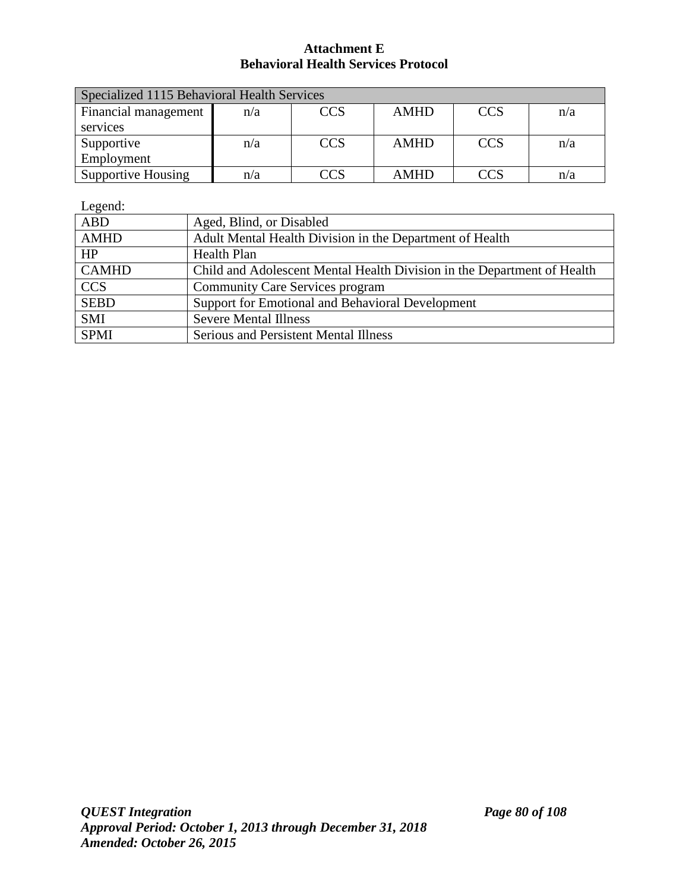| Specialized 1115 Behavioral Health Services |     |            |             |            |     |  |
|---------------------------------------------|-----|------------|-------------|------------|-----|--|
| Financial management                        | n/a | <b>CCS</b> | <b>AMHD</b> | <b>CCS</b> | n/a |  |
| services                                    |     |            |             |            |     |  |
| Supportive                                  | n/a | <b>CCS</b> | <b>AMHD</b> | <b>CCS</b> | n/a |  |
| Employment                                  |     |            |             |            |     |  |
| <b>Supportive Housing</b>                   | n/a | CCS        | <b>AMHD</b> | CC.        | n/a |  |

Legend:

| ABD          | Aged, Blind, or Disabled                                                |
|--------------|-------------------------------------------------------------------------|
| <b>AMHD</b>  | Adult Mental Health Division in the Department of Health                |
| HP           | Health Plan                                                             |
| <b>CAMHD</b> | Child and Adolescent Mental Health Division in the Department of Health |
| <b>CCS</b>   | <b>Community Care Services program</b>                                  |
| <b>SEBD</b>  | Support for Emotional and Behavioral Development                        |
| <b>SMI</b>   | <b>Severe Mental Illness</b>                                            |
| <b>SPMI</b>  | Serious and Persistent Mental Illness                                   |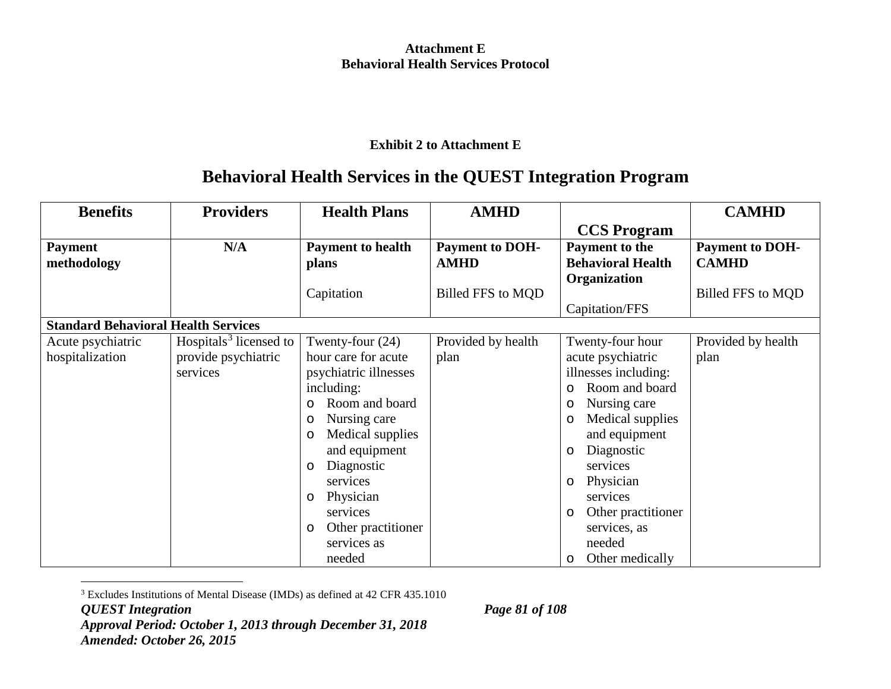## <span id="page-87-0"></span>**Exhibit 2 to Attachment E**

# **Behavioral Health Services in the QUEST Integration Program**

| <b>Benefits</b>                            | <b>Providers</b>                   | <b>Health Plans</b>           | <b>AMHD</b>            |                             | <b>CAMHD</b>           |
|--------------------------------------------|------------------------------------|-------------------------------|------------------------|-----------------------------|------------------------|
|                                            |                                    |                               |                        | <b>CCS Program</b>          |                        |
| <b>Payment</b>                             | N/A                                | <b>Payment to health</b>      | <b>Payment to DOH-</b> | Payment to the              | <b>Payment to DOH-</b> |
| methodology                                |                                    | plans                         | <b>AMHD</b>            | <b>Behavioral Health</b>    | <b>CAMHD</b>           |
|                                            |                                    |                               |                        | Organization                |                        |
|                                            |                                    | Capitation                    | Billed FFS to MQD      |                             | Billed FFS to MQD      |
|                                            |                                    |                               |                        | Capitation/FFS              |                        |
| <b>Standard Behavioral Health Services</b> |                                    |                               |                        |                             |                        |
| Acute psychiatric                          | Hospitals <sup>3</sup> licensed to | Twenty-four $(24)$            | Provided by health     | Twenty-four hour            | Provided by health     |
| hospitalization                            | provide psychiatric                | hour care for acute           | plan                   | acute psychiatric           | plan                   |
|                                            | services                           | psychiatric illnesses         |                        | illnesses including:        |                        |
|                                            |                                    | including:                    |                        | Room and board<br>$\circ$   |                        |
|                                            |                                    | Room and board<br>$\circ$     |                        | Nursing care<br>O           |                        |
|                                            |                                    | Nursing care<br>$\circ$       |                        | Medical supplies<br>$\circ$ |                        |
|                                            |                                    | Medical supplies<br>$\circ$   |                        | and equipment               |                        |
|                                            |                                    | and equipment                 |                        | Diagnostic<br>$\circ$       |                        |
|                                            |                                    | Diagnostic<br>$\circ$         |                        | services                    |                        |
|                                            |                                    | services                      |                        | Physician<br>$\circ$        |                        |
|                                            |                                    | Physician<br>$\circ$          |                        | services                    |                        |
|                                            |                                    | services                      |                        | Other practitioner<br>O     |                        |
|                                            |                                    | Other practitioner<br>$\circ$ |                        | services, as                |                        |
|                                            |                                    | services as                   |                        | needed                      |                        |
|                                            |                                    | needed                        |                        | Other medically<br>$\circ$  |                        |

3 Excludes Institutions of Mental Disease (IMDs) as defined at 42 CFR 435.1010

*QUEST Integration Page 81 of 108 Approval Period: October 1, 2013 through December 31, 2018 Amended: October 26, 2015*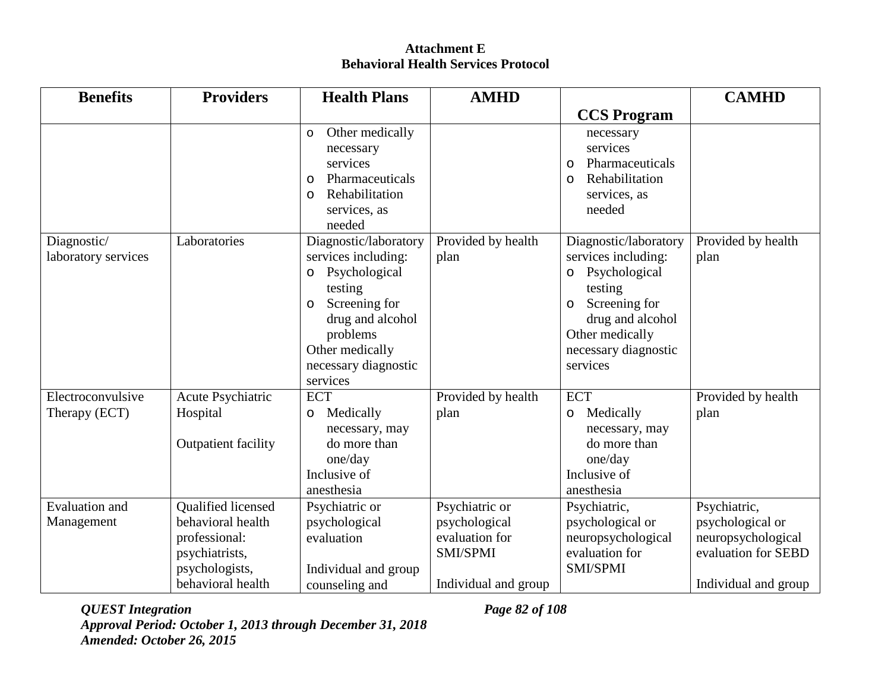| <b>Benefits</b>                     | <b>Providers</b>                                                                                                         | <b>Health Plans</b>                                                                                                                                                                                    | <b>AMHD</b>                                                                           |                                                                                                                                                                                      | <b>CAMHD</b>                                                                                          |
|-------------------------------------|--------------------------------------------------------------------------------------------------------------------------|--------------------------------------------------------------------------------------------------------------------------------------------------------------------------------------------------------|---------------------------------------------------------------------------------------|--------------------------------------------------------------------------------------------------------------------------------------------------------------------------------------|-------------------------------------------------------------------------------------------------------|
|                                     |                                                                                                                          |                                                                                                                                                                                                        |                                                                                       | <b>CCS Program</b>                                                                                                                                                                   |                                                                                                       |
|                                     |                                                                                                                          | Other medically<br>$\circ$<br>necessary<br>services<br>Pharmaceuticals<br>$\circ$<br>Rehabilitation<br>$\circ$<br>services, as<br>needed                                                               |                                                                                       | necessary<br>services<br>Pharmaceuticals<br>$\circ$<br>Rehabilitation<br>$\circ$<br>services, as<br>needed                                                                           |                                                                                                       |
| Diagnostic/<br>laboratory services  | Laboratories                                                                                                             | Diagnostic/laboratory<br>services including:<br>Psychological<br>$\circ$<br>testing<br>Screening for<br>$\circ$<br>drug and alcohol<br>problems<br>Other medically<br>necessary diagnostic<br>services | Provided by health<br>plan                                                            | Diagnostic/laboratory<br>services including:<br>Psychological<br>$\circ$<br>testing<br>Screening for<br>O<br>drug and alcohol<br>Other medically<br>necessary diagnostic<br>services | Provided by health<br>plan                                                                            |
| Electroconvulsive<br>Therapy (ECT)  | Acute Psychiatric<br>Hospital<br><b>Outpatient facility</b>                                                              | <b>ECT</b><br>Medically<br>$\circ$<br>necessary, may<br>do more than<br>one/day<br>Inclusive of                                                                                                        | Provided by health<br>plan                                                            | <b>ECT</b><br>Medically<br>O<br>necessary, may<br>do more than<br>one/day<br>Inclusive of                                                                                            | Provided by health<br>plan                                                                            |
| <b>Evaluation</b> and<br>Management | <b>Oualified licensed</b><br>behavioral health<br>professional:<br>psychiatrists,<br>psychologists,<br>behavioral health | anesthesia<br>Psychiatric or<br>psychological<br>evaluation<br>Individual and group<br>counseling and                                                                                                  | Psychiatric or<br>psychological<br>evaluation for<br>SMI/SPMI<br>Individual and group | anesthesia<br>Psychiatric,<br>psychological or<br>neuropsychological<br>evaluation for<br>SMI/SPMI                                                                                   | Psychiatric,<br>psychological or<br>neuropsychological<br>evaluation for SEBD<br>Individual and group |

*QUEST Integration Page 82 of 108 Approval Period: October 1, 2013 through December 31, 2018 Amended: October 26, 2015*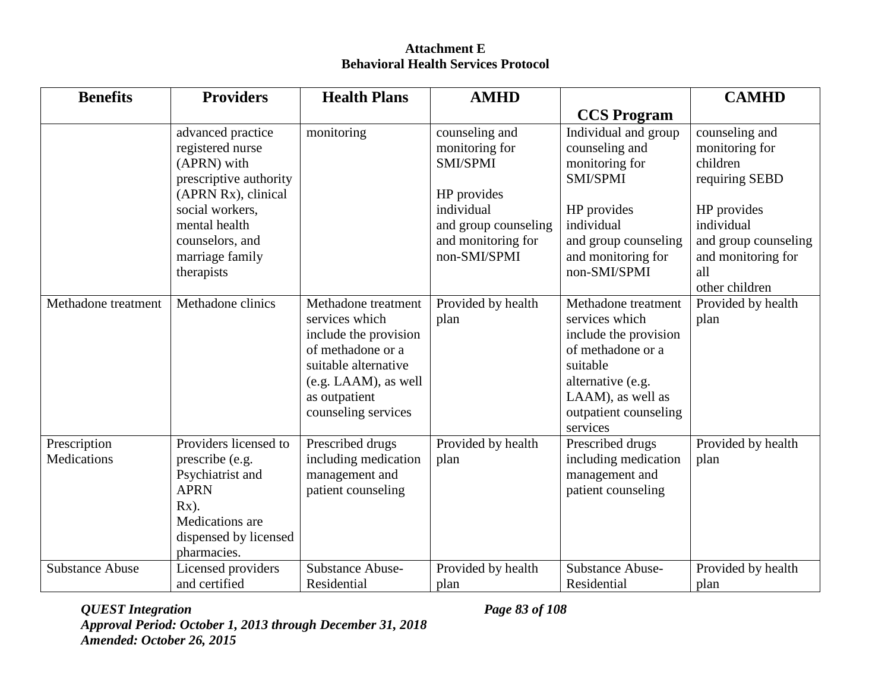| <b>Benefits</b>                    | <b>Providers</b>                                                                                                                                                                              | <b>Health Plans</b>                                                                                                                                                            | <b>AMHD</b>                                                                                                                             |                                                                                                                                                                                | <b>CAMHD</b>                                                                                                                                                       |
|------------------------------------|-----------------------------------------------------------------------------------------------------------------------------------------------------------------------------------------------|--------------------------------------------------------------------------------------------------------------------------------------------------------------------------------|-----------------------------------------------------------------------------------------------------------------------------------------|--------------------------------------------------------------------------------------------------------------------------------------------------------------------------------|--------------------------------------------------------------------------------------------------------------------------------------------------------------------|
|                                    |                                                                                                                                                                                               |                                                                                                                                                                                |                                                                                                                                         | <b>CCS Program</b>                                                                                                                                                             |                                                                                                                                                                    |
|                                    | advanced practice<br>registered nurse<br>(APRN) with<br>prescriptive authority<br>(APRN Rx), clinical<br>social workers,<br>mental health<br>counselors, and<br>marriage family<br>therapists | monitoring                                                                                                                                                                     | counseling and<br>monitoring for<br>SMI/SPMI<br>HP provides<br>individual<br>and group counseling<br>and monitoring for<br>non-SMI/SPMI | Individual and group<br>counseling and<br>monitoring for<br>SMI/SPMI<br>HP provides<br>individual<br>and group counseling<br>and monitoring for<br>non-SMI/SPMI                | counseling and<br>monitoring for<br>children<br>requiring SEBD<br>HP provides<br>individual<br>and group counseling<br>and monitoring for<br>all<br>other children |
| Methadone treatment                | Methadone clinics                                                                                                                                                                             | Methadone treatment<br>services which<br>include the provision<br>of methadone or a<br>suitable alternative<br>$(e.g. LAAM)$ , as well<br>as outpatient<br>counseling services | Provided by health<br>plan                                                                                                              | Methadone treatment<br>services which<br>include the provision<br>of methadone or a<br>suitable<br>alternative (e.g.<br>LAAM), as well as<br>outpatient counseling<br>services | Provided by health<br>plan                                                                                                                                         |
| Prescription<br><b>Medications</b> | Providers licensed to<br>prescribe (e.g.<br>Psychiatrist and<br><b>APRN</b><br>$Rx)$ .<br>Medications are<br>dispensed by licensed<br>pharmacies.                                             | Prescribed drugs<br>including medication<br>management and<br>patient counseling                                                                                               | Provided by health<br>plan                                                                                                              | Prescribed drugs<br>including medication<br>management and<br>patient counseling                                                                                               | Provided by health<br>plan                                                                                                                                         |
| <b>Substance Abuse</b>             | Licensed providers<br>and certified                                                                                                                                                           | <b>Substance Abuse-</b><br>Residential                                                                                                                                         | Provided by health<br>plan                                                                                                              | <b>Substance Abuse-</b><br>Residential                                                                                                                                         | Provided by health<br>plan                                                                                                                                         |

*QUEST Integration Page 83 of 108 Approval Period: October 1, 2013 through December 31, 2018 Amended: October 26, 2015*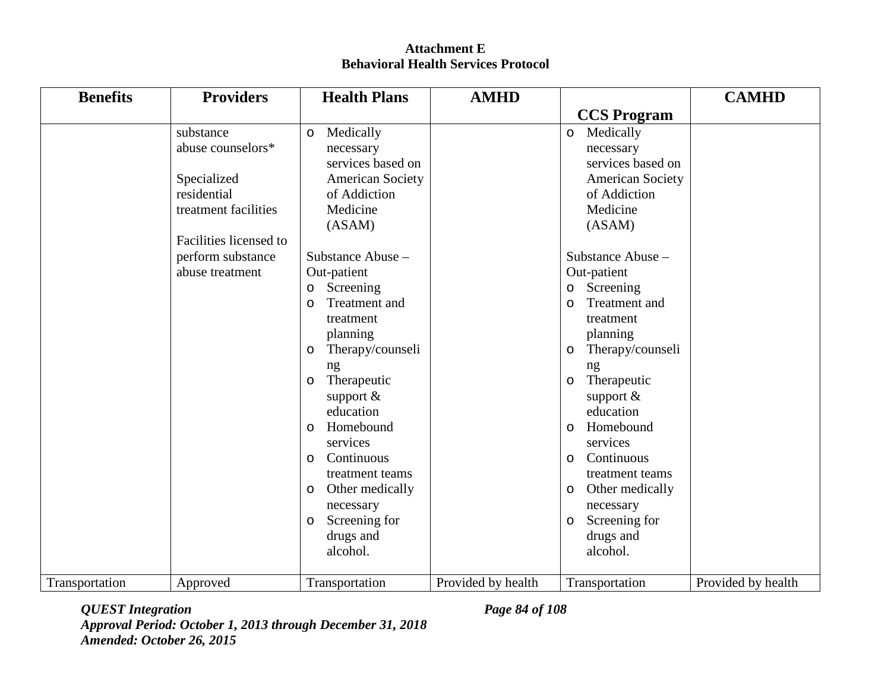| <b>Benefits</b> | <b>Providers</b>           | <b>Health Plans</b>                     | <b>AMHD</b>        |                                         | <b>CAMHD</b>       |
|-----------------|----------------------------|-----------------------------------------|--------------------|-----------------------------------------|--------------------|
|                 |                            |                                         |                    | <b>CCS Program</b>                      |                    |
|                 | substance                  | Medically<br>$\circ$                    |                    | Medically<br>$\circ$                    |                    |
|                 | abuse counselors*          | necessary                               |                    | necessary<br>services based on          |                    |
|                 |                            | services based on                       |                    |                                         |                    |
|                 | Specialized<br>residential | <b>American Society</b><br>of Addiction |                    | <b>American Society</b><br>of Addiction |                    |
|                 | treatment facilities       | Medicine                                |                    | Medicine                                |                    |
|                 |                            |                                         |                    | (ASAM)                                  |                    |
|                 | Facilities licensed to     | (ASAM)                                  |                    |                                         |                    |
|                 | perform substance          | Substance Abuse -                       |                    | Substance Abuse -                       |                    |
|                 | abuse treatment            | Out-patient                             |                    | Out-patient                             |                    |
|                 |                            | Screening                               |                    | Screening                               |                    |
|                 |                            | $\circ$<br>Treatment and<br>$\circ$     |                    | $\circ$<br>Treatment and<br>$\circ$     |                    |
|                 |                            | treatment                               |                    | treatment                               |                    |
|                 |                            | planning                                |                    | planning                                |                    |
|                 |                            | Therapy/counseli<br>$\circ$             |                    | Therapy/counseli<br>$\circ$             |                    |
|                 |                            | ng                                      |                    | ng                                      |                    |
|                 |                            | Therapeutic<br>$\circ$                  |                    | Therapeutic<br>O                        |                    |
|                 |                            | support &                               |                    | support $\&$                            |                    |
|                 |                            | education                               |                    | education                               |                    |
|                 |                            | Homebound<br>$\circ$                    |                    | Homebound<br>$\circ$                    |                    |
|                 |                            | services                                |                    | services                                |                    |
|                 |                            | Continuous<br>$\circ$                   |                    | Continuous<br>$\circ$                   |                    |
|                 |                            | treatment teams                         |                    | treatment teams                         |                    |
|                 |                            | Other medically<br>$\circ$              |                    | Other medically<br>O                    |                    |
|                 |                            | necessary                               |                    | necessary                               |                    |
|                 |                            | Screening for<br>$\circ$                |                    | Screening for<br>$\circ$                |                    |
|                 |                            | drugs and                               |                    | drugs and                               |                    |
|                 |                            | alcohol.                                |                    | alcohol.                                |                    |
|                 |                            |                                         |                    |                                         |                    |
| Transportation  | Approved                   | Transportation                          | Provided by health | Transportation                          | Provided by health |

*QUEST Integration Page 84 of 108 Approval Period: October 1, 2013 through December 31, 2018 Amended: October 26, 2015*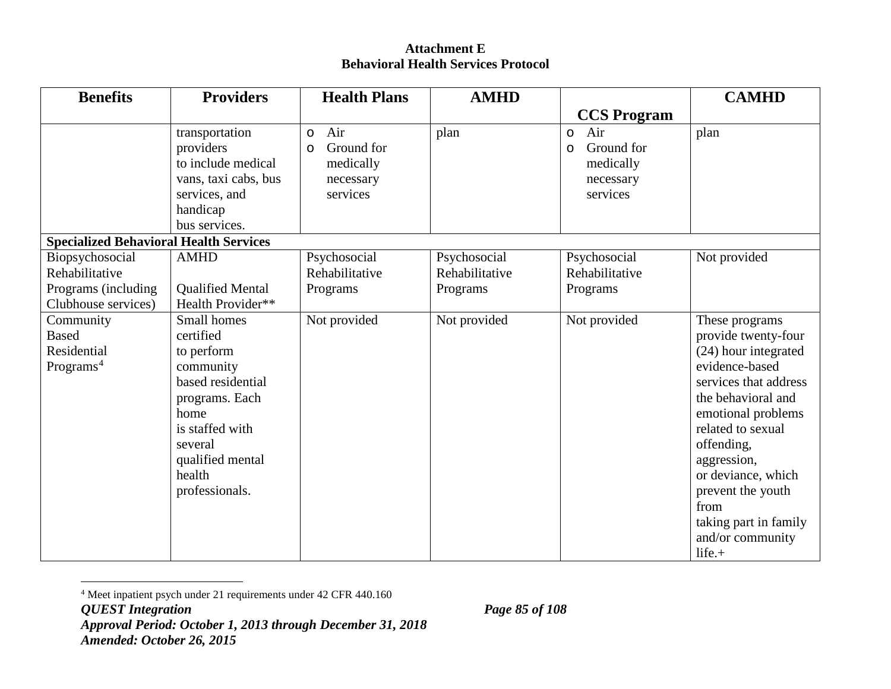<span id="page-91-0"></span>

| <b>Benefits</b>                                                                 | <b>Providers</b>                                                                                                                                                                 | <b>Health Plans</b>                                                           | <b>AMHD</b>                                |                                                                               | <b>CAMHD</b>                                                                                                                                                                                                                                                                                                        |
|---------------------------------------------------------------------------------|----------------------------------------------------------------------------------------------------------------------------------------------------------------------------------|-------------------------------------------------------------------------------|--------------------------------------------|-------------------------------------------------------------------------------|---------------------------------------------------------------------------------------------------------------------------------------------------------------------------------------------------------------------------------------------------------------------------------------------------------------------|
|                                                                                 |                                                                                                                                                                                  |                                                                               |                                            | <b>CCS Program</b>                                                            |                                                                                                                                                                                                                                                                                                                     |
|                                                                                 | transportation<br>providers<br>to include medical<br>vans, taxi cabs, bus<br>services, and<br>handicap<br>bus services.                                                          | Air<br>$\circ$<br>Ground for<br>$\circ$<br>medically<br>necessary<br>services | plan                                       | Air<br>$\circ$<br>Ground for<br>$\circ$<br>medically<br>necessary<br>services | plan                                                                                                                                                                                                                                                                                                                |
| <b>Specialized Behavioral Health Services</b>                                   |                                                                                                                                                                                  |                                                                               |                                            |                                                                               |                                                                                                                                                                                                                                                                                                                     |
| Biopsychosocial<br>Rehabilitative<br>Programs (including<br>Clubhouse services) | <b>AMHD</b><br><b>Qualified Mental</b><br>Health Provider**                                                                                                                      | Psychosocial<br>Rehabilitative<br>Programs                                    | Psychosocial<br>Rehabilitative<br>Programs | Psychosocial<br>Rehabilitative<br>Programs                                    | Not provided                                                                                                                                                                                                                                                                                                        |
| Community<br><b>Based</b><br>Residential<br>Programs <sup>4</sup>               | Small homes<br>certified<br>to perform<br>community<br>based residential<br>programs. Each<br>home<br>is staffed with<br>several<br>qualified mental<br>health<br>professionals. | Not provided                                                                  | Not provided                               | Not provided                                                                  | These programs<br>provide twenty-four<br>(24) hour integrated<br>evidence-based<br>services that address<br>the behavioral and<br>emotional problems<br>related to sexual<br>offending,<br>aggression,<br>or deviance, which<br>prevent the youth<br>from<br>taking part in family<br>and/or community<br>$life. +$ |

 <sup>4</sup> Meet inpatient psych under 21 requirements under 42 CFR 440.160

*QUEST Integration Page 85 of 108*

*Approval Period: October 1, 2013 through December 31, 2018 Amended: October 26, 2015*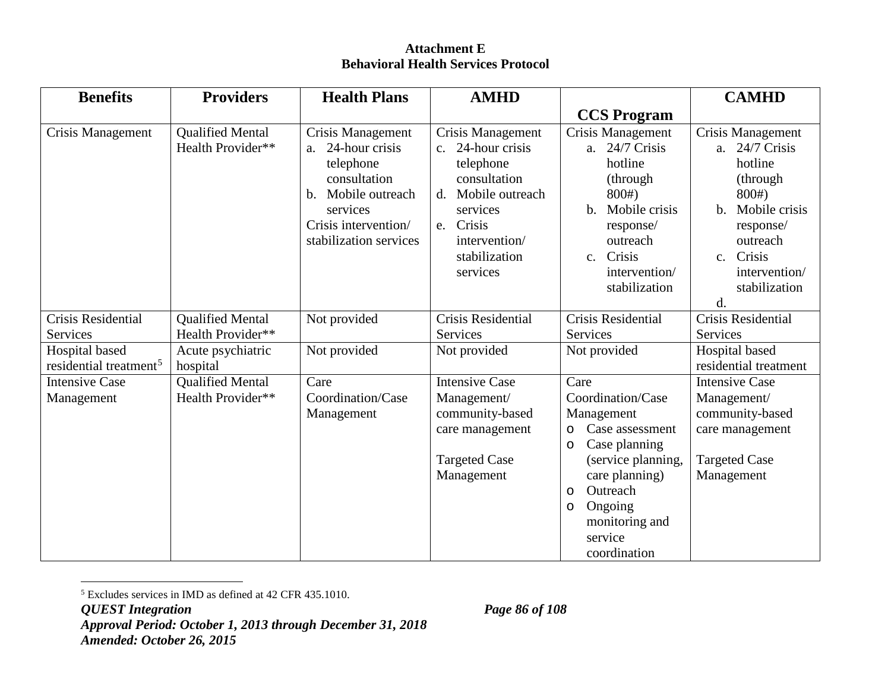<span id="page-92-0"></span>

| <b>Benefits</b>                                      | <b>Providers</b>                             | <b>Health Plans</b>                                                                                                                                           | <b>AMHD</b>                                                                                                                                                            |                                                                                                                                                                                | <b>CAMHD</b>                                                                                                                                                                                     |
|------------------------------------------------------|----------------------------------------------|---------------------------------------------------------------------------------------------------------------------------------------------------------------|------------------------------------------------------------------------------------------------------------------------------------------------------------------------|--------------------------------------------------------------------------------------------------------------------------------------------------------------------------------|--------------------------------------------------------------------------------------------------------------------------------------------------------------------------------------------------|
|                                                      |                                              |                                                                                                                                                               |                                                                                                                                                                        | <b>CCS</b> Program                                                                                                                                                             |                                                                                                                                                                                                  |
| Crisis Management                                    | <b>Qualified Mental</b><br>Health Provider** | Crisis Management<br>24-hour crisis<br>a.<br>telephone<br>consultation<br>Mobile outreach<br>b.<br>services<br>Crisis intervention/<br>stabilization services | Crisis Management<br>c. 24-hour crisis<br>telephone<br>consultation<br>Mobile outreach<br>d.<br>services<br>Crisis<br>e.<br>intervention/<br>stabilization<br>services | Crisis Management<br>a. 24/7 Crisis<br>hotline<br>(through)<br>800#<br>Mobile crisis<br>$\mathbf{b}$ .<br>response/<br>outreach<br>c. Crisis<br>intervention/<br>stabilization | Crisis Management<br>a. 24/7 Crisis<br>hotline<br>(through)<br>800#<br>Mobile crisis<br>$\mathbf{b}$ .<br>response/<br>outreach<br>Crisis<br>$c_{\cdot}$<br>intervention/<br>stabilization<br>d. |
| Crisis Residential                                   | <b>Qualified Mental</b>                      | Not provided                                                                                                                                                  | Crisis Residential                                                                                                                                                     | <b>Crisis Residential</b>                                                                                                                                                      | Crisis Residential                                                                                                                                                                               |
| <b>Services</b>                                      | Health Provider**                            |                                                                                                                                                               | Services                                                                                                                                                               | Services                                                                                                                                                                       | Services                                                                                                                                                                                         |
| Hospital based<br>residential treatment <sup>5</sup> | Acute psychiatric<br>hospital                | Not provided                                                                                                                                                  | Not provided                                                                                                                                                           | Not provided                                                                                                                                                                   | Hospital based<br>residential treatment                                                                                                                                                          |
| <b>Intensive Case</b>                                | <b>Qualified Mental</b>                      | Care                                                                                                                                                          | <b>Intensive Case</b>                                                                                                                                                  | Care                                                                                                                                                                           | <b>Intensive Case</b>                                                                                                                                                                            |
| Management                                           | Health Provider**                            | Coordination/Case                                                                                                                                             | Management/                                                                                                                                                            | Coordination/Case                                                                                                                                                              | Management/                                                                                                                                                                                      |
|                                                      |                                              | Management                                                                                                                                                    | community-based                                                                                                                                                        | Management                                                                                                                                                                     | community-based                                                                                                                                                                                  |
|                                                      |                                              |                                                                                                                                                               | care management                                                                                                                                                        | Case assessment<br>O                                                                                                                                                           | care management                                                                                                                                                                                  |
|                                                      |                                              |                                                                                                                                                               | <b>Targeted Case</b>                                                                                                                                                   | Case planning<br>$\circ$<br>(service planning,                                                                                                                                 | <b>Targeted Case</b>                                                                                                                                                                             |
|                                                      |                                              |                                                                                                                                                               | Management                                                                                                                                                             | care planning)                                                                                                                                                                 | Management                                                                                                                                                                                       |
|                                                      |                                              |                                                                                                                                                               |                                                                                                                                                                        | Outreach<br>$\circ$                                                                                                                                                            |                                                                                                                                                                                                  |
|                                                      |                                              |                                                                                                                                                               |                                                                                                                                                                        | Ongoing<br>$\circ$                                                                                                                                                             |                                                                                                                                                                                                  |
|                                                      |                                              |                                                                                                                                                               |                                                                                                                                                                        | monitoring and                                                                                                                                                                 |                                                                                                                                                                                                  |
|                                                      |                                              |                                                                                                                                                               |                                                                                                                                                                        | service                                                                                                                                                                        |                                                                                                                                                                                                  |
|                                                      |                                              |                                                                                                                                                               |                                                                                                                                                                        | coordination                                                                                                                                                                   |                                                                                                                                                                                                  |

 <sup>5</sup> Excludes services in IMD as defined at 42 CFR 435.1010.

*QUEST Integration Page 86 of 108*

*Approval Period: October 1, 2013 through December 31, 2018 Amended: October 26, 2015*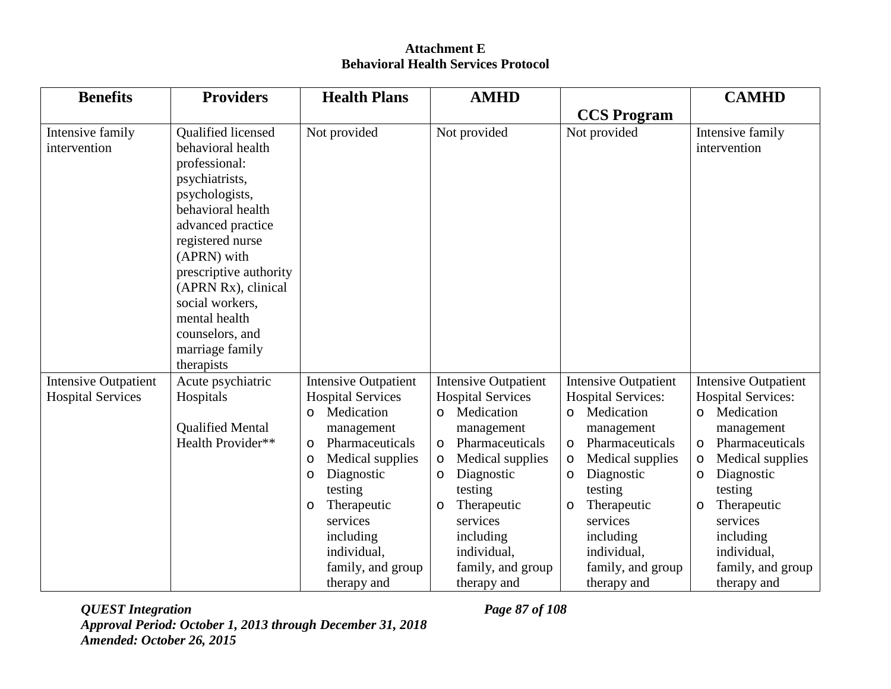| <b>Benefits</b>                  | <b>Providers</b>                                                                                                                                                                                                                                                                                                   | <b>Health Plans</b>                                                                                                                                                                                                            | <b>AMHD</b>                                                                                                                                                                                                                                |                                                                                                                                                                                                                                      | <b>CAMHD</b>                                                                                                                                                                                                                               |
|----------------------------------|--------------------------------------------------------------------------------------------------------------------------------------------------------------------------------------------------------------------------------------------------------------------------------------------------------------------|--------------------------------------------------------------------------------------------------------------------------------------------------------------------------------------------------------------------------------|--------------------------------------------------------------------------------------------------------------------------------------------------------------------------------------------------------------------------------------------|--------------------------------------------------------------------------------------------------------------------------------------------------------------------------------------------------------------------------------------|--------------------------------------------------------------------------------------------------------------------------------------------------------------------------------------------------------------------------------------------|
|                                  |                                                                                                                                                                                                                                                                                                                    |                                                                                                                                                                                                                                |                                                                                                                                                                                                                                            | <b>CCS</b> Program                                                                                                                                                                                                                   |                                                                                                                                                                                                                                            |
| Intensive family<br>intervention | Qualified licensed<br>behavioral health<br>professional:<br>psychiatrists,<br>psychologists,<br>behavioral health<br>advanced practice<br>registered nurse<br>(APRN) with<br>prescriptive authority<br>(APRN Rx), clinical<br>social workers,<br>mental health<br>counselors, and<br>marriage family<br>therapists | Not provided                                                                                                                                                                                                                   | Not provided                                                                                                                                                                                                                               | Not provided                                                                                                                                                                                                                         | Intensive family<br>intervention                                                                                                                                                                                                           |
| <b>Intensive Outpatient</b>      | Acute psychiatric                                                                                                                                                                                                                                                                                                  | <b>Intensive Outpatient</b>                                                                                                                                                                                                    | <b>Intensive Outpatient</b>                                                                                                                                                                                                                | <b>Intensive Outpatient</b>                                                                                                                                                                                                          | <b>Intensive Outpatient</b>                                                                                                                                                                                                                |
| <b>Hospital Services</b>         | Hospitals                                                                                                                                                                                                                                                                                                          | <b>Hospital Services</b>                                                                                                                                                                                                       | <b>Hospital Services</b>                                                                                                                                                                                                                   | <b>Hospital Services:</b>                                                                                                                                                                                                            | <b>Hospital Services:</b>                                                                                                                                                                                                                  |
|                                  | <b>Qualified Mental</b><br>Health Provider**                                                                                                                                                                                                                                                                       | Medication<br>$\circ$<br>management<br>Pharmaceuticals<br>$\circ$<br>Medical supplies<br>O<br>Diagnostic<br>O<br>testing<br>Therapeutic<br>$\circ$<br>services<br>including<br>individual,<br>family, and group<br>therapy and | Medication<br>$\circ$<br>management<br>Pharmaceuticals<br>$\circ$<br>Medical supplies<br>$\circ$<br>Diagnostic<br>$\circ$<br>testing<br>Therapeutic<br>$\circ$<br>services<br>including<br>individual,<br>family, and group<br>therapy and | Medication<br>$\circ$<br>management<br>Pharmaceuticals<br>$\circ$<br>Medical supplies<br>$\circ$<br>Diagnostic<br>$\circ$<br>testing<br>Therapeutic<br>O<br>services<br>including<br>individual,<br>family, and group<br>therapy and | Medication<br>$\circ$<br>management<br>Pharmaceuticals<br>$\circ$<br>Medical supplies<br>$\circ$<br>Diagnostic<br>$\circ$<br>testing<br>Therapeutic<br>$\circ$<br>services<br>including<br>individual,<br>family, and group<br>therapy and |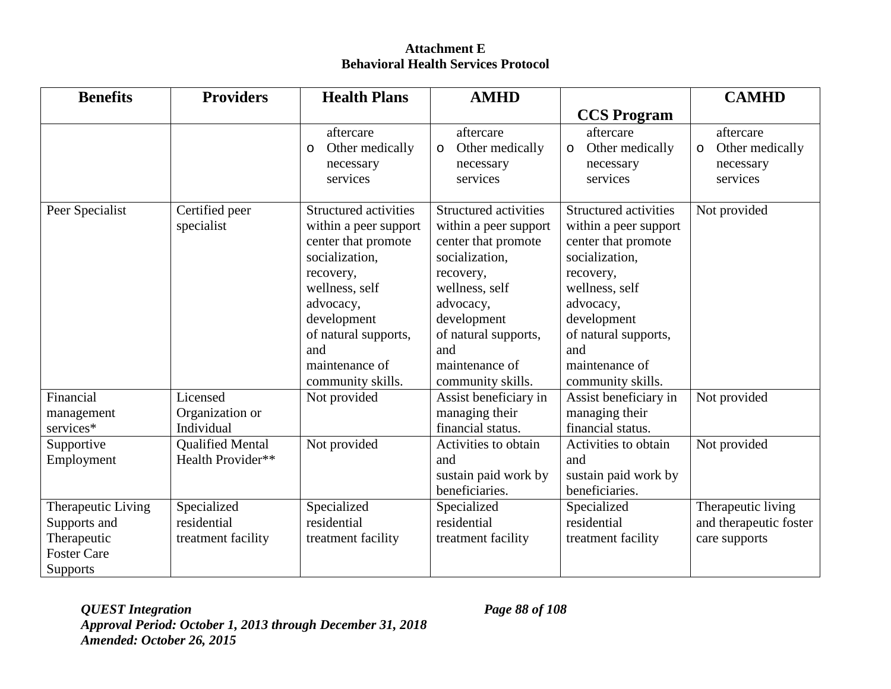| <b>Benefits</b>                                                                            | <b>Providers</b>                                 | <b>Health Plans</b>                                                                                                                                                                                                      | <b>AMHD</b>                                                                                                                                                                                                                     |                                                                                                                                                                                                                                 | <b>CAMHD</b>                                                     |
|--------------------------------------------------------------------------------------------|--------------------------------------------------|--------------------------------------------------------------------------------------------------------------------------------------------------------------------------------------------------------------------------|---------------------------------------------------------------------------------------------------------------------------------------------------------------------------------------------------------------------------------|---------------------------------------------------------------------------------------------------------------------------------------------------------------------------------------------------------------------------------|------------------------------------------------------------------|
|                                                                                            |                                                  |                                                                                                                                                                                                                          |                                                                                                                                                                                                                                 | <b>CCS Program</b>                                                                                                                                                                                                              |                                                                  |
|                                                                                            |                                                  | aftercare<br>Other medically<br>$\circ$<br>necessary<br>services                                                                                                                                                         | aftercare<br>Other medically<br>$\circ$<br>necessary<br>services                                                                                                                                                                | aftercare<br>Other medically<br>$\circ$<br>necessary<br>services                                                                                                                                                                | aftercare<br>Other medically<br>$\circ$<br>necessary<br>services |
| Peer Specialist                                                                            | Certified peer<br>specialist                     | Structured activities<br>within a peer support<br>center that promote<br>socialization,<br>recovery,<br>wellness, self<br>advocacy,<br>development<br>of natural supports,<br>and<br>maintenance of<br>community skills. | <b>Structured activities</b><br>within a peer support<br>center that promote<br>socialization,<br>recovery,<br>wellness, self<br>advocacy,<br>development<br>of natural supports,<br>and<br>maintenance of<br>community skills. | <b>Structured activities</b><br>within a peer support<br>center that promote<br>socialization,<br>recovery,<br>wellness, self<br>advocacy,<br>development<br>of natural supports,<br>and<br>maintenance of<br>community skills. | Not provided                                                     |
| Financial<br>management<br>services*                                                       | Licensed<br>Organization or<br>Individual        | Not provided                                                                                                                                                                                                             | Assist beneficiary in<br>managing their<br>financial status.                                                                                                                                                                    | Assist beneficiary in<br>managing their<br>financial status.                                                                                                                                                                    | Not provided                                                     |
| Supportive<br>Employment                                                                   | <b>Qualified Mental</b><br>Health Provider**     | Not provided                                                                                                                                                                                                             | Activities to obtain<br>and<br>sustain paid work by<br>beneficiaries.                                                                                                                                                           | Activities to obtain<br>and<br>sustain paid work by<br>beneficiaries.                                                                                                                                                           | Not provided                                                     |
| Therapeutic Living<br>Supports and<br>Therapeutic<br><b>Foster Care</b><br><b>Supports</b> | Specialized<br>residential<br>treatment facility | Specialized<br>residential<br>treatment facility                                                                                                                                                                         | Specialized<br>residential<br>treatment facility                                                                                                                                                                                | Specialized<br>residential<br>treatment facility                                                                                                                                                                                | Therapeutic living<br>and therapeutic foster<br>care supports    |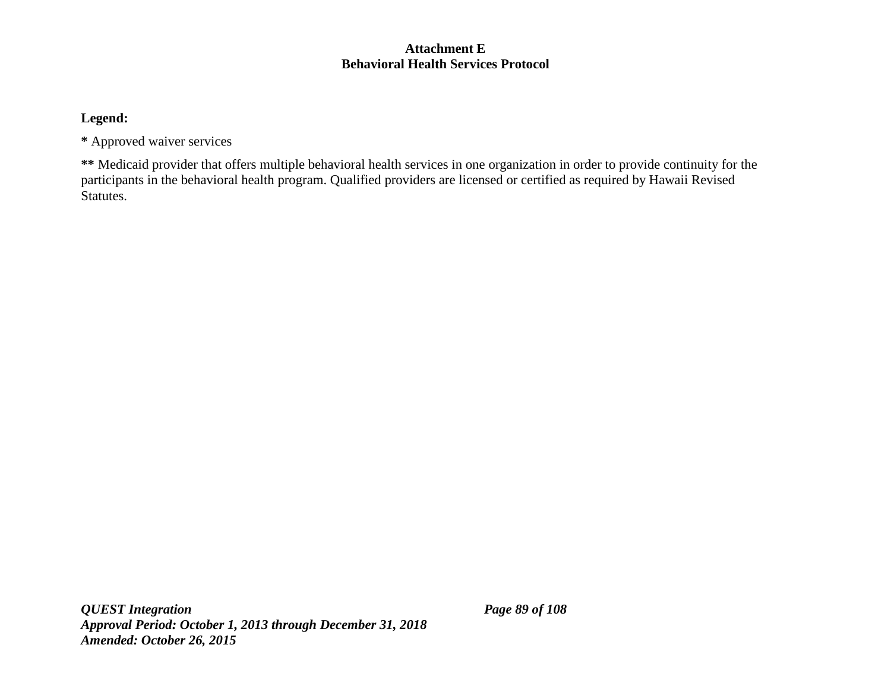## **Legend:**

**\*** Approved waiver services

**\*\*** Medicaid provider that offers multiple behavioral health services in one organization in order to provide continuity for the participants in the behavioral health program. Qualified providers are licensed or certified as required by Hawaii Revised Statutes.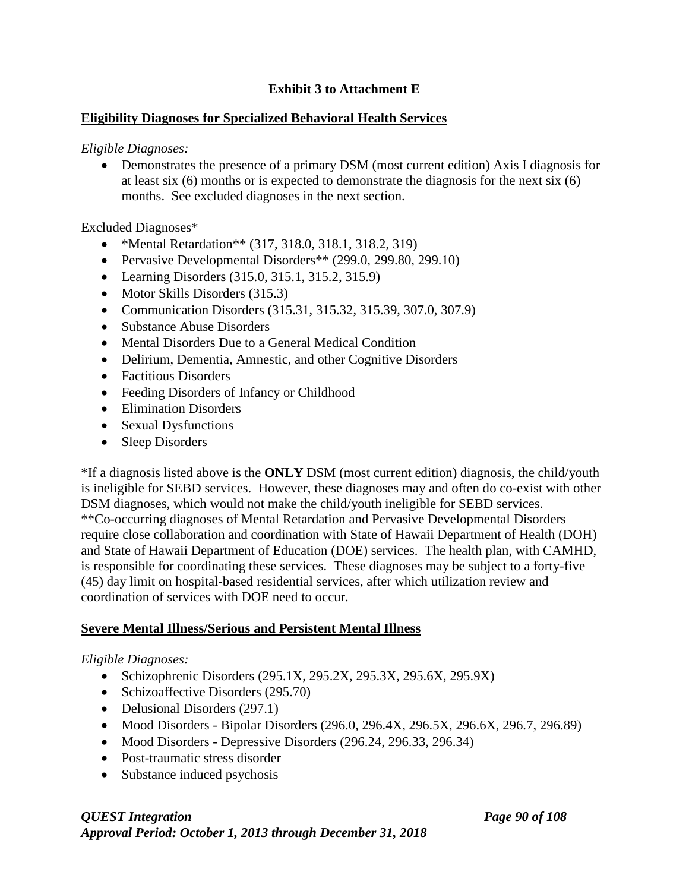## **Exhibit 3 to Attachment E**

## **Eligibility Diagnoses for Specialized Behavioral Health Services**

*Eligible Diagnoses:* 

• Demonstrates the presence of a primary DSM (most current edition) Axis I diagnosis for at least six (6) months or is expected to demonstrate the diagnosis for the next six (6) months. See excluded diagnoses in the next section.

Excluded Diagnoses\*

- \*Mental Retardation\*\* (317, 318.0, 318.1, 318.2, 319)
- Pervasive Developmental Disorders\*\* (299.0, 299.80, 299.10)
- Learning Disorders (315.0, 315.1, 315.2, 315.9)
- Motor Skills Disorders (315.3)
- Communication Disorders (315.31, 315.32, 315.39, 307.0, 307.9)
- Substance Abuse Disorders
- Mental Disorders Due to a General Medical Condition
- Delirium, Dementia, Amnestic, and other Cognitive Disorders
- Factitious Disorders
- Feeding Disorders of Infancy or Childhood
- Elimination Disorders
- Sexual Dysfunctions
- Sleep Disorders

\*If a diagnosis listed above is the **ONLY** DSM (most current edition) diagnosis, the child/youth is ineligible for SEBD services. However, these diagnoses may and often do co-exist with other DSM diagnoses, which would not make the child/youth ineligible for SEBD services. \*\*Co-occurring diagnoses of Mental Retardation and Pervasive Developmental Disorders require close collaboration and coordination with State of Hawaii Department of Health (DOH) and State of Hawaii Department of Education (DOE) services. The health plan, with CAMHD, is responsible for coordinating these services. These diagnoses may be subject to a forty-five (45) day limit on hospital-based residential services, after which utilization review and coordination of services with DOE need to occur.

# **Severe Mental Illness/Serious and Persistent Mental Illness**

## *Eligible Diagnoses:*

- Schizophrenic Disorders (295.1X, 295.2X, 295.3X, 295.6X, 295.9X)
- Schizoaffective Disorders (295.70)
- Delusional Disorders (297.1)
- Mood Disorders Bipolar Disorders (296.0, 296.4X, 296.5X, 296.6X, 296.7, 296.89)
- Mood Disorders Depressive Disorders (296.24, 296.33, 296.34)
- Post-traumatic stress disorder
- Substance induced psychosis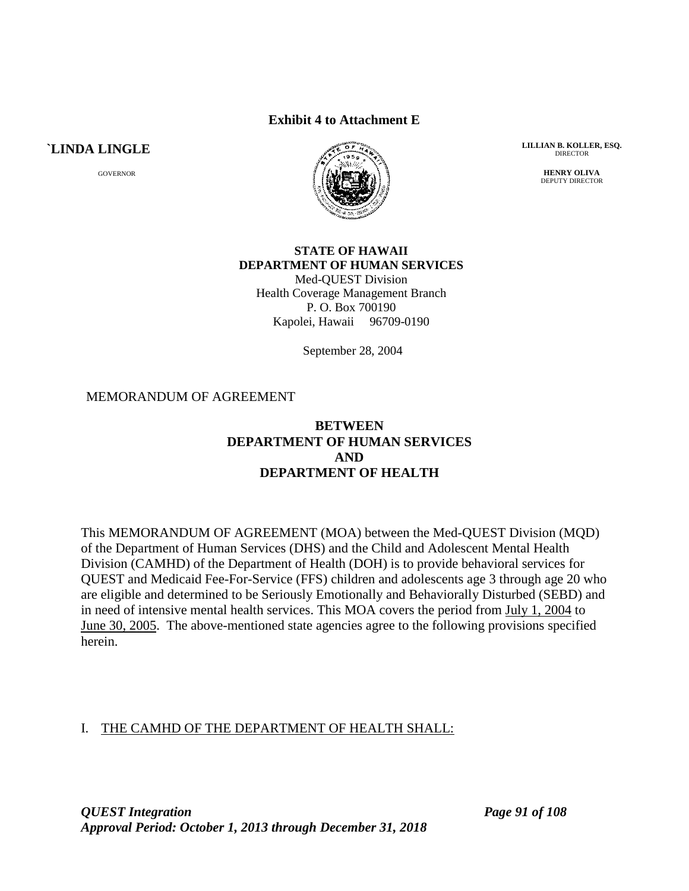#### **Exhibit 4 to Attachment E**

**`LINDA LINGLE**

GOVERNOR



**LILLIAN B. KOLLER, ESQ.** DIRECTOR

> **HENRY OLIVA** DEPUTY DIRECTOR

## **STATE OF HAWAII DEPARTMENT OF HUMAN SERVICES**

Med-QUEST Division Health Coverage Management Branch P. O. Box 700190 Kapolei, Hawaii 96709-0190

September 28, 2004

#### MEMORANDUM OF AGREEMENT

#### **BETWEEN DEPARTMENT OF HUMAN SERVICES AND DEPARTMENT OF HEALTH**

This MEMORANDUM OF AGREEMENT (MOA) between the Med-QUEST Division (MQD) of the Department of Human Services (DHS) and the Child and Adolescent Mental Health Division (CAMHD) of the Department of Health (DOH) is to provide behavioral services for QUEST and Medicaid Fee-For-Service (FFS) children and adolescents age 3 through age 20 who are eligible and determined to be Seriously Emotionally and Behaviorally Disturbed (SEBD) and in need of intensive mental health services. This MOA covers the period from July 1, 2004 to June 30, 2005. The above-mentioned state agencies agree to the following provisions specified herein.

## I. THE CAMHD OF THE DEPARTMENT OF HEALTH SHALL: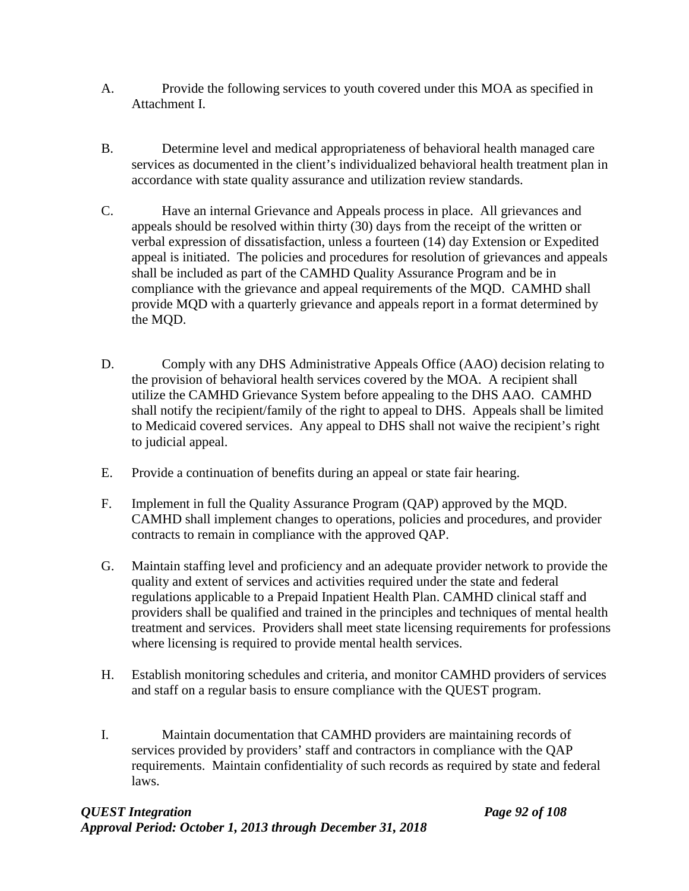- A. Provide the following services to youth covered under this MOA as specified in Attachment I.
- B. Determine level and medical appropriateness of behavioral health managed care services as documented in the client's individualized behavioral health treatment plan in accordance with state quality assurance and utilization review standards.
- C. Have an internal Grievance and Appeals process in place. All grievances and appeals should be resolved within thirty (30) days from the receipt of the written or verbal expression of dissatisfaction, unless a fourteen (14) day Extension or Expedited appeal is initiated. The policies and procedures for resolution of grievances and appeals shall be included as part of the CAMHD Quality Assurance Program and be in compliance with the grievance and appeal requirements of the MQD. CAMHD shall provide MQD with a quarterly grievance and appeals report in a format determined by the MQD.
- D. Comply with any DHS Administrative Appeals Office (AAO) decision relating to the provision of behavioral health services covered by the MOA. A recipient shall utilize the CAMHD Grievance System before appealing to the DHS AAO. CAMHD shall notify the recipient/family of the right to appeal to DHS. Appeals shall be limited to Medicaid covered services. Any appeal to DHS shall not waive the recipient's right to judicial appeal.
- E. Provide a continuation of benefits during an appeal or state fair hearing.
- F. Implement in full the Quality Assurance Program (QAP) approved by the MQD. CAMHD shall implement changes to operations, policies and procedures, and provider contracts to remain in compliance with the approved QAP.
- G. Maintain staffing level and proficiency and an adequate provider network to provide the quality and extent of services and activities required under the state and federal regulations applicable to a Prepaid Inpatient Health Plan. CAMHD clinical staff and providers shall be qualified and trained in the principles and techniques of mental health treatment and services. Providers shall meet state licensing requirements for professions where licensing is required to provide mental health services.
- H. Establish monitoring schedules and criteria, and monitor CAMHD providers of services and staff on a regular basis to ensure compliance with the QUEST program.
- I. Maintain documentation that CAMHD providers are maintaining records of services provided by providers' staff and contractors in compliance with the QAP requirements. Maintain confidentiality of such records as required by state and federal laws.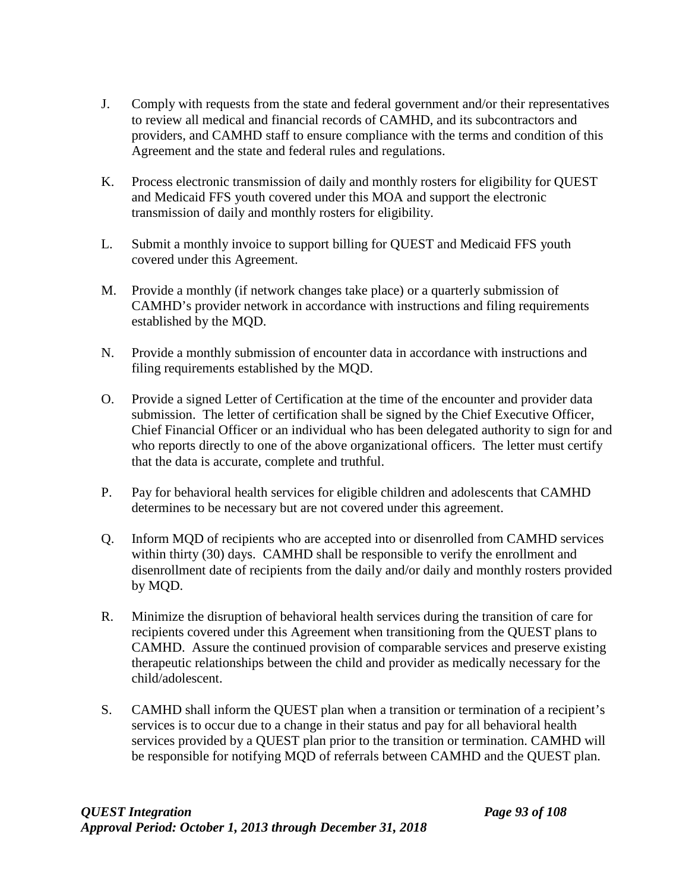- J. Comply with requests from the state and federal government and/or their representatives to review all medical and financial records of CAMHD, and its subcontractors and providers, and CAMHD staff to ensure compliance with the terms and condition of this Agreement and the state and federal rules and regulations.
- K. Process electronic transmission of daily and monthly rosters for eligibility for QUEST and Medicaid FFS youth covered under this MOA and support the electronic transmission of daily and monthly rosters for eligibility.
- L. Submit a monthly invoice to support billing for QUEST and Medicaid FFS youth covered under this Agreement.
- M. Provide a monthly (if network changes take place) or a quarterly submission of CAMHD's provider network in accordance with instructions and filing requirements established by the MQD.
- N. Provide a monthly submission of encounter data in accordance with instructions and filing requirements established by the MQD.
- O. Provide a signed Letter of Certification at the time of the encounter and provider data submission. The letter of certification shall be signed by the Chief Executive Officer, Chief Financial Officer or an individual who has been delegated authority to sign for and who reports directly to one of the above organizational officers. The letter must certify that the data is accurate, complete and truthful.
- P. Pay for behavioral health services for eligible children and adolescents that CAMHD determines to be necessary but are not covered under this agreement.
- Q. Inform MQD of recipients who are accepted into or disenrolled from CAMHD services within thirty (30) days. CAMHD shall be responsible to verify the enrollment and disenrollment date of recipients from the daily and/or daily and monthly rosters provided by MQD.
- R. Minimize the disruption of behavioral health services during the transition of care for recipients covered under this Agreement when transitioning from the QUEST plans to CAMHD. Assure the continued provision of comparable services and preserve existing therapeutic relationships between the child and provider as medically necessary for the child/adolescent.
- S. CAMHD shall inform the QUEST plan when a transition or termination of a recipient's services is to occur due to a change in their status and pay for all behavioral health services provided by a QUEST plan prior to the transition or termination. CAMHD will be responsible for notifying MQD of referrals between CAMHD and the QUEST plan.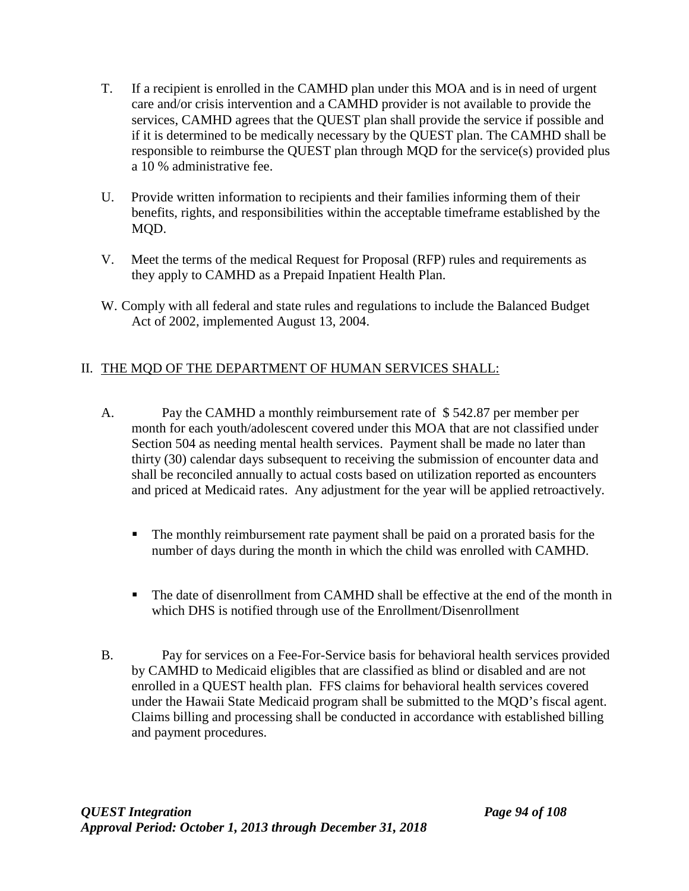- T. If a recipient is enrolled in the CAMHD plan under this MOA and is in need of urgent care and/or crisis intervention and a CAMHD provider is not available to provide the services, CAMHD agrees that the QUEST plan shall provide the service if possible and if it is determined to be medically necessary by the QUEST plan. The CAMHD shall be responsible to reimburse the QUEST plan through MQD for the service(s) provided plus a 10 % administrative fee.
- U. Provide written information to recipients and their families informing them of their benefits, rights, and responsibilities within the acceptable timeframe established by the MQD.
- V. Meet the terms of the medical Request for Proposal (RFP) rules and requirements as they apply to CAMHD as a Prepaid Inpatient Health Plan.
- W. Comply with all federal and state rules and regulations to include the Balanced Budget Act of 2002, implemented August 13, 2004.

## II. THE MQD OF THE DEPARTMENT OF HUMAN SERVICES SHALL:

- A. Pay the CAMHD a monthly reimbursement rate of \$ 542.87 per member per month for each youth/adolescent covered under this MOA that are not classified under Section 504 as needing mental health services. Payment shall be made no later than thirty (30) calendar days subsequent to receiving the submission of encounter data and shall be reconciled annually to actual costs based on utilization reported as encounters and priced at Medicaid rates. Any adjustment for the year will be applied retroactively.
	- The monthly reimbursement rate payment shall be paid on a prorated basis for the number of days during the month in which the child was enrolled with CAMHD.
	- The date of disenrollment from CAMHD shall be effective at the end of the month in which DHS is notified through use of the Enrollment/Disenrollment
- B. Pay for services on a Fee-For-Service basis for behavioral health services provided by CAMHD to Medicaid eligibles that are classified as blind or disabled and are not enrolled in a QUEST health plan. FFS claims for behavioral health services covered under the Hawaii State Medicaid program shall be submitted to the MQD's fiscal agent. Claims billing and processing shall be conducted in accordance with established billing and payment procedures.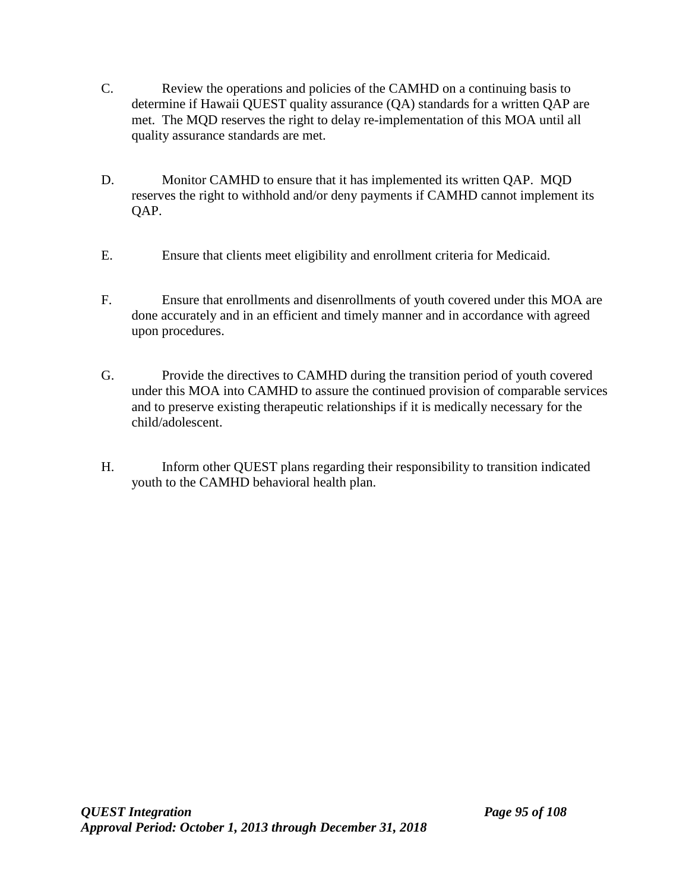- C. Review the operations and policies of the CAMHD on a continuing basis to determine if Hawaii QUEST quality assurance (QA) standards for a written QAP are met. The MQD reserves the right to delay re-implementation of this MOA until all quality assurance standards are met.
- D. Monitor CAMHD to ensure that it has implemented its written QAP. MQD reserves the right to withhold and/or deny payments if CAMHD cannot implement its QAP.
- E. Ensure that clients meet eligibility and enrollment criteria for Medicaid.
- F. Ensure that enrollments and disenrollments of youth covered under this MOA are done accurately and in an efficient and timely manner and in accordance with agreed upon procedures.
- G. Provide the directives to CAMHD during the transition period of youth covered under this MOA into CAMHD to assure the continued provision of comparable services and to preserve existing therapeutic relationships if it is medically necessary for the child/adolescent.
- H. Inform other QUEST plans regarding their responsibility to transition indicated youth to the CAMHD behavioral health plan.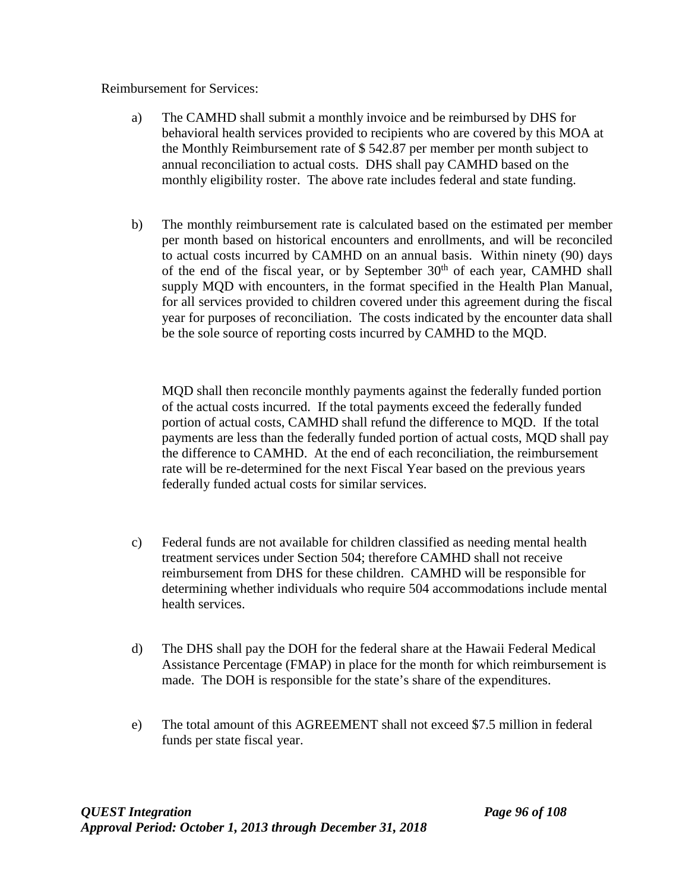Reimbursement for Services:

- a) The CAMHD shall submit a monthly invoice and be reimbursed by DHS for behavioral health services provided to recipients who are covered by this MOA at the Monthly Reimbursement rate of \$ 542.87 per member per month subject to annual reconciliation to actual costs. DHS shall pay CAMHD based on the monthly eligibility roster. The above rate includes federal and state funding.
- b) The monthly reimbursement rate is calculated based on the estimated per member per month based on historical encounters and enrollments, and will be reconciled to actual costs incurred by CAMHD on an annual basis. Within ninety (90) days of the end of the fiscal year, or by September  $30<sup>th</sup>$  of each year, CAMHD shall supply MQD with encounters, in the format specified in the Health Plan Manual, for all services provided to children covered under this agreement during the fiscal year for purposes of reconciliation. The costs indicated by the encounter data shall be the sole source of reporting costs incurred by CAMHD to the MQD.

MQD shall then reconcile monthly payments against the federally funded portion of the actual costs incurred. If the total payments exceed the federally funded portion of actual costs, CAMHD shall refund the difference to MQD. If the total payments are less than the federally funded portion of actual costs, MQD shall pay the difference to CAMHD. At the end of each reconciliation, the reimbursement rate will be re-determined for the next Fiscal Year based on the previous years federally funded actual costs for similar services.

- c) Federal funds are not available for children classified as needing mental health treatment services under Section 504; therefore CAMHD shall not receive reimbursement from DHS for these children. CAMHD will be responsible for determining whether individuals who require 504 accommodations include mental health services.
- d) The DHS shall pay the DOH for the federal share at the Hawaii Federal Medical Assistance Percentage (FMAP) in place for the month for which reimbursement is made. The DOH is responsible for the state's share of the expenditures.
- e) The total amount of this AGREEMENT shall not exceed \$7.5 million in federal funds per state fiscal year.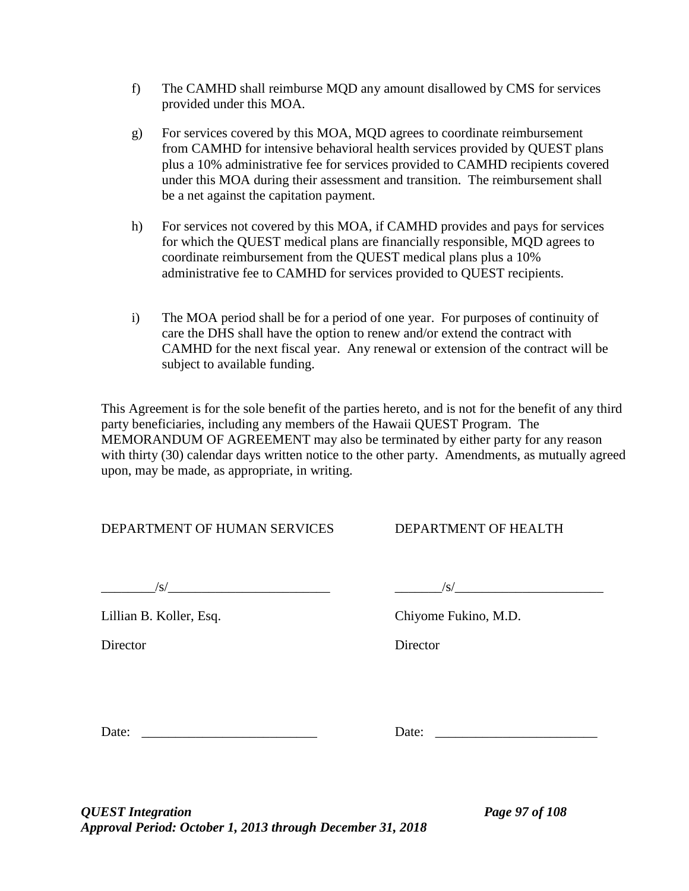- f) The CAMHD shall reimburse MQD any amount disallowed by CMS for services provided under this MOA.
- g) For services covered by this MOA, MQD agrees to coordinate reimbursement from CAMHD for intensive behavioral health services provided by QUEST plans plus a 10% administrative fee for services provided to CAMHD recipients covered under this MOA during their assessment and transition. The reimbursement shall be a net against the capitation payment.
- h) For services not covered by this MOA, if CAMHD provides and pays for services for which the QUEST medical plans are financially responsible, MQD agrees to coordinate reimbursement from the QUEST medical plans plus a 10% administrative fee to CAMHD for services provided to QUEST recipients.
- i) The MOA period shall be for a period of one year. For purposes of continuity of care the DHS shall have the option to renew and/or extend the contract with CAMHD for the next fiscal year. Any renewal or extension of the contract will be subject to available funding.

This Agreement is for the sole benefit of the parties hereto, and is not for the benefit of any third party beneficiaries, including any members of the Hawaii QUEST Program. The MEMORANDUM OF AGREEMENT may also be terminated by either party for any reason with thirty (30) calendar days written notice to the other party. Amendments, as mutually agreed upon, may be made, as appropriate, in writing.

## DEPARTMENT OF HUMAN SERVICES DEPARTMENT OF HEALTH

 $\frac{1}{s}$ 

Lillian B. Koller, Esq. Chiyome Fukino, M.D.

Director Director

Date: \_\_\_\_\_\_\_\_\_\_\_\_\_\_\_\_\_\_\_\_\_\_\_\_\_\_ Date: \_\_\_\_\_\_\_\_\_\_\_\_\_\_\_\_\_\_\_\_\_\_\_\_

*QUEST Integration Page 97 of 108 Approval Period: October 1, 2013 through December 31, 2018*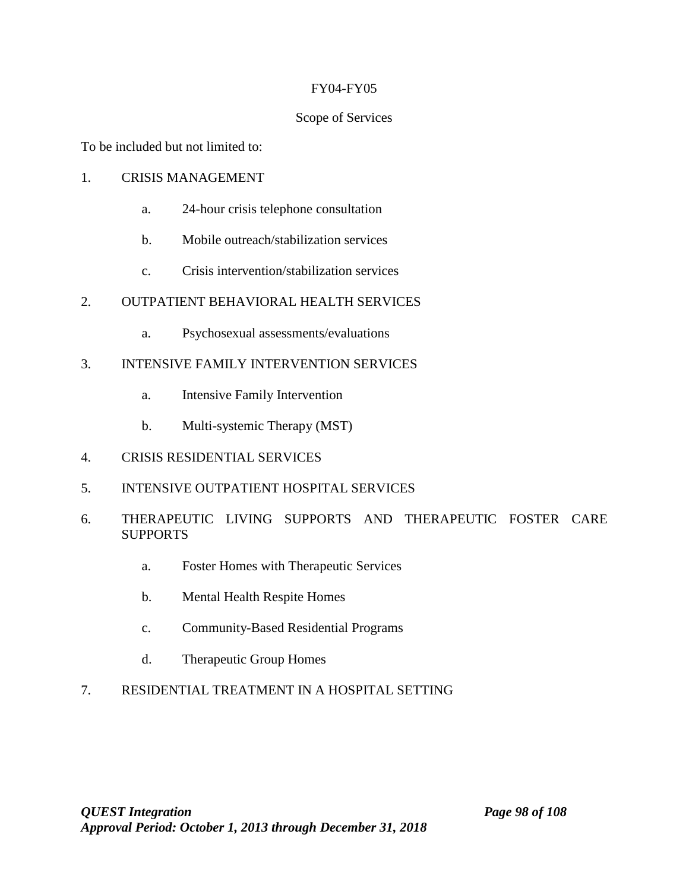#### FY04-FY05

## Scope of Services

To be included but not limited to:

## 1. CRISIS MANAGEMENT

- a. 24-hour crisis telephone consultation
- b. Mobile outreach/stabilization services
- c. Crisis intervention/stabilization services

## 2. OUTPATIENT BEHAVIORAL HEALTH SERVICES

a. Psychosexual assessments/evaluations

## 3. INTENSIVE FAMILY INTERVENTION SERVICES

- a. Intensive Family Intervention
- b. Multi-systemic Therapy (MST)
- 4. CRISIS RESIDENTIAL SERVICES
- 5. INTENSIVE OUTPATIENT HOSPITAL SERVICES
- 6. THERAPEUTIC LIVING SUPPORTS AND THERAPEUTIC FOSTER CARE **SUPPORTS** 
	- a. Foster Homes with Therapeutic Services
	- b. Mental Health Respite Homes
	- c. Community-Based Residential Programs
	- d. Therapeutic Group Homes

# 7. RESIDENTIAL TREATMENT IN A HOSPITAL SETTING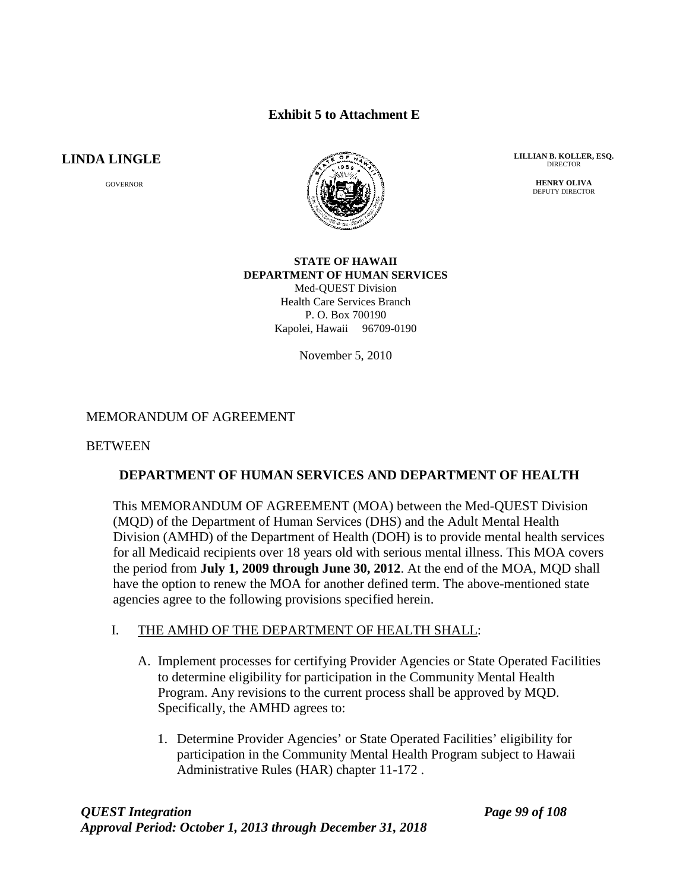## **Exhibit 5 to Attachment E**

## **LINDA LINGLE**

GOVERNOR



**LILLIAN B. KOLLER, ESQ. DIRECTOR** 

> **HENRY OLIVA** DEPUTY DIRECTOR

#### **STATE OF HAWAII DEPARTMENT OF HUMAN SERVICES** Med-QUEST Division Health Care Services Branch

P. O. Box 700190 Kapolei, Hawaii 96709-0190

November 5, 2010

## MEMORANDUM OF AGREEMENT

#### **BETWEEN**

#### **DEPARTMENT OF HUMAN SERVICES AND DEPARTMENT OF HEALTH**

This MEMORANDUM OF AGREEMENT (MOA) between the Med-QUEST Division (MQD) of the Department of Human Services (DHS) and the Adult Mental Health Division (AMHD) of the Department of Health (DOH) is to provide mental health services for all Medicaid recipients over 18 years old with serious mental illness. This MOA covers the period from **July 1, 2009 through June 30, 2012**. At the end of the MOA, MQD shall have the option to renew the MOA for another defined term. The above-mentioned state agencies agree to the following provisions specified herein.

#### I. THE AMHD OF THE DEPARTMENT OF HEALTH SHALL:

- A. Implement processes for certifying Provider Agencies or State Operated Facilities to determine eligibility for participation in the Community Mental Health Program. Any revisions to the current process shall be approved by MQD. Specifically, the AMHD agrees to:
	- 1. Determine Provider Agencies' or State Operated Facilities' eligibility for participation in the Community Mental Health Program subject to Hawaii Administrative Rules (HAR) chapter 11-172 .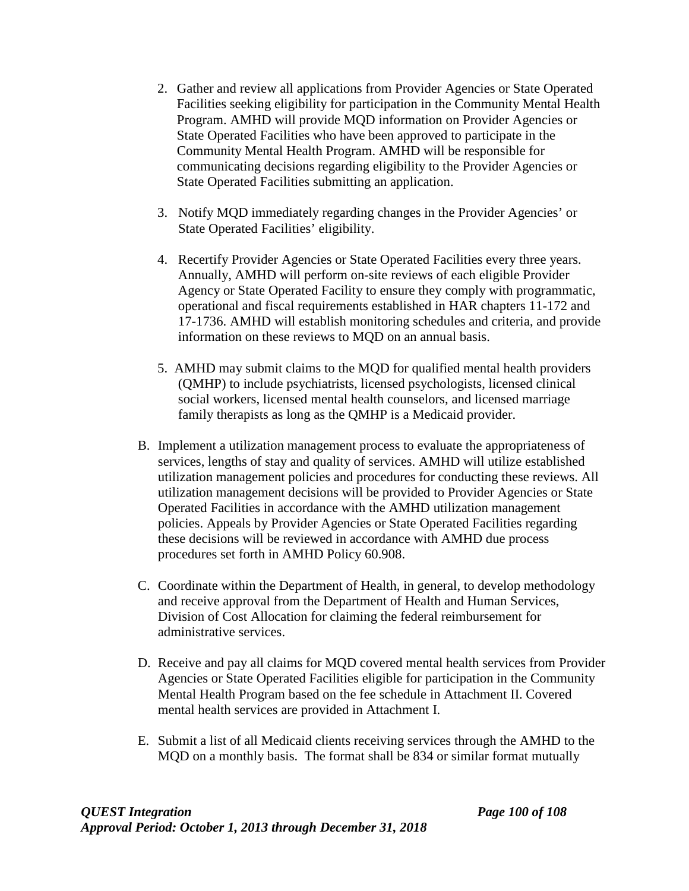- 2. Gather and review all applications from Provider Agencies or State Operated Facilities seeking eligibility for participation in the Community Mental Health Program. AMHD will provide MQD information on Provider Agencies or State Operated Facilities who have been approved to participate in the Community Mental Health Program. AMHD will be responsible for communicating decisions regarding eligibility to the Provider Agencies or State Operated Facilities submitting an application.
- 3. Notify MQD immediately regarding changes in the Provider Agencies' or State Operated Facilities' eligibility.
- 4. Recertify Provider Agencies or State Operated Facilities every three years. Annually, AMHD will perform on-site reviews of each eligible Provider Agency or State Operated Facility to ensure they comply with programmatic, operational and fiscal requirements established in HAR chapters 11-172 and 17-1736. AMHD will establish monitoring schedules and criteria, and provide information on these reviews to MQD on an annual basis.
- 5. AMHD may submit claims to the MQD for qualified mental health providers (QMHP) to include psychiatrists, licensed psychologists, licensed clinical social workers, licensed mental health counselors, and licensed marriage family therapists as long as the QMHP is a Medicaid provider.
- B. Implement a utilization management process to evaluate the appropriateness of services, lengths of stay and quality of services. AMHD will utilize established utilization management policies and procedures for conducting these reviews. All utilization management decisions will be provided to Provider Agencies or State Operated Facilities in accordance with the AMHD utilization management policies. Appeals by Provider Agencies or State Operated Facilities regarding these decisions will be reviewed in accordance with AMHD due process procedures set forth in AMHD Policy 60.908.
- C. Coordinate within the Department of Health, in general, to develop methodology and receive approval from the Department of Health and Human Services, Division of Cost Allocation for claiming the federal reimbursement for administrative services.
- D. Receive and pay all claims for MQD covered mental health services from Provider Agencies or State Operated Facilities eligible for participation in the Community Mental Health Program based on the fee schedule in Attachment II. Covered mental health services are provided in Attachment I.
- E. Submit a list of all Medicaid clients receiving services through the AMHD to the MQD on a monthly basis. The format shall be 834 or similar format mutually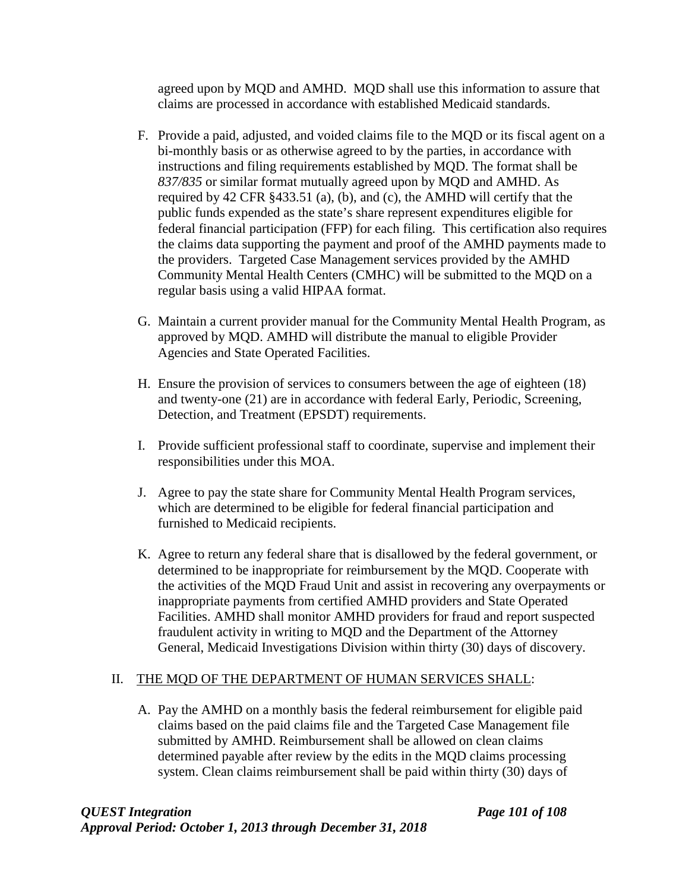agreed upon by MQD and AMHD. MQD shall use this information to assure that claims are processed in accordance with established Medicaid standards.

- F. Provide a paid, adjusted, and voided claims file to the MQD or its fiscal agent on a bi-monthly basis or as otherwise agreed to by the parties, in accordance with instructions and filing requirements established by MQD. The format shall be *837/835* or similar format mutually agreed upon by MQD and AMHD. As required by 42 CFR §433.51 (a), (b), and (c), the AMHD will certify that the public funds expended as the state's share represent expenditures eligible for federal financial participation (FFP) for each filing. This certification also requires the claims data supporting the payment and proof of the AMHD payments made to the providers. Targeted Case Management services provided by the AMHD Community Mental Health Centers (CMHC) will be submitted to the MQD on a regular basis using a valid HIPAA format.
- G. Maintain a current provider manual for the Community Mental Health Program, as approved by MQD. AMHD will distribute the manual to eligible Provider Agencies and State Operated Facilities.
- H. Ensure the provision of services to consumers between the age of eighteen (18) and twenty-one (21) are in accordance with federal Early, Periodic, Screening, Detection, and Treatment (EPSDT) requirements.
- I. Provide sufficient professional staff to coordinate, supervise and implement their responsibilities under this MOA.
- J. Agree to pay the state share for Community Mental Health Program services, which are determined to be eligible for federal financial participation and furnished to Medicaid recipients.
- K. Agree to return any federal share that is disallowed by the federal government, or determined to be inappropriate for reimbursement by the MQD. Cooperate with the activities of the MQD Fraud Unit and assist in recovering any overpayments or inappropriate payments from certified AMHD providers and State Operated Facilities. AMHD shall monitor AMHD providers for fraud and report suspected fraudulent activity in writing to MQD and the Department of the Attorney General, Medicaid Investigations Division within thirty (30) days of discovery.

# II. THE MQD OF THE DEPARTMENT OF HUMAN SERVICES SHALL:

A. Pay the AMHD on a monthly basis the federal reimbursement for eligible paid claims based on the paid claims file and the Targeted Case Management file submitted by AMHD. Reimbursement shall be allowed on clean claims determined payable after review by the edits in the MQD claims processing system. Clean claims reimbursement shall be paid within thirty (30) days of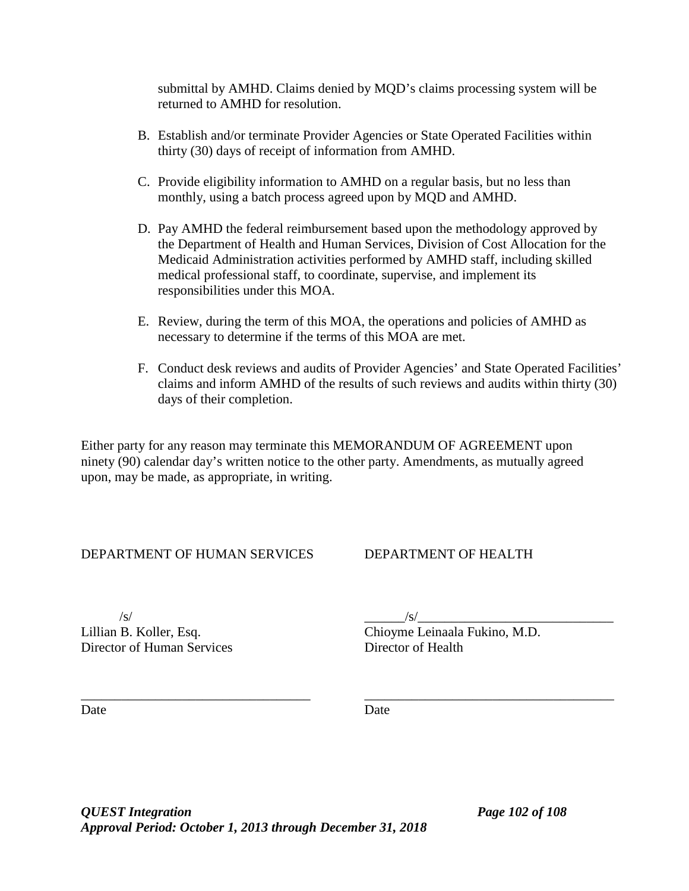submittal by AMHD. Claims denied by MQD's claims processing system will be returned to AMHD for resolution.

- B. Establish and/or terminate Provider Agencies or State Operated Facilities within thirty (30) days of receipt of information from AMHD.
- C. Provide eligibility information to AMHD on a regular basis, but no less than monthly, using a batch process agreed upon by MQD and AMHD.
- D. Pay AMHD the federal reimbursement based upon the methodology approved by the Department of Health and Human Services, Division of Cost Allocation for the Medicaid Administration activities performed by AMHD staff, including skilled medical professional staff, to coordinate, supervise, and implement its responsibilities under this MOA.
- E. Review, during the term of this MOA, the operations and policies of AMHD as necessary to determine if the terms of this MOA are met.
- F. Conduct desk reviews and audits of Provider Agencies' and State Operated Facilities' claims and inform AMHD of the results of such reviews and audits within thirty (30) days of their completion.

Either party for any reason may terminate this MEMORANDUM OF AGREEMENT upon ninety (90) calendar day's written notice to the other party. Amendments, as mutually agreed upon, may be made, as appropriate, in writing.

DEPARTMENT OF HUMAN SERVICES DEPARTMENT OF HEALTH

 $\sqrt{s}/\sqrt{s}$ Director of Human Services Director of Health

Lillian B. Koller, Esq. Chioyme Leinaala Fukino, M.D.

\_\_\_\_\_\_\_\_\_\_\_\_\_\_\_\_\_\_\_\_\_\_\_\_\_\_\_\_\_\_\_\_\_\_ \_\_\_\_\_\_\_\_\_\_\_\_\_\_\_\_\_\_\_\_\_\_\_\_\_\_\_\_\_\_\_\_\_\_\_\_\_ Date Date Date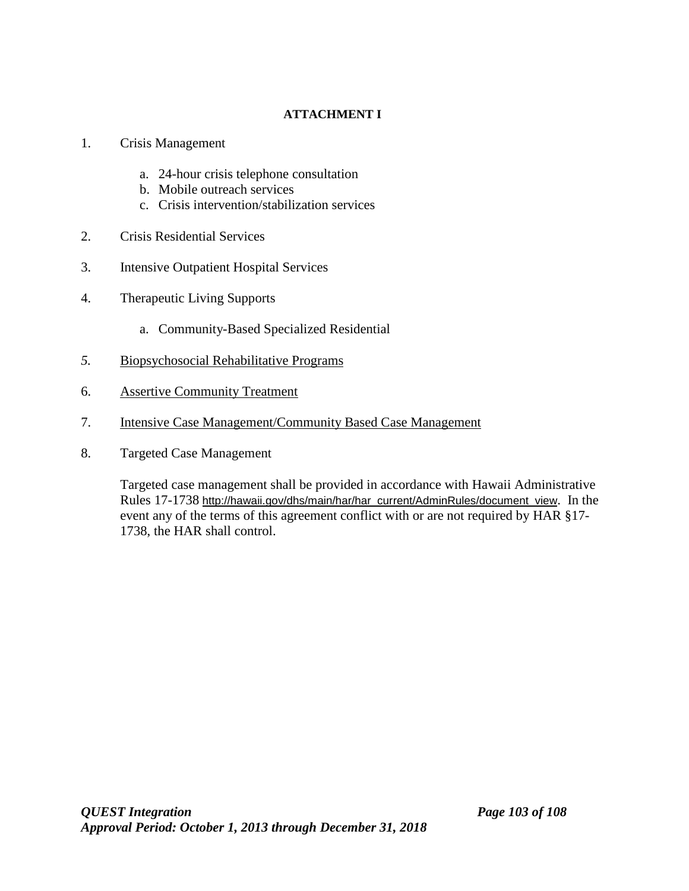# **ATTACHMENT I**

- 1. Crisis Management
	- a. 24-hour crisis telephone consultation
	- b. Mobile outreach services
	- c. Crisis intervention/stabilization services
- 2. Crisis Residential Services
- 3. Intensive Outpatient Hospital Services
- 4. Therapeutic Living Supports
	- a. Community-Based Specialized Residential
- *5.* Biopsychosocial Rehabilitative Programs
- 6. Assertive Community Treatment
- 7. Intensive Case Management/Community Based Case Management
- 8. Targeted Case Management

Targeted case management shall be provided in accordance with Hawaii Administrative Rules 17-1738 [http://hawaii.gov/dhs/main/har/har\\_current/AdminRules/document\\_view](http://hawaii.gov/dhs/main/har/har_current/AdminRules/document_view). In the event any of the terms of this agreement conflict with or are not required by HAR §17- 1738, the HAR shall control.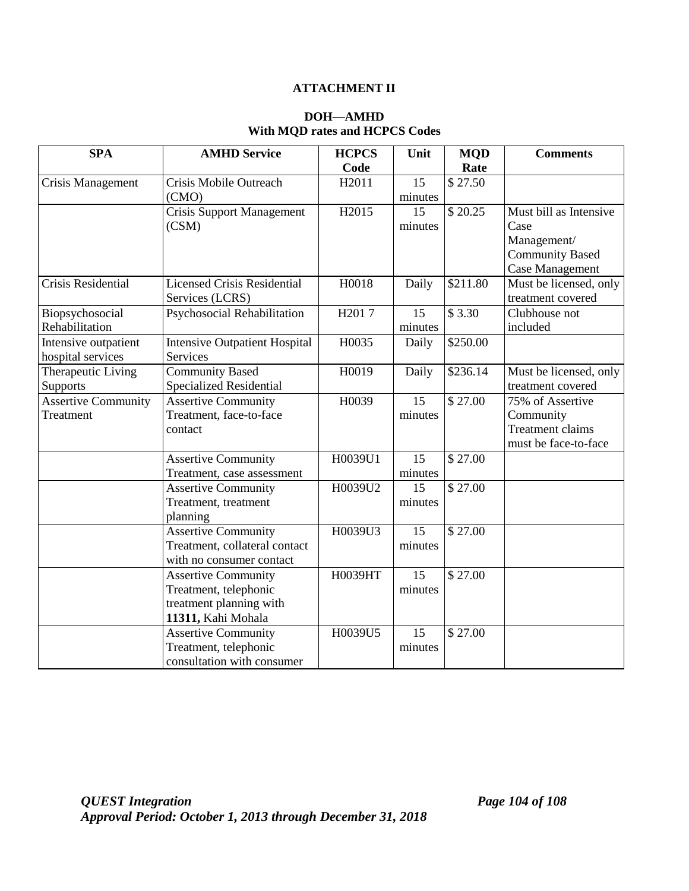### **ATTACHMENT II**

## **DOH—AMHD With MQD rates and HCPCS Codes**

| <b>SPA</b>                 | <b>AMHD Service</b>                  | <b>HCPCS</b>       | Unit    | <b>MQD</b> | <b>Comments</b>         |
|----------------------------|--------------------------------------|--------------------|---------|------------|-------------------------|
|                            |                                      | Code               |         | Rate       |                         |
| Crisis Management          | Crisis Mobile Outreach               | H2011              | 15      | \$27.50    |                         |
|                            | (CMO)                                |                    | minutes |            |                         |
|                            | <b>Crisis Support Management</b>     | H <sub>2015</sub>  | 15      | \$20.25    | Must bill as Intensive  |
|                            | (CSM)                                |                    | minutes |            | Case                    |
|                            |                                      |                    |         |            | Management/             |
|                            |                                      |                    |         |            | <b>Community Based</b>  |
|                            |                                      |                    |         |            | Case Management         |
| Crisis Residential         | <b>Licensed Crisis Residential</b>   | H0018              | Daily   | \$211.80   | Must be licensed, only  |
|                            | Services (LCRS)                      |                    |         |            | treatment covered       |
| Biopsychosocial            | Psychosocial Rehabilitation          | H <sub>201</sub> 7 | 15      | \$3.30     | Clubhouse not           |
| Rehabilitation             |                                      |                    | minutes |            | included                |
| Intensive outpatient       | <b>Intensive Outpatient Hospital</b> | H0035              | Daily   | \$250.00   |                         |
| hospital services          | Services                             |                    |         |            |                         |
| Therapeutic Living         | <b>Community Based</b>               | H0019              | Daily   | \$236.14   | Must be licensed, only  |
| Supports                   | <b>Specialized Residential</b>       |                    |         |            | treatment covered       |
| <b>Assertive Community</b> | <b>Assertive Community</b>           | H0039              | 15      | \$27.00    | 75% of Assertive        |
| Treatment                  | Treatment, face-to-face              |                    | minutes |            | Community               |
|                            | contact                              |                    |         |            | <b>Treatment claims</b> |
|                            |                                      |                    |         |            | must be face-to-face    |
|                            | <b>Assertive Community</b>           | H0039U1            | 15      | \$27.00    |                         |
|                            | Treatment, case assessment           |                    | minutes |            |                         |
|                            | <b>Assertive Community</b>           | H0039U2            | 15      | \$27.00    |                         |
|                            | Treatment, treatment                 |                    | minutes |            |                         |
|                            | planning                             |                    |         |            |                         |
|                            | <b>Assertive Community</b>           | H0039U3            | 15      | \$27.00    |                         |
|                            | Treatment, collateral contact        |                    | minutes |            |                         |
|                            | with no consumer contact             |                    |         |            |                         |
|                            | <b>Assertive Community</b>           | H0039HT            | 15      | \$27.00    |                         |
|                            | Treatment, telephonic                |                    | minutes |            |                         |
|                            | treatment planning with              |                    |         |            |                         |
|                            | 11311, Kahi Mohala                   |                    |         |            |                         |
|                            | <b>Assertive Community</b>           | H0039U5            | 15      | \$27.00    |                         |
|                            | Treatment, telephonic                |                    | minutes |            |                         |
|                            | consultation with consumer           |                    |         |            |                         |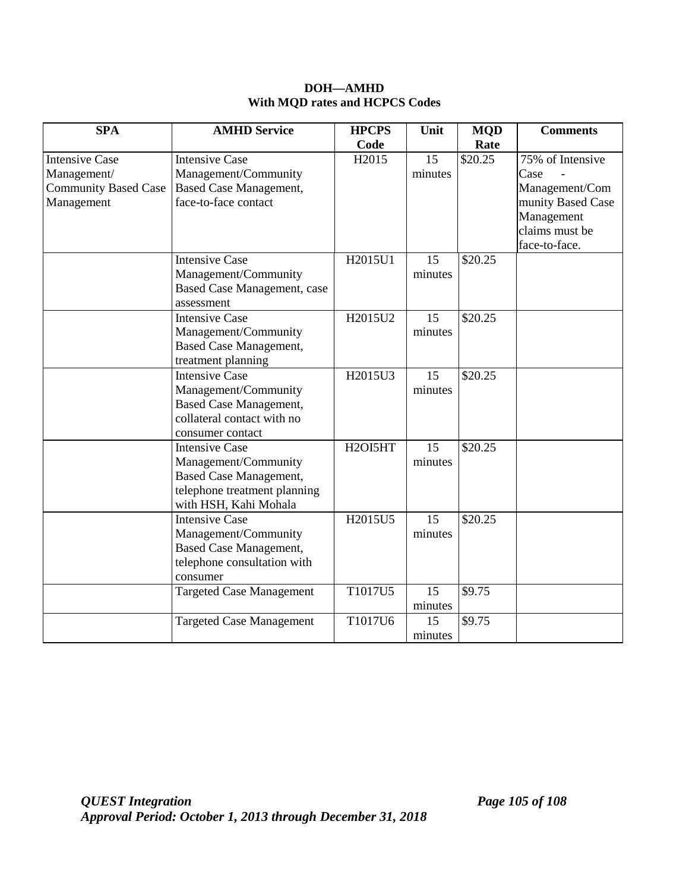### **DOH—AMHD With MQD rates and HCPCS Codes**

| <b>SPA</b>                                                                        | <b>AMHD Service</b>                                                                                                                     | <b>HPCPS</b>      | Unit          | <b>MQD</b> | <b>Comments</b>                                                                                                  |
|-----------------------------------------------------------------------------------|-----------------------------------------------------------------------------------------------------------------------------------------|-------------------|---------------|------------|------------------------------------------------------------------------------------------------------------------|
|                                                                                   |                                                                                                                                         | Code              |               | Rate       |                                                                                                                  |
| <b>Intensive Case</b><br>Management/<br><b>Community Based Case</b><br>Management | <b>Intensive Case</b><br>Management/Community<br><b>Based Case Management,</b><br>face-to-face contact                                  | H <sub>2015</sub> | 15<br>minutes | \$20.25    | 75% of Intensive<br>Case<br>Management/Com<br>munity Based Case<br>Management<br>claims must be<br>face-to-face. |
|                                                                                   | <b>Intensive Case</b><br>Management/Community<br>Based Case Management, case<br>assessment                                              | H2015U1           | 15<br>minutes | \$20.25    |                                                                                                                  |
|                                                                                   | <b>Intensive Case</b><br>Management/Community<br><b>Based Case Management,</b><br>treatment planning                                    | H2015U2           | 15<br>minutes | \$20.25    |                                                                                                                  |
|                                                                                   | <b>Intensive Case</b><br>Management/Community<br><b>Based Case Management,</b><br>collateral contact with no<br>consumer contact        | H2015U3           | 15<br>minutes | \$20.25    |                                                                                                                  |
|                                                                                   | <b>Intensive Case</b><br>Management/Community<br><b>Based Case Management,</b><br>telephone treatment planning<br>with HSH, Kahi Mohala | H2OI5HT           | 15<br>minutes | \$20.25    |                                                                                                                  |
|                                                                                   | <b>Intensive Case</b><br>Management/Community<br><b>Based Case Management,</b><br>telephone consultation with<br>consumer               | H2015U5           | 15<br>minutes | \$20.25    |                                                                                                                  |
|                                                                                   | <b>Targeted Case Management</b>                                                                                                         | T1017U5           | 15<br>minutes | \$9.75     |                                                                                                                  |
|                                                                                   | <b>Targeted Case Management</b>                                                                                                         | T1017U6           | 15<br>minutes | \$9.75     |                                                                                                                  |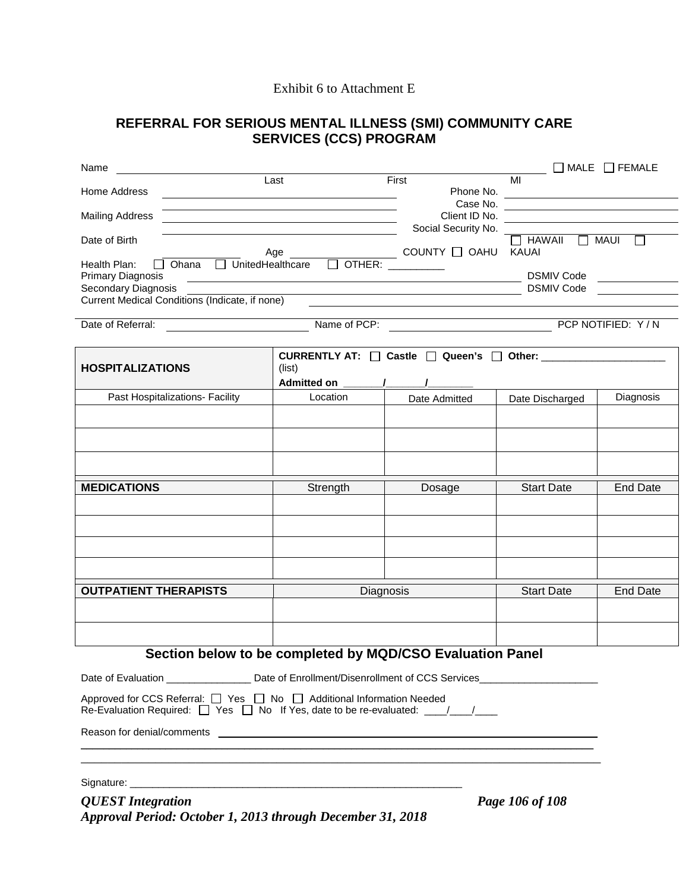#### Exhibit 6 to Attachment E

# **REFERRAL FOR SERIOUS MENTAL ILLNESS (SMI) COMMUNITY CARE SERVICES (CCS) PROGRAM**

| Name                                                                                                                       |                                                                                                                       |                                                          |                                                                                                                             | $\Box$ MALE $\Box$ FEMALE |
|----------------------------------------------------------------------------------------------------------------------------|-----------------------------------------------------------------------------------------------------------------------|----------------------------------------------------------|-----------------------------------------------------------------------------------------------------------------------------|---------------------------|
| Home Address                                                                                                               | Last                                                                                                                  | First<br>Phone No.                                       | MI<br><u> 1989 - Johann Johann Stoff, deutscher Stoffen und der Stoffen und der Stoffen und der Stoffen und der Stoffen</u> |                           |
| <b>Mailing Address</b>                                                                                                     | <u> 1980 - Johann Barn, mars ann an t-Amhain Aonaichte ann an t-Amhain Aonaichte ann an t-Amhain Aonaichte ann an</u> |                                                          | Client ID No.                                                                                                               |                           |
| Date of Birth<br>Age                                                                                                       | Social Security No.<br>COUNTY O OAHU                                                                                  | $\Box$ HAWAII<br>KAUAI                                   | $\Box$ MAUI<br>П                                                                                                            |                           |
| Health Plan:<br>Ohana<br><b>Primary Diagnosis</b><br>Secondary Diagnosis<br>Current Medical Conditions (Indicate, if none) |                                                                                                                       | DSMIV Code                                               | <b>DSMIV Code</b>                                                                                                           |                           |
| Date of Referral:                                                                                                          |                                                                                                                       |                                                          |                                                                                                                             |                           |
| <b>HOSPITALIZATIONS</b>                                                                                                    | (list)<br><b>Admitted on</b>                                                                                          | CURRENTLY AT: $\Box$ Castle $\Box$ Queen's $\Box$ Other: |                                                                                                                             |                           |
| Past Hospitalizations- Facility                                                                                            | Location                                                                                                              | Date Admitted                                            | Date Discharged                                                                                                             | Diagnosis                 |
|                                                                                                                            |                                                                                                                       |                                                          |                                                                                                                             |                           |
| <b>MEDICATIONS</b>                                                                                                         | Strength                                                                                                              | Dosage                                                   | <b>Start Date</b>                                                                                                           | <b>End Date</b>           |
|                                                                                                                            |                                                                                                                       |                                                          |                                                                                                                             |                           |
| <b>OUTPATIENT THERAPISTS</b>                                                                                               | Diagnosis                                                                                                             |                                                          | <b>Start Date</b>                                                                                                           | <b>End Date</b>           |
| Section below to be completed by MQD/CSO Evaluation Panel                                                                  |                                                                                                                       |                                                          |                                                                                                                             |                           |
|                                                                                                                            |                                                                                                                       |                                                          |                                                                                                                             |                           |

Date of Evaluation \_\_\_\_\_\_\_\_\_\_\_\_\_\_\_\_\_\_ Date of Enrollment/Disenrollment of CCS Services\_\_\_\_\_\_\_\_\_\_\_\_\_ Approved for CCS Referral:  $\Box$  Yes  $\Box$  No  $\Box$  Additional Information Needed Re-Evaluation Required:  $\Box$  Yes  $\Box$  No If Yes, date to be re-evaluated:  $\underline{\hspace{1cm}}$ 

Reason for denial/comments \_\_\_\_\_\_\_\_\_\_\_\_\_\_\_\_\_\_\_\_\_\_\_\_\_\_\_\_\_\_\_\_\_\_\_ \_\_\_\_\_\_\_\_\_\_\_\_\_\_\_\_\_\_\_\_\_\_\_\_\_\_\_

Signature: \_\_\_\_\_\_\_\_\_\_\_\_\_\_\_\_\_\_\_\_\_\_\_\_\_\_\_\_\_\_\_\_\_\_\_\_\_\_\_\_\_\_\_\_\_\_\_\_\_\_\_\_\_\_\_\_\_\_\_

*QUEST Integration Page 106 of 108 Approval Period: October 1, 2013 through December 31, 2018*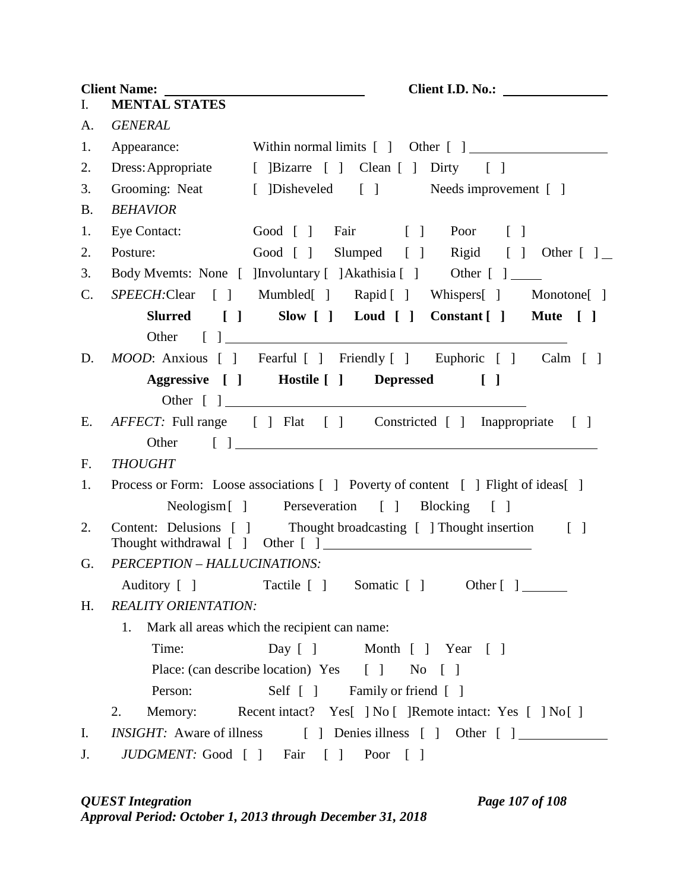**Client Name: Client I.D. No.:**  I. **MENTAL STATES** A. *GENERAL* 1. Appearance: Within normal limits [ ] Other [ ] 2. Dress: Appropriate [ ]Bizarre [ ] Clean [ ] Dirty [ ] 3. Grooming: Neat [ ]Disheveled [ ] Needs improvement [ ] B. *BEHAVIOR* 1. Eye Contact: Good [ ] Fair [ ] Poor [ ] 2. Posture: Good [ ] Slumped [ ] Rigid [ ] Other [ ] 3. Body Mvemts: None [ ]Involuntary [ ]Akathisia [ ] Other [ ] C. *SPEECH:*Clear [ ] Mumbled[ ] Rapid [ ] Whispers[ ] Monotone[ ] **Slurred [ ] Slow [ ] Loud [ ] Constant [ ] Mute [ ]** Other [ ] D. *MOOD*: Anxious [ ] Fearful [ ] Friendly [ ] Euphoric [ ] Calm [ ] **Aggressive [ ] Hostile [ ] Depressed [ ]** Other [ ] E. *AFFECT*: Full range [ ] Flat [ ] Constricted [ ] Inappropriate [ ] Other [ ] F. *THOUGHT* 1. Process or Form: Loose associations [ ] Poverty of content [ ] Flight of ideas[ ] Neologism [ ] Perseveration [ ] Blocking [ ] 2. Content: Delusions [ ] Thought broadcasting [ ] Thought insertion [ ] Thought withdrawal [ ] Other [ ] G. *PERCEPTION – HALLUCINATIONS:* Auditory [ ] Tactile [ ] Somatic [ ] Other [ ] \_\_\_\_\_\_\_ H. *REALITY ORIENTATION:* 1. Mark all areas which the recipient can name: Time: Day [ ] Month [ ] Year [ ] Place: (can describe location) Yes [ ] No [ ] Person: Self [ ] Family or friend [ ] 2. Memory: Recent intact? Yes<sup>[ ]</sup> No [ ]Remote intact: Yes [ ] No [ ] I. *INSIGHT:* Aware of illness [ ] Denies illness [ ] Other [ ] J. *JUDGMENT*: Good [ ] Fair [ ] Poor [ ]